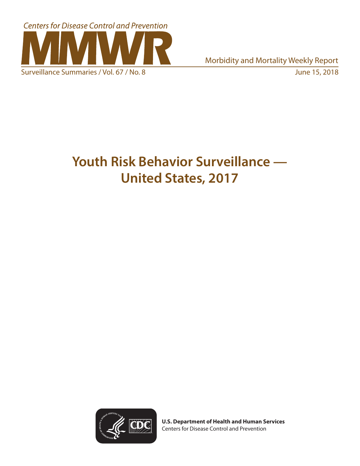

Surveillance Summaries / Vol. 67 / No. 8 June 15, 2018

Morbidity and Mortality Weekly Report

**Youth Risk Behavior Surveillance — United States, 2017**



**U.S. Department of Health and Human Services** Centers for Disease Control and Prevention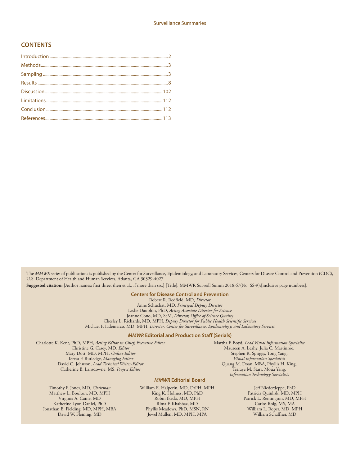#### **CONTENTS**

The *MMWR* series of publications is published by the Center for Surveillance, Epidemiology, and Laboratory Services, Centers for Disease Control and Prevention (CDC), U.S. Department of Health and Human Services, Atlanta, GA 30329-4027.

**Suggested citation:** [Author names; first three, then et al., if more than six.] [Title]. MMWR Surveill Summ 2018;67(No. SS-#):[inclusive page numbers].

**Centers for Disease Control and Prevention**

Robert R. Redfield, MD, *Director* Anne Schuchat, MD, *Principal Deputy Director* Leslie Dauphin, PhD, *Acting Associate Director for Science* Joanne Cono, MD, ScM, *Director, Office of Science Quality*  Chesley L. Richards, MD, MPH, *Deputy Director for Public Health Scientific Services* Michael F. Iademarco, MD, MPH, *Director, Center for Surveillance, Epidemiology, and Laboratory Services*

#### *MMWR* **Editorial and Production Staff (Serials)**

Charlotte K. Kent, PhD, MPH, *Acting Editor in Chief, Executive Editor* Christine G. Casey, MD, *Editor* Mary Dott, MD, MPH, *Online Editor* Teresa F. Rutledge, *Managing Editor* David C. Johnson, *Lead Technical Writer-Editor* Catherine B. Lansdowne, MS, *Project Editor*

Martha F. Boyd, *Lead Visual Information Specialist* Maureen A. Leahy, Julia C. Martinroe, Stephen R. Spriggs, Tong Yang, *Visual Information Specialists* Quang M. Doan, MBA, Phyllis H. King, Terraye M. Starr, Moua Yang, *Information Technology Specialists*

#### *MMWR* **Editorial Board**

Timothy F. Jones, MD, *Chairman* Matthew L. Boulton, MD, MPH Virginia A. Caine, MD Katherine Lyon Daniel, PhD Jonathan E. Fielding, MD, MPH, MBA David W. Fleming, MD

William E. Halperin, MD, DrPH, MPH King K. Holmes, MD, PhD Robin Ikeda, MD, MPH Rima F. Khabbaz, MD Phyllis Meadows, PhD, MSN, RN Jewel Mullen, MD, MPH, MPA

Jeff Niederdeppe, PhD Patricia Quinlisk, MD, MPH Patrick L. Remington, MD, MPH Carlos Roig, MS, MA William L. Roper, MD, MPH William Schaffner, MD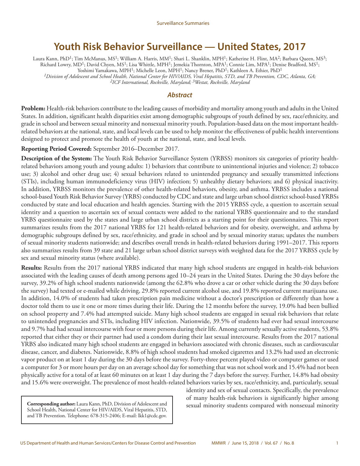# **Youth Risk Behavior Surveillance — United States, 2017**

Laura Kann, PhD<sup>1</sup>; Tim McManus, MS<sup>1</sup>; William A. Harris, MM<sup>1</sup>; Shari L. Shanklin, MPH<sup>1</sup>; Katherine H. Flint, MA<sup>2</sup>; Barbara Queen, MS<sup>3</sup>; Richard Lowry, MD<sup>1</sup>; David Chyen, MS<sup>1</sup>; Lisa Whittle, MPH<sup>1</sup>; Jemekia Thornton, MPA<sup>1</sup>; Connie Lim, MPA<sup>1</sup>; Denise Bradford, MS<sup>1</sup>; Yoshimi Yamakawa, MPH<sup>1</sup>; Michelle Leon, MPH<sup>1</sup>; Nancy Brener, PhD<sup>1</sup>; Kathleen A. Ethier, PhD<sup>1</sup> *1Division of Adolescent and School Health, National Center for HIV/AIDS, Viral Hepatitis, STD, and TB Prevention, CDC, Atlanta, GA;* 

*2ICF International, Rockville, Maryland; 3Westat, Rockville, Maryland*

#### *Abstract*

**Problem:** Health-risk behaviors contribute to the leading causes of morbidity and mortality among youth and adults in the United States. In addition, significant health disparities exist among demographic subgroups of youth defined by sex, race/ethnicity, and grade in school and between sexual minority and nonsexual minority youth. Population-based data on the most important healthrelated behaviors at the national, state, and local levels can be used to help monitor the effectiveness of public health interventions designed to protect and promote the health of youth at the national, state, and local levels.

**Reporting Period Covered:** September 2016–December 2017.

**Description of the System:** The Youth Risk Behavior Surveillance System (YRBSS) monitors six categories of priority healthrelated behaviors among youth and young adults: 1) behaviors that contribute to unintentional injuries and violence; 2) tobacco use; 3) alcohol and other drug use; 4) sexual behaviors related to unintended pregnancy and sexually transmitted infections (STIs), including human immunodeficiency virus (HIV) infection; 5) unhealthy dietary behaviors; and 6) physical inactivity. In addition, YRBSS monitors the prevalence of other health-related behaviors, obesity, and asthma. YRBSS includes a national school-based Youth Risk Behavior Survey (YRBS) conducted by CDC and state and large urban school district school-based YRBSs conducted by state and local education and health agencies. Starting with the 2015 YRBSS cycle, a question to ascertain sexual identity and a question to ascertain sex of sexual contacts were added to the national YRBS questionnaire and to the standard YRBS questionnaire used by the states and large urban school districts as a starting point for their questionnaires. This report summarizes results from the 2017 national YRBS for 121 health-related behaviors and for obesity, overweight, and asthma by demographic subgroups defined by sex, race/ethnicity, and grade in school and by sexual minority status; updates the numbers of sexual minority students nationwide; and describes overall trends in health-related behaviors during 1991–2017. This reports also summarizes results from 39 state and 21 large urban school district surveys with weighted data for the 2017 YRBSS cycle by sex and sexual minority status (where available).

**Results:** Results from the 2017 national YRBS indicated that many high school students are engaged in health-risk behaviors associated with the leading causes of death among persons aged 10–24 years in the United States. During the 30 days before the survey, 39.2% of high school students nationwide (among the 62.8% who drove a car or other vehicle during the 30 days before the survey) had texted or e-mailed while driving, 29.8% reported current alcohol use, and 19.8% reported current marijuana use. In addition, 14.0% of students had taken prescription pain medicine without a doctor's prescription or differently than how a doctor told them to use it one or more times during their life. During the 12 months before the survey, 19.0% had been bullied on school property and 7.4% had attempted suicide. Many high school students are engaged in sexual risk behaviors that relate to unintended pregnancies and STIs, including HIV infection. Nationwide, 39.5% of students had ever had sexual intercourse and 9.7% had had sexual intercourse with four or more persons during their life. Among currently sexually active students, 53.8% reported that either they or their partner had used a condom during their last sexual intercourse. Results from the 2017 national YRBS also indicated many high school students are engaged in behaviors associated with chronic diseases, such as cardiovascular disease, cancer, and diabetes. Nationwide, 8.8% of high school students had smoked cigarettes and 13.2% had used an electronic vapor product on at least 1 day during the 30 days before the survey. Forty-three percent played video or computer games or used a computer for 3 or more hours per day on an average school day for something that was not school work and 15.4% had not been physically active for a total of at least 60 minutes on at least 1 day during the 7 days before the survey. Further, 14.8% had obesity and 15.6% were overweight. The prevalence of most health-related behaviors varies by sex, race/ethnicity, and, particularly, sexual

School Health, National Center for HIV/AIDS, Viral Hepatitis, STD, and TB Prevention. Telephone: 678-315-2406; E-mail: [lkk1@cdc.gov.](mailto:lkk1@cdc.gov)

identity and sex of sexual contacts. Specifically, the prevalence of many health-risk behaviors is significantly higher among sexual minority students compared with nonsexual minority **Corresponding author:** Laura Kann, PhD, Division of Adolescent and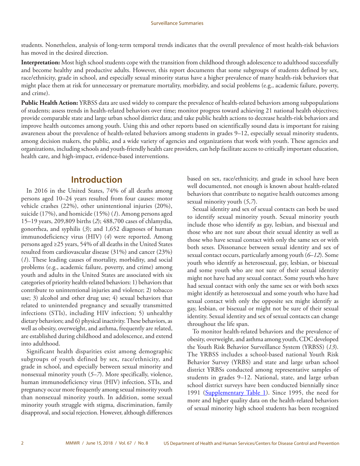<span id="page-3-0"></span>students. Nonetheless, analysis of long-term temporal trends indicates that the overall prevalence of most health-risk behaviors has moved in the desired direction.

**Interpretation:** Most high school students cope with the transition from childhood through adolescence to adulthood successfully and become healthy and productive adults. However, this report documents that some subgroups of students defined by sex, race/ethnicity, grade in school, and especially sexual minority status have a higher prevalence of many health-risk behaviors that might place them at risk for unnecessary or premature mortality, morbidity, and social problems (e.g., academic failure, poverty, and crime).

**Public Health Action:** YRBSS data are used widely to compare the prevalence of health-related behaviors among subpopulations of students; assess trends in health-related behaviors over time; monitor progress toward achieving 21 national health objectives; provide comparable state and large urban school district data; and take public health actions to decrease health-risk behaviors and improve health outcomes among youth. Using this and other reports based on scientifically sound data is important for raising awareness about the prevalence of health-related behaviors among students in grades 9–12, especially sexual minority students, among decision makers, the public, and a wide variety of agencies and organizations that work with youth. These agencies and organizations, including schools and youth-friendly health care providers, can help facilitate access to critically important education, health care, and high-impact, evidence-based interventions.

## **Introduction**

In 2016 in the United States, 74% of all deaths among persons aged 10–24 years resulted from four causes: motor vehicle crashes (22%), other unintentional injuries (20%), suicide (17%), and homicide (15%) (*1*). Among persons aged 15–19 years, 209,809 births (*2*); 488,700 cases of chlamydia, gonorrhea, and syphilis (*3*); and 1,652 diagnoses of human immunodeficiency virus (HIV) (*4*) were reported. Among persons aged ≥25 years, 54% of all deaths in the United States resulted from cardiovascular disease (31%) and cancer (23%) (*1*). These leading causes of mortality, morbidity, and social problems (e.g., academic failure, poverty, and crime) among youth and adults in the United States are associated with six categories of priority health-related behaviors: 1) behaviors that contribute to unintentional injuries and violence; 2) tobacco use; 3) alcohol and other drug use; 4) sexual behaviors that related to unintended pregnancy and sexually transmitted infections (STIs), including HIV infection; 5) unhealthy dietary behaviors; and 6) physical inactivity. These behaviors, as well as obesity, overweight, and asthma, frequently are related, are established during childhood and adolescence, and extend into adulthood.

Significant health disparities exist among demographic subgroups of youth defined by sex, race/ethnicity, and grade in school, and especially between sexual minority and nonsexual minority youth (*5*–*7*). More specifically, violence, human immunodeficiency virus (HIV) infection, STIs, and pregnancy occur more frequently among sexual minority youth than nonsexual minority youth. In addition, some sexual minority youth struggle with stigma, discrimination, family disapproval, and social rejection. However, although differences

based on sex, race/ethnicity, and grade in school have been well documented, not enough is known about health-related behaviors that contribute to negative health outcomes among sexual minority youth (*5*,*7*).

Sexual identity and sex of sexual contacts can both be used to identify sexual minority youth. Sexual minority youth include those who identify as gay, lesbian, and bisexual and those who are not sure about their sexual identity as well as those who have sexual contact with only the same sex or with both sexes. Dissonance between sexual identity and sex of sexual contact occurs, particularly among youth (*6*–*12*). Some youth who identify as heterosexual, gay, lesbian, or bisexual and some youth who are not sure of their sexual identity might not have had any sexual contact. Some youth who have had sexual contact with only the same sex or with both sexes might identify as heterosexual and some youth who have had sexual contact with only the opposite sex might identify as gay, lesbian, or bisexual or might not be sure of their sexual identity. Sexual identity and sex of sexual contacts can change throughout the life span.

To monitor health-related behaviors and the prevalence of obesity, overweight, and asthma among youth, CDC developed the Youth Risk Behavior Surveillance System (YRBSS) (*13*). The YRBSS includes a school-based national Youth Risk Behavior Survey (YRBS) and state and large urban school district YRBSs conducted among representative samples of students in grades 9–12. National, state, and large urban school district surveys have been conducted biennially since 1991 ([Supplementary Table 1\)](https://www.cdc.gov/healthyyouth/data/yrbs/2017_tables/introduction.htm#t1_down). Since 1995, the need for more and higher quality data on the health-related behaviors of sexual minority high school students has been recognized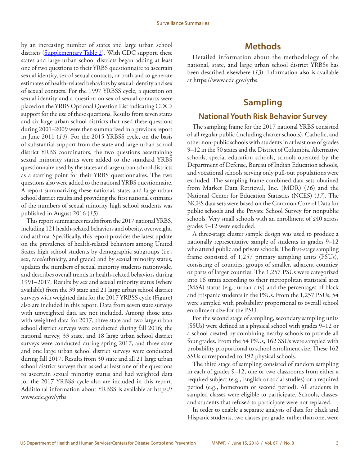<span id="page-4-0"></span>by an increasing number of states and large urban school districts [\(Supplementary Table 2](https://www.cdc.gov/healthyyouth/data/yrbs/2017_tables/introduction.htm#t2_down)). With CDC support, these states and large urban school districts began adding at least one of two questions to their YRBS questionnaire to ascertain sexual identity, sex of sexual contacts, or both and to generate estimates of health-related behaviors by sexual identity and sex of sexual contacts. For the 1997 YRBSS cycle, a question on sexual identity and a question on sex of sexual contacts were placed on the YRBS Optional Question List indicating CDC's support for the use of these questions. Results from seven states and six large urban school districts that used these questions during 2001–2009 were then summarized in a previous report in June 2011 (*14*). For the 2015 YRBSS cycle, on the basis of substantial support from the state and large urban school district YRBS coordinators, the two questions ascertaining sexual minority status were added to the standard YRBS questionnaire used by the states and large urban school districts as a starting point for their YRBS questionnaires. The two questions also were added to the national YRBS questionnaire. A report summarizing these national, state, and large urban school district results and providing the first national estimates of the numbers of sexual minority high school students was published in August 2016 (*15*).

This report summarizes results from the 2017 national YRBS, including 121 health-related behaviors and obesity, overweight, and asthma. Specifically, this report provides the latest update on the prevalence of health-related behaviors among United States high school students by demographic subgroups (i.e., sex, race/ethnicity, and grade) and by sexual minority status, updates the numbers of sexual minority students nationwide, and describes overall trends in health-related behaviors during 1991–2017. Results by sex and sexual minority status (where available) from the 39 state and 21 large urban school district surveys with weighted data for the 2017 YRBSS cycle (Figure) also are included in this report. Data from seven state surveys with unweighted data are not included. Among those sites with weighted data for 2017, three state and two large urban school district surveys were conducted during fall 2016; the national survey, 33 state, and 18 large urban school district surveys were conducted during spring 2017; and three state and one large urban school district surveys were conducted during fall 2017. Results from 30 state and all 21 large urban school district surveys that asked at least one of the questions to ascertain sexual minority status and had weighted data for the 2017 YRBSS cycle also are included in this report. Additional information about YRBSS is available at [https://](https://www.cdc.gov/yrbs) [www.cdc.gov/yrbs.](https://www.cdc.gov/yrbs)

# **Methods**

Detailed information about the methodology of the national, state, and large urban school district YRBSs has been described elsewhere (*13*). Information also is available at<https://www.cdc.gov/yrbs>.

## **Sampling**

## **National Youth Risk Behavior Survey**

The sampling frame for the 2017 national YRBS consisted of all regular public (including charter schools), Catholic, and other non-public schools with students in at least one of grades 9–12 in the 50 states and the District of Columbia. Alternative schools, special education schools, schools operated by the Department of Defense, Bureau of Indian Education schools, and vocational schools serving only pull-out populations were excluded. The sampling frame combined data sets obtained from Market Data Retrieval, Inc. (MDR) (*16*) and the National Center for Education Statistics (NCES) (*17*). The NCES data sets were based on the Common Core of Data for public schools and the Private School Survey for nonpublic schools. Very small schools with an enrollment of ≤40 across grades 9–12 were excluded.

A three-stage cluster sample design was used to produce a nationally representative sample of students in grades 9–12 who attend public and private schools. The first-stage sampling frame consisted of 1,257 primary sampling units (PSUs), consisting of counties; groups of smaller, adjacent counties; or parts of larger counties. The 1,257 PSUs were categorized into 16 strata according to their metropolitan statistical area (MSA) status (e.g., urban city) and the percentages of black and Hispanic students in the PSUs. From the 1,257 PSUs, 54 were sampled with probability proportional to overall school enrollment size for the PSU.

For the second stage of sampling, secondary sampling units (SSUs) were defined as a physical school with grades 9–12 or a school created by combining nearby schools to provide all four grades. From the 54 PSUs, 162 SSUs were sampled with probability proportional to school enrollment size. These 162 SSUs corresponded to 192 physical schools.

The third stage of sampling consisted of random sampling in each of grades 9–12, one or two classrooms from either a required subject (e.g., English or social studies) or a required period (e.g., homeroom or second period). All students in sampled classes were eligible to participate. Schools, classes, and students that refused to participate were not replaced.

In order to enable a separate analysis of data for black and Hispanic students, two classes per grade, rather than one, were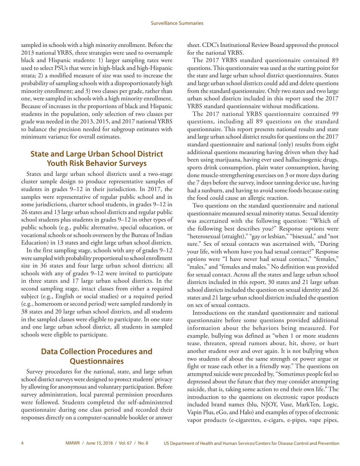sampled in schools with a high minority enrollment. Before the 2013 national YRBS, three strategies were used to oversample black and Hispanic students: 1) larger sampling rates were used to select PSUs that were in high-black and high-Hispanic strata; 2) a modified measure of size was used to increase the probability of sampling schools with a disproportionately high minority enrollment; and 3) two classes per grade, rather than one, were sampled in schools with a high minority enrollment. Because of increases in the proportions of black and Hispanic students in the population, only selection of two classes per grade was needed in the 2013, 2015, and 2017 national YRBS to balance the precision needed for subgroup estimates with minimum variance for overall estimates.

## **State and Large Urban School District Youth Risk Behavior Surveys**

States and large urban school districts used a two-stage cluster sample design to produce representative samples of students in grades 9–12 in their jurisdiction. In 2017, the samples were representative of regular public school and in some jurisdictions, charter school students, in grades 9–12 in 26 states and 13 large urban school districts and regular public school students plus students in grades 9–12 in other types of public schools (e.g., public alternative, special education, or vocational schools or schools overseen by the Bureau of Indian Education) in 13 states and eight large urban school districts.

In the first sampling stage, schools with any of grades 9–12 were sampled with probability proportional to school enrollment size in 36 states and four large urban school districts; all schools with any of grades 9–12 were invited to participate in three states and 17 large urban school districts. In the second sampling stage, intact classes from either a required subject (e.g., English or social studies) or a required period (e.g., homeroom or second period) were sampled randomly in 38 states and 20 large urban school districts, and all students in the sampled classes were eligible to participate. In one state and one large urban school district, all students in sampled schools were eligible to participate.

## **Data Collection Procedures and Questionnaires**

Survey procedures for the national, state, and large urban school district surveys were designed to protect students' privacy by allowing for anonymous and voluntary participation. Before survey administration, local parental permission procedures were followed. Students completed the self-administered questionnaire during one class period and recorded their responses directly on a computer-scannable booklet or answer sheet. CDC's Institutional Review Board approved the protocol for the national YRBS.

The 2017 YRBS standard questionnaire contained 89 questions. This questionnaire was used as the starting point for the state and large urban school district questionnaires. States and large urban school districts could add and delete questions from the standard questionnaire. Only two states and two large urban school districts included in this report used the 2017 YRBS standard questionnaire without modifications.

The 2017 national YRBS questionnaire contained 99 questions, including all 89 questions on the standard questionnaire. This report presents national results and state and large urban school district results for questions on the 2017 standard questionnaire and national (only) results from eight additional questions measuring having driven when they had been using marijuana, having ever used hallucinogenic drugs, sports drink consumption, plain water consumption, having done muscle-strengthening exercises on 3 or more days during the 7 days before the survey, indoor tanning device use, having had a sunburn, and having to avoid some foods because eating the food could cause an allergic reaction.

Two questions on the standard questionnaire and national questionnaire measured sexual minority status. Sexual identity was ascertained with the following question: "Which of the following best describes you?" Response options were "heterosexual (straight)," "gay or lesbian," "bisexual," and "not sure." Sex of sexual contacts was ascertained with, "During your life, with whom have you had sexual contact?" Response options were "I have never had sexual contact," "females," "males," and "females and males." No definition was provided for sexual contact. Across all the states and large urban school districts included in this report, 30 states and 21 large urban school districts included the question on sexual identity and 26 states and 21 large urban school districts included the question on sex of sexual contacts.

Introductions on the standard questionnaire and national questionnaire before some questions provided additional information about the behaviors being measured. For example, bullying was defined as "when 1 or more students tease, threaten, spread rumors about, hit, shove, or hurt another student over and over again. It is not bullying when two students of about the same strength or power argue or fight or tease each other in a friendly way." The questions on attempted suicide were preceded by, "Sometimes people feel so depressed about the future that they may consider attempting suicide, that is, taking some action to end their own life." The introduction to the questions on electronic vapor products included brand names (blu, NJOY, Vuse, MarkTen, Logic, Vapin Plus, eGo, and Halo) and examples of types of electronic vapor products (e-cigarettes, e-cigars, e-pipes, vape pipes,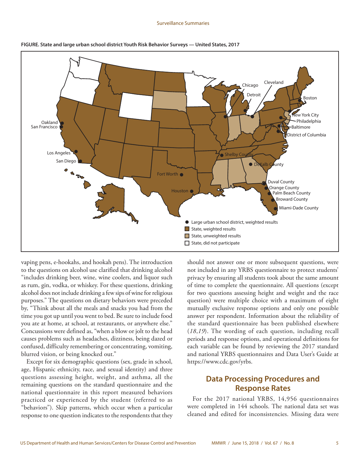#### Surveillance Summaries



**FIGURE. State and large urban school district Youth Risk Behavior Surveys — United States, 2017**

vaping pens, e-hookahs, and hookah pens). The introduction to the questions on alcohol use clarified that drinking alcohol "includes drinking beer, wine, wine coolers, and liquor such as rum, gin, vodka, or whiskey. For these questions, drinking alcohol does not include drinking a few sips of wine for religious purposes." The questions on dietary behaviors were preceded by, "Think about all the meals and snacks you had from the time you got up until you went to bed. Be sure to include food you ate at home, at school, at restaurants, or anywhere else." Concussions were defined as, "when a blow or jolt to the head causes problems such as headaches, dizziness, being dazed or confused, difficulty remembering or concentrating, vomiting, blurred vision, or being knocked out."

Except for six demographic questions (sex, grade in school, age, Hispanic ethnicity, race, and sexual identity) and three questions assessing height, weight, and asthma, all the remaining questions on the standard questionnaire and the national questionnaire in this report measured behaviors practiced or experienced by the student (referred to as "behaviors"). Skip patterns, which occur when a particular response to one question indicates to the respondents that they should not answer one or more subsequent questions, were not included in any YRBS questionnaire to protect students' privacy by ensuring all students took about the same amount of time to complete the questionnaire. All questions (except for two questions assessing height and weight and the race question) were multiple choice with a maximum of eight mutually exclusive response options and only one possible answer per respondent. Information about the reliability of the standard questionnaire has been published elsewhere (*18*,*19*). The wording of each question, including recall periods and response options, and operational definitions for each variable can be found by reviewing the 2017 standard and national YRBS questionnaires and Data User's Guide at [https://www.cdc.gov/yrbs.](https://www.cdc.gov/yrbs)

## **Data Processing Procedures and Response Rates**

For the 2017 national YRBS, 14,956 questionnaires were completed in 144 schools. The national data set was cleaned and edited for inconsistencies. Missing data were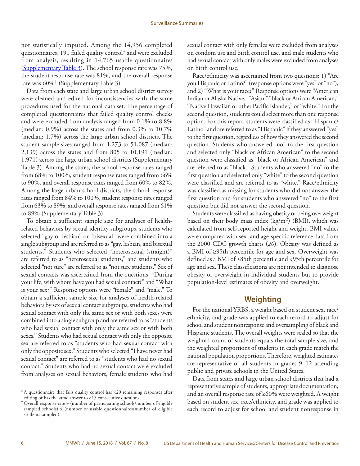not statistically imputed. Among the 14,956 completed questionnaires, 191 failed quality control\* and were excluded from analysis, resulting in 14,765 usable questionnaires ([Supplementary Table 3](https://www.cdc.gov/healthyyouth/data/yrbs/2017_tables/introduction.htm#t3_down)). The school response rate was 75%, the student response rate was 81%, and the overall response rate was 60%† (Supplementary Table 3).

Data from each state and large urban school district survey were cleaned and edited for inconsistencies with the same procedures used for the national data set. The percentage of completed questionnaires that failed quality control checks and were excluded from analysis ranged from 0.1% to 8.8% (median: 0.9%) across the states and from 0.3% to 10.7% (median: 1.7%) across the large urban school districts. The student sample sizes ranged from 1,273 to 51,087 (median: 2,139) across the states and from 805 to 10,191 (median: 1,971) across the large urban school districts (Supplementary Table 3). Among the states, the school response rates ranged from 68% to 100%, student response rates ranged from 66% to 90%, and overall response rates ranged from 60% to 82%. Among the large urban school districts, the school response rates ranged from 84% to 100%, student response rates ranged from 63% to 89%, and overall response rates ranged from 61% to 89% (Supplementary Table 3).

To obtain a sufficient sample size for analyses of healthrelated behaviors by sexual identity subgroups, students who selected "gay or lesbian" or "bisexual" were combined into a single subgroup and are referred to as "gay, lesbian, and bisexual students." Students who selected "heterosexual (straight)" are referred to as "heterosexual students," and students who selected "not sure" are referred to as "not sure students." Sex of sexual contacts was ascertained from the questions, "During your life, with whom have you had sexual contact?" and "What is your sex?" Response options were "female" and "male." To obtain a sufficient sample size for analyses of health-related behaviors by sex of sexual contact subgroups, students who had sexual contact with only the same sex or with both sexes were combined into a single subgroup and are referred to as "students who had sexual contact with only the same sex or with both sexes." Students who had sexual contact with only the opposite sex are referred to as "students who had sexual contact with only the opposite sex." Students who selected "I have never had sexual contact" are referred to as "students who had no sexual contact." Students who had no sexual contact were excluded from analyses on sexual behaviors, female students who had

sexual contact with only females were excluded from analyses on condom use and birth control use, and male students who had sexual contact with only males were excluded from analyses on birth control use.

Race/ethnicity was ascertained from two questions: 1) "Are you Hispanic or Latino?" (response options were "yes" or "no"), and 2) "What is your race?" Response options were "American Indian or Alaska Native," "Asian," "black or African American," "Native Hawaiian or other Pacific Islander," or "white." For the second question, students could select more than one response option. For this report, students were classified as "Hispanic/ Latino" and are referred to as "Hispanic" if they answered "yes" to the first question, regardless of how they answered the second question. Students who answered "no" to the first question and selected only "black or African American" to the second question were classified as "black or African American" and are referred to as "black." Students who answered "no" to the first question and selected only "white" to the second question were classified and are referred to as "white." Race/ethnicity was classified as missing for students who did not answer the first question and for students who answered "no" to the first question but did not answer the second question.

Students were classified as having obesity or being overweight based on their body mass index  $(kg/m^2)$  (BMI), which was calculated from self-reported height and weight. BMI values were compared with sex- and age-specific reference data from the 2000 CDC growth charts (*20*). Obesity was defined as a BMI of ≥95th percentile for age and sex. Overweight was defined as a BMI of ≥85th percentile and <95th percentile for age and sex. These classifications are not intended to diagnose obesity or overweight in individual students but to provide population-level estimates of obesity and overweight.

## **Weighting**

For the national YRBS, a weight based on student sex, race/ ethnicity, and grade was applied to each record to adjust for school and student nonresponse and oversampling of black and Hispanic students. The overall weights were scaled so that the weighted count of students equals the total sample size, and the weighted proportions of students in each grade match the national population proportions. Therefore, weighted estimates are representative of all students in grades 9–12 attending public and private schools in the United States.

Data from states and large urban school districts that had a representative sample of students, appropriate documentation, and an overall response rate of ≥60% were weighted. A weight based on student sex, race/ethnicity, and grade was applied to each record to adjust for school and student nonresponse in

<sup>\*</sup>A questionnaire that fails quality control has <20 remaining responses after editing or has the same answer to ≥15 consecutive questions.

<sup>†</sup>Overall response rate = (number of participating schools/number of eligible sampled schools) x (number of usable questionnaires/number of eligible students sampled).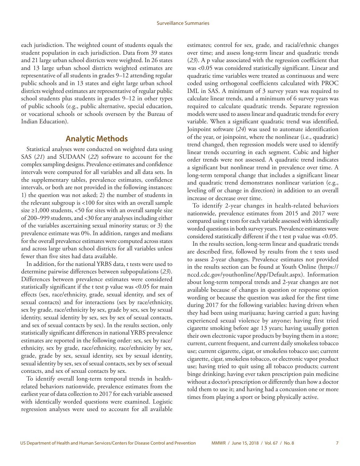each jurisdiction. The weighted count of students equals the student population in each jurisdiction. Data from 39 states and 21 large urban school districts were weighted. In 26 states and 13 large urban school districts weighted estimates are representative of all students in grades 9–12 attending regular public schools and in 13 states and eight large urban school districts weighted estimates are representative of regular public school students plus students in grades 9–12 in other types of public schools (e.g., public alternative, special education, or vocational schools or schools overseen by the Bureau of Indian Education).

## **Analytic Methods**

Statistical analyses were conducted on weighted data using SAS (*21*) and SUDAAN (*22*) software to account for the complex sampling designs. Prevalence estimates and confidence intervals were computed for all variables and all data sets. In the supplementary tables, prevalence estimates, confidence intervals, or both are not provided in the following instances: 1) the question was not asked; 2) the number of students in the relevant subgroup is <100 for sites with an overall sample size  $\geq 1,000$  students, <50 for sites with an overall sample size of 200–999 students, and <30 for any analyses including either of the variables ascertaining sexual minority status; or 3) the prevalence estimate was 0%. In addition, ranges and medians for the overall prevalence estimates were computed across states and across large urban school districts for all variables unless fewer than five sites had data available.

In addition, for the national YRBS data, t tests were used to determine pairwise differences between subpopulations (*23*). Differences between prevalence estimates were considered statistically significant if the t test p value was <0.05 for main effects (sex, race/ethnicity, grade, sexual identity, and sex of sexual contacts) and for interactions (sex by race/ethnicity, sex by grade, race/ethnicity by sex, grade by sex, sex by sexual identity, sexual identity by sex, sex by sex of sexual contacts, and sex of sexual contacts by sex). In the results section, only statistically significant differences in national YRBS prevalence estimates are reported in the following order: sex, sex by race/ ethnicity, sex by grade, race/ethnicity, race/ethnicity by sex, grade, grade by sex, sexual identity, sex by sexual identity, sexual identity by sex, sex of sexual contacts, sex by sex of sexual contacts, and sex of sexual contacts by sex.

To identify overall long-term temporal trends in healthrelated behaviors nationwide, prevalence estimates from the earliest year of data collection to 2017 for each variable assessed with identically worded questions were examined. Logistic regression analyses were used to account for all available estimates; control for sex, grade, and racial/ethnic changes over time; and assess long-term linear and quadratic trends (*23*). A p value associated with the regression coefficient that was <0.05 was considered statistically significant. Linear and quadratic time variables were treated as continuous and were coded using orthogonal coefficients calculated with PROC IML in SAS. A minimum of 3 survey years was required to calculate linear trends, and a minimum of 6 survey years was required to calculate quadratic trends. Separate regression models were used to assess linear and quadratic trends for every variable. When a significant quadratic trend was identified, Joinpoint software (*24*) was used to automate identification of the year, or joinpoint, where the nonlinear (i.e., quadratic) trend changed, then regression models were used to identify linear trends occurring in each segment. Cubic and higher order trends were not assessed. A quadratic trend indicates a significant but nonlinear trend in prevalence over time. A long-term temporal change that includes a significant linear and quadratic trend demonstrates nonlinear variation (e.g., leveling off or change in direction) in addition to an overall increase or decrease over time.

To identify 2-year changes in health-related behaviors nationwide, prevalence estimates from 2015 and 2017 were compared using t tests for each variable assessed with identically worded questions in both survey years. Prevalence estimates were considered statistically different if the t test p value was <0.05.

In the results section, long-term linear and quadratic trends are described first, followed by results from the t tests used to assess 2-year changes. Prevalence estimates not provided in the results section can be found at Youth Online ([https://](https://nccd.cdc.gov/youthonline/App/Default.aspx) [nccd.cdc.gov/youthonline/App/Default.aspx](https://nccd.cdc.gov/youthonline/App/Default.aspx)). Information about long-term temporal trends and 2-year changes are not available because of changes in question or response option wording or because the question was asked for the first time during 2017 for the following variables: having driven when they had been using marijuana; having carried a gun; having experienced sexual violence by anyone; having first tried cigarette smoking before age 13 years; having usually gotten their own electronic vapor products by buying them in a store; current, current frequent, and current daily smokeless tobacco use; current cigarette, cigar, or smokeless tobacco use; current cigarette, cigar, smokeless tobacco, or electronic vapor product use; having tried to quit using all tobacco products; current binge drinking; having ever taken prescription pain medicine without a doctor's prescription or differently than how a doctor told them to use it; and having had a concussion one or more times from playing a sport or being physically active.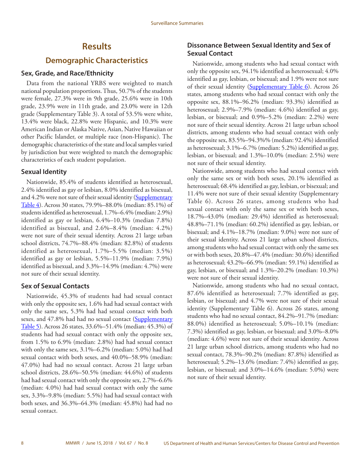## **Results**

## <span id="page-9-0"></span>**Demographic Characteristics**

## **Sex, Grade, and Race/Ethnicity**

Data from the national YRBS were weighted to match national population proportions. Thus, 50.7% of the students were female, 27.3% were in 9th grade, 25.6% were in 10th grade, 23.9% were in 11th grade, and 23.0% were in 12th grade (Supplementary Table 3). A total of 53.5% were white, 13.4% were black, 22.8% were Hispanic, and 10.3% were American Indian or Alaska Native, Asian, Native Hawaiian or other Pacific Islander, or multiple race (non-Hispanic). The demographic characteristics of the state and local samples varied by jurisdiction but were weighted to match the demographic characteristics of each student population.

## **Sexual Identity**

Nationwide, 85.4% of students identified as heterosexual, 2.4% identified as gay or lesbian, 8.0% identified as bisexual, and 4.2% were not sure of their sexual identity [\(Supplementary](https://www.cdc.gov/healthyyouth/data/yrbs/2017_tables/introduction.htm#t4_down) [Table 4\)](https://www.cdc.gov/healthyyouth/data/yrbs/2017_tables/introduction.htm#t4_down). Across 30 states, 79.9%–88.0% (median: 85.1%) of students identified as heterosexual, 1.7%–6.4% (median: 2.9%) identified as gay or lesbian, 6.4%–10.3% (median 7.8%) identified as bisexual, and 2.6%–8.4% (median: 4.2%) were not sure of their sexual identity. Across 21 large urban school districts, 74.7%–88.4% (median: 82.8%) of students identified as heterosexual, 1.7%–5.5% (median: 3.5%) identified as gay or lesbian, 5.5%–11.9% (median: 7.9%) identified as bisexual, and 3.3%–14.9% (median: 4.7%) were not sure of their sexual identity.

## **Sex of Sexual Contacts**

Nationwide, 45.3% of students had had sexual contact with only the opposite sex, 1.6% had had sexual contact with only the same sex, 5.3% had had sexual contact with both sexes, and 47.8% had had no sexual contact [\(Supplementary](https://www.cdc.gov/healthyyouth/data/yrbs/2017_tables/introduction.htm#t5_down) [Table 5\).](https://www.cdc.gov/healthyyouth/data/yrbs/2017_tables/introduction.htm#t5_down) Across 26 states, 33.6%–51.4% (median: 45.3%) of students had had sexual contact with only the opposite sex, from 1.5% to 6.9% (median: 2.8%) had had sexual contact with only the same sex, 3.1%–6.2% (median: 5.0%) had had sexual contact with both sexes, and 40.0%–58.9% (median: 47.0%) had had no sexual contact. Across 21 large urban school districts, 28.6%–50.5% (median: 44.6%) of students had had sexual contact with only the opposite sex, 2.7%–6.6% (median: 4.0%) had had sexual contact with only the same sex, 3.3%–9.8% (median: 5.5%) had had sexual contact with both sexes, and 36.3%–64.3% (median: 45.8%) had had no sexual contact.

## **Dissonance Between Sexual Identity and Sex of Sexual Contact**

Nationwide, among students who had sexual contact with only the opposite sex, 94.1% identified as heterosexual; 4.0% identified as gay, lesbian, or bisexual; and 1.9% were not sure of their sexual identity [\(Supplementary Table 6\)](https://www.cdc.gov/healthyyouth/data/yrbs/2017_tables/introduction.htm#t6_down). Across 26 states, among students who had sexual contact with only the opposite sex, 88.1%–96.2% (median: 93.3%) identified as heterosexual; 2.9%–7.9% (median: 4.6%) identified as gay, lesbian, or bisexual; and 0.9%–5.2% (median: 2.2%) were not sure of their sexual identity. Across 21 large urban school districts, among students who had sexual contact with only the opposite sex, 83.5%–94.3%% (median: 92.4%) identified as heterosexual; 3.1%–6.7% (median: 5.2%) identified as gay, lesbian, or bisexual; and 1.3%–10.0% (median: 2.5%) were not sure of their sexual identity.

Nationwide, among students who had sexual contact with only the same sex or with both sexes, 20.1% identified as heterosexual; 68.4% identified as gay, lesbian, or bisexual; and 11.4% were not sure of their sexual identity (Supplementary Table 6). Across 26 states, among students who had sexual contact with only the same sex or with both sexes, 18.7%–43.0% (median: 29.4%) identified as heterosexual; 48.8%–71.1% (median: 60.2%) identified as gay, lesbian, or bisexual; and 4.1%–18.7% (median: 9.0%) were not sure of their sexual identity. Across 21 large urban school districts, among students who had sexual contact with only the same sex or with both sexes, 20.8%–47.4% (median: 30.6%) identified as heterosexual; 43.2%–66.9% (median: 59.1%) identified as gay, lesbian, or bisexual; and 1.3%–20.2% (median: 10.3%) were not sure of their sexual identity.

Nationwide, among students who had no sexual contact, 87.6% identified as heterosexual; 7.7% identified as gay, lesbian, or bisexual; and 4.7% were not sure of their sexual identity (Supplementary Table 6). Across 26 states, among students who had no sexual contact, 84.2%–91.7% (median: 88.0%) identified as heterosexual; 5.0%–10.1% (median: 7.3%) identified as gay, lesbian, or bisexual; and 3.0%–8.0% (median: 4.6%) were not sure of their sexual identity. Across 21 large urban school districts, among students who had no sexual contact, 78.3%–90.2% (median: 87.8%) identified as heterosexual; 5.2%–13.6% (median: 7.4%) identified as gay, lesbian, or bisexual; and 3.0%–14.6% (median: 5.0%) were not sure of their sexual identity.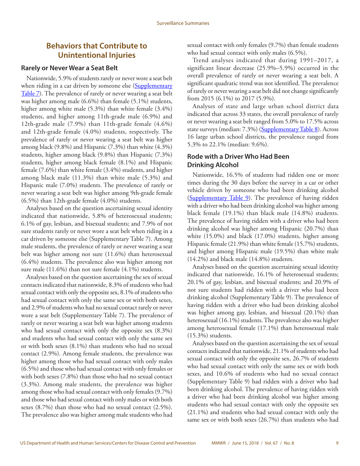## **Behaviors that Contribute to Unintentional Injuries**

## **Rarely or Never Wear a Seat Belt**

Nationwide, 5.9% of students rarely or never wore a seat belt when riding in a car driven by someone else [\(Supplementary](https://www.cdc.gov/healthyyouth/data/yrbs/2017_tables/contribute_to_injury.htm#t7_down) [Table 7](https://www.cdc.gov/healthyyouth/data/yrbs/2017_tables/contribute_to_injury.htm#t7_down)). The prevalence of rarely or never wearing a seat belt was higher among male (6.6%) than female (5.1%) students, higher among white male (5.3%) than white female (3.4%) students, and higher among 11th-grade male (6.9%) and 12th-grade male (7.9%) than 11th-grade female (4.6%) and 12th-grade female (4.0%) students, respectively. The prevalence of rarely or never wearing a seat belt was higher among black (9.8%) and Hispanic (7.3%) than white (4.3%) students, higher among black (9.8%) than Hispanic (7.3%) students, higher among black female (8.1%) and Hispanic female (7.6%) than white female (3.4%) students, and higher among black male (11.3%) than white male (5.3%) and Hispanic male (7.0%) students. The prevalence of rarely or never wearing a seat belt was higher among 9th-grade female (6.5%) than 12th-grade female (4.0%) students.

Analyses based on the question ascertaining sexual identity indicated that nationwide, 5.8% of heterosexual students; 6.1% of gay, lesbian, and bisexual students; and 7.9% of not sure students rarely or never wore a seat belt when riding in a car driven by someone else (Supplementary Table 7). Among male students, the prevalence of rarely or never wearing a seat belt was higher among not sure (11.6%) than heterosexual (6.4%) students. The prevalence also was higher among not sure male (11.6%) than not sure female (4.1%) students.

Analyses based on the question ascertaining the sex of sexual contacts indicated that nationwide, 8.3% of students who had sexual contact with only the opposite sex, 8.1% of students who had sexual contact with only the same sex or with both sexes, and 2.9% of students who had no sexual contact rarely or never wore a seat belt (Supplementary Table 7). The prevalence of rarely or never wearing a seat belt was higher among students who had sexual contact with only the opposite sex (8.3%) and students who had sexual contact with only the same sex or with both sexes (8.1%) than students who had no sexual contact (2.9%). Among female students, the prevalence was higher among those who had sexual contact with only males (6.5%) and those who had sexual contact with only females or with both sexes (7.8%) than those who had no sexual contact (3.3%). Among male students, the prevalence was higher among those who had sexual contact with only females (9.7%) and those who had sexual contact with only males or with both sexes (8.7%) than those who had no sexual contact (2.5%). The prevalence also was higher among male students who had

sexual contact with only females (9.7%) than female students who had sexual contact with only males (6.5%).

Trend analyses indicated that during 1991–2017, a significant linear decrease (25.9%–5.9%) occurred in the overall prevalence of rarely or never wearing a seat belt. A significant quadratic trend was not identified. The prevalence of rarely or never wearing a seat belt did not change significantly from 2015 (6.1%) to 2017 (5.9%).

Analyses of state and large urban school district data indicated that across 33 states, the overall prevalence of rarely or never wearing a seat belt ranged from 5.0% to 17.5% across state surveys (median: 7.3%) [\(Supplementary Table 8\)](https://www.cdc.gov/healthyyouth/data/yrbs/2017_tables/contribute_to_injury.htm#t8_down). Across 16 large urban school districts, the prevalence ranged from 5.3% to 22.1% (median: 9.6%).

## **Rode with a Driver Who Had Been Drinking Alcohol**

Nationwide, 16.5% of students had ridden one or more times during the 30 days before the survey in a car or other vehicle driven by someone who had been drinking alcohol [\(Supplementary Table 9\)](https://www.cdc.gov/healthyyouth/data/yrbs/2017_tables/contribute_to_injury.htm#t9_down). The prevalence of having ridden with a driver who had been drinking alcohol was higher among black female (19.1%) than black male (14.8%) students. The prevalence of having ridden with a driver who had been drinking alcohol was higher among Hispanic (20.7%) than white (15.0%) and black (17.0%) students, higher among Hispanic female (21.9%) than white female (15.7%) students, and higher among Hispanic male (19.5%) than white male (14.2%) and black male (14.8%) students.

Analyses based on the question ascertaining sexual identity indicated that nationwide, 16.1% of heterosexual students; 20.1% of gay, lesbian, and bisexual students; and 20.9% of not sure students had ridden with a driver who had been drinking alcohol (Supplementary Table 9). The prevalence of having ridden with a driver who had been drinking alcohol was higher among gay, lesbian, and bisexual (20.1%) than heterosexual (16.1%) students. The prevalence also was higher among heterosexual female (17.1%) than heterosexual male (15.3%) students.

Analyses based on the question ascertaining the sex of sexual contacts indicated that nationwide, 21.1% of students who had sexual contact with only the opposite sex, 26.7% of students who had sexual contact with only the same sex or with both sexes, and 10.6% of students who had no sexual contact (Supplementary Table 9) had ridden with a driver who had been drinking alcohol. The prevalence of having ridden with a driver who had been drinking alcohol was higher among students who had sexual contact with only the opposite sex (21.1%) and students who had sexual contact with only the same sex or with both sexes (26.7%) than students who had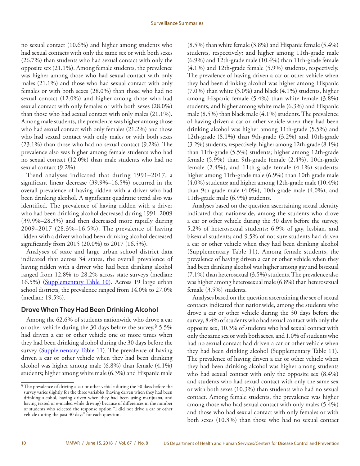no sexual contact (10.6%) and higher among students who had sexual contacts with only the same sex or with both sexes (26.7%) than students who had sexual contact with only the opposite sex (21.1%). Among female students, the prevalence was higher among those who had sexual contact with only males (21.1%) and those who had sexual contact with only females or with both sexes (28.0%) than those who had no sexual contact (12.0%) and higher among those who had sexual contact with only females or with both sexes (28.0%) than those who had sexual contact with only males (21.1%). Among male students, the prevalence was higher among those who had sexual contact with only females (21.2%) and those who had sexual contact with only males or with both sexes (23.1%) than those who had no sexual contact (9.2%). The prevalence also was higher among female students who had no sexual contact (12.0%) than male students who had no sexual contact (9.2%).

Trend analyses indicated that during 1991–2017, a significant linear decrease (39.9%–16.5%) occurred in the overall prevalence of having ridden with a driver who had been drinking alcohol. A significant quadratic trend also was identified. The prevalence of having ridden with a driver who had been drinking alcohol decreased during 1991–2009 (39.9%–28.3%) and then decreased more rapidly during 2009–2017 (28.3%–16.5%). The prevalence of having ridden with a driver who had been drinking alcohol decreased significantly from 2015 (20.0%) to 2017 (16.5%).

Analyses of state and large urban school district data indicated that across 34 states, the overall prevalence of having ridden with a driver who had been drinking alcohol ranged from 12.8% to 28.2% across state surveys (median: 16.5%) ([Supplementary Table 10\)](https://www.cdc.gov/healthyyouth/data/yrbs/2017_tables/contribute_to_injury.htm#t10_down). Across 19 large urban school districts, the prevalence ranged from 14.0% to 27.0% (median: 19.5%).

## **Drove When They Had Been Drinking Alcohol**

Among the 62.6% of students nationwide who drove a car or other vehicle during the 30 days before the survey,  $$5.5\%$ had driven a car or other vehicle one or more times when they had been drinking alcohol during the 30 days before the survey ([Supplementary Table 11\)](https://www.cdc.gov/healthyyouth/data/yrbs/2017_tables/contribute_to_injury.htm#t11_down). The prevalence of having driven a car or other vehicle when they had been drinking alcohol was higher among male (6.8%) than female (4.1%) students; higher among white male (6.3%) and Hispanic male

(8.5%) than white female (3.8%) and Hispanic female (5.4%) students, respectively; and higher among 11th-grade male (6.9%) and 12th-grade male (10.4%) than 11th-grade female (4.1%) and 12th-grade female (5.9%) students, respectively. The prevalence of having driven a car or other vehicle when they had been drinking alcohol was higher among Hispanic (7.0%) than white (5.0%) and black (4.1%) students, higher among Hispanic female (5.4%) than white female (3.8%) students, and higher among white male (6.3%) and Hispanic male (8.5%) than black male (4.1%) students. The prevalence of having driven a car or other vehicle when they had been drinking alcohol was higher among 11th-grade (5.5%) and 12th-grade (8.1%) than 9th-grade (3.2%) and 10th-grade (3.2%) students, respectively; higher among 12th-grade (8.1%) than 11th-grade (5.5%) students; higher among 12th-grade female (5.9%) than 9th-grade female (2.4%), 10th-grade female (2.4%), and 11th-grade female (4.1%) students; higher among 11th-grade male (6.9%) than 10th grade male (4.0%) students; and higher among 12th-grade male (10.4%) than 9th-grade male (4.0%), 10th-grade male (4.0%), and 11th-grade male (6.9%) students.

Analyses based on the question ascertaining sexual identity indicated that nationwide, among the students who drove a car or other vehicle during the 30 days before the survey, 5.2% of heterosexual students; 6.9% of gay, lesbian, and bisexual students; and 9.5% of not sure students had driven a car or other vehicle when they had been drinking alcohol (Supplementary Table 11). Among female students, the prevalence of having driven a car or other vehicle when they had been drinking alcohol was higher among gay and bisexual (7.1%) than heterosexual (3.5%) students. The prevalence also was higher among heterosexual male (6.8%) than heterosexual female (3.5%) students.

Analyses based on the question ascertaining the sex of sexual contacts indicated that nationwide, among the students who drove a car or other vehicle during the 30 days before the survey, 8.4% of students who had sexual contact with only the opposite sex, 10.3% of students who had sexual contact with only the same sex or with both sexes, and 1.0% of students who had no sexual contact had driven a car or other vehicle when they had been drinking alcohol (Supplementary Table 11). The prevalence of having driven a car or other vehicle when they had been drinking alcohol was higher among students who had sexual contact with only the opposite sex (8.4%) and students who had sexual contact with only the same sex or with both sexes (10.3%) than students who had no sexual contact. Among female students, the prevalence was higher among those who had sexual contact with only males (5.4%) and those who had sexual contact with only females or with both sexes (10.3%) than those who had no sexual contact

<sup>§</sup>The prevalence of driving a car or other vehicle during the 30 days before the survey varies slightly for the three variables (having driven when they had been drinking alcohol, having driven when they had been using marijuana, and having texted or e-mailed while driving) because of differences in the number of students who selected the response option "I did not drive a car or other vehicle during the past 30 days" for each question.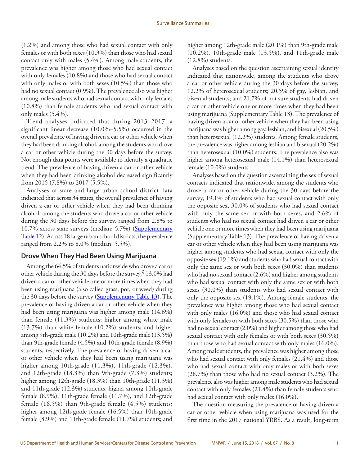(1.2%) and among those who had sexual contact with only females or with both sexes (10.3%) than those who had sexual contact only with males (5.4%). Among male students, the prevalence was higher among those who had sexual contact with only females (10.8%) and those who had sexual contact with only males or with both sexes (10.5%) than those who had no sexual contact (0.9%). The prevalence also was higher among male students who had sexual contact with only females (10.8%) than female students who had sexual contact with only males (5.4%).

Trend analyses indicated that during 2013–2017, a significant linear decrease (10.0%–5.5%) occurred in the overall prevalence of having driven a car or other vehicle when they had been drinking alcohol, among the students who drove a car or other vehicle during the 30 days before the survey. Not enough data points were available to identify a quadratic trend. The prevalence of having driven a car or other vehicle when they had been drinking alcohol decreased significantly from 2015 (7.8%) to 2017 (5.5%).

Analyses of state and large urban school district data indicated that across 34 states, the overall prevalence of having driven a car or other vehicle when they had been drinking alcohol, among the students who drove a car or other vehicle during the 30 days before the survey, ranged from 2.8% to 10.7% across state surveys (median: 5.7%) [\(Supplementary](https://www.cdc.gov/healthyyouth/data/yrbs/2017_tables/contribute_to_injury.htm#t12_down) [Table 12](https://www.cdc.gov/healthyyouth/data/yrbs/2017_tables/contribute_to_injury.htm#t12_down)). Across 18 large urban school districts, the prevalence ranged from 2.2% to 8.0% (median: 5.5%).

## **Drove When They Had Been Using Marijuana**

Among the 64.5% of students nationwide who drove a car or other vehicle during the 30 days before the survey,  $\frac{13.0\%}{13.0\%}$  had driven a car or other vehicle one or more times when they had been using marijuana (also called grass, pot, or weed) during the 30 days before the survey ([Supplementary Table 13\)](https://www.cdc.gov/healthyyouth/data/yrbs/2017_tables/contribute_to_injury.htm#t13_down). The prevalence of having driven a car or other vehicle when they had been using marijuana was higher among male (14.6%) than female (11.3%) students; higher among white male (13.7%) than white female (10.2%) students; and higher among 9th-grade male (10.2%) and 10th-grade male (13.5%) than 9th-grade female (4.5%) and 10th-grade female (8.9%) students, respectively. The prevalence of having driven a car or other vehicle when they had been using marijuana was higher among 10th-grade (11.3%), 11th-grade (12.3%), and 12th-grade (18.3%) than 9th-grade (7.3%) students; higher among 12th-grade (18.3%) than 10th-grade (11.3%) and 11th-grade (12.3%) students, higher among 10th-grade female (8.9%), 11th-grade female (11.7%), and 12th-grade female (16.5%) than 9th-grade female (4.5%) students; higher among 12th-grade female (16.5%) than 10th-grade female (8.9%) and 11th-grade female (11.7%) students; and

higher among 12th-grade male (20.1%) than 9th-grade male (10.2%), 10th-grade male (13.5%), and 11th-grade male (12.8%) students.

Analyses based on the question ascertaining sexual identity indicated that nationwide, among the students who drove a car or other vehicle during the 30 days before the survey, 12.2% of heterosexual students; 20.5% of gay, lesbian, and bisexual students; and 21.7% of not sure students had driven a car or other vehicle one or more times when they had been using marijuana (Supplementary Table 13). The prevalence of having driven a car or other vehicle when they had been using marijuana was higher among gay, lesbian, and bisexual (20.5%) than heterosexual (12.2%) students. Among female students, the prevalence was higher among lesbian and bisexual (20.2%) than heterosexual (10.0%) students. The prevalence also was higher among heterosexual male (14.1%) than heterosexual female (10.0%) students.

Analyses based on the question ascertaining the sex of sexual contacts indicated that nationwide, among the students who drove a car or other vehicle during the 30 days before the survey, 19.1% of students who had sexual contact with only the opposite sex, 30.0% of students who had sexual contact with only the same sex or with both sexes, and 2.6% of students who had no sexual contact had driven a car or other vehicle one or more times when they had been using marijuana (Supplementary Table 13). The prevalence of having driven a car or other vehicle when they had been using marijuana was higher among students who had sexual contact with only the opposite sex (19.1%) and students who had sexual contact with only the same sex or with both sexes (30.0%) than students who had no sexual contact (2.6%) and higher among students who had sexual contact with only the same sex or with both sexes (30.0%) than students who had sexual contact with only the opposite sex (19.1%). Among female students, the prevalence was higher among those who had sexual contact with only males (16.0%) and those who had sexual contact with only females or with both sexes (30.5%) than those who had no sexual contact (2.0%) and higher among those who had sexual contact with only females or with both sexes (30.5%) than those who had sexual contact with only males (16.0%). Among male students, the prevalence was higher among those who had sexual contact with only females (21.4%) and those who had sexual contact with only males or with both sexes (28.7%) than those who had no sexual contact (3.2%). The prevalence also was higher among male students who had sexual contact with only females (21.4%) than female students who had sexual contact with only males (16.0%).

The question measuring the prevalence of having driven a car or other vehicle when using marijuana was used for the first time in the 2017 national YRBS. As a result, long-term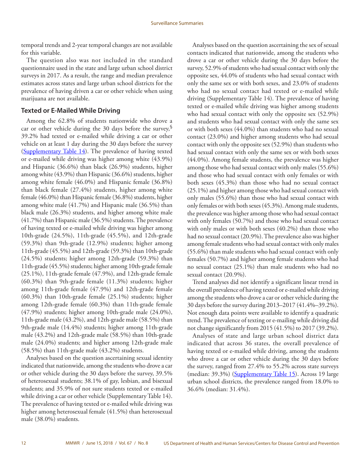temporal trends and 2-year temporal changes are not available for this variable.

The question also was not included in the standard questionnaire used in the state and large urban school district surveys in 2017. As a result, the range and median prevalence estimates across states and large urban school districts for the prevalence of having driven a car or other vehicle when using marijuana are not available.

## **Texted or E-Mailed While Driving**

Among the 62.8% of students nationwide who drove a car or other vehicle during the 30 days before the survey,  $\sqrt{ }$ 39.2% had texted or e-mailed while driving a car or other vehicle on at least 1 day during the 30 days before the survey (Supplementary Table  $14$ ). The prevalence of having texted or e-mailed while driving was higher among white (43.9%) and Hispanic (36.6%) than black (26.9%) students, higher among white (43.9%) than Hispanic (36.6%) students, higher among white female (46.0%) and Hispanic female (36.8%) than black female (27.4%) students, higher among white female (46.0%) than Hispanic female (36.8%) students, higher among white male (41.7%) and Hispanic male (36.5%) than black male (26.3%) students, and higher among white male (41.7%) than Hispanic male (36.5%) students. The prevalence of having texted or e-mailed while driving was higher among 10th-grade (24.5%), 11th-grade (45.5%), and 12th-grade (59.3%) than 9th-grade (12.9%) students; higher among 11th-grade (45.5%) and 12th-grade (59.3%) than 10th-grade (24.5%) students; higher among 12th-grade (59.3%) than 11th-grade (45.5%) students; higher among 10th-grade female (25.1%), 11th-grade female (47.9%), and 12th-grade female (60.3%) than 9th-grade female (11.3%) students; higher among 11th-grade female (47.9%) and 12th-grade female (60.3%) than 10th-grade female (25.1%) students; higher among 12th-grade female (60.3%) than 11th-grade female (47.9%) students; higher among 10th-grade male (24.0%), 11th-grade male (43.2%), and 12th-grade male (58.5%) than 9th-grade male (14.4%) students; higher among 11th-grade male (43.2%) and 12th-grade male (58.5%) than 10th-grade male (24.0%) students; and higher among 12th-grade male (58.5%) than 11th-grade male (43.2%) students.

Analyses based on the question ascertaining sexual identity indicated that nationwide, among the students who drove a car or other vehicle during the 30 days before the survey, 39.5% of heterosexual students; 38.1% of gay, lesbian, and bisexual students; and 35.9% of not sure students texted or e-mailed while driving a car or other vehicle (Supplementary Table 14). The prevalence of having texted or e-mailed while driving was higher among heterosexual female (41.5%) than heterosexual male (38.0%) students.

Analyses based on the question ascertaining the sex of sexual contacts indicated that nationwide, among the students who drove a car or other vehicle during the 30 days before the survey, 52.9% of students who had sexual contact with only the opposite sex, 44.0% of students who had sexual contact with only the same sex or with both sexes, and 23.0% of students who had no sexual contact had texted or e-mailed while driving (Supplementary Table 14). The prevalence of having texted or e-mailed while driving was higher among students who had sexual contact with only the opposite sex (52.9%) and students who had sexual contact with only the same sex or with both sexes (44.0%) than students who had no sexual contact (23.0%) and higher among students who had sexual contact with only the opposite sex (52.9%) than students who had sexual contact with only the same sex or with both sexes (44.0%). Among female students, the prevalence was higher among those who had sexual contact with only males (55.6%) and those who had sexual contact with only females or with both sexes (45.3%) than those who had no sexual contact (25.1%) and higher among those who had sexual contact with only males (55.6%) than those who had sexual contact with only females or with both sexes (45.3%). Among male students, the prevalence was higher among those who had sexual contact with only females (50.7%) and those who had sexual contact with only males or with both sexes (40.2%) than those who had no sexual contact (20.9%). The prevalence also was higher among female students who had sexual contact with only males (55.6%) than male students who had sexual contact with only females (50.7%) and higher among female students who had no sexual contact (25.1%) than male students who had no sexual contact (20.9%).

Trend analyses did not identify a significant linear trend in the overall prevalence of having texted or e-mailed while driving among the students who drove a car or other vehicle during the 30 days before the survey during 2013–2017 (41.4%–39.2%). Not enough data points were available to identify a quadratic trend. The prevalence of texting or e-mailing while driving did not change significantly from 2015 (41.5%) to 2017 (39.2%).

Analyses of state and large urban school district data indicated that across 36 states, the overall prevalence of having texted or e-mailed while driving, among the students who drove a car or other vehicle during the 30 days before the survey, ranged from 27.4% to 55.2% across state surveys (median: 39.3%) [\(Supplementary Table 15](https://www.cdc.gov/healthyyouth/data/yrbs/2017_tables/contribute_to_injury.htm#t15_down)). Across 19 large urban school districts, the prevalence ranged from 18.0% to 36.6% (median: 31.4%).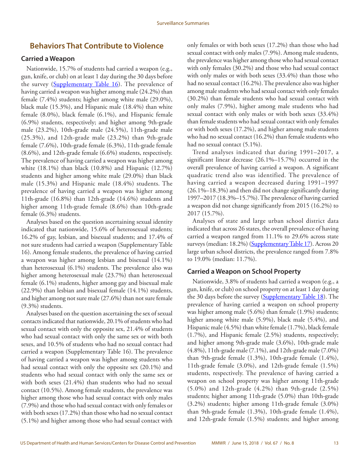## **Behaviors That Contribute to Violence**

## **Carried a Weapon**

Nationwide, 15.7% of students had carried a weapon (e.g., gun, knife, or club) on at least 1 day during the 30 days before the survey ([Supplementary Table 16](https://www.cdc.gov/healthyyouth/data/yrbs/2017_tables/contribute_to_violence.htm#t16_down)). The prevalence of having carried a weapon was higher among male (24.2%) than female (7.4%) students; higher among white male (29.0%), black male (15.3%), and Hispanic male (18.4%) than white female (8.0%), black female (6.1%), and Hispanic female (6.9%) students, respectively; and higher among 9th-grade male (23.2%), 10th-grade male (24.5%), 11th-grade male (25.3%), and 12th-grade male (23.2%) than 9th-grade female (7.6%), 10th-grade female (6.3%), 11th-grade female (8.6%), and 12th-grade female (6.6%) students, respectively. The prevalence of having carried a weapon was higher among white (18.1%) than black (10.8%) and Hispanic (12.7%) students and higher among white male (29.0%) than black male (15.3%) and Hispanic male (18.4%) students. The prevalence of having carried a weapon was higher among 11th-grade (16.8%) than 12th-grade (14.6%) students and higher among 11th-grade female (8.6%) than 10th-grade female (6.3%) students.

Analyses based on the question ascertaining sexual identity indicated that nationwide, 15.6% of heterosexual students; 16.2% of gay, lesbian, and bisexual students; and 17.4% of not sure students had carried a weapon (Supplementary Table 16). Among female students, the prevalence of having carried a weapon was higher among lesbian and bisexual (14.1%) than heterosexual (6.1%) students. The prevalence also was higher among heterosexual male (23.7%) than heterosexual female (6.1%) students, higher among gay and bisexual male (22.9%) than lesbian and bisexual female (14.1%) students, and higher among not sure male (27.6%) than not sure female (9.3%) students.

Analyses based on the question ascertaining the sex of sexual contacts indicated that nationwide, 20.1% of students who had sexual contact with only the opposite sex, 21.4% of students who had sexual contact with only the same sex or with both sexes, and 10.5% of students who had no sexual contact had carried a weapon (Supplementary Table 16). The prevalence of having carried a weapon was higher among students who had sexual contact with only the opposite sex (20.1%) and students who had sexual contact with only the same sex or with both sexes (21.4%) than students who had no sexual contact (10.5%). Among female students, the prevalence was higher among those who had sexual contact with only males (7.9%) and those who had sexual contact with only females or with both sexes (17.2%) than those who had no sexual contact (5.1%) and higher among those who had sexual contact with

only females or with both sexes (17.2%) than those who had sexual contact with only males (7.9%). Among male students, the prevalence was higher among those who had sexual contact with only females (30.2%) and those who had sexual contact with only males or with both sexes (33.4%) than those who had no sexual contact (16.2%). The prevalence also was higher among male students who had sexual contact with only females (30.2%) than female students who had sexual contact with only males (7.9%), higher among male students who had sexual contact with only males or with both sexes (33.4%) than female students who had sexual contact with only females or with both sexes (17.2%), and higher among male students who had no sexual contact (16.2%) than female students who had no sexual contact (5.1%).

Trend analyses indicated that during 1991–2017, a significant linear decrease (26.1%–15.7%) occurred in the overall prevalence of having carried a weapon. A significant quadratic trend also was identified. The prevalence of having carried a weapon decreased during 1991–1997 (26.1%–18.3%) and then did not change significantly during 1997–2017 (18.3%–15.7%). The prevalence of having carried a weapon did not change significantly from 2015 (16.2%) to 2017 (15.7%).

Analyses of state and large urban school district data indicated that across 26 states, the overall prevalence of having carried a weapon ranged from 11.1% to 29.6% across state surveys (median: 18.2%) [\(Supplementary Table 17](https://www.cdc.gov/healthyyouth/data/yrbs/2017_tables/contribute_to_violence.htm#t17_down)). Across 20 large urban school districts, the prevalence ranged from 7.8% to 19.0% (median: 11.7%).

## **Carried a Weapon on School Property**

Nationwide, 3.8% of students had carried a weapon (e.g., a gun, knife, or club) on school property on at least 1 day during the 30 days before the survey [\(Supplementary Table 18](https://www.cdc.gov/healthyyouth/data/yrbs/2017_tables/contribute_to_violence.htm#t18_down)). The prevalence of having carried a weapon on school property was higher among male (5.6%) than female (1.9%) students; higher among white male (5.9%), black male (5.4%), and Hispanic male (4.5%) than white female (1.7%), black female (1.7%), and Hispanic female (2.5%) students, respectively; and higher among 9th-grade male (3.6%), 10th-grade male (4.8%), 11th-grade male (7.1%), and 12th-grade male (7.0%) than 9th-grade female (1.3%), 10th-grade female (1.4%), 11th-grade female (3.0%), and 12th-grade female (1.5%) students, respectively. The prevalence of having carried a weapon on school property was higher among 11th-grade (5.0%) and 12th-grade (4.2%) than 9th-grade (2.5%) students; higher among 11th-grade (5.0%) than 10th-grade (3.2%) students; higher among 11th-grade female (3.0%) than 9th-grade female (1.3%), 10th-grade female (1.4%), and 12th-grade female (1.5%) students; and higher among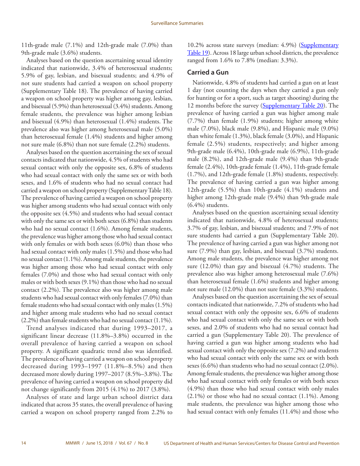11th-grade male (7.1%) and 12th-grade male (7.0%) than 9th-grade male (3.6%) students.

Analyses based on the question ascertaining sexual identity indicated that nationwide, 3.4% of heterosexual students; 5.9% of gay, lesbian, and bisexual students; and 4.9% of not sure students had carried a weapon on school property (Supplementary Table 18). The prevalence of having carried a weapon on school property was higher among gay, lesbian, and bisexual (5.9%) than heterosexual (3.4%) students. Among female students, the prevalence was higher among lesbian and bisexual (4.9%) than heterosexual (1.4%) students. The prevalence also was higher among heterosexual male (5.0%) than heterosexual female (1.4%) students and higher among not sure male (6.8%) than not sure female (2.2%) students.

Analyses based on the question ascertaining the sex of sexual contacts indicated that nationwide, 4.5% of students who had sexual contact with only the opposite sex, 6.8% of students who had sexual contact with only the same sex or with both sexes, and 1.6% of students who had no sexual contact had carried a weapon on school property (Supplementary Table 18). The prevalence of having carried a weapon on school property was higher among students who had sexual contact with only the opposite sex (4.5%) and students who had sexual contact with only the same sex or with both sexes (6.8%) than students who had no sexual contact (1.6%). Among female students, the prevalence was higher among those who had sexual contact with only females or with both sexes (6.0%) than those who had sexual contact with only males (1.5%) and those who had no sexual contact (1.1%). Among male students, the prevalence was higher among those who had sexual contact with only females (7.0%) and those who had sexual contact with only males or with both sexes (9.1%) than those who had no sexual contact (2.2%). The prevalence also was higher among male students who had sexual contact with only females (7.0%) than female students who had sexual contact with only males (1.5%) and higher among male students who had no sexual contact (2.2%) than female students who had no sexual contact (1.1%).

Trend analyses indicated that during 1993–2017, a significant linear decrease (11.8%–3.8%) occurred in the overall prevalence of having carried a weapon on school property. A significant quadratic trend also was identified. The prevalence of having carried a weapon on school property decreased during 1993–1997 (11.8%–8.5%) and then decreased more slowly during 1997–2017 (8.5%–3.8%). The prevalence of having carried a weapon on school property did not change significantly from 2015 (4.1%) to 2017 (3.8%).

Analyses of state and large urban school district data indicated that across 35 states, the overall prevalence of having carried a weapon on school property ranged from 2.2% to

10.2% across state surveys (median: 4.9%) (Supplementary [Table 19](https://www.cdc.gov/healthyyouth/data/yrbs/2017_tables/contribute_to_violence.htm#t19_down)). Across 18 large urban school districts, the prevalence ranged from 1.6% to 7.8% (median: 3.3%).

#### **Carried a Gun**

Nationwide, 4.8% of students had carried a gun on at least 1 day (not counting the days when they carried a gun only for hunting or for a sport, such as target shooting) during the 12 months before the survey [\(Supplementary Table 20](https://www.cdc.gov/healthyyouth/data/yrbs/2017_tables/contribute_to_violence.htm#t20_down)). The prevalence of having carried a gun was higher among male (7.7%) than female (1.9%) students; higher among white male (7.0%), black male (9.8%), and Hispanic male (9.0%) than white female (1.3%), black female (3.0%), and Hispanic female (2.5%) students, respectively; and higher among 9th-grade male (6.4%), 10th-grade male (6.9%), 11th-grade male (8.2%), and 12th-grade male (9.4%) than 9th-grade female (2.4%), 10th-grade female (1.4%), 11th-grade female (1.7%), and 12th-grade female (1.8%) students, respectively. The prevalence of having carried a gun was higher among 12th-grade (5.5%) than 10th-grade (4.1%) students and higher among 12th-grade male (9.4%) than 9th-grade male  $(6.4\%)$  students.

Analyses based on the question ascertaining sexual identity indicated that nationwide, 4.8% of heterosexual students; 3.7% of gay, lesbian, and bisexual students; and 7.9% of not sure students had carried a gun (Supplementary Table 20). The prevalence of having carried a gun was higher among not sure (7.9%) than gay, lesbian, and bisexual (3.7%) students. Among male students, the prevalence was higher among not sure (12.0%) than gay and bisexual (4.7%) students. The prevalence also was higher among heterosexual male (7.6%) than heterosexual female (1.6%) students and higher among not sure male (12.0%) than not sure female (3.3%) students.

Analyses based on the question ascertaining the sex of sexual contacts indicated that nationwide, 7.2% of students who had sexual contact with only the opposite sex, 6.6% of students who had sexual contact with only the same sex or with both sexes, and 2.0% of students who had no sexual contact had carried a gun (Supplementary Table 20). The prevalence of having carried a gun was higher among students who had sexual contact with only the opposite sex (7.2%) and students who had sexual contact with only the same sex or with both sexes (6.6%) than students who had no sexual contact (2.0%). Among female students, the prevalence was higher among those who had sexual contact with only females or with both sexes (4.9%) than those who had sexual contact with only males (2.1%) or those who had no sexual contact (1.1%). Among male students, the prevalence was higher among those who had sexual contact with only females (11.4%) and those who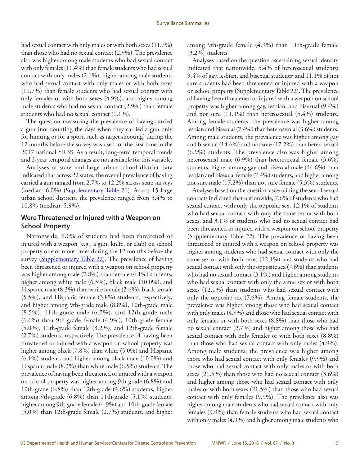had sexual contact with only males or with both sexes (11.7%) than those who had no sexual contact (2.9%). The prevalence also was higher among male students who had sexual contact with only females (11.4%) than female students who had sexual contact with only males (2.1%), higher among male students who had sexual contact with only males or with both sexes (11.7%) than female students who had sexual contact with only females or with both sexes (4.9%), and higher among male students who had no sexual contact (2.9%) than female students who had no sexual contact (1.1%).

The question measuring the prevalence of having carried a gun (not counting the days when they carried a gun only for hunting or for a sport, such as target shooting) during the 12 months before the survey was used for the first time in the 2017 national YRBS. As a result, long-term temporal trends and 2-year temporal changes are not available for this variable.

Analyses of state and large urban school district data indicated that across 22 states, the overall prevalence of having carried a gun ranged from 2.7% to 12.2% across state surveys (median: 6.0%) ([Supplementary Table 21](https://www.cdc.gov/healthyyouth/data/yrbs/2017_tables/contribute_to_violence.htm#t21_down)). Across 15 large urban school districts, the prevalence ranged from 3.4% to 10.8% (median: 5.9%).

## **Were Threatened or Injured with a Weapon on School Property**

Nationwide, 6.0% of students had been threatened or injured with a weapon (e.g., a gun, knife, or club) on school property one or more times during the 12 months before the survey ([Supplementary Table 22\)](https://www.cdc.gov/healthyyouth/data/yrbs/2017_tables/contribute_to_violence.htm#t22_down). The prevalence of having been threatened or injured with a weapon on school property was higher among male (7.8%) than female (4.1%) students; higher among white male (6.5%), black male (10.0%), and Hispanic male (8.3%) than white female (3.6%), black female (5.5%), and Hispanic female (3.8%) students, respectively; and higher among 9th-grade male (8.8%), 10th-grade male (8.5%), 11th-grade male (6.7%), and 12th-grade male (6.6%) than 9th-grade female (4.9%), 10th-grade female (5.0%), 11th-grade female (3.2%), and 12th-grade female (2.7%) students, respectively. The prevalence of having been threatened or injured with a weapon on school property was higher among black (7.8%) than white (5.0%) and Hispanic (6.1%) students and higher among black male (10.0%) and Hispanic male (8.3%) than white male (6.5%) students. The prevalence of having been threatened or injured with a weapon on school property was higher among 9th-grade (6.8%) and 10th-grade (6.8%) than 12th-grade (4.6%) students, higher among 9th-grade (6.8%) than 11th-grade (5.1%) students, higher among 9th-grade female (4.9%) and 10th-grade female (5.0%) than 12th-grade female (2.7%) students, and higher

among 9th-grade female (4.9%) than 11th-grade female (3.2%) students.

Analyses based on the question ascertaining sexual identity indicated that nationwide, 5.4% of heterosexual students; 9.4% of gay, lesbian, and bisexual students; and 11.1% of not sure students had been threatened or injured with a weapon on school property (Supplementary Table 22). The prevalence of having been threatened or injured with a weapon on school property was higher among gay, lesbian, and bisexual (9.4%) and not sure (11.1%) than heterosexual (5.4%) students. Among female students, the prevalence was higher among lesbian and bisexual (7.4%) than heterosexual (3.6%) students. Among male students, the prevalence was higher among gay and bisexual (14.6%) and not sure (17.2%) than heterosexual (6.9%) students. The prevalence also was higher among heterosexual male (6.9%) than heterosexual female (3.6%) students, higher among gay and bisexual male (14.6%) than lesbian and bisexual female (7.4%) students, and higher among not sure male (17.2%) than not sure female (5.3%) students.

Analyses based on the question ascertaining the sex of sexual contacts indicated that nationwide, 7.6% of students who had sexual contact with only the opposite sex, 12.1% of students who had sexual contact with only the same sex or with both sexes, and 3.1% of students who had no sexual contact had been threatened or injured with a weapon on school property (Supplementary Table 22). The prevalence of having been threatened or injured with a weapon on school property was higher among students who had sexual contact with only the same sex or with both sexes (12.1%) and students who had sexual contact with only the opposite sex (7.6%) than students who had no sexual contact (3.1%) and higher among students who had sexual contact with only the same sex or with both sexes (12.1%) than students who had sexual contact with only the opposite sex (7.6%). Among female students, the prevalence was higher among those who had sexual contact with only males (4.9%) and those who had sexual contact with only females or with both sexes (8.8%) than those who had no sexual contact (2.7%) and higher among those who had sexual contact with only females or with both sexes (8.8%) than those who had sexual contact with only males (4.9%). Among male students, the prevalence was higher among those who had sexual contact with only females (9.9%) and those who had sexual contact with only males or with both sexes (21.5%) than those who had no sexual contact (3.6%) and higher among those who had sexual contact with only males or with both sexes (21.5%) than those who had sexual contact with only females (9.9%). The prevalence also was higher among male students who had sexual contact with only females (9.9%) than female students who had sexual contact with only males (4.9%) and higher among male students who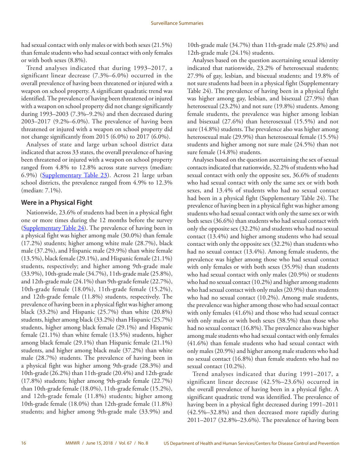had sexual contact with only males or with both sexes (21.5%) than female students who had sexual contact with only females or with both sexes (8.8%).

Trend analyses indicated that during 1993–2017, a significant linear decrease (7.3%–6.0%) occurred in the overall prevalence of having been threatened or injured with a weapon on school property. A significant quadratic trend was identified. The prevalence of having been threatened or injured with a weapon on school property did not change significantly during 1993–2003 (7.3%–9.2%) and then decreased during 2003–2017 (9.2%–6.0%). The prevalence of having been threatened or injured with a weapon on school property did not change significantly from 2015 (6.0%) to 2017 (6.0%).

Analyses of state and large urban school district data indicated that across 33 states, the overall prevalence of having been threatened or injured with a weapon on school property ranged from 4.8% to 12.8% across state surveys (median: 6.9%) ([Supplementary Table 23](https://www.cdc.gov/healthyyouth/data/yrbs/2017_tables/contribute_to_violence.htm#t23_down)). Across 21 large urban school districts, the prevalence ranged from 4.9% to 12.3% (median: 7.1%).

## **Were in a Physical Fight**

Nationwide, 23.6% of students had been in a physical fight one or more times during the 12 months before the survey ([Supplementary Table 24](https://www.cdc.gov/healthyyouth/data/yrbs/2017_tables/contribute_to_violence.htm#t24_down)). The prevalence of having been in a physical fight was higher among male (30.0%) than female (17.2%) students; higher among white male (28.7%), black male (37.2%), and Hispanic male (29.9%) than white female (13.5%), black female (29.1%), and Hispanic female (21.1%) students, respectively; and higher among 9th-grade male (33.9%), 10th-grade male (34.7%), 11th-grade male (25.8%), and 12th-grade male (24.1%) than 9th-grade female (22.7%), 10th-grade female (18.0%), 11th-grade female (15.2%), and 12th-grade female (11.8%) students, respectively. The prevalence of having been in a physical fight was higher among black (33.2%) and Hispanic (25.7%) than white (20.8%) students, higher among black (33.2%) than Hispanic (25.7%) students, higher among black female (29.1%) and Hispanic female (21.1%) than white female (13.5%) students, higher among black female (29.1%) than Hispanic female (21.1%) students, and higher among black male (37.2%) than white male (28.7%) students. The prevalence of having been in a physical fight was higher among 9th-grade (28.3%) and 10th-grade (26.2%) than 11th-grade (20.4%) and 12th-grade (17.8%) students; higher among 9th-grade female (22.7%) than 10th-grade female (18.0%), 11th-grade female (15.2%), and 12th-grade female (11.8%) students; higher among 10th-grade female (18.0%) than 12th-grade female (11.8%) students; and higher among 9th-grade male (33.9%) and

10th-grade male (34.7%) than 11th-grade male (25.8%) and 12th-grade male (24.1%) students.

Analyses based on the question ascertaining sexual identity indicated that nationwide, 23.2% of heterosexual students; 27.9% of gay, lesbian, and bisexual students; and 19.8% of not sure students had been in a physical fight (Supplementary Table 24). The prevalence of having been in a physical fight was higher among gay, lesbian, and bisexual (27.9%) than heterosexual (23.2%) and not sure (19.8%) students. Among female students, the prevalence was higher among lesbian and bisexual (27.6%) than heterosexual (15.5%) and not sure (14.8%) students. The prevalence also was higher among heterosexual male (29.9%) than heterosexual female (15.5%) students and higher among not sure male (24.5%) than not sure female (14.8%) students.

Analyses based on the question ascertaining the sex of sexual contacts indicated that nationwide, 32.2% of students who had sexual contact with only the opposite sex, 36.6% of students who had sexual contact with only the same sex or with both sexes, and 13.4% of students who had no sexual contact had been in a physical fight (Supplementary Table 24). The prevalence of having been in a physical fight was higher among students who had sexual contact with only the same sex or with both sexes (36.6%) than students who had sexual contact with only the opposite sex (32.2%) and students who had no sexual contact (13.4%) and higher among students who had sexual contact with only the opposite sex (32.2%) than students who had no sexual contact (13.4%). Among female students, the prevalence was higher among those who had sexual contact with only females or with both sexes (35.9%) than students who had sexual contact with only males (20.9%) or students who had no sexual contact (10.2%) and higher among students who had sexual contact with only males (20.9%) than students who had no sexual contact (10.2%). Among male students, the prevalence was higher among those who had sexual contact with only females (41.6%) and those who had sexual contact with only males or with both sexes (38.5%) than those who had no sexual contact (16.8%). The prevalence also was higher among male students who had sexual contact with only females (41.6%) than female students who had sexual contact with only males (20.9%) and higher among male students who had no sexual contact (16.8%) than female students who had no sexual contact (10.2%).

Trend analyses indicated that during 1991–2017, a significant linear decrease (42.5%–23.6%) occurred in the overall prevalence of having been in a physical fight. A significant quadratic trend was identified. The prevalence of having been in a physical fight decreased during 1991–2011 (42.5%–32.8%) and then decreased more rapidly during 2011–2017 (32.8%–23.6%). The prevalence of having been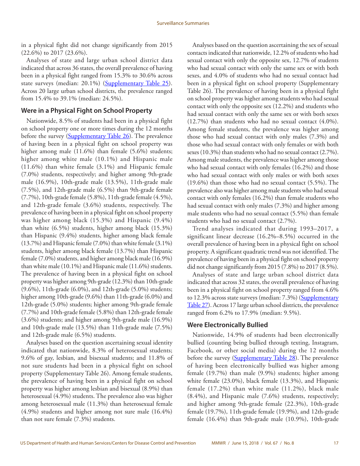in a physical fight did not change significantly from 2015 (22.6%) to 2017 (23.6%).

Analyses of state and large urban school district data indicated that across 36 states, the overall prevalence of having been in a physical fight ranged from 15.3% to 30.6% across state surveys (median: 20.1%) ([Supplementary Table 25](https://www.cdc.gov/healthyyouth/data/yrbs/2017_tables/contribute_to_violence.htm#t25_down)). Across 20 large urban school districts, the prevalence ranged from 15.4% to 39.1% (median: 24.5%).

## **Were in a Physical Fight on School Property**

Nationwide, 8.5% of students had been in a physical fight on school property one or more times during the 12 months before the survey ([Supplementary Table 26\)](https://www.cdc.gov/healthyyouth/data/yrbs/2017_tables/contribute_to_violence.htm#t26_down). The prevalence of having been in a physical fight on school property was higher among male (11.6%) than female (5.6%) students; higher among white male (10.1%) and Hispanic male (11.6%) than white female (3.1%) and Hispanic female (7.0%) students, respectively; and higher among 9th-grade male (16.9%), 10th-grade male (13.5%), 11th-grade male (7.5%), and 12th-grade male (6.5%) than 9th-grade female (7.7%), 10th-grade female (5.8%), 11th-grade female (4.5%), and 12th-grade female (3.6%) students, respectively. The prevalence of having been in a physical fight on school property was higher among black (15.3%) and Hispanic (9.4%) than white (6.5%) students, higher among black (15.3%) than Hispanic (9.4%) students, higher among black female (13.7%) and Hispanic female (7.0%) than white female (3.1%) students, higher among black female (13.7%) than Hispanic female (7.0%) students, and higher among black male (16.9%) than white male (10.1%) and Hispanic male (11.6%) students. The prevalence of having been in a physical fight on school property was higher among 9th-grade (12.3%) than 10th-grade (9.6%), 11th-grade (6.0%), and 12th-grade (5.0%) students; higher among 10th-grade (9.6%) than 11th-grade (6.0%) and 12th-grade (5.0%) students; higher among 9th-grade female (7.7%) and 10th-grade female (5.8%) than 12th-grade female (3.6%) students; and higher among 9th-grade male (16.9%) and 10th-grade male (13.5%) than 11th-grade male (7.5%) and 12th-grade male (6.5%) students.

Analyses based on the question ascertaining sexual identity indicated that nationwide, 8.3% of heterosexual students; 9.6% of gay, lesbian, and bisexual students; and 11.8% of not sure students had been in a physical fight on school property (Supplementary Table 26). Among female students, the prevalence of having been in a physical fight on school property was higher among lesbian and bisexual (8.9%) than heterosexual (4.9%) students. The prevalence also was higher among heterosexual male (11.3%) than heterosexual female (4.9%) students and higher among not sure male (16.4%) than not sure female (7.3%) students.

Analyses based on the question ascertaining the sex of sexual contacts indicated that nationwide, 12.2% of students who had sexual contact with only the opposite sex, 12.7% of students who had sexual contact with only the same sex or with both sexes, and 4.0% of students who had no sexual contact had been in a physical fight on school property (Supplementary Table 26). The prevalence of having been in a physical fight on school property was higher among students who had sexual contact with only the opposite sex (12.2%) and students who had sexual contact with only the same sex or with both sexes (12.7%) than students who had no sexual contact (4.0%). Among female students, the prevalence was higher among those who had sexual contact with only males (7.3%) and those who had sexual contact with only females or with both sexes (10.3%) than students who had no sexual contact (2.7%). Among male students, the prevalence was higher among those who had sexual contact with only females (16.2%) and those who had sexual contact with only males or with both sexes (19.6%) than those who had no sexual contact (5.5%). The prevalence also was higher among male students who had sexual contact with only females (16.2%) than female students who had sexual contact with only males (7.3%) and higher among male students who had no sexual contact (5.5%) than female students who had no sexual contact (2.7%).

Trend analyses indicated that during 1993–2017, a significant linear decrease (16.2%–8.5%) occurred in the overall prevalence of having been in a physical fight on school property. A significant quadratic trend was not identified. The prevalence of having been in a physical fight on school property did not change significantly from 2015 (7.8%) to 2017 (8.5%).

Analyses of state and large urban school district data indicated that across 32 states, the overall prevalence of having been in a physical fight on school property ranged from 4.6% to 12.3% across state surveys (median: 7.3%) ([Supplementary](https://www.cdc.gov/healthyyouth/data/yrbs/2017_tables/contribute_to_violence.htm#t27_down) [Table 27](https://www.cdc.gov/healthyyouth/data/yrbs/2017_tables/contribute_to_violence.htm#t27_down)). Across 17 large urban school districts, the prevalence ranged from 6.2% to 17.9% (median: 9.5%).

## **Were Electronically Bullied**

Nationwide, 14.9% of students had been electronically bullied (counting being bullied through texting, Instagram, Facebook, or other social media) during the 12 months before the survey [\(Supplementary Table 28](https://www.cdc.gov/healthyyouth/data/yrbs/2017_tables/contribute_to_violence.htm#t28_down)). The prevalence of having been electronically bullied was higher among female (19.7%) than male (9.9%) students; higher among white female (23.0%), black female (13.3%), and Hispanic female (17.2%) than white male (11.2%), black male (8.4%), and Hispanic male (7.6%) students, respectively; and higher among 9th-grade female (22.3%), 10th-grade female (19.7%), 11th-grade female (19.9%), and 12th-grade female (16.4%) than 9th-grade male (10.9%), 10th-grade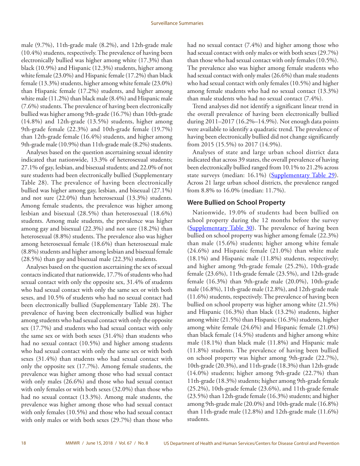male (9.7%), 11th-grade male (8.2%), and 12th-grade male (10.4%) students, respectively. The prevalence of having been electronically bullied was higher among white (17.3%) than black (10.9%) and Hispanic (12.3%) students, higher among white female (23.0%) and Hispanic female (17.2%) than black female (13.3%) students, higher among white female (23.0%) than Hispanic female (17.2%) students, and higher among white male (11.2%) than black male (8.4%) and Hispanic male (7.6%) students. The prevalence of having been electronically bullied was higher among 9th-grade (16.7%) than 10th-grade (14.8%) and 12th-grade (13.5%) students, higher among 9th-grade female (22.3%) and 10th-grade female (19.7%) than 12th-grade female (16.4%) students, and higher among 9th-grade male (10.9%) than 11th-grade male (8.2%) students.

Analyses based on the question ascertaining sexual identity indicated that nationwide, 13.3% of heterosexual students; 27.1% of gay, lesbian, and bisexual students; and 22.0% of not sure students had been electronically bullied (Supplementary Table 28). The prevalence of having been electronically bullied was higher among gay, lesbian, and bisexual (27.1%) and not sure (22.0%) than heterosexual (13.3%) students. Among female students, the prevalence was higher among lesbian and bisexual (28.5%) than heterosexual (18.6%) students. Among male students, the prevalence was higher among gay and bisexual (22.3%) and not sure (18.2%) than heterosexual (8.8%) students. The prevalence also was higher among heterosexual female (18.6%) than heterosexual male (8.8%) students and higher among lesbian and bisexual female (28.5%) than gay and bisexual male (22.3%) students.

Analyses based on the question ascertaining the sex of sexual contacts indicated that nationwide, 17.7% of students who had sexual contact with only the opposite sex, 31.4% of students who had sexual contact with only the same sex or with both sexes, and 10.5% of students who had no sexual contact had been electronically bullied (Supplementary Table 28). The prevalence of having been electronically bullied was higher among students who had sexual contact with only the opposite sex (17.7%) and students who had sexual contact with only the same sex or with both sexes (31.4%) than students who had no sexual contact (10.5%) and higher among students who had sexual contact with only the same sex or with both sexes (31.4%) than students who had sexual contact with only the opposite sex (17.7%). Among female students, the prevalence was higher among those who had sexual contact with only males (26.6%) and those who had sexual contact with only females or with both sexes (32.0%) than those who had no sexual contact (13.3%). Among male students, the prevalence was higher among those who had sexual contact with only females (10.5%) and those who had sexual contact with only males or with both sexes (29.7%) than those who

had no sexual contact (7.4%) and higher among those who had sexual contact with only males or with both sexes (29.7%) than those who had sexual contact with only females (10.5%). The prevalence also was higher among female students who had sexual contact with only males (26.6%) than male students who had sexual contact with only females (10.5%) and higher among female students who had no sexual contact (13.3%) than male students who had no sexual contact (7.4%).

Trend analyses did not identify a significant linear trend in the overall prevalence of having been electronically bullied during 2011–2017 (16.2%–14.9%). Not enough data points were available to identify a quadratic trend. The prevalence of having been electronically bullied did not change significantly from 2015 (15.5%) to 2017 (14.9%).

Analyses of state and large urban school district data indicated that across 39 states, the overall prevalence of having been electronically bullied ranged from 10.1% to 21.2% across state surveys (median: 16.1%) [\(Supplementary Table 29\)](https://www.cdc.gov/healthyyouth/data/yrbs/2017_tables/contribute_to_violence.htm#t29_down). Across 21 large urban school districts, the prevalence ranged from 8.8% to 16.0% (median: 11.7%).

## **Were Bullied on School Property**

Nationwide, 19.0% of students had been bullied on school property during the 12 months before the survey [\(Supplementary Table 30](https://www.cdc.gov/healthyyouth/data/yrbs/2017_tables/contribute_to_violence.htm#t30_down)). The prevalence of having been bullied on school property was higher among female (22.3%) than male (15.6%) students; higher among white female (24.6%) and Hispanic female (21.0%) than white male (18.1%) and Hispanic male (11.8%) students, respectively; and higher among 9th-grade female (25.2%), 10th-grade female (23.6%), 11th-grade female (23.5%), and 12th-grade female (16.3%) than 9th-grade male (20.0%), 10th-grade male (16.8%), 11th-grade male (12.8%), and 12th-grade male (11.6%) students, respectively. The prevalence of having been bullied on school property was higher among white (21.5%) and Hispanic (16.3%) than black (13.2%) students, higher among white (21.5%) than Hispanic (16.3%) students, higher among white female (24.6%) and Hispanic female (21.0%) than black female (14.5%) students and higher among white male (18.1%) than black male (11.8%) and Hispanic male (11.8%) students. The prevalence of having been bullied on school property was higher among 9th-grade (22.7%), 10th-grade (20.3%), and 11th-grade (18.3%) than 12th-grade (14.0%) students; higher among 9th-grade (22.7%) than 11th-grade (18.3%) students; higher among 9th-grade female (25.2%), 10th-grade female (23.6%), and 11th-grade female (23.5%) than 12th-grade female (16.3%) students; and higher among 9th-grade male (20.0%) and 10th-grade male (16.8%) than 11th-grade male (12.8%) and 12th-grade male (11.6%) students.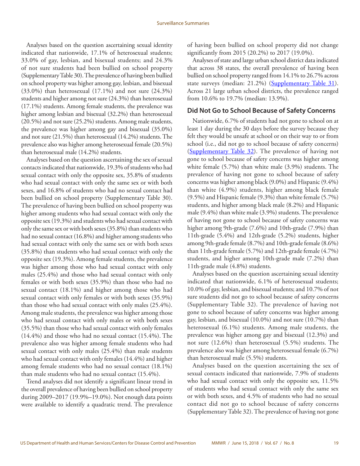Analyses based on the question ascertaining sexual identity indicated that nationwide, 17.1% of heterosexual students; 33.0% of gay, lesbian, and bisexual students; and 24.3% of not sure students had been bullied on school property (Supplementary Table 30). The prevalence of having been bullied on school property was higher among gay, lesbian, and bisexual (33.0%) than heterosexual (17.1%) and not sure (24.3%) students and higher among not sure (24.3%) than heterosexual (17.1%) students. Among female students, the prevalence was higher among lesbian and bisexual (32.2%) than heterosexual (20.5%) and not sure (25.2%) students. Among male students, the prevalence was higher among gay and bisexual (35.0%) and not sure (21.5%) than heterosexual (14.2%) students. The prevalence also was higher among heterosexual female (20.5%) than heterosexual male (14.2%) students.

Analyses based on the question ascertaining the sex of sexual contacts indicated that nationwide, 19.3% of students who had sexual contact with only the opposite sex, 35.8% of students who had sexual contact with only the same sex or with both sexes, and 16.8% of students who had no sexual contact had been bullied on school property (Supplementary Table 30). The prevalence of having been bullied on school property was higher among students who had sexual contact with only the opposite sex (19.3%) and students who had sexual contact with only the same sex or with both sexes (35.8%) than students who had no sexual contact (16.8%) and higher among students who had sexual contact with only the same sex or with both sexes (35.8%) than students who had sexual contact with only the opposite sex (19.3%). Among female students, the prevalence was higher among those who had sexual contact with only males (25.4%) and those who had sexual contact with only females or with both sexes (35.9%) than those who had no sexual contact (18.1%) and higher among those who had sexual contact with only females or with both sexes (35.9%) than those who had sexual contact with only males (25.4%). Among male students, the prevalence was higher among those who had sexual contact with only males or with both sexes (35.5%) than those who had sexual contact with only females (14.4%) and those who had no sexual contact (15.4%). The prevalence also was higher among female students who had sexual contact with only males (25.4%) than male students who had sexual contact with only females (14.4%) and higher among female students who had no sexual contact (18.1%) than male students who had no sexual contact (15.4%).

Trend analyses did not identify a significant linear trend in the overall prevalence of having been bullied on school property during 2009–2017 (19.9%–19.0%). Not enough data points were available to identify a quadratic trend. The prevalence of having been bullied on school property did not change significantly from 2015 (20.2%) to 2017 (19.0%).

Analyses of state and large urban school district data indicated that across 38 states, the overall prevalence of having been bullied on school property ranged from 14.1% to 26.7% across state surveys (median: 21.2%) [\(Supplementary Table 31\)](https://www.cdc.gov/healthyyouth/data/yrbs/2017_tables/contribute_to_violence.htm#t31_down). Across 21 large urban school districts, the prevalence ranged from 10.6% to 19.7% (median: 13.9%).

### **Did Not Go to School Because of Safety Concerns**

Nationwide, 6.7% of students had not gone to school on at least 1 day during the 30 days before the survey because they felt they would be unsafe at school or on their way to or from school (i.e., did not go to school because of safety concerns) [\(Supplementary Table 32\)](https://www.cdc.gov/healthyyouth/data/yrbs/2017_tables/contribute_to_violence.htm#t32_down). The prevalence of having not gone to school because of safety concerns was higher among white female (5.7%) than white male (3.9%) students. The prevalence of having not gone to school because of safety concerns was higher among black (9.0%) and Hispanic (9.4%) than white (4.9%) students, higher among black female (9.5%) and Hispanic female (9.3%) than white female (5.7%) students, and higher among black male (8.2%) and Hispanic male (9.4%) than white male (3.9%) students. The prevalence of having not gone to school because of safety concerns was higher among 9th-grade (7.6%) and 10th-grade (7.9%) than 11th-grade (5.4%) and 12th-grade (5.2%) students, higher among 9th-grade female (8.7%) and 10th-grade female (8.6%) than 11th-grade female (5.7%) and 12th-grade female (4.7%) students, and higher among 10th-grade male (7.2%) than 11th-grade male (4.8%) students.

Analyses based on the question ascertaining sexual identity indicated that nationwide, 6.1% of heterosexual students; 10.0% of gay, lesbian, and bisexual students; and 10.7% of not sure students did not go to school because of safety concerns (Supplementary Table 32). The prevalence of having not gone to school because of safety concerns was higher among gay, lesbian, and bisexual (10.0%) and not sure (10.7%) than heterosexual (6.1%) students. Among male students, the prevalence was higher among gay and bisexual (12.3%) and not sure (12.6%) than heterosexual (5.5%) students. The prevalence also was higher among heterosexual female (6.7%) than heterosexual male (5.5%) students.

Analyses based on the question ascertaining the sex of sexual contacts indicated that nationwide, 7.9% of students who had sexual contact with only the opposite sex, 11.5% of students who had sexual contact with only the same sex or with both sexes, and 4.5% of students who had no sexual contact did not go to school because of safety concerns (Supplementary Table 32). The prevalence of having not gone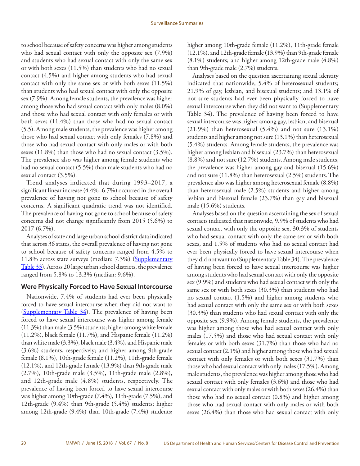to school because of safety concerns was higher among students who had sexual contact with only the opposite sex (7.9%) and students who had sexual contact with only the same sex or with both sexes (11.5%) than students who had no sexual contact (4.5%) and higher among students who had sexual contact with only the same sex or with both sexes (11.5%) than students who had sexual contact with only the opposite sex (7.9%). Among female students, the prevalence was higher among those who had sexual contact with only males (8.0%) and those who had sexual contact with only females or with both sexes (11.4%) than those who had no sexual contact (5.5). Among male students, the prevalence was higher among those who had sexual contact with only females (7.8%) and those who had sexual contact with only males or with both sexes (11.8%) than those who had no sexual contact (3.5%). The prevalence also was higher among female students who had no sexual contact (5.5%) than male students who had no sexual contact (3.5%).

Trend analyses indicated that during 1993–2017, a significant linear increase (4.4%–6.7%) occurred in the overall prevalence of having not gone to school because of safety concerns. A significant quadratic trend was not identified. The prevalence of having not gone to school because of safety concerns did not change significantly from 2015 (5.6%) to 2017 (6.7%).

Analyses of state and large urban school district data indicated that across 36 states, the overall prevalence of having not gone to school because of safety concerns ranged from 4.5% to 11.8% across state surveys (median: 7.3%) [\(Supplementary](https://www.cdc.gov/healthyyouth/data/yrbs/2017_tables/contribute_to_violence.htm#t33_down) [Table 33](https://www.cdc.gov/healthyyouth/data/yrbs/2017_tables/contribute_to_violence.htm#t33_down)). Across 20 large urban school districts, the prevalence ranged from 5.8% to 13.3% (median: 9.6%).

## **Were Physically Forced to Have Sexual Intercourse**

Nationwide, 7.4% of students had ever been physically forced to have sexual intercourse when they did not want to (Supplementary Table  $34$ ). The prevalence of having been forced to have sexual intercourse was higher among female (11.3%) than male (3.5%) students; higher among white female (11.2%), black female (11.7%), and Hispanic female (11.2%) than white male (3.3%), black male (3.4%), and Hispanic male (3.6%) students, respectively; and higher among 9th-grade female (8.1%), 10th-grade female (11.2%), 11th-grade female (12.1%), and 12th-grade female (13.9%) than 9th-grade male (2.7%), 10th-grade male (3.5%), 11th-grade male (2.8%), and 12th-grade male (4.8%) students, respectively. The prevalence of having been forced to have sexual intercourse was higher among 10th-grade (7.4%), 11th-grade (7.5%), and 12th-grade (9.4%) than 9th-grade (5.4%) students; higher among 12th-grade (9.4%) than 10th-grade (7.4%) students;

higher among 10th-grade female (11.2%), 11th-grade female (12.1%), and 12th-grade female (13.9%) than 9th-grade female (8.1%) students; and higher among 12th-grade male (4.8%) than 9th-grade male (2.7%) students.

Analyses based on the question ascertaining sexual identity indicated that nationwide, 5.4% of heterosexual students; 21.9% of gay, lesbian, and bisexual students; and 13.1% of not sure students had ever been physically forced to have sexual intercourse when they did not want to (Supplementary Table 34). The prevalence of having been forced to have sexual intercourse was higher among gay, lesbian, and bisexual (21.9%) than heterosexual (5.4%) and not sure (13.1%) students and higher among not sure (13.1%) than heterosexual (5.4%) students. Among female students, the prevalence was higher among lesbian and bisexual (23.7%) than heterosexual (8.8%) and not sure (12.7%) students. Among male students, the prevalence was higher among gay and bisexual (15.6%) and not sure (11.8%) than heterosexual (2.5%) students. The prevalence also was higher among heterosexual female (8.8%) than heterosexual male (2.5%) students and higher among lesbian and bisexual female (23.7%) than gay and bisexual male (15.6%) students.

Analyses based on the question ascertaining the sex of sexual contacts indicated that nationwide, 9.9% of students who had sexual contact with only the opposite sex, 30.3% of students who had sexual contact with only the same sex or with both sexes, and 1.5% of students who had no sexual contact had ever been physically forced to have sexual intercourse when they did not want to (Supplementary Table 34). The prevalence of having been forced to have sexual intercourse was higher among students who had sexual contact with only the opposite sex (9.9%) and students who had sexual contact with only the same sex or with both sexes (30.3%) than students who had no sexual contact (1.5%) and higher among students who had sexual contact with only the same sex or with both sexes (30.3%) than students who had sexual contact with only the opposite sex (9.9%). Among female students, the prevalence was higher among those who had sexual contact with only males (17.5%) and those who had sexual contact with only females or with both sexes (31.7%) than those who had no sexual contact (2.1%) and higher among those who had sexual contact with only females or with both sexes (31.7%) than those who had sexual contact with only males (17.5%). Among male students, the prevalence was higher among those who had sexual contact with only females (3.6%) and those who had sexual contact with only males or with both sexes (26.4%) than those who had no sexual contact (0.8%) and higher among those who had sexual contact with only males or with both sexes (26.4%) than those who had sexual contact with only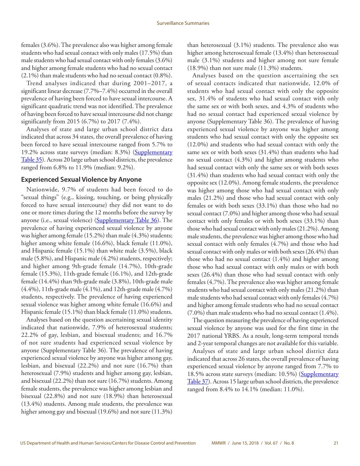females (3.6%). The prevalence also was higher among female students who had sexual contact with only males (17.5%) than male students who had sexual contact with only females (3.6%) and higher among female students who had no sexual contact (2.1%) than male students who had no sexual contact (0.8%).

Trend analyses indicated that during 2001–2017, a significant linear decrease (7.7%–7.4%) occurred in the overall prevalence of having been forced to have sexual intercourse. A significant quadratic trend was not identified. The prevalence of having been forced to have sexual intercourse did not change significantly from 2015 (6.7%) to 2017 (7.4%).

Analyses of state and large urban school district data indicated that across 34 states, the overall prevalence of having been forced to have sexual intercourse ranged from 5.7% to 19.2% across state surveys (median: 8.3%) [\(Supplementary](https://www.cdc.gov/healthyyouth/data/yrbs/2017_tables/contribute_to_violence.htm#t35_down) [Table 35](https://www.cdc.gov/healthyyouth/data/yrbs/2017_tables/contribute_to_violence.htm#t35_down)). Across 20 large urban school districts, the prevalence ranged from 6.8% to 11.9% (median: 9.2%).

## **Experienced Sexual Violence by Anyone**

Nationwide, 9.7% of students had been forced to do "sexual things" (e.g., kissing, touching, or being physically forced to have sexual intercourse) they did not want to do one or more times during the 12 months before the survey by anyone (i.e., sexual violence) ([Supplementary Table 36](https://www.cdc.gov/healthyyouth/data/yrbs/2017_tables/contribute_to_violence.htm#t36_down)). The prevalence of having experienced sexual violence by anyone was higher among female (15.2%) than male (4.3%) students; higher among white female (16.6%), black female (11.0%), and Hispanic female (15.1%) than white male (3.5%), black male (5.8%), and Hispanic male (4.2%) students, respectively; and higher among 9th-grade female (14.7%), 10th-grade female (15.3%), 11th-grade female (16.1%), and 12th-grade female (14.4%) than 9th-grade male (3.8%), 10th-grade male (4.4%), 11th-grade male (4.1%), and 12th-grade male (4.7%) students, respectively. The prevalence of having experienced sexual violence was higher among white female (16.6%) and Hispanic female (15.1%) than black female (11.0%) students.

Analyses based on the question ascertaining sexual identity indicated that nationwide, 7.9% of heterosexual students; 22.2% of gay, lesbian, and bisexual students; and 16.7% of not sure students had experienced sexual violence by anyone (Supplementary Table 36). The prevalence of having experienced sexual violence by anyone was higher among gay, lesbian, and bisexual (22.2%) and not sure (16.7%) than heterosexual (7.9%) students and higher among gay, lesbian, and bisexual (22.2%) than not sure (16.7%) students. Among female students, the prevalence was higher among lesbian and bisexual (22.8%) and not sure (18.9%) than heterosexual (13.4%) students. Among male students, the prevalence was higher among gay and bisexual (19.6%) and not sure (11.3%) than heterosexual (3.1%) students. The prevalence also was higher among heterosexual female (13.4%) than heterosexual male (3.1%) students and higher among not sure female (18.9%) than not sure male (11.3%) students.

Analyses based on the question ascertaining the sex of sexual contacts indicated that nationwide, 12.0% of students who had sexual contact with only the opposite sex, 31.4% of students who had sexual contact with only the same sex or with both sexes, and 4.3% of students who had no sexual contact had experienced sexual violence by anyone (Supplementary Table 36). The prevalence of having experienced sexual violence by anyone was higher among students who had sexual contact with only the opposite sex (12.0%) and students who had sexual contact with only the same sex or with both sexes (31.4%) than students who had no sexual contact (4.3%) and higher among students who had sexual contact with only the same sex or with both sexes (31.4%) than students who had sexual contact with only the opposite sex (12.0%). Among female students, the prevalence was higher among those who had sexual contact with only males (21.2%) and those who had sexual contact with only females or with both sexes (33.1%) than those who had no sexual contact (7.0%) and higher among those who had sexual contact with only females or with both sexes (33.1%) than those who had sexual contact with only males (21.2%). Among male students, the prevalence was higher among those who had sexual contact with only females (4.7%) and those who had sexual contact with only males or with both sexes (26.4%) than those who had no sexual contact (1.4%) and higher among those who had sexual contact with only males or with both sexes (26.4%) than those who had sexual contact with only females (4.7%). The prevalence also was higher among female students who had sexual contact with only males (21.2%) than male students who had sexual contact with only females (4.7%) and higher among female students who had no sexual contact (7.0%) than male students who had no sexual contact (1.4%).

The question measuring the prevalence of having experienced sexual violence by anyone was used for the first time in the 2017 national YRBS. As a result, long-term temporal trends and 2-year temporal changes are not available for this variable.

Analyses of state and large urban school district data indicated that across 26 states, the overall prevalence of having experienced sexual violence by anyone ranged from 7.7% to 18.5% across state surveys (median: 10.5%) (Supplementary [Table 37](https://www.cdc.gov/healthyyouth/data/yrbs/2017_tables/contribute_to_violence.htm#t37_down)). Across 15 large urban school districts, the prevalence ranged from 8.4% to 14.1% (median: 11.0%).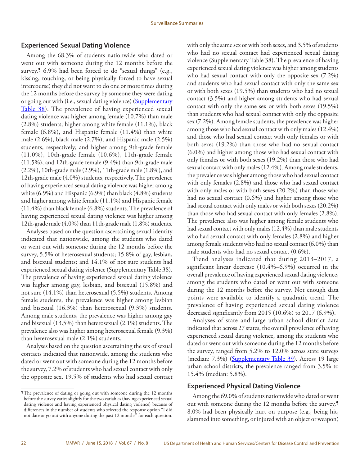## **Experienced Sexual Dating Violence**

Among the 68.3% of students nationwide who dated or went out with someone during the 12 months before the survey,<sup>5</sup> 6.9% had been forced to do "sexual things" (e.g., kissing, touching, or being physically forced to have sexual intercourse) they did not want to do one or more times during the 12 months before the survey by someone they were dating or going out with (i.e., sexual dating violence) ([Supplementary](https://www.cdc.gov/healthyyouth/data/yrbs/2017_tables/contribute_to_violence.htm#t38_down) [Table 38](https://www.cdc.gov/healthyyouth/data/yrbs/2017_tables/contribute_to_violence.htm#t38_down)). The prevalence of having experienced sexual dating violence was higher among female (10.7%) than male (2.8%) students; higher among white female (11.1%), black female (6.8%), and Hispanic female (11.4%) than white male (2.6%), black male (2.7%), and Hispanic male (2.5%) students, respectively; and higher among 9th-grade female (11.0%), 10th-grade female (10.6%), 11th-grade female (11.5%), and 12th-grade female (9.4%) than 9th-grade male (2.2%), 10th-grade male (2.9%), 11th-grade male (1.8%), and 12th-grade male (4.0%) students, respectively. The prevalence of having experienced sexual dating violence was higher among white (6.9%) and Hispanic (6.9%) than black (4.8%) students and higher among white female (11.1%) and Hispanic female (11.4%) than black female (6.8%) students. The prevalence of having experienced sexual dating violence was higher among 12th-grade male (4.0%) than 11th-grade male (1.8%) students.

Analyses based on the question ascertaining sexual identity indicated that nationwide, among the students who dated or went out with someone during the 12 months before the survey, 5.5% of heterosexual students; 15.8% of gay, lesbian, and bisexual students; and 14.1% of not sure students had experienced sexual dating violence (Supplementary Table 38). The prevalence of having experienced sexual dating violence was higher among gay, lesbian, and bisexual (15.8%) and not sure (14.1%) than heterosexual (5.5%) students. Among female students, the prevalence was higher among lesbian and bisexual (16.3%) than heterosexual (9.3%) students. Among male students, the prevalence was higher among gay and bisexual (13.5%) than heterosexual (2.1%) students. The prevalence also was higher among heterosexual female (9.3%) than heterosexual male (2.1%) students.

Analyses based on the question ascertaining the sex of sexual contacts indicated that nationwide, among the students who dated or went out with someone during the 12 months before the survey, 7.2% of students who had sexual contact with only the opposite sex, 19.5% of students who had sexual contact with only the same sex or with both sexes, and 3.5% of students who had no sexual contact had experienced sexual dating violence (Supplementary Table 38). The prevalence of having experienced sexual dating violence was higher among students who had sexual contact with only the opposite sex (7.2%) and students who had sexual contact with only the same sex or with both sexes (19.5%) than students who had no sexual contact (3.5%) and higher among students who had sexual contact with only the same sex or with both sexes (19.5%) than students who had sexual contact with only the opposite sex (7.2%). Among female students, the prevalence was higher among those who had sexual contact with only males (12.4%) and those who had sexual contact with only females or with both sexes (19.2%) than those who had no sexual contact (6.0%) and higher among those who had sexual contact with only females or with both sexes (19.2%) than those who had sexual contact with only males (12.4%). Among male students, the prevalence was higher among those who had sexual contact with only females (2.8%) and those who had sexual contact with only males or with both sexes (20.2%) than those who had no sexual contact (0.6%) and higher among those who had sexual contact with only males or with both sexes (20.2%) than those who had sexual contact with only females (2.8%). The prevalence also was higher among female students who had sexual contact with only males (12.4%) than male students who had sexual contact with only females (2.8%) and higher among female students who had no sexual contact (6.0%) than male students who had no sexual contact (0.6%).

Trend analyses indicated that during 2013–2017, a significant linear decrease (10.4%–6.9%) occurred in the overall prevalence of having experienced sexual dating violence, among the students who dated or went out with someone during the 12 months before the survey. Not enough data points were available to identify a quadratic trend. The prevalence of having experienced sexual dating violence decreased significantly from 2015 (10.6%) to 2017 (6.9%).

Analyses of state and large urban school district data indicated that across 27 states, the overall prevalence of having experienced sexual dating violence, among the students who dated or went out with someone during the 12 months before the survey, ranged from 5.2% to 12.0% across state surveys (median: 7.3%) [\(Supplementary Table 39\)](https://www.cdc.gov/healthyyouth/data/yrbs/2017_tables/contribute_to_violence.htm#t39_down). Across 19 large urban school districts, the prevalence ranged from 3.5% to 15.4% (median: 5.8%).

#### **Experienced Physical Dating Violence**

Among the 69.0% of students nationwide who dated or went out with someone during the 12 months before the survey,<sup>5</sup> 8.0% had been physically hurt on purpose (e.g., being hit, slammed into something, or injured with an object or weapon)

<sup>¶</sup>The prevalence of dating or going out with someone during the 12 months before the survey varies slightly for the two variables (having experienced sexual dating violence and having experienced physical dating violence) because of differences in the number of students who selected the response option "I did not date or go out with anyone during the past 12 months" for each question.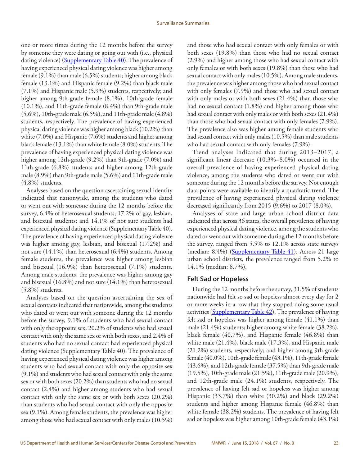one or more times during the 12 months before the survey by someone they were dating or going out with (i.e., physical dating violence) ([Supplementary Table 40](https://www.cdc.gov/healthyyouth/data/yrbs/2017_tables/contribute_to_violence.htm#t40_down)). The prevalence of having experienced physical dating violence was higher among female (9.1%) than male (6.5%) students; higher among black female (13.1%) and Hispanic female (9.2%) than black male (7.1%) and Hispanic male (5.9%) students, respectively; and higher among 9th-grade female (8.1%), 10th-grade female (10.1%), and 11th-grade female (8.4%) than 9th-grade male (5.6%), 10th-grade male (6.5%), and 11th-grade male (4.8%) students, respectively. The prevalence of having experienced physical dating violence was higher among black (10.2%) than white (7.0%) and Hispanic (7.6%) students and higher among black female (13.1%) than white female (8.0%) students. The prevalence of having experienced physical dating violence was higher among 12th-grade (9.2%) than 9th-grade (7.0%) and 11th-grade (6.8%) students and higher among 12th-grade male (8.9%) than 9th-grade male (5.6%) and 11th-grade male (4.8%) students.

Analyses based on the question ascertaining sexual identity indicated that nationwide, among the students who dated or went out with someone during the 12 months before the survey, 6.4% of heterosexual students; 17.2% of gay, lesbian, and bisexual students; and 14.1% of not sure students had experienced physical dating violence (Supplementary Table 40). The prevalence of having experienced physical dating violence was higher among gay, lesbian, and bisexual (17.2%) and not sure (14.1%) than heterosexual (6.4%) students. Among female students, the prevalence was higher among lesbian and bisexual (16.9%) than heterosexual (7.1%) students. Among male students, the prevalence was higher among gay and bisexual (16.8%) and not sure (14.1%) than heterosexual (5.8%) students.

Analyses based on the question ascertaining the sex of sexual contacts indicated that nationwide, among the students who dated or went out with someone during the 12 months before the survey, 9.1% of students who had sexual contact with only the opposite sex, 20.2% of students who had sexual contact with only the same sex or with both sexes, and 2.4% of students who had no sexual contact had experienced physical dating violence (Supplementary Table 40). The prevalence of having experienced physical dating violence was higher among students who had sexual contact with only the opposite sex (9.1%) and students who had sexual contact with only the same sex or with both sexes (20.2%) than students who had no sexual contact (2.4%) and higher among students who had sexual contact with only the same sex or with both sexes (20.2%) than students who had sexual contact with only the opposite sex (9.1%). Among female students, the prevalence was higher among those who had sexual contact with only males (10.5%)

and those who had sexual contact with only females or with both sexes (19.8%) than those who had no sexual contact (2.9%) and higher among those who had sexual contact with only females or with both sexes (19.8%) than those who had sexual contact with only males (10.5%). Among male students, the prevalence was higher among those who had sexual contact with only females (7.9%) and those who had sexual contact with only males or with both sexes (21.4%) than those who had no sexual contact (1.8%) and higher among those who had sexual contact with only males or with both sexes (21.4%) than those who had sexual contact with only females (7.9%). The prevalence also was higher among female students who had sexual contact with only males (10.5%) than male students who had sexual contact with only females (7.9%).

Trend analyses indicated that during 2013–2017, a significant linear decrease (10.3%–8.0%) occurred in the overall prevalence of having experienced physical dating violence, among the students who dated or went out with someone during the 12 months before the survey. Not enough data points were available to identify a quadratic trend. The prevalence of having experienced physical dating violence decreased significantly from 2015 (9.6%) to 2017 (8.0%).

Analyses of state and large urban school district data indicated that across 36 states, the overall prevalence of having experienced physical dating violence, among the students who dated or went out with someone during the 12 months before the survey, ranged from 5.5% to 12.1% across state surveys (median: 8.4%) [\(Supplementary Table 41\)](https://www.cdc.gov/healthyyouth/data/yrbs/2017_tables/contribute_to_violence.htm#t41_down). Across 21 large urban school districts, the prevalence ranged from 5.2% to 14.1% (median: 8.7%).

## **Felt Sad or Hopeless**

During the 12 months before the survey, 31.5% of students nationwide had felt so sad or hopeless almost every day for 2 or more weeks in a row that they stopped doing some usual activities [\(Supplementary Table 42](https://www.cdc.gov/healthyyouth/data/yrbs/2017_tables/contribute_to_violence.htm#t42_down)). The prevalence of having felt sad or hopeless was higher among female (41.1%) than male (21.4%) students; higher among white female (38.2%), black female (40.7%), and Hispanic female (46.8%) than white male (21.4%), black male (17.3%), and Hispanic male (21.2%) students, respectively; and higher among 9th-grade female (40.0%), 10th-grade female (43.1%), 11th-grade female (43.6%), and 12th-grade female (37.5%) than 9th-grade male (19.5%), 10th-grade male (21.5%), 11th-grade male (20.9%), and 12th-grade male (24.1%) students, respectively. The prevalence of having felt sad or hopeless was higher among Hispanic (33.7%) than white (30.2%) and black (29.2%) students and higher among Hispanic female (46.8%) than white female (38.2%) students. The prevalence of having felt sad or hopeless was higher among 10th-grade female (43.1%)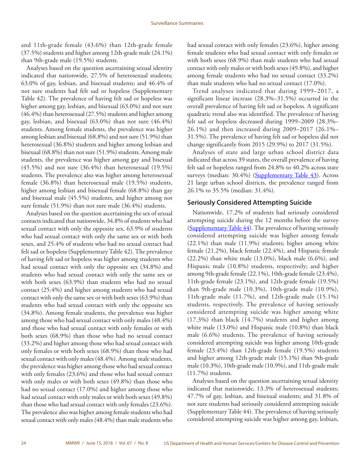and 11th-grade female (43.6%) than 12th-grade female (37.5%) students and higher among 12th-grade male (24.1%) than 9th-grade male (19.5%) students.

Analyses based on the question ascertaining sexual identity indicated that nationwide, 27.5% of heterosexual students; 63.0% of gay, lesbian, and bisexual students; and 46.4% of not sure students had felt sad or hopeless (Supplementary Table 42). The prevalence of having felt sad or hopeless was higher among gay, lesbian, and bisexual (63.0%) and not sure (46.4%) than heterosexual (27.5%) students and higher among gay, lesbian, and bisexual (63.0%) than not sure (46.4%) students. Among female students, the prevalence was higher among lesbian and bisexual (68.8%) and not sure (51.9%) than heterosexual (36.8%) students and higher among lesbian and bisexual (68.8%) than not sure (51.9%) students. Among male students, the prevalence was higher among gay and bisexual (45.5%) and not sure (36.4%) than heterosexual (19.5%) students. The prevalence also was higher among heterosexual female (36.8%) than heterosexual male (19.5%) students, higher among lesbian and bisexual female (68.8%) than gay and bisexual male (45.5%) students, and higher among not sure female (51.9%) than not sure male (36.4%) students.

Analyses based on the question ascertaining the sex of sexual contacts indicated that nationwide, 34.8% of students who had sexual contact with only the opposite sex, 63.9% of students who had sexual contact with only the same sex or with both sexes, and 25.4% of students who had no sexual contact had felt sad or hopeless (Supplementary Table 42). The prevalence of having felt sad or hopeless was higher among students who had sexual contact with only the opposite sex (34.8%) and students who had sexual contact with only the same sex or with both sexes (63.9%) than students who had no sexual contact (25.4%) and higher among students who had sexual contact with only the same sex or with both sexes (63.9%) than students who had sexual contact with only the opposite sex (34.8%). Among female students, the prevalence was higher among those who had sexual contact with only males (48.4%) and those who had sexual contact with only females or with both sexes (68.9%) than those who had no sexual contact (33.2%) and higher among those who had sexual contact with only females or with both sexes (68.9%) than those who had sexual contact with only males (48.4%). Among male students, the prevalence was higher among those who had sexual contact with only females (23.6%) and those who had sexual contact with only males or with both sexes (49.8%) than those who had no sexual contact (17.0%) and higher among those who had sexual contact with only males or with both sexes (49.8%) than those who had sexual contact with only females (23.6%). The prevalence also was higher among female students who had sexual contact with only males (48.4%) than male students who

had sexual contact with only females (23.6%), higher among female students who had sexual contact with only females or with both sexes (68.9%) than male students who had sexual contact with only males or with both sexes (49.8%), and higher among female students who had no sexual contact (33.2%) than male students who had no sexual contact (17.0%).

Trend analyses indicated that during 1999–2017, a significant linear increase (28.3%–31.5%) occurred in the overall prevalence of having felt sad or hopeless. A significant quadratic trend also was identified. The prevalence of having felt sad or hopeless decreased during 1999–2009 (28.3%– 26.1%) and then increased during 2009–2017 (26.1%– 31.5%). The prevalence of having felt sad or hopeless did not change significantly from 2015 (29.9%) to 2017 (31.5%).

Analyses of state and large urban school district data indicated that across 39 states, the overall prevalence of having felt sad or hopeless ranged from 24.8% to 40.2% across state surveys (median: 30.4%) ([Supplementary Table 43\)](https://www.cdc.gov/healthyyouth/data/yrbs/2017_tables/contribute_to_violence.htm#t43_down). Across 21 large urban school districts, the prevalence ranged from 26.1% to 35.5% (median: 31.4%).

### **Seriously Considered Attempting Suicide**

Nationwide, 17.2% of students had seriously considered attempting suicide during the 12 months before the survey [\(Supplementary Table 44](https://www.cdc.gov/healthyyouth/data/yrbs/2017_tables/contribute_to_violence.htm#t44_down)). The prevalence of having seriously considered attempting suicide was higher among female (22.1%) than male (11.9%) students; higher among white female (21.2%), black female (22.4%), and Hispanic female (22.2%) than white male (13.0%), black male (6.6%), and Hispanic male (10.8%) students, respectively; and higher among 9th-grade female (22.1%), 10th-grade female (23.4%), 11th-grade female (23.1%), and 12th-grade female (19.5%) than 9th-grade male (10.3%), 10th-grade male (10.9%), 11th-grade male (11.7%), and 12th-grade male (15.1%) students, respectively. The prevalence of having seriously considered attempting suicide was higher among white (17.3%) than black (14.7%) students and higher among white male (13.0%) and Hispanic male (10.8%) than black male (6.6%) students. The prevalence of having seriously considered attempting suicide was higher among 10th-grade female (23.4%) than 12th-grade female (19.5%) students and higher among 12th-grade male (15.1%) than 9th-grade male (10.3%), 10th-grade male (10.9%), and 11th-grade male (11.7%) students.

Analyses based on the question ascertaining sexual identity indicated that nationwide, 13.3% of heterosexual students; 47.7% of gay, lesbian, and bisexual students; and 31.8% of not sure students had seriously considered attempting suicide (Supplementary Table 44). The prevalence of having seriously considered attempting suicide was higher among gay, lesbian,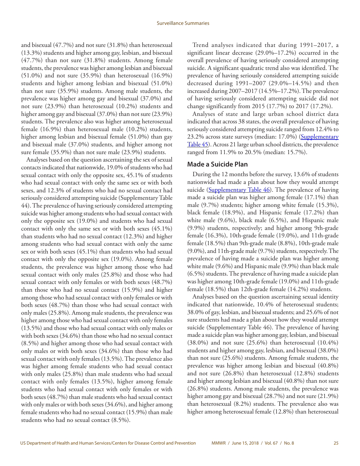and bisexual (47.7%) and not sure (31.8%) than heterosexual (13.3%) students and higher among gay, lesbian, and bisexual (47.7%) than not sure (31.8%) students. Among female students, the prevalence was higher among lesbian and bisexual (51.0%) and not sure (35.9%) than heterosexual (16.9%) students and higher among lesbian and bisexual (51.0%) than not sure (35.9%) students. Among male students, the prevalence was higher among gay and bisexual (37.0%) and not sure (23.9%) than heterosexual (10.2%) students and higher among gay and bisexual (37.0%) than not sure (23.9%) students. The prevalence also was higher among heterosexual female (16.9%) than heterosexual male (10.2%) students, higher among lesbian and bisexual female (51.0%) than gay and bisexual male (37.0%) students, and higher among not sure female (35.9%) than not sure male (23.9%) students.

Analyses based on the question ascertaining the sex of sexual contacts indicated that nationwide, 19.0% of students who had sexual contact with only the opposite sex, 45.1% of students who had sexual contact with only the same sex or with both sexes, and 12.3% of students who had no sexual contact had seriously considered attempting suicide (Supplementary Table 44). The prevalence of having seriously considered attempting suicide was higher among students who had sexual contact with only the opposite sex (19.0%) and students who had sexual contact with only the same sex or with both sexes (45.1%) than students who had no sexual contact (12.3%) and higher among students who had sexual contact with only the same sex or with both sexes (45.1%) than students who had sexual contact with only the opposite sex (19.0%). Among female students, the prevalence was higher among those who had sexual contact with only males (25.8%) and those who had sexual contact with only females or with both sexes (48.7%) than those who had no sexual contact (15.9%) and higher among those who had sexual contact with only females or with both sexes (48.7%) than those who had sexual contact with only males (25.8%). Among male students, the prevalence was higher among those who had sexual contact with only females (13.5%) and those who had sexual contact with only males or with both sexes (34.6%) than those who had no sexual contact (8.5%) and higher among those who had sexual contact with only males or with both sexes (34.6%) than those who had sexual contact with only females (13.5%). The prevalence also was higher among female students who had sexual contact with only males (25.8%) than male students who had sexual contact with only females (13.5%), higher among female students who had sexual contact with only females or with both sexes (48.7%) than male students who had sexual contact with only males or with both sexes (34.6%), and higher among female students who had no sexual contact (15.9%) than male students who had no sexual contact (8.5%).

Trend analyses indicated that during 1991–2017, a significant linear decrease (29.0%–17.2%) occurred in the overall prevalence of having seriously considered attempting suicide. A significant quadratic trend also was identified. The prevalence of having seriously considered attempting suicide decreased during 1991–2007 (29.0%–14.5%) and then increased during 2007–2017 (14.5%–17.2%). The prevalence of having seriously considered attempting suicide did not change significantly from 2015 (17.7%) to 2017 (17.2%).

Analyses of state and large urban school district data indicated that across 38 states, the overall prevalence of having seriously considered attempting suicide ranged from 12.4% to 23.2% across state surveys (median: 17.0%) ([Supplementary](https://www.cdc.gov/healthyyouth/data/yrbs/2017_tables/contribute_to_violence.htm#t45_down) [Table 45](https://www.cdc.gov/healthyyouth/data/yrbs/2017_tables/contribute_to_violence.htm#t45_down)). Across 21 large urban school districts, the prevalence ranged from 11.9% to 20.5% (median: 15.7%).

### **Made a Suicide Plan**

During the 12 months before the survey, 13.6% of students nationwide had made a plan about how they would attempt suicide ([Supplementary Table 46\)](https://www.cdc.gov/healthyyouth/data/yrbs/2017_tables/contribute_to_violence.htm#t46_down). The prevalence of having made a suicide plan was higher among female (17.1%) than male (9.7%) students; higher among white female (15.3%), black female (18.9%), and Hispanic female (17.2%) than white male (9.6%), black male (6.5%), and Hispanic male (9.9%) students, respectively; and higher among 9th-grade female (16.3%), 10th-grade female (19.0%), and 11th-grade female (18.5%) than 9th-grade male (8.8%), 10th-grade male (9.0%), and 11th-grade male (9.7%) students, respectively. The prevalence of having made a suicide plan was higher among white male (9.6%) and Hispanic male (9.9%) than black male (6.5%) students. The prevalence of having made a suicide plan was higher among 10th-grade female (19.0%) and 11th-grade female (18.5%) than 12th-grade female (14.2%) students.

Analyses based on the question ascertaining sexual identity indicated that nationwide, 10.4% of heterosexual students; 38.0% of gay, lesbian, and bisexual students; and 25.6% of not sure students had made a plan about how they would attempt suicide (Supplementary Table 46). The prevalence of having made a suicide plan was higher among gay, lesbian, and bisexual (38.0%) and not sure (25.6%) than heterosexual (10.4%) students and higher among gay, lesbian, and bisexual (38.0%) than not sure (25.6%) students. Among female students, the prevalence was higher among lesbian and bisexual (40.8%) and not sure (26.8%) than heterosexual (12.8%) students and higher among lesbian and bisexual (40.8%) than not sure (26.8%) students. Among male students, the prevalence was higher among gay and bisexual (28.7%) and not sure (21.9%) than heterosexual (8.2%) students. The prevalence also was higher among heterosexual female (12.8%) than heterosexual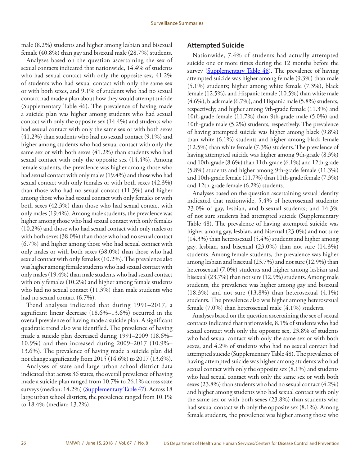male (8.2%) students and higher among lesbian and bisexual female (40.8%) than gay and bisexual male (28.7%) students.

Analyses based on the question ascertaining the sex of sexual contacts indicated that nationwide, 14.4% of students who had sexual contact with only the opposite sex, 41.2% of students who had sexual contact with only the same sex or with both sexes, and 9.1% of students who had no sexual contact had made a plan about how they would attempt suicide (Supplementary Table 46). The prevalence of having made a suicide plan was higher among students who had sexual contact with only the opposite sex (14.4%) and students who had sexual contact with only the same sex or with both sexes (41.2%) than students who had no sexual contact (9.1%) and higher among students who had sexual contact with only the same sex or with both sexes (41.2%) than students who had sexual contact with only the opposite sex (14.4%). Among female students, the prevalence was higher among those who had sexual contact with only males (19.4%) and those who had sexual contact with only females or with both sexes (42.3%) than those who had no sexual contact (11.3%) and higher among those who had sexual contact with only females or with both sexes (42.3%) than those who had sexual contact with only males (19.4%). Among male students, the prevalence was higher among those who had sexual contact with only females (10.2%) and those who had sexual contact with only males or with both sexes (38.0%) than those who had no sexual contact (6.7%) and higher among those who had sexual contact with only males or with both sexes (38.0%) than those who had sexual contact with only females (10.2%). The prevalence also was higher among female students who had sexual contact with only males (19.4%) than male students who had sexual contact with only females (10.2%) and higher among female students who had no sexual contact (11.3%) than male students who had no sexual contact (6.7%).

Trend analyses indicated that during 1991–2017, a significant linear decrease (18.6%–13.6%) occurred in the overall prevalence of having made a suicide plan. A significant quadratic trend also was identified. The prevalence of having made a suicide plan decreased during 1991–2009 (18.6%– 10.9%) and then increased during 2009–2017 (10.9%– 13.6%). The prevalence of having made a suicide plan did not change significantly from 2015 (14.6%) to 2017 (13.6%).

Analyses of state and large urban school district data indicated that across 36 states, the overall prevalence of having made a suicide plan ranged from 10.7% to 26.1% across state surveys (median: 14.2%) ([Supplementary Table 47](https://www.cdc.gov/healthyyouth/data/yrbs/2017_tables/contribute_to_violence.htm#t47_down)). Across 18 large urban school districts, the prevalence ranged from 10.1% to 18.4% (median: 13.2%).

#### **Attempted Suicide**

Nationwide, 7.4% of students had actually attempted suicide one or more times during the 12 months before the survey ([Supplementary Table 48](https://www.cdc.gov/healthyyouth/data/yrbs/2017_tables/contribute_to_violence.htm#t48_down)). The prevalence of having attempted suicide was higher among female (9.3%) than male (5.1%) students; higher among white female (7.3%), black female (12.5%), and Hispanic female (10.5%) than white male (4.6%), black male (6.7%), and Hispanic male (5.8%) students, respectively; and higher among 9th-grade female (11.3%) and 10th-grade female (11.7%) than 9th-grade male (5.0%) and 10th-grade male (5.2%) students, respectively. The prevalence of having attempted suicide was higher among black (9.8%) than white (6.1%) students and higher among black female (12.5%) than white female (7.3%) students. The prevalence of having attempted suicide was higher among 9th-grade (8.3%) and 10th-grade (8.6%) than 11th-grade (6.1%) and 12th-grade (5.8%) students and higher among 9th-grade female (11.3%) and 10th-grade female (11.7%) than 11th-grade female (7.3%) and 12th-grade female (6.2%) students.

Analyses based on the question ascertaining sexual identity indicated that nationwide, 5.4% of heterosexual students; 23.0% of gay, lesbian, and bisexual students; and 14.3% of not sure students had attempted suicide (Supplementary Table 48). The prevalence of having attempted suicide was higher among gay, lesbian, and bisexual (23.0%) and not sure (14.3%) than heterosexual (5.4%) students and higher among gay, lesbian, and bisexual (23.0%) than not sure (14.3%) students. Among female students, the prevalence was higher among lesbian and bisexual (23.7%) and not sure (12.9%) than heterosexual (7.0%) students and higher among lesbian and bisexual (23.7%) than not sure (12.9%) students. Among male students, the prevalence was higher among gay and bisexual  $(18.3\%)$  and not sure  $(13.8\%)$  than heterosexual  $(4.1\%)$ students. The prevalence also was higher among heterosexual female (7.0%) than heterosexual male (4.1%) students.

Analyses based on the question ascertaining the sex of sexual contacts indicated that nationwide, 8.1% of students who had sexual contact with only the opposite sex, 23.8% of students who had sexual contact with only the same sex or with both sexes, and 4.2% of students who had no sexual contact had attempted suicide (Supplementary Table 48). The prevalence of having attempted suicide was higher among students who had sexual contact with only the opposite sex (8.1%) and students who had sexual contact with only the same sex or with both sexes (23.8%) than students who had no sexual contact (4.2%) and higher among students who had sexual contact with only the same sex or with both sexes (23.8%) than students who had sexual contact with only the opposite sex (8.1%). Among female students, the prevalence was higher among those who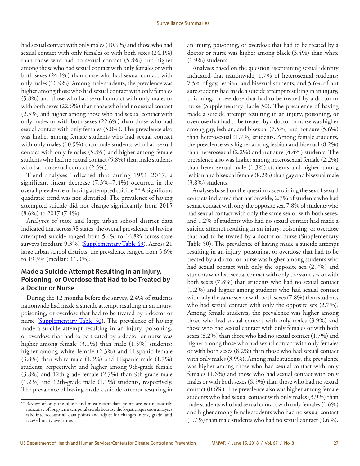had sexual contact with only males (10.9%) and those who had sexual contact with only females or with both sexes (24.1%) than those who had no sexual contact (5.8%) and higher among those who had sexual contact with only females or with both sexes (24.1%) than those who had sexual contact with only males (10.9%). Among male students, the prevalence was higher among those who had sexual contact with only females (5.8%) and those who had sexual contact with only males or with both sexes (22.6%) than those who had no sexual contact (2.5%) and higher among those who had sexual contact with only males or with both sexes (22.6%) than those who had sexual contact with only females (5.8%). The prevalence also was higher among female students who had sexual contact with only males (10.9%) than male students who had sexual contact with only females (5.8%) and higher among female students who had no sexual contact (5.8%) than male students who had no sexual contact (2.5%).

Trend analyses indicated that during 1991–2017, a significant linear decrease (7.3%–7.4%) occurred in the overall prevalence of having attempted suicide.\*\* A significant quadratic trend was not identified. The prevalence of having attempted suicide did not change significantly from 2015 (8.6%) to 2017 (7.4%).

Analyses of state and large urban school district data indicated that across 38 states, the overall prevalence of having attempted suicide ranged from 5.4% to 16.8% across state surveys (median: 9.3%) ([Supplementary Table 49](https://www.cdc.gov/healthyyouth/data/yrbs/2017_tables/contribute_to_violence.htm#t49_down)). Across 21 large urban school districts, the prevalence ranged from 5.6% to 19.5% (median: 11.0%).

## **Made a Suicide Attempt Resulting in an Injury, Poisoning, or Overdose that Had to be Treated by a Doctor or Nurse**

During the 12 months before the survey, 2.4% of students nationwide had made a suicide attempt resulting in an injury, poisoning, or overdose that had to be treated by a doctor or nurse ([Supplementary Table 50\)](https://www.cdc.gov/healthyyouth/data/yrbs/2017_tables/contribute_to_violence.htm#t50_down). The prevalence of having made a suicide attempt resulting in an injury, poisoning, or overdose that had to be treated by a doctor or nurse was higher among female (3.1%) than male (1.5%) students; higher among white female (2.3%) and Hispanic female (3.8%) than white male (1.3%) and Hispanic male (1.7%) students, respectively; and higher among 9th-grade female (3.8%) and 12th-grade female (2.7%) than 9th-grade male (1.2%) and 12th-grade male (1.1%) students, respectively. The prevalence of having made a suicide attempt resulting in

an injury, poisoning, or overdose that had to be treated by a doctor or nurse was higher among black (3.4%) than white (1.9%) students.

Analyses based on the question ascertaining sexual identity indicated that nationwide, 1.7% of heterosexual students; 7.5% of gay, lesbian, and bisexual students; and 5.6% of not sure students had made a suicide attempt resulting in an injury, poisoning, or overdose that had to be treated by a doctor or nurse (Supplementary Table 50). The prevalence of having made a suicide attempt resulting in an injury, poisoning, or overdose that had to be treated by a doctor or nurse was higher among gay, lesbian, and bisexual (7.5%) and not sure (5.6%) than heterosexual (1.7%) students. Among female students, the prevalence was higher among lesbian and bisexual (8.2%) than heterosexual (2.2%) and not sure (4.4%) students. The prevalence also was higher among heterosexual female (2.2%) than heterosexual male (1.3%) students and higher among lesbian and bisexual female (8.2%) than gay and bisexual male (3.8%) students.

Analyses based on the question ascertaining the sex of sexual contacts indicated that nationwide, 2.7% of students who had sexual contact with only the opposite sex, 7.8% of students who had sexual contact with only the same sex or with both sexes, and 1.2% of students who had no sexual contact had made a suicide attempt resulting in an injury, poisoning, or overdose that had to be treated by a doctor or nurse (Supplementary Table 50). The prevalence of having made a suicide attempt resulting in an injury, poisoning, or overdose that had to be treated by a doctor or nurse was higher among students who had sexual contact with only the opposite sex (2.7%) and students who had sexual contact with only the same sex or with both sexes (7.8%) than students who had no sexual contact (1.2%) and higher among students who had sexual contact with only the same sex or with both sexes (7.8%) than students who had sexual contact with only the opposite sex (2.7%). Among female students, the prevalence was higher among those who had sexual contact with only males (3.9%) and those who had sexual contact with only females or with both sexes (8.2%) than those who had no sexual contact (1.7%) and higher among those who had sexual contact with only females or with both sexes (8.2%) than those who had sexual contact with only males (3.9%). Among male students, the prevalence was higher among those who had sexual contact with only females (1.6%) and those who had sexual contact with only males or with both sexes (6.5%) than those who had no sexual contact (0.6%). The prevalence also was higher among female students who had sexual contact with only males (3.9%) than male students who had sexual contact with only females (1.6%) and higher among female students who had no sexual contact (1.7%) than male students who had no sexual contact (0.6%).

<sup>\*\*</sup> Review of only the oldest and most recent data points are not necessarily indicative of long-term temporal trends because the logistic regression analyses take into account all data points and adjust for changes in sex, grade, and race/ethnicity over time.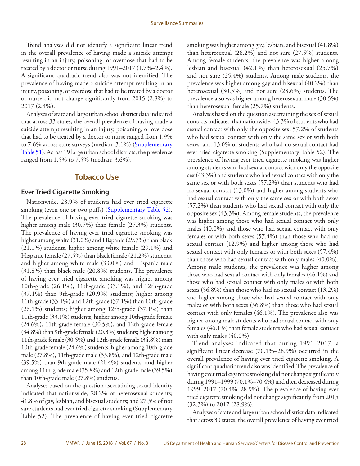Trend analyses did not identify a significant linear trend in the overall prevalence of having made a suicide attempt resulting in an injury, poisoning, or overdose that had to be treated by a doctor or nurse during 1991–2017 (1.7%–2.4%). A significant quadratic trend also was not identified. The prevalence of having made a suicide attempt resulting in an injury, poisoning, or overdose that had to be treated by a doctor or nurse did not change significantly from 2015 (2.8%) to 2017 (2.4%).

Analyses of state and large urban school district data indicated that across 33 states, the overall prevalence of having made a suicide attempt resulting in an injury, poisoning, or overdose that had to be treated by a doctor or nurse ranged from 1.9% to 7.6% across state surveys (median: 3.1%) [\(Supplementary](https://www.cdc.gov/healthyyouth/data/yrbs/2017_tables/contribute_to_violence.htm#t51_down) [Table 51](https://www.cdc.gov/healthyyouth/data/yrbs/2017_tables/contribute_to_violence.htm#t51_down)). Across 19 large urban school districts, the prevalence ranged from 1.5% to 7.5% (median: 3.6%).

## **Tobacco Use**

## **Ever Tried Cigarette Smoking**

Nationwide, 28.9% of students had ever tried cigarette smoking (even one or two puffs) ([Supplementary Table 52](https://www.cdc.gov/healthyyouth/data/yrbs/2017_tables/tobacco_use.htm#t52_down)). The prevalence of having ever tried cigarette smoking was higher among male (30.7%) than female (27.3%) students. The prevalence of having ever tried cigarette smoking was higher among white (31.0%) and Hispanic (29.7%) than black (21.1%) students, higher among white female (29.1%) and Hispanic female (27.5%) than black female (21.2%) students, and higher among white male (33.0%) and Hispanic male (31.8%) than black male (20.8%) students. The prevalence of having ever tried cigarette smoking was higher among 10th-grade (26.1%), 11th-grade (33.1%), and 12th-grade (37.1%) than 9th-grade (20.9%) students; higher among 11th-grade (33.1%) and 12th-grade (37.1%) than 10th-grade (26.1%) students; higher among 12th-grade (37.1%) than 11th-grade (33.1%) students, higher among 10th-grade female (24.6%), 11th-grade female (30.5%), and 12th-grade female (34.8%) than 9th-grade female (20.3%) students; higher among 11th-grade female (30.5%) and 12th-grade female (34.8%) than 10th-grade female (24.6%) students; higher among 10th-grade male (27.8%), 11th-grade male (35.8%), and 12th-grade male (39.5%) than 9th-grade male (21.4%) students; and higher among 11th-grade male (35.8%) and 12th-grade male (39.5%) than 10th-grade male (27.8%) students.

Analyses based on the question ascertaining sexual identity indicated that nationwide, 28.2% of heterosexual students; 41.8% of gay, lesbian, and bisexual students; and 27.5% of not sure students had ever tried cigarette smoking (Supplementary Table 52). The prevalence of having ever tried cigarette

smoking was higher among gay, lesbian, and bisexual (41.8%) than heterosexual (28.2%) and not sure (27.5%) students. Among female students, the prevalence was higher among lesbian and bisexual (42.1%) than heterosexual (25.7%) and not sure (25.4%) students. Among male students, the prevalence was higher among gay and bisexual (40.2%) than heterosexual (30.5%) and not sure (28.6%) students. The prevalence also was higher among heterosexual male (30.5%) than heterosexual female (25.7%) students.

Analyses based on the question ascertaining the sex of sexual contacts indicated that nationwide, 43.3% of students who had sexual contact with only the opposite sex, 57.2% of students who had sexual contact with only the same sex or with both sexes, and 13.0% of students who had no sexual contact had ever tried cigarette smoking (Supplementary Table 52). The prevalence of having ever tried cigarette smoking was higher among students who had sexual contact with only the opposite sex (43.3%) and students who had sexual contact with only the same sex or with both sexes (57.2%) than students who had no sexual contact (13.0%) and higher among students who had sexual contact with only the same sex or with both sexes (57.2%) than students who had sexual contact with only the opposite sex (43.3%). Among female students, the prevalence was higher among those who had sexual contact with only males (40.0%) and those who had sexual contact with only females or with both sexes (57.4%) than those who had no sexual contact (12.9%) and higher among those who had sexual contact with only females or with both sexes (57.4%) than those who had sexual contact with only males (40.0%). Among male students, the prevalence was higher among those who had sexual contact with only females (46.1%) and those who had sexual contact with only males or with both sexes (56.8%) than those who had no sexual contact (13.2%) and higher among those who had sexual contact with only males or with both sexes (56.8%) than those who had sexual contact with only females (46.1%). The prevalence also was higher among male students who had sexual contact with only females (46.1%) than female students who had sexual contact with only males (40.0%).

Trend analyses indicated that during 1991–2017, a significant linear decrease (70.1%–28.9%) occurred in the overall prevalence of having ever tried cigarette smoking. A significant quadratic trend also was identified. The prevalence of having ever tried cigarette smoking did not change significantly during 1991–1999 (70.1%–70.4%) and then decreased during 1999–2017 (70.4%–28.9%). The prevalence of having ever tried cigarette smoking did not change significantly from 2015 (32.3%) to 2017 (28.9%).

Analyses of state and large urban school district data indicated that across 30 states, the overall prevalence of having ever tried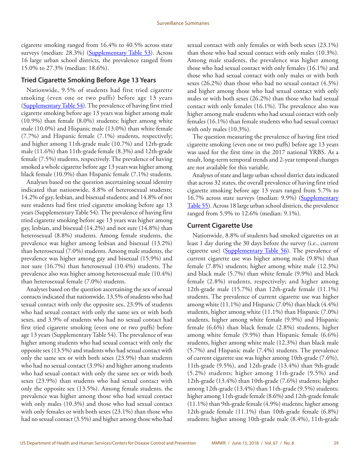cigarette smoking ranged from 16.4% to 40.5% across state surveys (median: 28.3%) [\(Supplementary Table 53](https://www.cdc.gov/healthyyouth/data/yrbs/2017_tables/tobacco_use.htm#t53_down)). Across 16 large urban school districts, the prevalence ranged from 15.0% to 27.3% (median: 18.6%).

## **Tried Cigarette Smoking Before Age 13 Years**

Nationwide, 9.5% of students had first tried cigarette smoking (even one or two puffs) before age 13 years ([Supplementary Table 54](https://www.cdc.gov/healthyyouth/data/yrbs/2017_tables/tobacco_use.htm#t54_down)). The prevalence of having first tried cigarette smoking before age 13 years was higher among male (10.9%) than female (8.0%) students; higher among white male (10.0%) and Hispanic male (13.0%) than white female (7.7%) and Hispanic female (7.1%) students, respectively; and higher among 11th-grade male (10.7%) and 12th-grade male (11.6%) than 11th-grade female (8.3%) and 12th-grade female (7.5%) students, respectively. The prevalence of having smoked a whole cigarette before age 13 years was higher among black female (10.9%) than Hispanic female (7.1%) students.

Analyses based on the question ascertaining sexual identity indicated that nationwide, 8.8% of heterosexual students; 14.2% of gay, lesbian, and bisexual students; and 14.8% of not sure students had first tried cigarette smoking before age 13 years (Supplementary Table 54). The prevalence of having first tried cigarette smoking before age 13 years was higher among gay, lesbian, and bisexual (14.2%) and not sure (14.8%) than heterosexual (8.8%) students. Among female students, the prevalence was higher among lesbian and bisexual (13.2%) than heterosexual (7.0%) students. Among male students, the prevalence was higher among gay and bisexual (15.9%) and not sure (16.7%) than heterosexual (10.4%) students. The prevalence also was higher among heterosexual male (10.4%) than heterosexual female (7.0%) students.

Analyses based on the question ascertaining the sex of sexual contacts indicated that nationwide, 13.5% of students who had sexual contact with only the opposite sex, 23.9% of students who had sexual contact with only the same sex or with both sexes, and 3.9% of students who had no sexual contact had first tried cigarette smoking (even one or two puffs) before age 13 years (Supplementary Table 54). The prevalence of was higher among students who had sexual contact with only the opposite sex (13.5%) and students who had sexual contact with only the same sex or with both sexes (23.9%) than students who had no sexual contact (3.9%) and higher among students who had sexual contact with only the same sex or with both sexes (23.9%) than students who had sexual contact with only the opposite sex (13.5%). Among female students, the prevalence was higher among those who had sexual contact with only males (10.3%) and those who had sexual contact with only females or with both sexes (23.1%) than those who had no sexual contact (3.5%) and higher among those who had

sexual contact with only females or with both sexes (23.1%) than those who had sexual contact with only males (10.3%). Among male students, the prevalence was higher among those who had sexual contact with only females (16.1%) and those who had sexual contact with only males or with both sexes (26.2%) than those who had no sexual contact (4.3%) and higher among those who had sexual contact with only males or with both sexes (26.2%) than those who had sexual contact with only females (16.1%). The prevalence also was higher among male students who had sexual contact with only females (16.1%) than female students who had sexual contact with only males (10.3%).

The question measuring the prevalence of having first tried cigarette smoking (even one or two puffs) before age 13 years was used for the first time in the 2017 national YRBS. As a result, long-term temporal trends and 2-year temporal changes are not available for this variable.

Analyses of state and large urban school district data indicated that across 32 states, the overall prevalence of having first tried cigarette smoking before age 13 years ranged from 5.7% to 16.7% across state surveys (median: 9.9%) ([Supplementary](https://www.cdc.gov/healthyyouth/data/yrbs/2017_tables/tobacco_use.htm#t55_down)  [Table 55](https://www.cdc.gov/healthyyouth/data/yrbs/2017_tables/tobacco_use.htm#t55_down)). Across 18 large urban school districts, the prevalence ranged from 5.9% to 12.6% (median: 9.1%).

## **Current Cigarette Use**

Nationwide, 8.8% of students had smoked cigarettes on at least 1 day during the 30 days before the survey (i.e., current cigarette use) ([Supplementary Table 56](https://www.cdc.gov/healthyyouth/data/yrbs/2017_tables/tobacco_use.htm#t56_down)). The prevalence of current cigarette use was higher among male (9.8%) than female (7.8%) students; higher among white male (12.3%) and black male (5.7%) than white female (9.9%) and black female (2.8%) students, respectively; and higher among 12th-grade male (15.7%) than 12th-grade female (11.1%) students. The prevalence of current cigarette use was higher among white (11.1%) and Hispanic (7.0%) than black (4.4%) students, higher among white (11.1%) than Hispanic (7.0%) students, higher among white female (9.9%) and Hispanic female (6.6%) than black female (2.8%) students, higher among white female (9.9%) than Hispanic female (6.6%) students, higher among white male (12.3%) than black male (5.7%) and Hispanic male (7.4%) students. The prevalence of current cigarette use was higher among 10th-grade (7.6%), 11th-grade (9.5%), and 12th-grade (13.4%) than 9th-grade (5.2%) students; higher among 11th-grade (9.5%) and 12th-grade (13.4%) than 10th-grade (7.6%) students; higher among 12th-grade (13.4%) than 11th-grade (9.5%) students; higher among 11th-grade female (8.6%) and 12th-grade female (11.1%) than 9th-grade female (4.9%) students; higher among 12th-grade female (11.1%) than 10th-grade female (6.8%) students; higher among 10th-grade male (8.4%), 11th-grade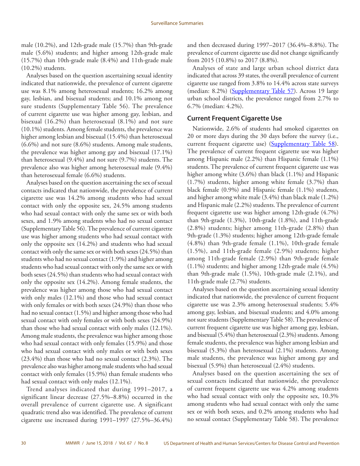male (10.2%), and 12th-grade male (15.7%) than 9th-grade male (5.6%) students; and higher among 12th-grade male (15.7%) than 10th-grade male (8.4%) and 11th-grade male (10.2%) students.

Analyses based on the question ascertaining sexual identity indicated that nationwide, the prevalence of current cigarette use was 8.1% among heterosexual students; 16.2% among gay, lesbian, and bisexual students; and 10.1% among not sure students (Supplementary Table 56). The prevalence of current cigarette use was higher among gay, lesbian, and bisexual (16.2%) than heterosexual (8.1%) and not sure (10.1%) students. Among female students, the prevalence was higher among lesbian and bisexual (15.4%) than heterosexual (6.6%) and not sure (8.6%) students. Among male students, the prevalence was higher among gay and bisexual (17.1%) than heterosexual (9.4%) and not sure (9.7%) students. The prevalence also was higher among heterosexual male (9.4%) than heterosexual female (6.6%) students.

Analyses based on the question ascertaining the sex of sexual contacts indicated that nationwide, the prevalence of current cigarette use was 14.2% among students who had sexual contact with only the opposite sex, 24.5% among students who had sexual contact with only the same sex or with both sexes, and 1.9% among students who had no sexual contact (Supplementary Table 56). The prevalence of current cigarette use was higher among students who had sexual contact with only the opposite sex (14.2%) and students who had sexual contact with only the same sex or with both sexes (24.5%) than students who had no sexual contact (1.9%) and higher among students who had sexual contact with only the same sex or with both sexes (24.5%) than students who had sexual contact with only the opposite sex (14.2%). Among female students, the prevalence was higher among those who had sexual contact with only males (12.1%) and those who had sexual contact with only females or with both sexes (24.9%) than those who had no sexual contact (1.5%) and higher among those who had sexual contact with only females or with both sexes (24.9%) than those who had sexual contact with only males (12.1%). Among male students, the prevalence was higher among those who had sexual contact with only females (15.9%) and those who had sexual contact with only males or with both sexes (23.4%) than those who had no sexual contact (2.3%). The prevalence also was higher among male students who had sexual contact with only females (15.9%) than female students who had sexual contact with only males (12.1%).

Trend analyses indicated that during 1991–2017, a significant linear decrease (27.5%–8.8%) occurred in the overall prevalence of current cigarette use. A significant quadratic trend also was identified. The prevalence of current cigarette use increased during 1991–1997 (27.5%–36.4%) and then decreased during 1997–2017 (36.4%–8.8%). The prevalence of current cigarette use did not change significantly from 2015 (10.8%) to 2017 (8.8%).

Analyses of state and large urban school district data indicated that across 39 states, the overall prevalence of current cigarette use ranged from 3.8% to 14.4% across state surveys (median: 8.2%) [\(Supplementary Table 57\)](https://www.cdc.gov/healthyyouth/data/yrbs/2017_tables/tobacco_use.htm#t57_down). Across 19 large urban school districts, the prevalence ranged from 2.7% to 6.7% (median: 4.2%).

## **Current Frequent Cigarette Use**

Nationwide, 2.6% of students had smoked cigarettes on 20 or more days during the 30 days before the survey (i.e., current frequent cigarette use) [\(Supplementary Table 58\)](https://www.cdc.gov/healthyyouth/data/yrbs/2017_tables/tobacco_use.htm#t58_down). The prevalence of current frequent cigarette use was higher among Hispanic male (2.2%) than Hispanic female (1.1%) students. The prevalence of current frequent cigarette use was higher among white (3.6%) than black (1.1%) and Hispanic (1.7%) students, higher among white female (3.7%) than black female (0.9%) and Hispanic female (1.1%) students, and higher among white male (3.4%) than black male (1.2%) and Hispanic male (2.2%) students. The prevalence of current frequent cigarette use was higher among 12th-grade (4.7%) than 9th-grade (1.3%), 10th-grade (1.8%), and 11th-grade (2.8%) students; higher among 11th-grade (2.8%) than 9th-grade (1.3%) students; higher among 12th-grade female (4.8%) than 9th-grade female (1.1%), 10th-grade female (1.5%), and 11th-grade female (2.9%) students; higher among 11th-grade female (2.9%) than 9th-grade female (1.1%) students; and higher among 12th-grade male (4.5%) than 9th-grade male (1.5%), 10th-grade male (2.1%), and 11th-grade male (2.7%) students.

Analyses based on the question ascertaining sexual identity indicated that nationwide, the prevalence of current frequent cigarette use was 2.3% among heterosexual students; 5.4% among gay, lesbian, and bisexual students; and 4.0% among not sure students (Supplementary Table 58). The prevalence of current frequent cigarette use was higher among gay, lesbian, and bisexual (5.4%) than heterosexual (2.3%) students. Among female students, the prevalence was higher among lesbian and bisexual (5.3%) than heterosexual (2.1%) students. Among male students, the prevalence was higher among gay and bisexual (5.9%) than heterosexual (2.4%) students.

Analyses based on the question ascertaining the sex of sexual contacts indicated that nationwide, the prevalence of current frequent cigarette use was 4.2% among students who had sexual contact with only the opposite sex, 10.3% among students who had sexual contact with only the same sex or with both sexes, and 0.2% among students who had no sexual contact (Supplementary Table 58). The prevalence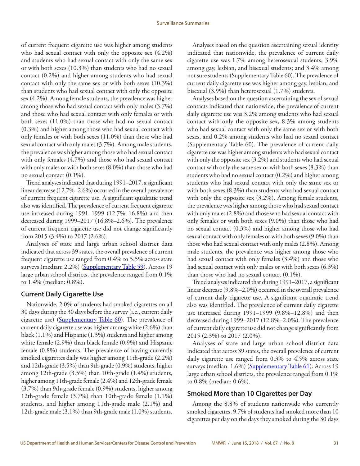of current frequent cigarette use was higher among students who had sexual contact with only the opposite sex (4.2%) and students who had sexual contact with only the same sex or with both sexes (10.3%) than students who had no sexual contact (0.2%) and higher among students who had sexual contact with only the same sex or with both sexes (10.3%) than students who had sexual contact with only the opposite sex (4.2%). Among female students, the prevalence was higher among those who had sexual contact with only males (3.7%) and those who had sexual contact with only females or with both sexes (11.0%) than those who had no sexual contact (0.3%) and higher among those who had sexual contact with only females or with both sexes (11.0%) than those who had sexual contact with only males (3.7%). Among male students, the prevalence was higher among those who had sexual contact with only females (4.7%) and those who had sexual contact with only males or with both sexes (8.0%) than those who had no sexual contact (0.1%).

Trend analyses indicated that during 1991–2017, a significant linear decrease (12.7%–2.6%) occurred in the overall prevalence of current frequent cigarette use. A significant quadratic trend also was identified. The prevalence of current frequent cigarette use increased during 1991–1999 (12.7%–16.8%) and then decreased during 1999–2017 (16.8%–2.6%). The prevalence of current frequent cigarette use did not change significantly from 2015 (3.4%) to 2017 (2.6%).

Analyses of state and large urban school district data indicated that across 39 states, the overall prevalence of current frequent cigarette use ranged from 0.4% to 5.5% across state surveys (median: 2.2%) ([Supplementary Table 59](https://www.cdc.gov/healthyyouth/data/yrbs/2017_tables/tobacco_use.htm#t59_down)). Across 19 large urban school districts, the prevalence ranged from 0.1% to 1.4% (median: 0.8%).

## **Current Daily Cigarette Use**

Nationwide, 2.0% of students had smoked cigarettes on all 30 days during the 30 days before the survey (i.e., current daily cigarette use) [\(Supplementary Table 60\)](https://www.cdc.gov/healthyyouth/data/yrbs/2017_tables/tobacco_use.htm#t60_down). The prevalence of current daily cigarette use was higher among white (2.6%) than black (1.1%) and Hispanic (1.3%) students and higher among white female (2.9%) than black female (0.9%) and Hispanic female (0.8%) students. The prevalence of having currently smoked cigarettes daily was higher among 11th-grade (2.2%) and 12th-grade (3.5%) than 9th-grade (0.9%) students, higher among 12th-grade (3.5%) than 10th-grade (1.4%) students, higher among 11th-grade female (2.4%) and 12th-grade female (3.7%) than 9th-grade female (0.9%) students, higher among 12th-grade female (3.7%) than 10th-grade female (1.1%) students, and higher among 11th-grade male (2.1%) and 12th-grade male (3.1%) than 9th-grade male (1.0%) students.

Analyses based on the question ascertaining sexual identity indicated that nationwide, the prevalence of current daily cigarette use was 1.7% among heterosexual students; 3.9% among gay, lesbian, and bisexual students; and 3.4% among not sure students (Supplementary Table 60). The prevalence of current daily cigarette use was higher among gay, lesbian, and bisexual (3.9%) than heterosexual (1.7%) students.

Analyses based on the question ascertaining the sex of sexual contacts indicated that nationwide, the prevalence of current daily cigarette use was 3.2% among students who had sexual contact with only the opposite sex, 8.3% among students who had sexual contact with only the same sex or with both sexes, and 0.2% among students who had no sexual contact (Supplementary Table 60). The prevalence of current daily cigarette use was higher among students who had sexual contact with only the opposite sex (3.2%) and students who had sexual contact with only the same sex or with both sexes (8.3%) than students who had no sexual contact (0.2%) and higher among students who had sexual contact with only the same sex or with both sexes (8.3%) than students who had sexual contact with only the opposite sex (3.2%). Among female students, the prevalence was higher among those who had sexual contact with only males (2.8%) and those who had sexual contact with only females or with both sexes (9.0%) than those who had no sexual contact (0.3%) and higher among those who had sexual contact with only females or with both sexes (9.0%) than those who had sexual contact with only males (2.8%). Among male students, the prevalence was higher among those who had sexual contact with only females (3.4%) and those who had sexual contact with only males or with both sexes (6.3%) than those who had no sexual contact (0.1%).

Trend analyses indicated that during 1991–2017, a significant linear decrease (9.8%–2.0%) occurred in the overall prevalence of current daily cigarette use. A significant quadratic trend also was identified. The prevalence of current daily cigarette use increased during 1991–1999 (9.8%–12.8%) and then decreased during 1999–2017 (12.8%–2.0%). The prevalence of current daily cigarette use did not change significantly from 2015 (2.3%) to 2017 (2.0%).

Analyses of state and large urban school district data indicated that across 39 states, the overall prevalence of current daily cigarette use ranged from 0.3% to 4.5% across state surveys (median: 1.6%) [\(Supplementary Table 61\)](https://www.cdc.gov/healthyyouth/data/yrbs/2017_tables/tobacco_use.htm#t61_down). Across 19 large urban school districts, the prevalence ranged from 0.1% to 0.8% (median: 0.6%).

## **Smoked More than 10 Cigarettes per Day**

Among the 8.8% of students nationwide who currently smoked cigarettes, 9.7% of students had smoked more than 10 cigarettes per day on the days they smoked during the 30 days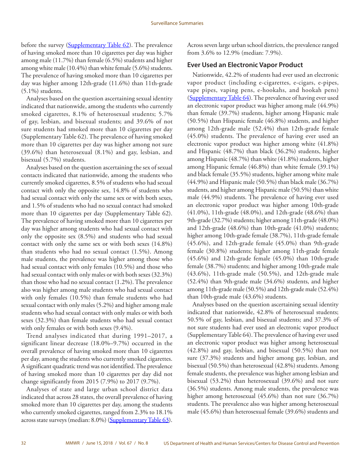before the survey ([Supplementary Table 62\)](https://www.cdc.gov/healthyyouth/data/yrbs/2017_tables/tobacco_use.htm#t62_down). The prevalence of having smoked more than 10 cigarettes per day was higher among male (11.7%) than female (6.5%) students and higher among white male (10.4%) than white female (5.6%) students. The prevalence of having smoked more than 10 cigarettes per day was higher among 12th-grade (11.6%) than 11th-grade (5.1%) students.

Analyses based on the question ascertaining sexual identity indicated that nationwide, among the students who currently smoked cigarettes, 8.1% of heterosexual students; 5.7% of gay, lesbian, and bisexual students; and 39.6% of not sure students had smoked more than 10 cigarettes per day (Supplementary Table 62). The prevalence of having smoked more than 10 cigarettes per day was higher among not sure (39.6%) than heterosexual (8.1%) and gay, lesbian, and bisexual (5.7%) students.

Analyses based on the question ascertaining the sex of sexual contacts indicated that nationwide, among the students who currently smoked cigarettes, 8.5% of students who had sexual contact with only the opposite sex, 14.8% of students who had sexual contact with only the same sex or with both sexes, and 1.5% of students who had no sexual contact had smoked more than 10 cigarettes per day (Supplementary Table 62). The prevalence of having smoked more than 10 cigarettes per day was higher among students who had sexual contact with only the opposite sex (8.5%) and students who had sexual contact with only the same sex or with both sexes (14.8%) than students who had no sexual contact (1.5%). Among male students, the prevalence was higher among those who had sexual contact with only females (10.5%) and those who had sexual contact with only males or with both sexes (32.3%) than those who had no sexual contact (1.2%). The prevalence also was higher among male students who had sexual contact with only females (10.5%) than female students who had sexual contact with only males (5.2%) and higher among male students who had sexual contact with only males or with both sexes (32.3%) than female students who had sexual contact with only females or with both sexes (9.4%).

Trend analyses indicated that during 1991–2017, a significant linear decrease (18.0%–9.7%) occurred in the overall prevalence of having smoked more than 10 cigarettes per day, among the students who currently smoked cigarettes. A significant quadratic trend was not identified. The prevalence of having smoked more than 10 cigarettes per day did not change significantly from 2015 (7.9%) to 2017 (9.7%).

Analyses of state and large urban school district data indicated that across 28 states, the overall prevalence of having smoked more than 10 cigarettes per day, among the students who currently smoked cigarettes, ranged from 2.3% to 18.1% across state surveys (median: 8.0%) ([Supplementary Table 63](https://www.cdc.gov/healthyyouth/data/yrbs/2017_tables/tobacco_use.htm#t63_down)).

Across seven large urban school districts, the prevalence ranged from 3.6% to 12.9% (median: 7.9%).

## **Ever Used an Electronic Vapor Product**

Nationwide, 42.2% of students had ever used an electronic vapor product (including e-cigarettes, e-cigars, e-pipes, vape pipes, vaping pens, e-hookahs, and hookah pens) [\(Supplementary Table 64\)](https://www.cdc.gov/healthyyouth/data/yrbs/2017_tables/tobacco_use.htm#t64_down). The prevalence of having ever used an electronic vapor product was higher among male (44.9%) than female (39.7%) students, higher among Hispanic male (50.5%) than Hispanic female (46.8%) students, and higher among 12th-grade male (52.4%) than 12th-grade female (45.0%) students. The prevalence of having ever used an electronic vapor product was higher among white (41.8%) and Hispanic (48.7%) than black (36.2%) students, higher among Hispanic (48.7%) than white (41.8%) students, higher among Hispanic female (46.8%) than white female (39.1%) and black female (35.5%) students, higher among white male (44.9%) and Hispanic male (50.5%) than black male (36.7%) students, and higher among Hispanic male (50.5%) than white male (44.9%) students. The prevalence of having ever used an electronic vapor product was higher among 10th-grade (41.0%), 11th-grade (48.0%), and 12th-grade (48.6%) than 9th-grade (32.7%) students; higher among 11th-grade (48.0%) and 12th-grade (48.6%) than 10th-grade (41.0%) students; higher among 10th-grade female (38.7%), 11th-grade female (45.6%), and 12th-grade female (45.0%) than 9th-grade female (30.8%) students; higher among 11th-grade female (45.6%) and 12th-grade female (45.0%) than 10th-grade female (38.7%) students; and higher among 10th-grade male (43.6%), 11th-grade male (50.5%), and 12th-grade male (52.4%) than 9th-grade male (34.6%) students, and higher among 11th-grade male (50.5%) and 12th-grade male (52.4%) than 10th-grade male (43.6%) students.

Analyses based on the question ascertaining sexual identity indicated that nationwide, 42.8% of heterosexual students; 50.5% of gay, lesbian, and bisexual students; and 37.3% of not sure students had ever used an electronic vapor product (Supplementary Table 64). The prevalence of having ever used an electronic vapor product was higher among heterosexual (42.8%) and gay, lesbian, and bisexual (50.5%) than not sure (37.3%) students and higher among gay, lesbian, and bisexual (50.5%) than heterosexual (42.8%) students. Among female students, the prevalence was higher among lesbian and bisexual (53.2%) than heterosexual (39.6%) and not sure (36.5%) students. Among male students, the prevalence was higher among heterosexual (45.6%) than not sure (36.7%) students. The prevalence also was higher among heterosexual male (45.6%) than heterosexual female (39.6%) students and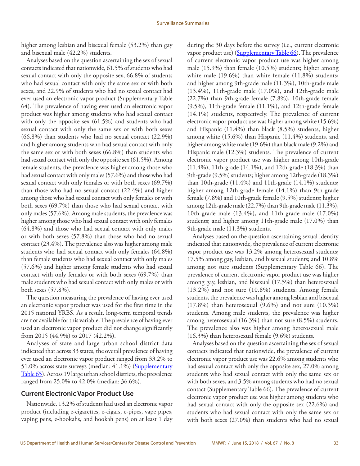higher among lesbian and bisexual female (53.2%) than gay and bisexual male (42.2%) students.

Analyses based on the question ascertaining the sex of sexual contacts indicated that nationwide, 61.5% of students who had sexual contact with only the opposite sex, 66.8% of students who had sexual contact with only the same sex or with both sexes, and 22.9% of students who had no sexual contact had ever used an electronic vapor product (Supplementary Table 64). The prevalence of having ever used an electronic vapor product was higher among students who had sexual contact with only the opposite sex (61.5%) and students who had sexual contact with only the same sex or with both sexes (66.8%) than students who had no sexual contact (22.9%) and higher among students who had sexual contact with only the same sex or with both sexes (66.8%) than students who had sexual contact with only the opposite sex (61.5%). Among female students, the prevalence was higher among those who had sexual contact with only males (57.6%) and those who had sexual contact with only females or with both sexes (69.7%) than those who had no sexual contact (22.4%) and higher among those who had sexual contact with only females or with both sexes (69.7%) than those who had sexual contact with only males (57.6%). Among male students, the prevalence was higher among those who had sexual contact with only females (64.8%) and those who had sexual contact with only males or with both sexes (57.8%) than those who had no sexual contact (23.4%). The prevalence also was higher among male students who had sexual contact with only females (64.8%) than female students who had sexual contact with only males (57.6%) and higher among female students who had sexual contact with only females or with both sexes (69.7%) than male students who had sexual contact with only males or with both sexes (57.8%).

The question measuring the prevalence of having ever used an electronic vapor product was used for the first time in the 2015 national YRBS. As a result, long-term temporal trends are not available for this variable. The prevalence of having ever used an electronic vapor product did not change significantly from 2015 (44.9%) to 2017 (42.2%).

Analyses of state and large urban school district data indicated that across 33 states, the overall prevalence of having ever used an electronic vapor product ranged from 33.2% to 51.0% across state surveys (median: 41.1%) [\(Supplementary](https://www.cdc.gov/healthyyouth/data/yrbs/2017_tables/tobacco_use.htm#t65_down) [Table 65](https://www.cdc.gov/healthyyouth/data/yrbs/2017_tables/tobacco_use.htm#t65_down)). Across 19 large urban school districts, the prevalence ranged from 25.0% to 42.0% (median: 36.6%).

## **Current Electronic Vapor Product Use**

Nationwide, 13.2% of students had used an electronic vapor product (including e-cigarettes, e-cigars, e-pipes, vape pipes, vaping pens, e-hookahs, and hookah pens) on at least 1 day during the 30 days before the survey (i.e., current electronic vapor product use) ([Supplementary Table 66\)](https://www.cdc.gov/healthyyouth/data/yrbs/2017_tables/tobacco_use.htm#t66_down). The prevalence of current electronic vapor product use was higher among male (15.9%) than female (10.5%) students; higher among white male (19.6%) than white female (11.8%) students; and higher among 9th-grade male (11.3%), 10th-grade male (13.4%), 11th-grade male (17.0%), and 12th-grade male (22.7%) than 9th-grade female (7.8%), 10th-grade female (9.5%), 11th-grade female (11.1%), and 12th-grade female (14.1%) students, respectively. The prevalence of current electronic vapor product use was higher among white (15.6%) and Hispanic (11.4%) than black (8.5%) students, higher among white (15.6%) than Hispanic (11.4%) students, and higher among white male (19.6%) than black male (9.2%) and Hispanic male (12.3%) students. The prevalence of current electronic vapor product use was higher among 10th-grade (11.4%), 11th-grade (14.1%), and 12th-grade (18.3%) than 9th-grade (9.5%) students; higher among 12th-grade (18.3%) than 10th-grade (11.4%) and 11th-grade (14.1%) students; higher among 12th-grade female (14.1%) than 9th-grade female (7.8%) and 10th-grade female (9.5%) students; higher among 12th-grade male (22.7%) than 9th-grade male (11.3%), 10th-grade male (13.4%), and 11th-grade male (17.0%) students; and higher among 11th-grade male (17.0%) than 9th-grade male (11.3%) students.

Analyses based on the question ascertaining sexual identity indicated that nationwide, the prevalence of current electronic vapor product use was 13.2% among heterosexual students; 17.5% among gay, lesbian, and bisexual students; and 10.8% among not sure students (Supplementary Table 66). The prevalence of current electronic vapor product use was higher among gay, lesbian, and bisexual (17.5%) than heterosexual (13.2%) and not sure (10.8%) students. Among female students, the prevalence was higher among lesbian and bisexual (17.8%) than heterosexual (9.6%) and not sure (10.3%) students. Among male students, the prevalence was higher among heterosexual (16.3%) than not sure (8.5%) students. The prevalence also was higher among heterosexual male (16.3%) than heterosexual female (9.6%) students.

Analyses based on the question ascertaining the sex of sexual contacts indicated that nationwide, the prevalence of current electronic vapor product use was 22.6% among students who had sexual contact with only the opposite sex, 27.0% among students who had sexual contact with only the same sex or with both sexes, and 3.5% among students who had no sexual contact (Supplementary Table 66). The prevalence of current electronic vapor product use was higher among students who had sexual contact with only the opposite sex (22.6%) and students who had sexual contact with only the same sex or with both sexes (27.0%) than students who had no sexual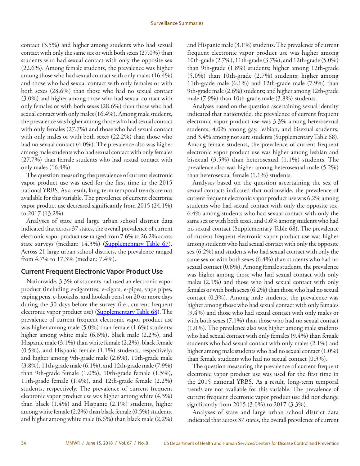contact (3.5%) and higher among students who had sexual contact with only the same sex or with both sexes (27.0%) than students who had sexual contact with only the opposite sex (22.6%). Among female students, the prevalence was higher among those who had sexual contact with only males (16.4%) and those who had sexual contact with only females or with both sexes (28.6%) than those who had no sexual contact (3.0%) and higher among those who had sexual contact with only females or with both sexes (28.6%) than those who had sexual contact with only males (16.4%). Among male students, the prevalence was higher among those who had sexual contact with only females (27.7%) and those who had sexual contact with only males or with both sexes (22.2%) than those who had no sexual contact (4.0%). The prevalence also was higher among male students who had sexual contact with only females (27.7%) than female students who had sexual contact with only males (16.4%).

The question measuring the prevalence of current electronic vapor product use was used for the first time in the 2015 national YRBS. As a result, long-term temporal trends are not available for this variable. The prevalence of current electronic vapor product use decreased significantly from 2015 (24.1%) to 2017 (13.2%).

Analyses of state and large urban school district data indicated that across 37 states, the overall prevalence of current electronic vapor product use ranged from 7.6% to 26.2% across state surveys (median: 14.3%) ([Supplementary Table 67](https://www.cdc.gov/healthyyouth/data/yrbs/2017_tables/tobacco_use.htm#t67_down)). Across 21 large urban school districts, the prevalence ranged from 4.7% to 17.3% (median: 7.4%).

## **Current Frequent Electronic Vapor Product Use**

Nationwide, 3.3% of students had used an electronic vapor product (including e-cigarettes, e-cigars, e-pipes, vape pipes, vaping pens, e-hookahs, and hookah pens) on 20 or more days during the 30 days before the survey (i.e., current frequent electronic vapor product use) ([Supplementary Table 68\)](https://www.cdc.gov/healthyyouth/data/yrbs/2017_tables/tobacco_use.htm#t68_down). The prevalence of current frequent electronic vapor product use was higher among male (5.0%) than female (1.6%) students; higher among white male (6.6%), black male (2.2%), and Hispanic male (3.1%) than white female (2.2%), black female (0.5%), and Hispanic female (1.1%) students, respectively; and higher among 9th-grade male (2.6%), 10th-grade male (3.8%), 11th-grade male (6.1%), and 12th-grade male (7.9%) than 9th-grade female (1.0%), 10th-grade female (1.5%), 11th-grade female (1.4%), and 12th-grade female (2.2%) students, respectively. The prevalence of current frequent electronic vapor product use was higher among white (4.3%) than black (1.4%) and Hispanic (2.1%) students, higher among white female (2.2%) than black female (0.5%) students, and higher among white male (6.6%) than black male (2.2%)

and Hispanic male (3.1%) students. The prevalence of current frequent electronic vapor product use was higher among 10th-grade (2.7%), 11th-grade (3.7%), and 12th-grade (5.0%) than 9th-grade (1.8%) students; higher among 12th-grade (5.0%) than 10th-grade (2.7%) students; higher among 11th-grade male (6.1%) and 12th-grade male (7.9%) than 9th-grade male (2.6%) students; and higher among 12th-grade male (7.9%) than 10th-grade male (3.8%) students.

Analyses based on the question ascertaining sexual identity indicated that nationwide, the prevalence of current frequent electronic vapor product use was 3.3% among heterosexual students; 4.0% among gay, lesbian, and bisexual students; and 3.4% among not sure students (Supplementary Table 68). Among female students, the prevalence of current frequent electronic vapor product use was higher among lesbian and bisexual (3.5%) than heterosexual (1.1%) students. The prevalence also was higher among heterosexual male (5.2%) than heterosexual female (1.1%) students.

Analyses based on the question ascertaining the sex of sexual contacts indicated that nationwide, the prevalence of current frequent electronic vapor product use was 6.2% among students who had sexual contact with only the opposite sex, 6.4% among students who had sexual contact with only the same sex or with both sexes, and 0.6% among students who had no sexual contact (Supplementary Table 68). The prevalence of current frequent electronic vapor product use was higher among students who had sexual contact with only the opposite sex (6.2%) and students who had sexual contact with only the same sex or with both sexes (6.4%) than students who had no sexual contact (0.6%). Among female students, the prevalence was higher among those who had sexual contact with only males (2.1%) and those who had sexual contact with only females or with both sexes (6.2%) than those who had no sexual contact (0.3%). Among male students, the prevalence was higher among those who had sexual contact with only females (9.4%) and those who had sexual contact with only males or with both sexes (7.1%) than those who had no sexual contact (1.0%). The prevalence also was higher among male students who had sexual contact with only females (9.4%) than female students who had sexual contact with only males (2.1%) and higher among male students who had no sexual contact (1.0%) than female students who had no sexual contact (0.3%).

The question measuring the prevalence of current frequent electronic vapor product use was used for the first time in the 2015 national YRBS. As a result, long-term temporal trends are not available for this variable. The prevalence of current frequent electronic vapor product use did not change significantly from 2015 (3.0%) to 2017 (3.3%).

Analyses of state and large urban school district data indicated that across 37 states, the overall prevalence of current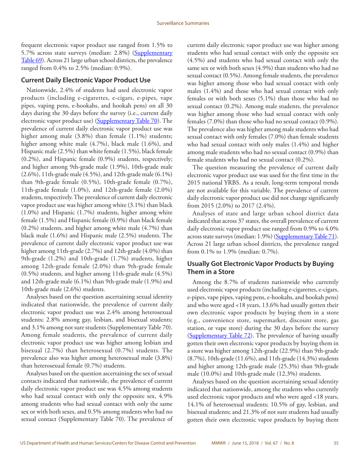frequent electronic vapor product use ranged from 1.5% to 5.7% across state surveys (median: 2.8%) [\(Supplementary](https://www.cdc.gov/healthyyouth/data/yrbs/2017_tables/tobacco_use.htm#t69_down) [Table 69](https://www.cdc.gov/healthyyouth/data/yrbs/2017_tables/tobacco_use.htm#t69_down)). Across 21 large urban school districts, the prevalence ranged from 0.4% to 2.5% (median: 0.9%).

#### **Current Daily Electronic Vapor Product Use**

Nationwide, 2.4% of students had used electronic vapor products (including e-cigarettes, e-cigars, e-pipes, vape pipes, vaping pens, e-hookahs, and hookah pens) on all 30 days during the 30 days before the survey (i.e., current daily electronic vapor product use) ([Supplementary Table 70\)](https://www.cdc.gov/healthyyouth/data/yrbs/2017_tables/tobacco_use.htm#t70_down). The prevalence of current daily electronic vapor product use was higher among male (3.8%) than female (1.1%) students; higher among white male (4.7%), black male (1.6%), and Hispanic male (2.5%) than white female (1.5%), black female (0.2%), and Hispanic female (0.9%) students, respectively; and higher among 9th-grade male (1.9%), 10th-grade male (2.6%), 11th-grade male (4.5%), and 12th-grade male (6.1%) than 9th-grade female (0.5%), 10th-grade female (0.7%), 11th-grade female (1.0%), and 12th-grade female (2.0%) students, respectively. The prevalence of current daily electronic vapor product use was higher among white (3.1%) than black (1.0%) and Hispanic (1.7%) students, higher among white female (1.5%) and Hispanic female (0.9%) than black female (0.2%) students, and higher among white male (4.7%) than black male (1.6%) and Hispanic male (2.5%) students. The prevalence of current daily electronic vapor product use was higher among 11th-grade (2.7%) and 12th-grade (4.0%) than 9th-grade (1.2%) and 10th-grade (1.7%) students, higher among 12th-grade female (2.0%) than 9th-grade female (0.5%) students, and higher among 11th-grade male (4.5%) and 12th-grade male (6.1%) than 9th-grade male (1.9%) and 10th-grade male (2.6%) students.

Analyses based on the question ascertaining sexual identity indicated that nationwide, the prevalence of current daily electronic vapor product use was 2.4% among heterosexual students; 2.8% among gay, lesbian, and bisexual students; and 3.1% among not sure students (Supplementary Table 70). Among female students, the prevalence of current daily electronic vapor product use was higher among lesbian and bisexual (2.7%) than heterosexual (0.7%) students. The prevalence also was higher among heterosexual male (3.8%) than heterosexual female (0.7%) students.

Analyses based on the question ascertaining the sex of sexual contacts indicated that nationwide, the prevalence of current daily electronic vapor product use was 4.5% among students who had sexual contact with only the opposite sex, 4.9% among students who had sexual contact with only the same sex or with both sexes, and 0.5% among students who had no sexual contact (Supplementary Table 70). The prevalence of current daily electronic vapor product use was higher among students who had sexual contact with only the opposite sex (4.5%) and students who had sexual contact with only the same sex or with both sexes (4.9%) than students who had no sexual contact (0.5%). Among female students, the prevalence was higher among those who had sexual contact with only males (1.4%) and those who had sexual contact with only females or with both sexes (5.1%) than those who had no sexual contact (0.2%). Among male students, the prevalence was higher among those who had sexual contact with only females (7.0%) than those who had no sexual contact (0.9%). The prevalence also was higher among male students who had sexual contact with only females (7.0%) than female students who had sexual contact with only males (1.4%) and higher among male students who had no sexual contact (0.9%) than female students who had no sexual contact (0.2%).

The question measuring the prevalence of current daily electronic vapor product use was used for the first time in the 2015 national YRBS. As a result, long-term temporal trends are not available for this variable. The prevalence of current daily electronic vapor product use did not change significantly from 2015 (2.0%) to 2017 (2.4%).

Analyses of state and large urban school district data indicated that across 37 states, the overall prevalence of current daily electronic vapor product use ranged from 0.9% to 4.0% across state surveys (median: 1.9%) [\(Supplementary Table 71\)](https://www.cdc.gov/healthyyouth/data/yrbs/2017_tables/tobacco_use.htm#t71_down). Across 21 large urban school districts, the prevalence ranged from 0.1% to 1.9% (median: 0.7%).

# **Usually Got Electronic Vapor Products by Buying Them in a Store**

Among the 8.7% of students nationwide who currently used electronic vapor products (including e-cigarettes, e-cigars, e-pipes, vape pipes, vaping pens, e-hookahs, and hookah pens) and who were aged <18 years, 13.6% had usually gotten their own electronic vapor products by buying them in a store (e.g., convenience store, supermarket, discount store, gas station, or vape store) during the 30 days before the survey [\(Supplementary Table 72](https://www.cdc.gov/healthyyouth/data/yrbs/2017_tables/tobacco_use.htm#t72_down)). The prevalence of having usually gotten their own electronic vapor products by buying them in a store was higher among 12th-grade (22.9%) than 9th-grade (8.7%), 10th-grade (11.6%), and 11th-grade (14.3%) students and higher among 12th-grade male (25.3%) than 9th-grade male (10.0%) and 10th-grade male (12.3%) students.

Analyses based on the question ascertaining sexual identity indicated that nationwide, among the students who currently used electronic vapor products and who were aged <18 years, 14.1% of heterosexual students; 10.5% of gay, lesbian, and bisexual students; and 21.3% of not sure students had usually gotten their own electronic vapor products by buying them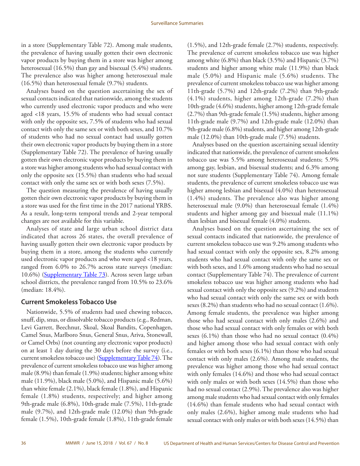in a store (Supplementary Table 72). Among male students, the prevalence of having usually gotten their own electronic vapor products by buying them in a store was higher among heterosexual (16.5%) than gay and bisexual (5.4%) students. The prevalence also was higher among heterosexual male (16.5%) than heterosexual female (9.7%) students.

Analyses based on the question ascertaining the sex of sexual contacts indicated that nationwide, among the students who currently used electronic vapor products and who were aged <18 years, 15.5% of students who had sexual contact with only the opposite sex, 7.5% of students who had sexual contact with only the same sex or with both sexes, and 10.7% of students who had no sexual contact had usually gotten their own electronic vapor products by buying them in a store (Supplementary Table 72). The prevalence of having usually gotten their own electronic vapor products by buying them in a store was higher among students who had sexual contact with only the opposite sex (15.5%) than students who had sexual contact with only the same sex or with both sexes (7.5%).

The question measuring the prevalence of having usually gotten their own electronic vapor products by buying them in a store was used for the first time in the 2017 national YRBS. As a result, long-term temporal trends and 2-year temporal changes are not available for this variable.

Analyses of state and large urban school district data indicated that across 26 states, the overall prevalence of having usually gotten their own electronic vapor products by buying them in a store, among the students who currently used electronic vapor products and who were aged <18 years, ranged from 6.0% to 26.7% across state surveys (median: 10.6%) ([Supplementary Table 73](https://www.cdc.gov/healthyyouth/data/yrbs/2017_tables/tobacco_use.htm#t73_down)). Across seven large urban school districts, the prevalence ranged from 10.5% to 23.6% (median: 18.4%).

### **Current Smokeless Tobacco Use**

Nationwide, 5.5% of students had used chewing tobacco, snuff, dip, snus, or dissolvable tobacco products (e.g., Redman, Levi Garrett, Beechnut, Skoal, Skoal Bandits, Copenhagen, Camel Snus, Marlboro Snus, General Snus, Ariva, Stonewall, or Camel Orbs) (not counting any electronic vapor products) on at least 1 day during the 30 days before the survey (i.e., current smokeless tobacco use) [\(Supplementary Table 74\)](https://www.cdc.gov/healthyyouth/data/yrbs/2017_tables/tobacco_use.htm#t74_down). The prevalence of current smokeless tobacco use was higher among male (8.9%) than female (1.9%) students; higher among white male (11.9%), black male (5.0%), and Hispanic male (5.6%) than white female (2.1%), black female (1.8%), and Hispanic female (1.8%) students, respectively; and higher among 9th-grade male (6.8%), 10th-grade male (7.5%), 11th-grade male (9.7%), and 12th-grade male (12.0%) than 9th-grade female (1.5%), 10th-grade female (1.8%), 11th-grade female

(1.5%), and 12th-grade female (2.7%) students, respectively. The prevalence of current smokeless tobacco use was higher among white (6.8%) than black (3.5%) and Hispanic (3.7%) students and higher among white male (11.9%) than black male (5.0%) and Hispanic male (5.6%) students. The prevalence of current smokeless tobacco use was higher among 11th-grade (5.7%) and 12th-grade (7.2%) than 9th-grade (4.1%) students, higher among 12th-grade (7.2%) than 10th-grade (4.6%) students, higher among 12th-grade female (2.7%) than 9th-grade female (1.5%) students, higher among 11th-grade male (9.7%) and 12th-grade male (12.0%) than 9th-grade male (6.8%) students, and higher among 12th-grade male (12.0%) than 10th-grade male (7.5%) students.

Analyses based on the question ascertaining sexual identity indicated that nationwide, the prevalence of current smokeless tobacco use was 5.5% among heterosexual students; 5.9% among gay, lesbian, and bisexual students; and 6.3% among not sure students (Supplementary Table 74). Among female students, the prevalence of current smokeless tobacco use was higher among lesbian and bisexual (4.0%) than heterosexual (1.4%) students. The prevalence also was higher among heterosexual male (9.0%) than heterosexual female (1.4%) students and higher among gay and bisexual male (11.1%) than lesbian and bisexual female (4.0%) students.

Analyses based on the question ascertaining the sex of sexual contacts indicated that nationwide, the prevalence of current smokeless tobacco use was 9.2% among students who had sexual contact with only the opposite sex, 8.2% among students who had sexual contact with only the same sex or with both sexes, and 1.6% among students who had no sexual contact (Supplementary Table 74). The prevalence of current smokeless tobacco use was higher among students who had sexual contact with only the opposite sex (9.2%) and students who had sexual contact with only the same sex or with both sexes (8.2%) than students who had no sexual contact (1.6%). Among female students, the prevalence was higher among those who had sexual contact with only males (2.6%) and those who had sexual contact with only females or with both sexes (6.1%) than those who had no sexual contact (0.4%) and higher among those who had sexual contact with only females or with both sexes (6.1%) than those who had sexual contact with only males (2.6%). Among male students, the prevalence was higher among those who had sexual contact with only females (14.6%) and those who had sexual contact with only males or with both sexes (14.5%) than those who had no sexual contact (2.9%). The prevalence also was higher among male students who had sexual contact with only females (14.6%) than female students who had sexual contact with only males (2.6%), higher among male students who had sexual contact with only males or with both sexes (14.5%) than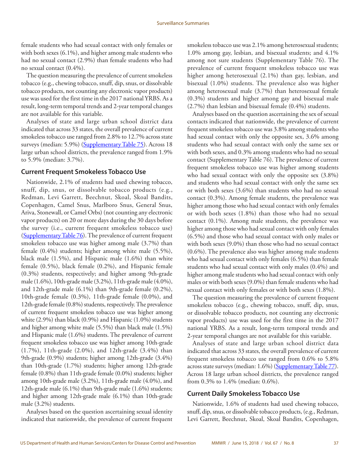female students who had sexual contact with only females or with both sexes (6.1%), and higher among male students who had no sexual contact (2.9%) than female students who had no sexual contact (0.4%).

The question measuring the prevalence of current smokeless tobacco (e.g., chewing tobacco, snuff, dip, snus, or dissolvable tobacco products, not counting any electronic vapor products) use was used for the first time in the 2017 national YRBS. As a result, long-term temporal trends and 2-year temporal changes are not available for this variable.

Analyses of state and large urban school district data indicated that across 33 states, the overall prevalence of current smokeless tobacco use ranged from 2.8% to 12.7% across state surveys (median: 5.9%) ([Supplementary Table 75](https://www.cdc.gov/healthyyouth/data/yrbs/2017_tables/tobacco_use.htm#t75_down)). Across 18 large urban school districts, the prevalence ranged from 1.9% to 5.9% (median: 3.7%).

### **Current Frequent Smokeless Tobacco Use**

Nationwide, 2.1% of students had used chewing tobacco, snuff, dip, snus, or dissolvable tobacco products (e.g., Redman, Levi Garrett, Beechnut, Skoal, Skoal Bandits, Copenhagen, Camel Snus, Marlboro Snus, General Snus, Ariva, Stonewall, or Camel Orbs) (not counting any electronic vapor products) on 20 or more days during the 30 days before the survey (i.e., current frequent smokeless tobacco use) ([Supplementary Table 76](https://www.cdc.gov/healthyyouth/data/yrbs/2017_tables/tobacco_use.htm#t76_down)). The prevalence of current frequent smokeless tobacco use was higher among male (3.7%) than female (0.4%) students; higher among white male (5.5%), black male (1.5%), and Hispanic male (1.6%) than white female (0.5%), black female (0.2%), and Hispanic female (0.3%) students, respectively; and higher among 9th-grade male (1.6%), 10th-grade male (3.2%), 11th-grade male (4.0%), and 12th-grade male (6.1%) than 9th-grade female (0.2%), 10th-grade female (0.3%), 11th-grade female (0.0%), and 12th-grade female (0.8%) students, respectively. The prevalence of current frequent smokeless tobacco use was higher among white (2.9%) than black (0.9%) and Hispanic (1.0%) students and higher among white male (5.5%) than black male (1.5%) and Hispanic male (1.6%) students. The prevalence of current frequent smokeless tobacco use was higher among 10th-grade (1.7%), 11th-grade (2.0%), and 12th-grade (3.4%) than 9th-grade (0.9%) students; higher among 12th-grade (3.4%) than 10th-grade (1.7%) students; higher among 12th-grade female (0.8%) than 11th-grade female (0.0%) students; higher among 10th-grade male (3.2%), 11th-grade male (4.0%), and 12th-grade male (6.1%) than 9th-grade male (1.6%) students; and higher among 12th-grade male (6.1%) than 10th-grade male (3.2%) students.

Analyses based on the question ascertaining sexual identity indicated that nationwide, the prevalence of current frequent

smokeless tobacco use was 2.1% among heterosexual students; 1.0% among gay, lesbian, and bisexual students; and 4.1% among not sure students (Supplementary Table 76). The prevalence of current frequent smokeless tobacco use was higher among heterosexual (2.1%) than gay, lesbian, and bisexual (1.0%) students. The prevalence also was higher among heterosexual male (3.7%) than heterosexual female (0.3%) students and higher among gay and bisexual male (2.7%) than lesbian and bisexual female (0.4%) students.

Analyses based on the question ascertaining the sex of sexual contacts indicated that nationwide, the prevalence of current frequent smokeless tobacco use was 3.8% among students who had sexual contact with only the opposite sex, 3.6% among students who had sexual contact with only the same sex or with both sexes, and 0.3% among students who had no sexual contact (Supplementary Table 76). The prevalence of current frequent smokeless tobacco use was higher among students who had sexual contact with only the opposite sex (3.8%) and students who had sexual contact with only the same sex or with both sexes (3.6%) than students who had no sexual contact (0.3%). Among female students, the prevalence was higher among those who had sexual contact with only females or with both sexes (1.8%) than those who had no sexual contact (0.1%). Among male students, the prevalence was higher among those who had sexual contact with only females (6.5%) and those who had sexual contact with only males or with both sexes (9.0%) than those who had no sexual contact (0.6%). The prevalence also was higher among male students who had sexual contact with only females (6.5%) than female students who had sexual contact with only males (0.4%) and higher among male students who had sexual contact with only males or with both sexes (9.0%) than female students who had sexual contact with only females or with both sexes (1.8%).

The question measuring the prevalence of current frequent smokeless tobacco (e.g., chewing tobacco, snuff, dip, snus, or dissolvable tobacco products, not counting any electronic vapor products) use was used for the first time in the 2017 national YRBS. As a result, long-term temporal trends and 2-year temporal changes are not available for this variable.

Analyses of state and large urban school district data indicated that across 33 states, the overall prevalence of current frequent smokeless tobacco use ranged from 0.6% to 5.8% across state surveys (median: 1.6%) [\(Supplementary Table 77\)](https://www.cdc.gov/healthyyouth/data/yrbs/2017_tables/tobacco_use.htm#t77_down). Across 18 large urban school districts, the prevalence ranged from 0.3% to 1.4% (median: 0.6%).

### **Current Daily Smokeless Tobacco Use**

Nationwide, 1.6% of students had used chewing tobacco, snuff, dip, snus, or dissolvable tobacco products, (e.g., Redman, Levi Garrett, Beechnut, Skoal, Skoal Bandits, Copenhagen,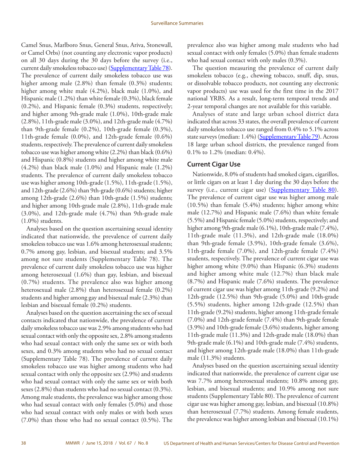Camel Snus, Marlboro Snus, General Snus, Ariva, Stonewall, or Camel Orbs) (not counting any electronic vapor products) on all 30 days during the 30 days before the survey (i.e., current daily smokeless tobacco use) ([Supplementary Table 78](https://www.cdc.gov/healthyyouth/data/yrbs/2017_tables/tobacco_use.htm#t78_down)). The prevalence of current daily smokeless tobacco use was higher among male (2.8%) than female (0.3%) students; higher among white male (4.2%), black male (1.0%), and Hispanic male (1.2%) than white female (0.3%), black female (0.2%), and Hispanic female (0.3%) students, respectively; and higher among 9th-grade male (1.0%), 10th-grade male (2.8%), 11th-grade male (3.0%), and 12th-grade male (4.7%) than 9th-grade female (0.2%), 10th-grade female (0.3%), 11th-grade female (0.0%), and 12th-grade female (0.6%) students, respectively. The prevalence of current daily smokeless tobacco use was higher among white (2.2%) than black (0.6%) and Hispanic (0.8%) students and higher among white male (4.2%) than black male (1.0%) and Hispanic male (1.2%) students. The prevalence of current daily smokeless tobacco use was higher among 10th-grade (1.5%), 11th-grade (1.5%), and 12th-grade (2.6%) than 9th-grade (0.6%) students; higher among 12th-grade (2.6%) than 10th-grade (1.5%) students; and higher among 10th-grade male (2.8%), 11th-grade male (3.0%), and 12th-grade male (4.7%) than 9th-grade male (1.0%) students.

Analyses based on the question ascertaining sexual identity indicated that nationwide, the prevalence of current daily smokeless tobacco use was 1.6% among heterosexual students; 0.7% among gay, lesbian, and bisexual students; and 3.5% among not sure students (Supplementary Table 78). The prevalence of current daily smokeless tobacco use was higher among heterosexual (1.6%) than gay, lesbian, and bisexual (0.7%) students. The prevalence also was higher among heterosexual male (2.8%) than heterosexual female (0.2%) students and higher among gay and bisexual male (2.3%) than lesbian and bisexual female (0.2%) students.

Analyses based on the question ascertaining the sex of sexual contacts indicated that nationwide, the prevalence of current daily smokeless tobacco use was 2.9% among students who had sexual contact with only the opposite sex, 2.8% among students who had sexual contact with only the same sex or with both sexes, and 0.3% among students who had no sexual contact (Supplementary Table 78). The prevalence of current daily smokeless tobacco use was higher among students who had sexual contact with only the opposite sex (2.9%) and students who had sexual contact with only the same sex or with both sexes (2.8%) than students who had no sexual contact (0.3%). Among male students, the prevalence was higher among those who had sexual contact with only females (5.0%) and those who had sexual contact with only males or with both sexes (7.0%) than those who had no sexual contact (0.5%). The

prevalence also was higher among male students who had sexual contact with only females (5.0%) than female students who had sexual contact with only males (0.3%).

The question measuring the prevalence of current daily smokeless tobacco (e.g., chewing tobacco, snuff, dip, snus, or dissolvable tobacco products, not counting any electronic vapor products) use was used for the first time in the 2017 national YRBS. As a result, long-term temporal trends and 2-year temporal changes are not available for this variable.

Analyses of state and large urban school district data indicated that across 33 states, the overall prevalence of current daily smokeless tobacco use ranged from 0.4% to 5.1% across state surveys (median: 1.4%) [\(Supplementary Table 79](https://www.cdc.gov/healthyyouth/data/yrbs/2017_tables/tobacco_use.htm#t79_down)). Across 18 large urban school districts, the prevalence ranged from 0.1% to 1.2% (median: 0.4%).

### **Current Cigar Use**

Nationwide, 8.0% of students had smoked cigars, cigarillos, or little cigars on at least 1 day during the 30 days before the survey (i.e., current cigar use) ([Supplementary Table 80\)](https://www.cdc.gov/healthyyouth/data/yrbs/2017_tables/tobacco_use.htm#t80_down). The prevalence of current cigar use was higher among male (10.5%) than female (5.4%) students; higher among white male (12.7%) and Hispanic male (7.6%) than white female (5.5%) and Hispanic female (5.0%) students, respectively; and higher among 9th-grade male (6.1%), 10th-grade male (7.4%), 11th-grade male (11.3%), and 12th-grade male (18.0%) than 9th-grade female (3.9%), 10th-grade female (3.6%), 11th-grade female (7.0%), and 12th-grade female (7.4%) students, respectively. The prevalence of current cigar use was higher among white (9.0%) than Hispanic (6.3%) students and higher among white male (12.7%) than black male (8.7%) and Hispanic male (7.6%) students. The prevalence of current cigar use was higher among 11th-grade (9.2%) and 12th-grade (12.5%) than 9th-grade (5.0%) and 10th-grade (5.5%) students, higher among 12th-grade (12.5%) than 11th-grade (9.2%) students, higher among 11th-grade female (7.0%) and 12th-grade female (7.4%) than 9th-grade female (3.9%) and 10th-grade female (3.6%) students, higher among 11th-grade male (11.3%) and 12th-grade male (18.0%) than 9th-grade male (6.1%) and 10th-grade male (7.4%) students, and higher among 12th-grade male (18.0%) than 11th-grade male (11.3%) students.

Analyses based on the question ascertaining sexual identity indicated that nationwide, the prevalence of current cigar use was 7.7% among heterosexual students; 10.8% among gay, lesbian, and bisexual students; and 10.9% among not sure students (Supplementary Table 80). The prevalence of current cigar use was higher among gay, lesbian, and bisexual (10.8%) than heterosexual (7.7%) students. Among female students, the prevalence was higher among lesbian and bisexual (10.1%)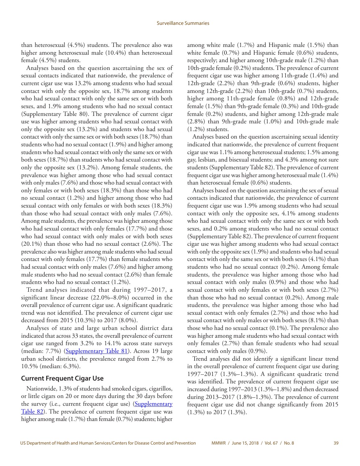than heterosexual (4.5%) students. The prevalence also was higher among heterosexual male (10.4%) than heterosexual female (4.5%) students.

Analyses based on the question ascertaining the sex of sexual contacts indicated that nationwide, the prevalence of current cigar use was 13.2% among students who had sexual contact with only the opposite sex, 18.7% among students who had sexual contact with only the same sex or with both sexes, and 1.9% among students who had no sexual contact (Supplementary Table 80). The prevalence of current cigar use was higher among students who had sexual contact with only the opposite sex (13.2%) and students who had sexual contact with only the same sex or with both sexes (18.7%) than students who had no sexual contact (1.9%) and higher among students who had sexual contact with only the same sex or with both sexes (18.7%) than students who had sexual contact with only the opposite sex (13.2%). Among female students, the prevalence was higher among those who had sexual contact with only males (7.6%) and those who had sexual contact with only females or with both sexes (18.3%) than those who had no sexual contact (1.2%) and higher among those who had sexual contact with only females or with both sexes (18.3%) than those who had sexual contact with only males (7.6%). Among male students, the prevalence was higher among those who had sexual contact with only females (17.7%) and those who had sexual contact with only males or with both sexes (20.1%) than those who had no sexual contact (2.6%). The prevalence also was higher among male students who had sexual contact with only females (17.7%) than female students who had sexual contact with only males (7.6%) and higher among male students who had no sexual contact (2.6%) than female students who had no sexual contact (1.2%).

Trend analyses indicated that during 1997–2017, a significant linear decrease (22.0%–8.0%) occurred in the overall prevalence of current cigar use. A significant quadratic trend was not identified. The prevalence of current cigar use decreased from 2015 (10.3%) to 2017 (8.0%).

Analyses of state and large urban school district data indicated that across 33 states, the overall prevalence of current cigar use ranged from 3.2% to 14.1% across state surveys (median: 7.7%) ([Supplementary Table 81](https://www.cdc.gov/healthyyouth/data/yrbs/2017_tables/tobacco_use.htm#t81_down)). Across 19 large urban school districts, the prevalence ranged from 2.7% to 10.5% (median: 6.3%).

### **Current Frequent Cigar Use**

Nationwide, 1.3% of students had smoked cigars, cigarillos, or little cigars on 20 or more days during the 30 days before the survey (i.e., current frequent cigar use) [\(Supplementary](https://www.cdc.gov/healthyyouth/data/yrbs/2017_tables/tobacco_use.htm#t82_down) [Table 82\)](https://www.cdc.gov/healthyyouth/data/yrbs/2017_tables/tobacco_use.htm#t82_down). The prevalence of current frequent cigar use was higher among male (1.7%) than female (0.7%) students; higher

among white male (1.7%) and Hispanic male (1.5%) than white female (0.7%) and Hispanic female (0.6%) students, respectively; and higher among 10th-grade male (1.2%) than 10th-grade female (0.2%) students. The prevalence of current frequent cigar use was higher among 11th-grade (1.4%) and 12th-grade (2.2%) than 9th-grade (0.6%) students, higher among 12th-grade (2.2%) than 10th-grade (0.7%) students, higher among 11th-grade female (0.8%) and 12th-grade female (1.5%) than 9th-grade female (0.3%) and 10th-grade female (0.2%) students, and higher among 12th-grade male (2.8%) than 9th-grade male (1.0%) and 10th-grade male (1.2%) students.

Analyses based on the question ascertaining sexual identity indicated that nationwide, the prevalence of current frequent cigar use was 1.1% among heterosexual students; 1.5% among gay, lesbian, and bisexual students; and 4.3% among not sure students (Supplementary Table 82). The prevalence of current frequent cigar use was higher among heterosexual male (1.4%) than heterosexual female (0.6%) students.

Analyses based on the question ascertaining the sex of sexual contacts indicated that nationwide, the prevalence of current frequent cigar use was 1.9% among students who had sexual contact with only the opposite sex, 4.1% among students who had sexual contact with only the same sex or with both sexes, and 0.2% among students who had no sexual contact (Supplementary Table 82). The prevalence of current frequent cigar use was higher among students who had sexual contact with only the opposite sex (1.9%) and students who had sexual contact with only the same sex or with both sexes (4.1%) than students who had no sexual contact (0.2%). Among female students, the prevalence was higher among those who had sexual contact with only males (0.9%) and those who had sexual contact with only females or with both sexes (2.7%) than those who had no sexual contact (0.2%). Among male students, the prevalence was higher among those who had sexual contact with only females (2.7%) and those who had sexual contact with only males or with both sexes (8.1%) than those who had no sexual contact (0.1%). The prevalence also was higher among male students who had sexual contact with only females (2.7%) than female students who had sexual contact with only males (0.9%).

Trend analyses did not identify a significant linear trend in the overall prevalence of current frequent cigar use during 1997–2017 (1.3%–1.3%). A significant quadratic trend was identified. The prevalence of current frequent cigar use increased during 1997–2013 (1.3%–1.8%) and then decreased during 2013–2017 (1.8%–1.3%). The prevalence of current frequent cigar use did not change significantly from 2015 (1.3%) to 2017 (1.3%).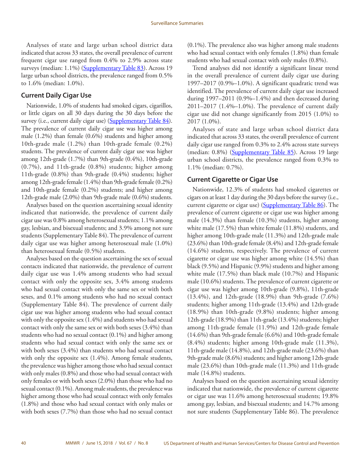Analyses of state and large urban school district data indicated that across 33 states, the overall prevalence of current frequent cigar use ranged from 0.4% to 2.9% across state surveys (median: 1.1%) ([Supplementary Table 83](https://www.cdc.gov/healthyyouth/data/yrbs/2017_tables/tobacco_use.htm#t83_down)). Across 19 large urban school districts, the prevalence ranged from 0.5% to 1.6% (median: 1.0%).

# **Current Daily Cigar Use**

Nationwide, 1.0% of students had smoked cigars, cigarillos, or little cigars on all 30 days during the 30 days before the survey (i.e., current daily cigar use) [\(Supplementary Table 84](https://www.cdc.gov/healthyyouth/data/yrbs/2017_tables/tobacco_use.htm#t84_down)). The prevalence of current daily cigar use was higher among male (1.2%) than female (0.6%) students and higher among 10th-grade male (1.2%) than 10th-grade female (0.2%) students. The prevalence of current daily cigar use was higher among 12th-grade (1.7%) than 9th-grade (0.4%), 10th-grade (0.7%), and 11th-grade (0.8%) students; higher among 11th-grade (0.8%) than 9th-grade (0.4%) students; higher among 12th-grade female (1.4%) than 9th-grade female (0.2%) and 10th-grade female (0.2%) students; and higher among 12th-grade male (2.0%) than 9th-grade male (0.6%) students.

Analyses based on the question ascertaining sexual identity indicated that nationwide, the prevalence of current daily cigar use was 0.8% among heterosexual students; 1.1% among gay, lesbian, and bisexual students; and 3.9% among not sure students (Supplementary Table 84). The prevalence of current daily cigar use was higher among heterosexual male (1.0%) than heterosexual female (0.5%) students.

Analyses based on the question ascertaining the sex of sexual contacts indicated that nationwide, the prevalence of current daily cigar use was 1.4% among students who had sexual contact with only the opposite sex, 3.4% among students who had sexual contact with only the same sex or with both sexes, and 0.1% among students who had no sexual contact (Supplementary Table 84). The prevalence of current daily cigar use was higher among students who had sexual contact with only the opposite sex (1.4%) and students who had sexual contact with only the same sex or with both sexes (3.4%) than students who had no sexual contact (0.1%) and higher among students who had sexual contact with only the same sex or with both sexes (3.4%) than students who had sexual contact with only the opposite sex (1.4%). Among female students, the prevalence was higher among those who had sexual contact with only males (0.8%) and those who had sexual contact with only females or with both sexes (2.0%) than those who had no sexual contact (0.1%). Among male students, the prevalence was higher among those who had sexual contact with only females (1.8%) and those who had sexual contact with only males or with both sexes (7.7%) than those who had no sexual contact

(0.1%). The prevalence also was higher among male students who had sexual contact with only females (1.8%) than female students who had sexual contact with only males (0.8%).

Trend analyses did not identify a significant linear trend in the overall prevalence of current daily cigar use during 1997–2017 (0.9%–1.0%). A significant quadratic trend was identified. The prevalence of current daily cigar use increased during 1997–2011 (0.9%–1.4%) and then decreased during 2011–2017 (1.4%–1.0%). The prevalence of current daily cigar use did not change significantly from 2015 (1.0%) to 2017 (1.0%).

Analyses of state and large urban school district data indicated that across 33 states, the overall prevalence of current daily cigar use ranged from 0.3% to 2.4% across state surveys (median: 0.8%) [\(Supplementary Table 85\)](https://www.cdc.gov/healthyyouth/data/yrbs/2017_tables/tobacco_use.htm#t85_down). Across 19 large urban school districts, the prevalence ranged from 0.3% to 1.1% (median: 0.7%).

### **Current Cigarette or Cigar Use**

Nationwide, 12.3% of students had smoked cigarettes or cigars on at least 1 day during the 30 days before the survey (i.e., current cigarette or cigar use) [\(Supplementary Table 86](https://www.cdc.gov/healthyyouth/data/yrbs/2017_tables/tobacco_use.htm#t86_down)). The prevalence of current cigarette or cigar use was higher among male (14.3%) than female (10.3%) students, higher among white male (17.5%) than white female (11.8%) students, and higher among 10th-grade male (11.3%) and 12th-grade male (23.6%) than 10th-grade female (8.4%) and 12th-grade female (14.6%) students, respectively. The prevalence of current cigarette or cigar use was higher among white (14.5%) than black (9.5%) and Hispanic (9.9%) students and higher among white male (17.5%) than black male (10.7%) and Hispanic male (10.6%) students. The prevalence of current cigarette or cigar use was higher among 10th-grade (9.8%), 11th-grade (13.4%), and 12th-grade (18.9%) than 9th-grade (7.6%) students; higher among 11th-grade (13.4%) and 12th-grade (18.9%) than 10th-grade (9.8%) students; higher among 12th-grade (18.9%) than 11th-grade (13.4%) students; higher among 11th-grade female (11.9%) and 12th-grade female (14.6%) than 9th-grade female (6.6%) and 10th-grade female (8.4%) students; higher among 10th-grade male (11.3%), 11th-grade male (14.8%), and 12th-grade male (23.6%) than 9th-grade male (8.6%) students; and higher among 12th-grade male (23.6%) than 10th-grade male (11.3%) and 11th-grade male (14.8%) students.

Analyses based on the question ascertaining sexual identity indicated that nationwide, the prevalence of current cigarette or cigar use was 11.6% among heterosexual students; 19.8% among gay, lesbian, and bisexual students; and 14.7% among not sure students (Supplementary Table 86). The prevalence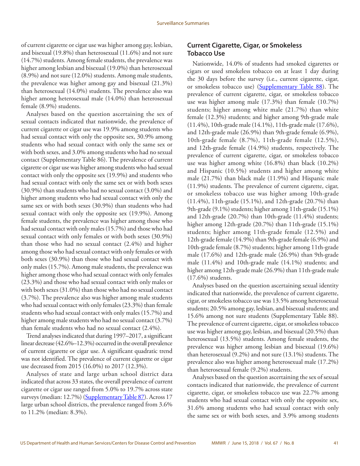of current cigarette or cigar use was higher among gay, lesbian, and bisexual (19.8%) than heterosexual (11.6%) and not sure (14.7%) students. Among female students, the prevalence was higher among lesbian and bisexual (19.0%) than heterosexual (8.9%) and not sure (12.0%) students. Among male students, the prevalence was higher among gay and bisexual (21.3%) than heterosexual (14.0%) students. The prevalence also was higher among heterosexual male (14.0%) than heterosexual female (8.9%) students.

Analyses based on the question ascertaining the sex of sexual contacts indicated that nationwide, the prevalence of current cigarette or cigar use was 19.9% among students who had sexual contact with only the opposite sex, 30.9% among students who had sexual contact with only the same sex or with both sexes, and 3.0% among students who had no sexual contact (Supplementary Table 86). The prevalence of current cigarette or cigar use was higher among students who had sexual contact with only the opposite sex (19.9%) and students who had sexual contact with only the same sex or with both sexes (30.9%) than students who had no sexual contact (3.0%) and higher among students who had sexual contact with only the same sex or with both sexes (30.9%) than students who had sexual contact with only the opposite sex (19.9%). Among female students, the prevalence was higher among those who had sexual contact with only males (15.7%) and those who had sexual contact with only females or with both sexes (30.9%) than those who had no sexual contact (2.4%) and higher among those who had sexual contact with only females or with both sexes (30.9%) than those who had sexual contact with only males (15.7%). Among male students, the prevalence was higher among those who had sexual contact with only females (23.3%) and those who had sexual contact with only males or with both sexes (31.0%) than those who had no sexual contact (3.7%). The prevalence also was higher among male students who had sexual contact with only females (23.3%) than female students who had sexual contact with only males (15.7%) and higher among male students who had no sexual contact (3.7%) than female students who had no sexual contact (2.4%).

Trend analyses indicated that during 1997–2017, a significant linear decrease (42.6%–12.3%) occurred in the overall prevalence of current cigarette or cigar use. A significant quadratic trend was not identified. The prevalence of current cigarette or cigar use decreased from 2015 (16.0%) to 2017 (12.3%).

Analyses of state and large urban school district data indicated that across 33 states, the overall prevalence of current cigarette or cigar use ranged from 5.0% to 19.7% across state surveys (median: 12.7%) ([Supplementary Table 87](https://www.cdc.gov/healthyyouth/data/yrbs/2017_tables/tobacco_use.htm#t87_down)). Across 17 large urban school districts, the prevalence ranged from 3.6% to 11.2% (median: 8.3%).

# **Current Cigarette, Cigar, or Smokeless Tobacco Use**

Nationwide, 14.0% of students had smoked cigarettes or cigars or used smokeless tobacco on at least 1 day during the 30 days before the survey (i.e., current cigarette, cigar, or smokeless tobacco use) ([Supplementary Table 88](https://www.cdc.gov/healthyyouth/data/yrbs/2017_tables/tobacco_use.htm#t88_down)). The prevalence of current cigarette, cigar, or smokeless tobacco use was higher among male (17.3%) than female (10.7%) students; higher among white male (21.7%) than white female (12.3%) students; and higher among 9th-grade male (11.4%), 10th-grade male (14.1%), 11th-grade male (17.6%), and 12th-grade male (26.9%) than 9th-grade female (6.9%), 10th-grade female (8.7%), 11th-grade female (12.5%), and 12th-grade female (14.9%) students, respectively. The prevalence of current cigarette, cigar, or smokeless tobacco use was higher among white (16.8%) than black (10.2%) and Hispanic (10.5%) students and higher among white male (21.7%) than black male (11.9%) and Hispanic male (11.9%) students. The prevalence of current cigarette, cigar, or smokeless tobacco use was higher among 10th-grade (11.4%), 11th-grade (15.1%), and 12th-grade (20.7%) than 9th-grade (9.1%) students; higher among 11th-grade (15.1%) and 12th-grade (20.7%) than 10th-grade (11.4%) students; higher among 12th-grade (20.7%) than 11th-grade (15.1%) students; higher among 11th-grade female (12.5%) and 12th-grade female (14.9%) than 9th-grade female (6.9%) and 10th-grade female (8.7%) students; higher among 11th-grade male (17.6%) and 12th-grade male (26.9%) than 9th-grade male (11.4%) and 10th-grade male (14.1%) students; and higher among 12th-grade male (26.9%) than 11th-grade male (17.6%) students.

Analyses based on the question ascertaining sexual identity indicated that nationwide, the prevalence of current cigarette, cigar, or smokeless tobacco use was 13.5% among heterosexual students; 20.5% among gay, lesbian, and bisexual students; and 15.6% among not sure students (Supplementary Table 88). The prevalence of current cigarette, cigar, or smokeless tobacco use was higher among gay, lesbian, and bisexual (20.5%) than heterosexual (13.5%) students. Among female students, the prevalence was higher among lesbian and bisexual (19.6%) than heterosexual (9.2%) and not sure (13.1%) students. The prevalence also was higher among heterosexual male (17.2%) than heterosexual female (9.2%) students.

Analyses based on the question ascertaining the sex of sexual contacts indicated that nationwide, the prevalence of current cigarette, cigar, or smokeless tobacco use was 22.7% among students who had sexual contact with only the opposite sex, 31.6% among students who had sexual contact with only the same sex or with both sexes, and 3.9% among students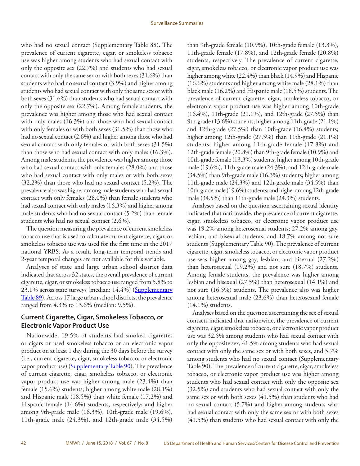who had no sexual contact (Supplementary Table 88). The prevalence of current cigarette, cigar, or smokeless tobacco use was higher among students who had sexual contact with only the opposite sex (22.7%) and students who had sexual contact with only the same sex or with both sexes (31.6%) than students who had no sexual contact (3.9%) and higher among students who had sexual contact with only the same sex or with both sexes (31.6%) than students who had sexual contact with only the opposite sex (22.7%). Among female students, the prevalence was higher among those who had sexual contact with only males (16.3%) and those who had sexual contact with only females or with both sexes (31.5%) than those who had no sexual contact (2.6%) and higher among those who had sexual contact with only females or with both sexes (31.5%) than those who had sexual contact with only males (16.3%). Among male students, the prevalence was higher among those who had sexual contact with only females (28.0%) and those who had sexual contact with only males or with both sexes (32.2%) than those who had no sexual contact (5.2%). The prevalence also was higher among male students who had sexual contact with only females (28.0%) than female students who had sexual contact with only males (16.3%) and higher among male students who had no sexual contact (5.2%) than female students who had no sexual contact (2.6%).

The question measuring the prevalence of current smokeless tobacco use that is used to calculate current cigarette, cigar, or smokeless tobacco use was used for the first time in the 2017 national YRBS. As a result, long-term temporal trends and 2-year temporal changes are not available for this variable.

Analyses of state and large urban school district data indicated that across 32 states, the overall prevalence of current cigarette, cigar, or smokeless tobacco use ranged from 5.8% to 23.1% across state surveys (median: 14.4%) [\(Supplementary](https://www.cdc.gov/healthyyouth/data/yrbs/2017_tables/tobacco_use.htm#t89_down) [Table 89](https://www.cdc.gov/healthyyouth/data/yrbs/2017_tables/tobacco_use.htm#t89_down)). Across 17 large urban school districts, the prevalence ranged from 4.3% to 13.6% (median: 9.5%).

# **Current Cigarette, Cigar, Smokeless Tobacco, or Electronic Vapor Product Use**

Nationwide, 19.5% of students had smoked cigarettes or cigars or used smokeless tobacco or an electronic vapor product on at least 1 day during the 30 days before the survey (i.e., current cigarette, cigar, smokeless tobacco, or electronic vapor product use) [\(Supplementary Table 90\)](https://www.cdc.gov/healthyyouth/data/yrbs/2017_tables/tobacco_use.htm#t90_down). The prevalence of current cigarette, cigar, smokeless tobacco, or electronic vapor product use was higher among male (23.4%) than female (15.6%) students; higher among white male (28.1%) and Hispanic male (18.5%) than white female (17.2%) and Hispanic female (14.6%) students, respectively; and higher among 9th-grade male (16.3%), 10th-grade male (19.6%), 11th-grade male (24.3%), and 12th-grade male (34.5%)

than 9th-grade female (10.9%), 10th-grade female (13.3%), 11th-grade female (17.8%), and 12th-grade female (20.8%) students, respectively. The prevalence of current cigarette, cigar, smokeless tobacco, or electronic vapor product use was higher among white (22.4%) than black (14.9%) and Hispanic (16.6%) students and higher among white male (28.1%) than black male (16.2%) and Hispanic male (18.5%) students. The prevalence of current cigarette, cigar, smokeless tobacco, or electronic vapor product use was higher among 10th-grade (16.4%), 11th-grade (21.1%), and 12th-grade (27.5%) than 9th-grade (13.6%) students; higher among 11th-grade (21.1%) and 12th-grade (27.5%) than 10th-grade (16.4%) students; higher among 12th-grade (27.5%) than 11th-grade (21.1%) students; higher among 11th-grade female (17.8%) and 12th-grade female (20.8%) than 9th-grade female (10.9%) and 10th-grade female (13.3%) students; higher among 10th-grade male (19.6%), 11th-grade male (24.3%), and 12th-grade male (34.5%) than 9th-grade male (16.3%) students; higher among 11th-grade male (24.3%) and 12th-grade male (34.5%) than 10th-grade male (19.6%) students; and higher among 12th-grade male (34.5%) than 11th-grade male (24.3%) students.

Analyses based on the question ascertaining sexual identity indicated that nationwide, the prevalence of current cigarette, cigar, smokeless tobacco, or electronic vapor product use was 19.2% among heterosexual students; 27.2% among gay, lesbian, and bisexual students; and 18.7% among not sure students (Supplementary Table 90). The prevalence of current cigarette, cigar, smokeless tobacco, or electronic vapor product use was higher among gay, lesbian, and bisexual (27.2%) than heterosexual (19.2%) and not sure (18.7%) students. Among female students, the prevalence was higher among lesbian and bisexual (27.5%) than heterosexual (14.1%) and not sure (16.5%) students. The prevalence also was higher among heterosexual male (23.6%) than heterosexual female (14.1%) students.

Analyses based on the question ascertaining the sex of sexual contacts indicated that nationwide, the prevalence of current cigarette, cigar, smokeless tobacco, or electronic vapor product use was 32.5% among students who had sexual contact with only the opposite sex, 41.5% among students who had sexual contact with only the same sex or with both sexes, and 5.7% among students who had no sexual contact (Supplementary Table 90). The prevalence of current cigarette, cigar, smokeless tobacco, or electronic vapor product use was higher among students who had sexual contact with only the opposite sex (32.5%) and students who had sexual contact with only the same sex or with both sexes (41.5%) than students who had no sexual contact (5.7%) and higher among students who had sexual contact with only the same sex or with both sexes (41.5%) than students who had sexual contact with only the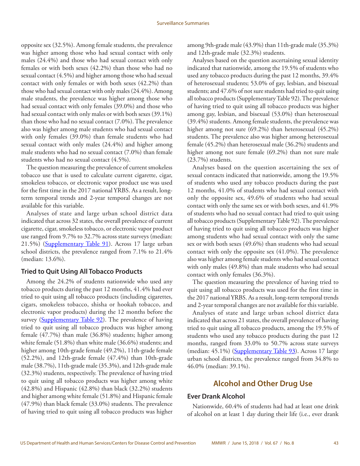opposite sex (32.5%). Among female students, the prevalence was higher among those who had sexual contact with only males (24.4%) and those who had sexual contact with only females or with both sexes (42.2%) than those who had no sexual contact (4.5%) and higher among those who had sexual contact with only females or with both sexes (42.2%) than those who had sexual contact with only males (24.4%). Among male students, the prevalence was higher among those who had sexual contact with only females (39.0%) and those who had sexual contact with only males or with both sexes (39.1%) than those who had no sexual contact (7.0%). The prevalence also was higher among male students who had sexual contact with only females (39.0%) than female students who had sexual contact with only males (24.4%) and higher among male students who had no sexual contact (7.0%) than female students who had no sexual contact (4.5%).

The question measuring the prevalence of current smokeless tobacco use that is used to calculate current cigarette, cigar, smokeless tobacco, or electronic vapor product use was used for the first time in the 2017 national YRBS. As a result, longterm temporal trends and 2-year temporal changes are not available for this variable.

Analyses of state and large urban school district data indicated that across 32 states, the overall prevalence of current cigarette, cigar, smokeless tobacco, or electronic vapor product use ranged from 9.7% to 32.7% across state surveys (median: 21.5%) ([Supplementary Table 91\)](https://www.cdc.gov/healthyyouth/data/yrbs/2017_tables/tobacco_use.htm#t91_down). Across 17 large urban school districts, the prevalence ranged from 7.1% to 21.4% (median: 13.6%).

### **Tried to Quit Using All Tobacco Products**

Among the 24.2% of students nationwide who used any tobacco products during the past 12 months, 41.4% had ever tried to quit using all tobacco products (including cigarettes, cigars, smokeless tobacco, shisha or hookah tobacco, and electronic vapor products) during the 12 months before the survey ([Supplementary Table 92\)](https://www.cdc.gov/healthyyouth/data/yrbs/2017_tables/tobacco_use.htm#t92_down). The prevalence of having tried to quit using all tobacco products was higher among female (47.7%) than male (36.8%) students; higher among white female (51.8%) than white male (36.6%) students; and higher among 10th-grade female (49.2%), 11th-grade female (52.2%), and 12th-grade female (47.4%) than 10th-grade male (38.7%), 11th-grade male (35.3%), and 12th-grade male (32.3%) students, respectively. The prevalence of having tried to quit using all tobacco products was higher among white (42.8%) and Hispanic (42.8%) than black (32.2%) students and higher among white female (51.8%) and Hispanic female (47.9%) than black female (33.0%) students. The prevalence of having tried to quit using all tobacco products was higher

among 9th-grade male (43.9%) than 11th-grade male (35.3%) and 12th-grade male (32.3%) students.

Analyses based on the question ascertaining sexual identity indicated that nationwide, among the 19.5% of students who used any tobacco products during the past 12 months, 39.4% of heterosexual students; 53.0% of gay, lesbian, and bisexual students; and 47.6% of not sure students had tried to quit using all tobacco products (Supplementary Table 92). The prevalence of having tried to quit using all tobacco products was higher among gay, lesbian, and bisexual (53.0%) than heterosexual (39.4%) students. Among female students, the prevalence was higher among not sure (69.2%) than heterosexual (45.2%) students. The prevalence also was higher among heterosexual female (45.2%) than heterosexual male (36.2%) students and higher among not sure female (69.2%) than not sure male (23.7%) students.

Analyses based on the question ascertaining the sex of sexual contacts indicated that nationwide, among the 19.5% of students who used any tobacco products during the past 12 months, 41.0% of students who had sexual contact with only the opposite sex, 49.6% of students who had sexual contact with only the same sex or with both sexes, and 41.9% of students who had no sexual contact had tried to quit using all tobacco products (Supplementary Table 92). The prevalence of having tried to quit using all tobacco products was higher among students who had sexual contact with only the same sex or with both sexes (49.6%) than students who had sexual contact with only the opposite sex (41.0%). The prevalence also was higher among female students who had sexual contact with only males (49.8%) than male students who had sexual contact with only females (36.3%).

The question measuring the prevalence of having tried to quit using all tobacco products was used for the first time in the 2017 national YRBS. As a result, long-term temporal trends and 2-year temporal changes are not available for this variable.

Analyses of state and large urban school district data indicated that across 21 states, the overall prevalence of having tried to quit using all tobacco products, among the 19.5% of students who used any tobacco products during the past 12 months, ranged from 33.0% to 50.7% across state surveys (median: 45.1%) [\(Supplementary Table 93](https://www.cdc.gov/healthyyouth/data/yrbs/2017_tables/tobacco_use.htm#t93_down)). Across 17 large urban school districts, the prevalence ranged from 34.8% to 46.0% (median: 39.1%).

# **Alcohol and Other Drug Use**

# **Ever Drank Alcohol**

Nationwide, 60.4% of students had had at least one drink of alcohol on at least 1 day during their life (i.e., ever drank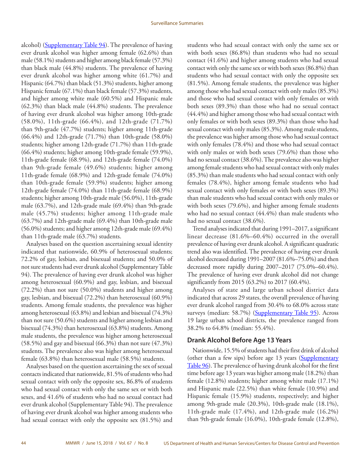alcohol) [\(Supplementary Table 94](https://www.cdc.gov/healthyyouth/data/yrbs/2017_tables/alcohol_and_drug_use.htm#t94_down)). The prevalence of having ever drunk alcohol was higher among female (62.6%) than male (58.1%) students and higher among black female (57.3%) than black male (44.8%) students. The prevalence of having ever drunk alcohol was higher among white (61.7%) and Hispanic (64.7%) than black (51.3%) students, higher among Hispanic female (67.1%) than black female (57.3%) students, and higher among white male (60.5%) and Hispanic male (62.3%) than black male (44.8%) students. The prevalence of having ever drunk alcohol was higher among 10th-grade (58.0%), 11th-grade (66.4%), and 12th-grade (71.7%) than 9th-grade (47.7%) students; higher among 11th-grade (66.4%) and 12th-grade (71.7%) than 10th-grade (58.0%) students; higher among 12th-grade (71.7%) than 11th-grade (66.4%) students; higher among 10th-grade female (59.9%), 11th-grade female (68.9%), and 12th-grade female (74.0%) than 9th-grade female (49.6%) students; higher among 11th-grade female (68.9%) and 12th-grade female (74.0%) than 10th-grade female (59.9%) students; higher among 12th-grade female (74.0%) than 11th-grade female (68.9%) students; higher among 10th-grade male (56.0%), 11th-grade male (63.7%), and 12th-grade male (69.4%) than 9th-grade male (45.7%) students; higher among 11th-grade male (63.7%) and 12th-grade male (69.4%) than 10th-grade male (56.0%) students; and higher among 12th-grade male (69.4%) than 11th-grade male (63.7%) students.

Analyses based on the question ascertaining sexual identity indicated that nationwide, 60.9% of heterosexual students; 72.2% of gay, lesbian, and bisexual students; and 50.0% of not sure students had ever drunk alcohol (Supplementary Table 94). The prevalence of having ever drunk alcohol was higher among heterosexual (60.9%) and gay, lesbian, and bisexual (72.2%) than not sure (50.0%) students and higher among gay, lesbian, and bisexual (72.2%) than heterosexual (60.9%) students. Among female students, the prevalence was higher among heterosexual (63.8%) and lesbian and bisexual (74.3%) than not sure (50.6%) students and higher among lesbian and bisexual (74.3%) than heterosexual (63.8%) students. Among male students, the prevalence was higher among heterosexual (58.5%) and gay and bisexual (66.3%) than not sure (47.3%) students. The prevalence also was higher among heterosexual female (63.8%) than heterosexual male (58.5%) students.

Analyses based on the question ascertaining the sex of sexual contacts indicated that nationwide, 81.5% of students who had sexual contact with only the opposite sex, 86.8% of students who had sexual contact with only the same sex or with both sexes, and 41.6% of students who had no sexual contact had ever drunk alcohol (Supplementary Table 94). The prevalence of having ever drunk alcohol was higher among students who had sexual contact with only the opposite sex (81.5%) and students who had sexual contact with only the same sex or with both sexes (86.8%) than students who had no sexual contact (41.6%) and higher among students who had sexual contact with only the same sex or with both sexes (86.8%) than students who had sexual contact with only the opposite sex (81.5%). Among female students, the prevalence was higher among those who had sexual contact with only males (85.3%) and those who had sexual contact with only females or with both sexes (89.3%) than those who had no sexual contact (44.4%) and higher among those who had sexual contact with only females or with both sexes (89.3%) than those who had sexual contact with only males (85.3%). Among male students, the prevalence was higher among those who had sexual contact with only females (78.4%) and those who had sexual contact with only males or with both sexes (79.6%) than those who had no sexual contact (38.6%). The prevalence also was higher among female students who had sexual contact with only males (85.3%) than male students who had sexual contact with only females (78.4%), higher among female students who had sexual contact with only females or with both sexes (89.3%) than male students who had sexual contact with only males or with both sexes (79.6%), and higher among female students who had no sexual contact (44.4%) than male students who had no sexual contact (38.6%).

Trend analyses indicated that during 1991–2017, a significant linear decrease (81.6%–60.4%) occurred in the overall prevalence of having ever drunk alcohol. A significant quadratic trend also was identified. The prevalence of having ever drunk alcohol decreased during 1991–2007 (81.6%–75.0%) and then decreased more rapidly during 2007–2017 (75.0%–60.4%). The prevalence of having ever drunk alcohol did not change significantly from 2015 (63.2%) to 2017 (60.4%).

Analyses of state and large urban school district data indicated that across 29 states, the overall prevalence of having ever drunk alcohol ranged from 30.4% to 68.0% across state surveys (median: 58.7%) ([Supplementary Table 95\)](https://www.cdc.gov/healthyyouth/data/yrbs/2017_tables/alcohol_and_drug_use.htm#t95_down). Across 19 large urban school districts, the prevalence ranged from 38.2% to 64.8% (median: 55.4%).

# **Drank Alcohol Before Age 13 Years**

Nationwide, 15.5% of students had their first drink of alcohol (other than a few sips) before age 13 years ([Supplementary](https://www.cdc.gov/healthyyouth/data/yrbs/2017_tables/alcohol_and_drug_use.htm#t96_down) [Table 96\)](https://www.cdc.gov/healthyyouth/data/yrbs/2017_tables/alcohol_and_drug_use.htm#t96_down). The prevalence of having drunk alcohol for the first time before age 13 years was higher among male (18.2%) than female (12.8%) students; higher among white male (17.1%) and Hispanic male (22.5%) than white female (10.9%) and Hispanic female (15.9%) students, respectively; and higher among 9th-grade male (20.3%), 10th-grade male (18.1%), 11th-grade male (17.4%), and 12th-grade male (16.2%) than 9th-grade female (16.0%), 10th-grade female (12.8%),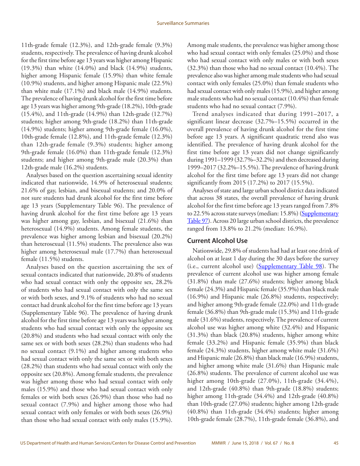11th-grade female (12.3%), and 12th-grade female (9.3%) students, respectively. The prevalence of having drunk alcohol for the first time before age 13 years was higher among Hispanic (19.3%) than white (14.0%) and black (14.9%) students, higher among Hispanic female (15.9%) than white female (10.9%) students, and higher among Hispanic male (22.5%) than white male (17.1%) and black male (14.9%) students. The prevalence of having drunk alcohol for the first time before age 13 years was higher among 9th-grade (18.2%), 10th-grade (15.4%), and 11th-grade (14.9%) than 12th-grade (12.7%) students; higher among 9th-grade (18.2%) than 11th-grade (14.9%) students; higher among 9th-grade female (16.0%), 10th-grade female (12.8%), and 11th-grade female (12.3%) than 12th-grade female (9.3%) students; higher among 9th-grade female (16.0%) than 11th-grade female (12.3%) students; and higher among 9th-grade male (20.3%) than 12th-grade male (16.2%) students.

Analyses based on the question ascertaining sexual identity indicated that nationwide, 14.9% of heterosexual students; 21.6% of gay, lesbian, and bisexual students; and 20.0% of not sure students had drunk alcohol for the first time before age 13 years (Supplementary Table 96). The prevalence of having drunk alcohol for the first time before age 13 years was higher among gay, lesbian, and bisexual (21.6%) than heterosexual (14.9%) students. Among female students, the prevalence was higher among lesbian and bisexual (20.2%) than heterosexual (11.5%) students. The prevalence also was higher among heterosexual male (17.7%) than heterosexual female (11.5%) students.

Analyses based on the question ascertaining the sex of sexual contacts indicated that nationwide, 20.8% of students who had sexual contact with only the opposite sex, 28.2% of students who had sexual contact with only the same sex or with both sexes, and 9.1% of students who had no sexual contact had drunk alcohol for the first time before age 13 years (Supplementary Table 96). The prevalence of having drunk alcohol for the first time before age 13 years was higher among students who had sexual contact with only the opposite sex (20.8%) and students who had sexual contact with only the same sex or with both sexes (28.2%) than students who had no sexual contact (9.1%) and higher among students who had sexual contact with only the same sex or with both sexes (28.2%) than students who had sexual contact with only the opposite sex (20.8%). Among female students, the prevalence was higher among those who had sexual contact with only males (15.9%) and those who had sexual contact with only females or with both sexes (26.9%) than those who had no sexual contact (7.9%) and higher among those who had sexual contact with only females or with both sexes (26.9%) than those who had sexual contact with only males (15.9%).

Among male students, the prevalence was higher among those who had sexual contact with only females (25.0%) and those who had sexual contact with only males or with both sexes (32.3%) than those who had no sexual contact (10.4%). The prevalence also was higher among male students who had sexual contact with only females (25.0%) than female students who had sexual contact with only males (15.9%), and higher among male students who had no sexual contact (10.4%) than female students who had no sexual contact (7.9%).

Trend analyses indicated that during 1991–2017, a significant linear decrease (32.7%–15.5%) occurred in the overall prevalence of having drunk alcohol for the first time before age 13 years. A significant quadratic trend also was identified. The prevalence of having drunk alcohol for the first time before age 13 years did not change significantly during 1991–1999 (32.7%–32.2%) and then decreased during 1999–2017 (32.2%–15.5%). The prevalence of having drunk alcohol for the first time before age 13 years did not change significantly from 2015 (17.2%) to 2017 (15.5%).

Analyses of state and large urban school district data indicated that across 38 states, the overall prevalence of having drunk alcohol for the first time before age 13 years ranged from 7.8% to 22.5% across state surveys (median: 15.8%) (Supplementary [Table 97](https://www.cdc.gov/healthyyouth/data/yrbs/2017_tables/alcohol_and_drug_use.htm#t97_down)). Across 20 large urban school districts, the prevalence ranged from 13.8% to 21.2% (median: 16.9%).

# **Current Alcohol Use**

Nationwide, 29.8% of students had had at least one drink of alcohol on at least 1 day during the 30 days before the survey (i.e., current alcohol use) [\(Supplementary Table 98](https://www.cdc.gov/healthyyouth/data/yrbs/2017_tables/alcohol_and_drug_use.htm#t98_down)). The prevalence of current alcohol use was higher among female (31.8%) than male (27.6%) students; higher among black female (24.3%) and Hispanic female (35.9%) than black male (16.9%) and Hispanic male (26.8%) students, respectively; and higher among 9th-grade female (22.0%) and 11th-grade female (36.8%) than 9th-grade male (15.3%) and 11th-grade male (31.6%) students, respectively. The prevalence of current alcohol use was higher among white (32.4%) and Hispanic (31.3%) than black (20.8%) students, higher among white female (33.2%) and Hispanic female (35.9%) than black female (24.3%) students, higher among white male (31.6%) and Hispanic male (26.8%) than black male (16.9%) students, and higher among white male (31.6%) than Hispanic male (26.8%) students. The prevalence of current alcohol use was higher among 10th-grade (27.0%), 11th-grade (34.4%), and 12th-grade (40.8%) than 9th-grade (18.8%) students; higher among 11th-grade (34.4%) and 12th-grade (40.8%) than 10th-grade (27.0%) students; higher among 12th-grade (40.8%) than 11th-grade (34.4%) students; higher among 10th-grade female (28.7%), 11th-grade female (36.8%), and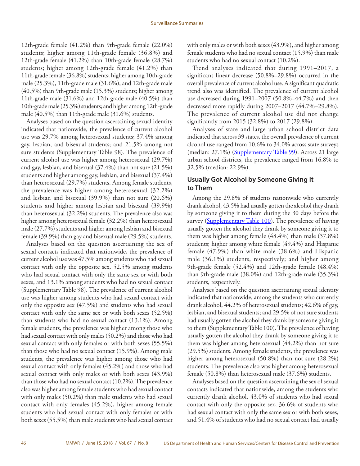12th-grade female (41.2%) than 9th-grade female (22.0%) students; higher among 11th-grade female (36.8%) and 12th-grade female (41.2%) than 10th-grade female (28.7%) students; higher among 12th-grade female (41.2%) than 11th-grade female (36.8%) students; higher among 10th-grade male (25.3%), 11th-grade male (31.6%), and 12th-grade male (40.5%) than 9th-grade male (15.3%) students; higher among 11th-grade male (31.6%) and 12th-grade male (40.5%) than 10th-grade male (25.3%) students; and higher among 12th-grade male (40.5%) than 11th-grade male (31.6%) students.

Analyses based on the question ascertaining sexual identity indicated that nationwide, the prevalence of current alcohol use was 29.7% among heterosexual students; 37.4% among gay, lesbian, and bisexual students; and 21.5% among not sure students (Supplementary Table 98). The prevalence of current alcohol use was higher among heterosexual (29.7%) and gay, lesbian, and bisexual (37.4%) than not sure (21.5%) students and higher among gay, lesbian, and bisexual (37.4%) than heterosexual (29.7%) students. Among female students, the prevalence was higher among heterosexual (32.2%) and lesbian and bisexual (39.9%) than not sure (20.6%) students and higher among lesbian and bisexual (39.9%) than heterosexual (32.2%) students. The prevalence also was higher among heterosexual female (32.2%) than heterosexual male (27.7%) students and higher among lesbian and bisexual female (39.9%) than gay and bisexual male (29.5%) students.

Analyses based on the question ascertaining the sex of sexual contacts indicated that nationwide, the prevalence of current alcohol use was 47.5% among students who had sexual contact with only the opposite sex, 52.5% among students who had sexual contact with only the same sex or with both sexes, and 13.1% among students who had no sexual contact (Supplementary Table 98). The prevalence of current alcohol use was higher among students who had sexual contact with only the opposite sex (47.5%) and students who had sexual contact with only the same sex or with both sexes (52.5%) than students who had no sexual contact (13.1%). Among female students, the prevalence was higher among those who had sexual contact with only males (50.2%) and those who had sexual contact with only females or with both sexes (55.5%) than those who had no sexual contact (15.9%). Among male students, the prevalence was higher among those who had sexual contact with only females (45.2%) and those who had sexual contact with only males or with both sexes (43.9%) than those who had no sexual contact (10.2%). The prevalence also was higher among female students who had sexual contact with only males (50.2%) than male students who had sexual contact with only females (45.2%), higher among female students who had sexual contact with only females or with both sexes (55.5%) than male students who had sexual contact

with only males or with both sexes (43.9%), and higher among female students who had no sexual contact (15.9%) than male students who had no sexual contact (10.2%).

Trend analyses indicated that during 1991–2017, a significant linear decrease (50.8%–29.8%) occurred in the overall prevalence of current alcohol use. A significant quadratic trend also was identified. The prevalence of current alcohol use decreased during 1991–2007 (50.8%–44.7%) and then decreased more rapidly during 2007–2017 (44.7%–29.8%). The prevalence of current alcohol use did not change significantly from 2015 (32.8%) to 2017 (29.8%).

Analyses of state and large urban school district data indicated that across 39 states, the overall prevalence of current alcohol use ranged from 10.6% to 34.0% across state surveys (median: 27.1%) [\(Supplementary Table 99](https://www.cdc.gov/healthyyouth/data/yrbs/2017_tables/alcohol_and_drug_use.htm#t99_down)). Across 21 large urban school districts, the prevalence ranged from 16.8% to 32.5% (median: 22.9%).

# **Usually Got Alcohol by Someone Giving It to Them**

Among the 29.8% of students nationwide who currently drank alcohol, 43.5% had usually gotten the alcohol they drank by someone giving it to them during the 30 days before the survey ([Supplementary Table 100\)](https://www.cdc.gov/healthyyouth/data/yrbs/2017_tables/alcohol_and_drug_use.htm#t100_down). The prevalence of having usually gotten the alcohol they drank by someone giving it to them was higher among female (48.4%) than male (37.8%) students; higher among white female (49.4%) and Hispanic female (47.9%) than white male (38.6%) and Hispanic male (36.1%) students, respectively; and higher among 9th-grade female (52.4%) and 12th-grade female (48.4%) than 9th-grade male (38.0%) and 12th-grade male (35.3%) students, respectively.

Analyses based on the question ascertaining sexual identity indicated that nationwide, among the students who currently drank alcohol, 44.2% of heterosexual students; 42.6% of gay, lesbian, and bisexual students; and 29.5% of not sure students had usually gotten the alcohol they drank by someone giving it to them (Supplementary Table 100). The prevalence of having usually gotten the alcohol they drank by someone giving it to them was higher among heterosexual (44.2%) than not sure (29.5%) students. Among female students, the prevalence was higher among heterosexual (50.8%) than not sure (28.2%) students. The prevalence also was higher among heterosexual female (50.8%) than heterosexual male (37.6%) students.

Analyses based on the question ascertaining the sex of sexual contacts indicated that nationwide, among the students who currently drank alcohol, 43.0% of students who had sexual contact with only the opposite sex, 36.6% of students who had sexual contact with only the same sex or with both sexes, and 51.4% of students who had no sexual contact had usually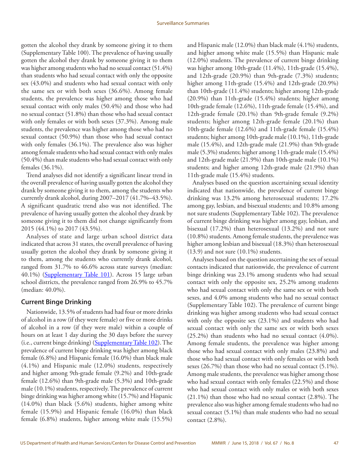gotten the alcohol they drank by someone giving it to them (Supplementary Table 100). The prevalence of having usually gotten the alcohol they drank by someone giving it to them was higher among students who had no sexual contact (51.4%) than students who had sexual contact with only the opposite sex (43.0%) and students who had sexual contact with only the same sex or with both sexes (36.6%). Among female students, the prevalence was higher among those who had sexual contact with only males (50.4%) and those who had no sexual contact (51.8%) than those who had sexual contact with only females or with both sexes (37.3%). Among male students, the prevalence was higher among those who had no sexual contact (50.9%) than those who had sexual contact with only females (36.1%). The prevalence also was higher among female students who had sexual contact with only males (50.4%) than male students who had sexual contact with only females (36.1%).

Trend analyses did not identify a significant linear trend in the overall prevalence of having usually gotten the alcohol they drank by someone giving it to them, among the students who currently drank alcohol, during 2007–2017 (41.7%–43.5%). A significant quadratic trend also was not identified. The prevalence of having usually gotten the alcohol they drank by someone giving it to them did not change significantly from 2015 (44.1%) to 2017 (43.5%).

Analyses of state and large urban school district data indicated that across 31 states, the overall prevalence of having usually gotten the alcohol they drank by someone giving it to them, among the students who currently drank alcohol, ranged from 31.7% to 46.6% across state surveys (median: 40.1%) ([Supplementary Table 101](https://www.cdc.gov/healthyyouth/data/yrbs/2017_tables/alcohol_and_drug_use.htm#t101_down)). Across 15 large urban school districts, the prevalence ranged from 26.9% to 45.7% (median: 40.0%).

# **Current Binge Drinking**

Nationwide, 13.5% of students had had four or more drinks of alcohol in a row (if they were female) or five or more drinks of alcohol in a row (if they were male) within a couple of hours on at least 1 day during the 30 days before the survey (i.e., current binge drinking) ([Supplementary Table 102](https://www.cdc.gov/healthyyouth/data/yrbs/2017_tables/alcohol_and_drug_use.htm#t102_down)). The prevalence of current binge drinking was higher among black female (6.8%) and Hispanic female (16.0%) than black male (4.1%) and Hispanic male (12.0%) students, respectively and higher among 9th-grade female (9.2%) and 10th-grade female (12.6%) than 9th-grade male (5.3%) and 10th-grade male (10.1%) students, respectively. The prevalence of current binge drinking was higher among white (15.7%) and Hispanic (14.0%) than black (5.6%) students, higher among white female (15.9%) and Hispanic female (16.0%) than black female (6.8%) students, higher among white male (15.5%)

and Hispanic male (12.0%) than black male (4.1%) students, and higher among white male (15.5%) than Hispanic male (12.0%) students. The prevalence of current binge drinking was higher among 10th-grade (11.4%), 11th-grade (15.4%), and 12th-grade (20.9%) than 9th-grade (7.3%) students; higher among 11th-grade (15.4%) and 12th-grade (20.9%) than 10th-grade (11.4%) students; higher among 12th-grade (20.9%) than 11th-grade (15.4%) students; higher among 10th-grade female (12.6%), 11th-grade female (15.4%), and 12th-grade female (20.1%) than 9th-grade female (9.2%) students; higher among 12th-grade female (20.1%) than 10th-grade female (12.6%) and 11th-grade female (15.4%) students; higher among 10th-grade male (10.1%), 11th-grade male (15.4%), and 12th-grade male (21.9%) than 9th-grade male (5.3%) students; higher among 11th-grade male (15.4%) and 12th-grade male (21.9%) than 10th-grade male (10.1%) students; and higher among 12th-grade male (21.9%) than 11th-grade male (15.4%) students.

Analyses based on the question ascertaining sexual identity indicated that nationwide, the prevalence of current binge drinking was 13.2% among heterosexual students; 17.2% among gay, lesbian, and bisexual students; and 10.8% among not sure students (Supplementary Table 102). The prevalence of current binge drinking was higher among gay, lesbian, and bisexual (17.2%) than heterosexual (13.2%) and not sure (10.8%) students. Among female students, the prevalence was higher among lesbian and bisexual (18.3%) than heterosexual (13.9) and not sure (10.1%) students.

Analyses based on the question ascertaining the sex of sexual contacts indicated that nationwide, the prevalence of current binge drinking was 23.1% among students who had sexual contact with only the opposite sex, 25.2% among students who had sexual contact with only the same sex or with both sexes, and 4.0% among students who had no sexual contact (Supplementary Table 102). The prevalence of current binge drinking was higher among students who had sexual contact with only the opposite sex (23.1%) and students who had sexual contact with only the same sex or with both sexes (25.2%) than students who had no sexual contact (4.0%). Among female students, the prevalence was higher among those who had sexual contact with only males (23.8%) and those who had sexual contact with only females or with both sexes (26.7%) than those who had no sexual contact (5.1%). Among male students, the prevalence was higher among those who had sexual contact with only females (22.5%) and those who had sexual contact with only males or with both sexes (21.1%) than those who had no sexual contact (2.8%). The prevalence also was higher among female students who had no sexual contact (5.1%) than male students who had no sexual contact (2.8%).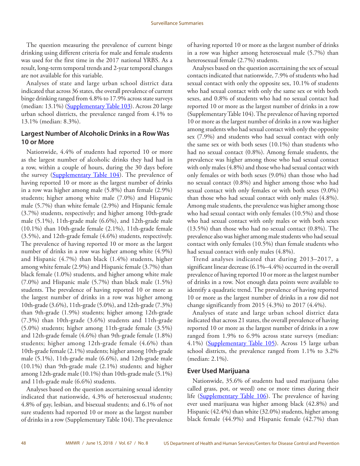The question measuring the prevalence of current binge drinking using different criteria for male and female students was used for the first time in the 2017 national YRBS. As a result, long-term temporal trends and 2-year temporal changes are not available for this variable.

Analyses of state and large urban school district data indicated that across 36 states, the overall prevalence of current binge drinking ranged from 4.8% to 17.9% across state surveys (median: 13.1%) [\(Supplementary Table 103](https://www.cdc.gov/healthyyouth/data/yrbs/2017_tables/alcohol_and_drug_use.htm#t103_down)). Across 20 large urban school districts, the prevalence ranged from 4.1% to 13.1% (median: 8.3%).

### **Largest Number of Alcoholic Drinks in a Row Was 10 or More**

Nationwide, 4.4% of students had reported 10 or more as the largest number of alcoholic drinks they had had in a row, within a couple of hours, during the 30 days before the survey [\(Supplementary Table 104](https://www.cdc.gov/healthyyouth/data/yrbs/2017_tables/alcohol_and_drug_use.htm#t104_down)). The prevalence of having reported 10 or more as the largest number of drinks in a row was higher among male (5.8%) than female (2.9%) students; higher among white male (7.0%) and Hispanic male (5.7%) than white female (2.9%) and Hispanic female (3.7%) students, respectively; and higher among 10th-grade male (5.1%), 11th-grade male (6.6%), and 12th-grade male (10.1%) than 10th-grade female (2.1%), 11th-grade female (3.5%), and 12th-grade female (4.6%) students, respectively. The prevalence of having reported 10 or more as the largest number of drinks in a row was higher among white (4.9%) and Hispanic (4.7%) than black (1.4%) students, higher among white female (2.9%) and Hispanic female (3.7%) than black female (1.0%) students, and higher among white male (7.0%) and Hispanic male (5.7%) than black male (1.5%) students. The prevalence of having reported 10 or more as the largest number of drinks in a row was higher among 10th-grade (3.6%), 11th-grade (5.0%), and 12th-grade (7.3%) than 9th-grade (1.9%) students; higher among 12th-grade (7.3%) than 10th-grade (3.6%) students and 11th-grade (5.0%) students; higher among 11th-grade female (3.5%) and 12th-grade female (4.6%) than 9th-grade female (1.8%) students; higher among 12th-grade female (4.6%) than 10th-grade female (2.1%) students; higher among 10th-grade male (5.1%), 11th-grade male (6.6%), and 12th-grade male (10.1%) than 9th-grade male (2.1%) students; and higher among 12th-grade male (10.1%) than 10th-grade male (5.1%) and 11th-grade male (6.6%) students.

Analyses based on the question ascertaining sexual identity indicated that nationwide, 4.3% of heterosexual students; 4.8% of gay, lesbian, and bisexual students; and 6.1% of not sure students had reported 10 or more as the largest number of drinks in a row (Supplementary Table 104). The prevalence of having reported 10 or more as the largest number of drinks in a row was higher among heterosexual male (5.7%) than heterosexual female (2.7%) students.

Analyses based on the question ascertaining the sex of sexual contacts indicated that nationwide, 7.9% of students who had sexual contact with only the opposite sex, 10.1% of students who had sexual contact with only the same sex or with both sexes, and 0.8% of students who had no sexual contact had reported 10 or more as the largest number of drinks in a row (Supplementary Table 104). The prevalence of having reported 10 or more as the largest number of drinks in a row was higher among students who had sexual contact with only the opposite sex (7.9%) and students who had sexual contact with only the same sex or with both sexes (10.1%) than students who had no sexual contact (0.8%). Among female students, the prevalence was higher among those who had sexual contact with only males (4.8%) and those who had sexual contact with only females or with both sexes (9.0%) than those who had no sexual contact (0.8%) and higher among those who had sexual contact with only females or with both sexes (9.0%) than those who had sexual contact with only males (4.8%). Among male students, the prevalence was higher among those who had sexual contact with only females (10.5%) and those who had sexual contact with only males or with both sexes (13.5%) than those who had no sexual contact (0.8%). The prevalence also was higher among male students who had sexual contact with only females (10.5%) than female students who had sexual contact with only males (4.8%).

Trend analyses indicated that during 2013–2017, a significant linear decrease (6.1%–4.4%) occurred in the overall prevalence of having reported 10 or more as the largest number of drinks in a row. Not enough data points were available to identify a quadratic trend. The prevalence of having reported 10 or more as the largest number of drinks in a row did not change significantly from 2015 (4.3%) to 2017 (4.4%).

Analyses of state and large urban school district data indicated that across 21 states, the overall prevalence of having reported 10 or more as the largest number of drinks in a row ranged from 1.9% to 6.9% across state surveys (median: 4.1%) ([Supplementary Table 105\)](https://www.cdc.gov/healthyyouth/data/yrbs/2017_tables/alcohol_and_drug_use.htm#t105_down). Across 15 large urban school districts, the prevalence ranged from 1.1% to 3.2% (median: 2.1%).

#### **Ever Used Marijuana**

Nationwide, 35.6% of students had used marijuana (also called grass, pot, or weed) one or more times during their life ([Supplementary Table 106](https://www.cdc.gov/healthyyouth/data/yrbs/2017_tables/alcohol_and_drug_use.htm#t106_down)). The prevalence of having ever used marijuana was higher among black (42.8%) and Hispanic (42.4%) than white (32.0%) students, higher among black female (44.9%) and Hispanic female (42.7%) than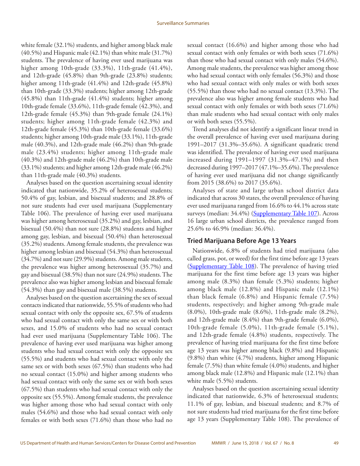white female (32.1%) students, and higher among black male (40.5%) and Hispanic male (42.1%) than white male (31.7%) students. The prevalence of having ever used marijuana was higher among 10th-grade (33.3%), 11th-grade (41.4%), and 12th-grade (45.8%) than 9th-grade (23.8%) students; higher among 11th-grade (41.4%) and 12th-grade (45.8%) than 10th-grade (33.3%) students; higher among 12th-grade (45.8%) than 11th-grade (41.4%) students; higher among 10th-grade female (33.6%), 11th-grade female (42.3%), and 12th-grade female (45.3%) than 9th-grade female (24.1%) students; higher among 11th-grade female (42.3%) and 12th-grade female (45.3%) than 10th-grade female (33.6%) students; higher among 10th-grade male (33.1%), 11th-grade male (40.3%), and 12th-grade male (46.2%) than 9th-grade male (23.4%) students; higher among 11th-grade male (40.3%) and 12th-grade male (46.2%) than 10th-grade male (33.1%) students; and higher among 12th-grade male (46.2%) than 11th-grade male (40.3%) students.

Analyses based on the question ascertaining sexual identity indicated that nationwide, 35.2% of heterosexual students; 50.4% of gay, lesbian, and bisexual students; and 28.8% of not sure students had ever used marijuana (Supplementary Table 106). The prevalence of having ever used marijuana was higher among heterosexual (35.2%) and gay, lesbian, and bisexual (50.4%) than not sure (28.8%) students and higher among gay, lesbian, and bisexual (50.4%) than heterosexual (35.2%) students. Among female students, the prevalence was higher among lesbian and bisexual (54.3%) than heterosexual (34.7%) and not sure (29.9%) students. Among male students, the prevalence was higher among heterosexual (35.7%) and gay and bisexual (38.5%) than not sure (24.9%) students. The prevalence also was higher among lesbian and bisexual female (54.3%) than gay and bisexual male (38.5%) students.

Analyses based on the question ascertaining the sex of sexual contacts indicated that nationwide, 55.5% of students who had sexual contact with only the opposite sex, 67.5% of students who had sexual contact with only the same sex or with both sexes, and 15.0% of students who had no sexual contact had ever used marijuana (Supplementary Table 106). The prevalence of having ever used marijuana was higher among students who had sexual contact with only the opposite sex (55.5%) and students who had sexual contact with only the same sex or with both sexes (67.5%) than students who had no sexual contact (15.0%) and higher among students who had sexual contact with only the same sex or with both sexes (67.5%) than students who had sexual contact with only the opposite sex (55.5%). Among female students, the prevalence was higher among those who had sexual contact with only males (54.6%) and those who had sexual contact with only females or with both sexes (71.6%) than those who had no

sexual contact (16.6%) and higher among those who had sexual contact with only females or with both sexes (71.6%) than those who had sexual contact with only males (54.6%). Among male students, the prevalence was higher among those who had sexual contact with only females (56.3%) and those who had sexual contact with only males or with both sexes (55.5%) than those who had no sexual contact (13.3%). The prevalence also was higher among female students who had sexual contact with only females or with both sexes (71.6%) than male students who had sexual contact with only males or with both sexes (55.5%).

Trend analyses did not identify a significant linear trend in the overall prevalence of having ever used marijuana during 1991–2017 (31.3%–35.6%). A significant quadratic trend was identified. The prevalence of having ever used marijuana increased during 1991–1997 (31.3%–47.1%) and then decreased during 1997–2017 (47.1%–35.6%). The prevalence of having ever used marijuana did not change significantly from 2015 (38.6%) to 2017 (35.6%).

Analyses of state and large urban school district data indicated that across 30 states, the overall prevalence of having ever used marijuana ranged from 16.6% to 44.1% across state surveys (median: 34.4%) ([Supplementary Table 107\)](https://www.cdc.gov/healthyyouth/data/yrbs/2017_tables/alcohol_and_drug_use.htm#t107_down). Across 16 large urban school districts, the prevalence ranged from 25.6% to 46.9% (median: 36.4%).

### **Tried Marijuana Before Age 13 Years**

Nationwide, 6.8% of students had tried marijuana (also called grass, pot, or weed) for the first time before age 13 years [\(Supplementary Table 108](https://www.cdc.gov/healthyyouth/data/yrbs/2017_tables/alcohol_and_drug_use.htm#t108_down)). The prevalence of having tried marijuana for the first time before age 13 years was higher among male (8.3%) than female (5.3%) students; higher among black male (12.8%) and Hispanic male (12.1%) than black female (6.8%) and Hispanic female (7.5%) students, respectively; and higher among 9th-grade male (8.0%), 10th-grade male (8.6%), 11th-grade male (8.2%), and 12th-grade male (8.4%) than 9th-grade female (6.0%), 10th-grade female (5.0%), 11th-grade female (5.1%), and 12th-grade female (4.8%) students, respectively. The prevalence of having tried marijuana for the first time before age 13 years was higher among black (9.8%) and Hispanic (9.8%) than white (4.7%) students, higher among Hispanic female (7.5%) than white female (4.0%) students, and higher among black male (12.8%) and Hispanic male (12.1%) than white male (5.5%) students.

Analyses based on the question ascertaining sexual identity indicated that nationwide, 6.3% of heterosexual students; 11.1% of gay, lesbian, and bisexual students; and 8.7% of not sure students had tried marijuana for the first time before age 13 years (Supplementary Table 108). The prevalence of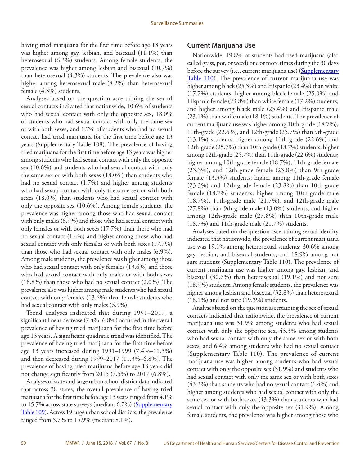having tried marijuana for the first time before age 13 years was higher among gay, lesbian, and bisexual (11.1%) than heterosexual (6.3%) students. Among female students, the prevalence was higher among lesbian and bisexual (10.7%) than heterosexual (4.3%) students. The prevalence also was higher among heterosexual male (8.2%) than heterosexual female (4.3%) students.

Analyses based on the question ascertaining the sex of sexual contacts indicated that nationwide, 10.6% of students who had sexual contact with only the opposite sex, 18.0% of students who had sexual contact with only the same sex or with both sexes, and 1.7% of students who had no sexual contact had tried marijuana for the first time before age 13 years (Supplementary Table 108). The prevalence of having tried marijuana for the first time before age 13 years was higher among students who had sexual contact with only the opposite sex (10.6%) and students who had sexual contact with only the same sex or with both sexes (18.0%) than students who had no sexual contact (1.7%) and higher among students who had sexual contact with only the same sex or with both sexes (18.0%) than students who had sexual contact with only the opposite sex (10.6%). Among female students, the prevalence was higher among those who had sexual contact with only males (6.9%) and those who had sexual contact with only females or with both sexes (17.7%) than those who had no sexual contact (1.4%) and higher among those who had sexual contact with only females or with both sexes (17.7%) than those who had sexual contact with only males (6.9%). Among male students, the prevalence was higher among those who had sexual contact with only females (13.6%) and those who had sexual contact with only males or with both sexes (18.8%) than those who had no sexual contact (2.0%). The prevalence also was higher among male students who had sexual contact with only females (13.6%) than female students who had sexual contact with only males (6.9%).

Trend analyses indicated that during 1991–2017, a significant linear decrease (7.4%–6.8%) occurred in the overall prevalence of having tried marijuana for the first time before age 13 years. A significant quadratic trend was identified. The prevalence of having tried marijuana for the first time before age 13 years increased during 1991–1999 (7.4%–11.3%) and then decreased during 1999–2017 (11.3%–6.8%). The prevalence of having tried marijuana before age 13 years did not change significantly from 2015 (7.5%) to 2017 (6.8%).

Analyses of state and large urban school district data indicated that across 38 states, the overall prevalence of having tried marijuana for the first time before age 13 years ranged from 4.1% to 15.7% across state surveys (median: 6.7%) [\(Supplementary](https://www.cdc.gov/healthyyouth/data/yrbs/2017_tables/alcohol_and_drug_use.htm#t109_down) [Table 109](https://www.cdc.gov/healthyyouth/data/yrbs/2017_tables/alcohol_and_drug_use.htm#t109_down)). Across 19 large urban school districts, the prevalence ranged from 5.7% to 15.9% (median: 8.1%).

### **Current Marijuana Use**

Nationwide, 19.8% of students had used marijuana (also called grass, pot, or weed) one or more times during the 30 days before the survey (i.e., current marijuana use) ([Supplementary](https://www.cdc.gov/healthyyouth/data/yrbs/2017_tables/alcohol_and_drug_use.htm#t110_down) [Table 110](https://www.cdc.gov/healthyyouth/data/yrbs/2017_tables/alcohol_and_drug_use.htm#t110_down)). The prevalence of current marijuana use was higher among black (25.3%) and Hispanic (23.4%) than white (17.7%) students, higher among black female (25.0%) and Hispanic female (23.8%) than white female (17.2%) students, and higher among black male (25.4%) and Hispanic male (23.1%) than white male (18.1%) students. The prevalence of current marijuana use was higher among 10th-grade (18.7%), 11th-grade (22.6%), and 12th-grade (25.7%) than 9th-grade (13.1%) students; higher among 11th-grade (22.6%) and 12th-grade (25.7%) than 10th-grade (18.7%) students; higher among 12th-grade (25.7%) than 11th-grade (22.6%) students; higher among 10th-grade female (18.7%), 11th-grade female (23.3%), and 12th-grade female (23.8%) than 9th-grade female (13.3%) students; higher among 11th-grade female (23.3%) and 12th-grade female (23.8%) than 10th-grade female (18.7%) students; higher among 10th-grade male (18.7%), 11th-grade male (21.7%), and 12th-grade male (27.8%) than 9th-grade male (13.0%) students, and higher among 12th-grade male (27.8%) than 10th-grade male (18.7%) and 11th-grade male (21.7%) students.

Analyses based on the question ascertaining sexual identity indicated that nationwide, the prevalence of current marijuana use was 19.1% among heterosexual students; 30.6% among gay, lesbian, and bisexual students; and 18.9% among not sure students (Supplementary Table 110). The prevalence of current marijuana use was higher among gay, lesbian, and bisexual (30.6%) than heterosexual (19.1%) and not sure (18.9%) students. Among female students, the prevalence was higher among lesbian and bisexual (32.8%) than heterosexual (18.1%) and not sure (19.3%) students.

Analyses based on the question ascertaining the sex of sexual contacts indicated that nationwide, the prevalence of current marijuana use was 31.9% among students who had sexual contact with only the opposite sex, 43.3% among students who had sexual contact with only the same sex or with both sexes, and 6.4% among students who had no sexual contact (Supplementary Table 110). The prevalence of current marijuana use was higher among students who had sexual contact with only the opposite sex (31.9%) and students who had sexual contact with only the same sex or with both sexes (43.3%) than students who had no sexual contact (6.4%) and higher among students who had sexual contact with only the same sex or with both sexes (43.3%) than students who had sexual contact with only the opposite sex (31.9%). Among female students, the prevalence was higher among those who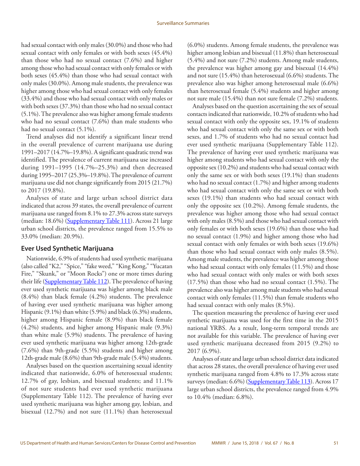had sexual contact with only males (30.0%) and those who had sexual contact with only females or with both sexes (45.4%) than those who had no sexual contact (7.6%) and higher among those who had sexual contact with only females or with both sexes (45.4%) than those who had sexual contact with only males (30.0%). Among male students, the prevalence was higher among those who had sexual contact with only females (33.4%) and those who had sexual contact with only males or with both sexes (37.3%) than those who had no sexual contact (5.1%). The prevalence also was higher among female students who had no sexual contact (7.6%) than male students who had no sexual contact (5.1%).

Trend analyses did not identify a significant linear trend in the overall prevalence of current marijuana use during 1991–2017 (14.7%–19.8%). A significant quadratic trend was identified. The prevalence of current marijuana use increased during 1991–1995 (14.7%–25.3%) and then decreased during 1995–2017 (25.3%–19.8%). The prevalence of current marijuana use did not change significantly from 2015 (21.7%) to 2017 (19.8%).

Analyses of state and large urban school district data indicated that across 39 states, the overall prevalence of current marijuana use ranged from 8.1% to 27.3% across state surveys (median: 18.6%) [\(Supplementary Table 111](https://www.cdc.gov/healthyyouth/data/yrbs/2017_tables/alcohol_and_drug_use.htm#t111_down)). Across 21 large urban school districts, the prevalence ranged from 15.5% to 33.0% (median: 20.9%).

#### **Ever Used Synthetic Marijuana**

Nationwide, 6.9% of students had used synthetic marijuana (also called "K2," "Spice," "fake weed," "King Kong," "Yucatan Fire," "Skunk," or "Moon Rocks") one or more times during their life [\(Supplementary Table 112](https://www.cdc.gov/healthyyouth/data/yrbs/2017_tables/alcohol_and_drug_use.htm#t112_down)). The prevalence of having ever used synthetic marijuana was higher among black male (8.4%) than black female (4.2%) students. The prevalence of having ever used synthetic marijuana was higher among Hispanic (9.1%) than white (5.9%) and black (6.3%) students, higher among Hispanic female (8.9%) than black female (4.2%) students, and higher among Hispanic male (9.3%) than white male (5.9%) students. The prevalence of having ever used synthetic marijuana was higher among 12th-grade (7.6%) than 9th-grade (5.5%) students and higher among 12th-grade male (8.6%) than 9th-grade male (5.4%) students.

Analyses based on the question ascertaining sexual identity indicated that nationwide, 6.0% of heterosexual students; 12.7% of gay, lesbian, and bisexual students; and 11.1% of not sure students had ever used synthetic marijuana (Supplementary Table 112). The prevalence of having ever used synthetic marijuana was higher among gay, lesbian, and bisexual (12.7%) and not sure (11.1%) than heterosexual

(6.0%) students. Among female students, the prevalence was higher among lesbian and bisexual (11.8%) than heterosexual (5.4%) and not sure (7.2%) students. Among male students, the prevalence was higher among gay and bisexual (14.4%) and not sure (15.4%) than heterosexual (6.6%) students. The prevalence also was higher among heterosexual male (6.6%) than heterosexual female (5.4%) students and higher among not sure male (15.4%) than not sure female (7.2%) students.

Analyses based on the question ascertaining the sex of sexual contacts indicated that nationwide, 10.2% of students who had sexual contact with only the opposite sex, 19.1% of students who had sexual contact with only the same sex or with both sexes, and 1.7% of students who had no sexual contact had ever used synthetic marijuana (Supplementary Table 112). The prevalence of having ever used synthetic marijuana was higher among students who had sexual contact with only the opposite sex (10.2%) and students who had sexual contact with only the same sex or with both sexes (19.1%) than students who had no sexual contact (1.7%) and higher among students who had sexual contact with only the same sex or with both sexes (19.1%) than students who had sexual contact with only the opposite sex (10.2%). Among female students, the prevalence was higher among those who had sexual contact with only males (8.5%) and those who had sexual contact with only females or with both sexes (19.6%) than those who had no sexual contact (1.9%) and higher among those who had sexual contact with only females or with both sexes (19.6%) than those who had sexual contact with only males (8.5%). Among male students, the prevalence was higher among those who had sexual contact with only females (11.5%) and those who had sexual contact with only males or with both sexes (17.5%) than those who had no sexual contact (1.5%). The prevalence also was higher among male students who had sexual contact with only females (11.5%) than female students who had sexual contact with only males (8.5%).

The question measuring the prevalence of having ever used synthetic marijuana was used for the first time in the 2015 national YRBS. As a result, long-term temporal trends are not available for this variable. The prevalence of having ever used synthetic marijuana decreased from 2015 (9.2%) to 2017 (6.9%).

Analyses of state and large urban school district data indicated that across 28 states, the overall prevalence of having ever used synthetic marijuana ranged from 4.8% to 17.3% across state surveys (median: 6.6%) ([Supplementary Table 113](https://www.cdc.gov/healthyyouth/data/yrbs/2017_tables/alcohol_and_drug_use.htm#t113_down)). Across 17 large urban school districts, the prevalence ranged from 4.9% to 10.4% (median: 6.8%).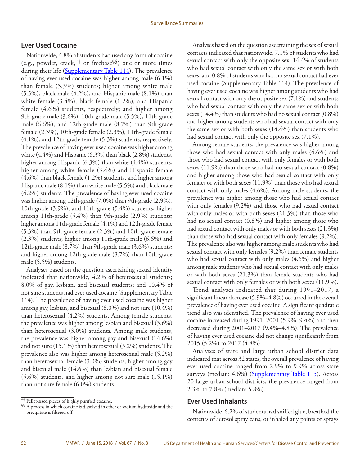### **Ever Used Cocaine**

Nationwide, 4.8% of students had used any form of cocaine (e.g., powder, crack,<sup>††</sup> or freebase<sup>§§</sup>) one or more times during their life [\(Supplementary Table 114\)](https://www.cdc.gov/healthyyouth/data/yrbs/2017_tables/alcohol_and_drug_use.htm#t114_down). The prevalence of having ever used cocaine was higher among male (6.1%) than female (3.5%) students; higher among white male (5.5%), black male (4.2%), and Hispanic male (8.1%) than white female (3.4%), black female (1.2%), and Hispanic female (4.6%) students, respectively; and higher among 9th-grade male (3.6%), 10th-grade male (5.5%), 11th-grade male (6.6%), and 12th-grade male (8.7%) than 9th-grade female (2.3%), 10th-grade female (2.3%), 11th-grade female (4.1%), and 12th-grade female (5.3%) students, respectively. The prevalence of having ever used cocaine was higher among white (4.4%) and Hispanic (6.3%) than black (2.8%) students, higher among Hispanic (6.3%) than white (4.4%) students, higher among white female (3.4%) and Hispanic female (4.6%) than black female (1.2%) students, and higher among Hispanic male (8.1%) than white male (5.5%) and black male (4.2%) students. The prevalence of having ever used cocaine was higher among 12th-grade (7.0%) than 9th-grade (2.9%), 10th-grade (3.9%), and 11th-grade (5.4%) students; higher among 11th-grade (5.4%) than 9th-grade (2.9%) students; higher among 11th-grade female (4.1%) and 12th-grade female (5.3%) than 9th-grade female (2.3%) and 10th-grade female (2.3%) students; higher among 11th-grade male (6.6%) and 12th-grade male (8.7%) than 9th-grade male (3.6%) students; and higher among 12th-grade male (8.7%) than 10th-grade male (5.5%) students.

Analyses based on the question ascertaining sexual identity indicated that nationwide, 4.2% of heterosexual students; 8.0% of gay, lesbian, and bisexual students; and 10.4% of not sure students had ever used cocaine (Supplementary Table 114). The prevalence of having ever used cocaine was higher among gay, lesbian, and bisexual (8.0%) and not sure (10.4%) than heterosexual (4.2%) students. Among female students, the prevalence was higher among lesbian and bisexual (5.6%) than heterosexual (3.0%) students. Among male students, the prevalence was higher among gay and bisexual (14.6%) and not sure (15.1%) than heterosexual (5.2%) students. The prevalence also was higher among heterosexual male (5.2%) than heterosexual female (3.0%) students, higher among gay and bisexual male (14.6%) than lesbian and bisexual female (5.6%) students, and higher among not sure male (15.1%) than not sure female (6.0%) students.

Analyses based on the question ascertaining the sex of sexual contacts indicated that nationwide, 7.1% of students who had sexual contact with only the opposite sex, 14.4% of students who had sexual contact with only the same sex or with both sexes, and 0.8% of students who had no sexual contact had ever used cocaine (Supplementary Table 114). The prevalence of having ever used cocaine was higher among students who had sexual contact with only the opposite sex (7.1%) and students who had sexual contact with only the same sex or with both sexes (14.4%) than students who had no sexual contact (0.8%) and higher among students who had sexual contact with only the same sex or with both sexes (14.4%) than students who had sexual contact with only the opposite sex (7.1%).

Among female students, the prevalence was higher among those who had sexual contact with only males (4.6%) and those who had sexual contact with only females or with both sexes (11.9%) than those who had no sexual contact (0.8%) and higher among those who had sexual contact with only females or with both sexes (11.9%) than those who had sexual contact with only males (4.6%). Among male students, the prevalence was higher among those who had sexual contact with only females (9.2%) and those who had sexual contact with only males or with both sexes (21.3%) than those who had no sexual contact (0.8%) and higher among those who had sexual contact with only males or with both sexes (21.3%) than those who had sexual contact with only females (9.2%). The prevalence also was higher among male students who had sexual contact with only females (9.2%) than female students who had sexual contact with only males (4.6%) and higher among male students who had sexual contact with only males or with both sexes (21.3%) than female students who had sexual contact with only females or with both sexes (11.9%).

Trend analyses indicated that during 1991–2017, a significant linear decrease (5.9%–4.8%) occurred in the overall prevalence of having ever used cocaine. A significant quadratic trend also was identified. The prevalence of having ever used cocaine increased during 1991–2001 (5.9%–9.4%) and then decreased during 2001–2017 (9.4%–4.8%). The prevalence of having ever used cocaine did not change significantly from 2015 (5.2%) to 2017 (4.8%).

Analyses of state and large urban school district data indicated that across 32 states, the overall prevalence of having ever used cocaine ranged from 2.9% to 9.9% across state surveys (median: 4.6%) [\(Supplementary Table 115\)](https://www.cdc.gov/healthyyouth/data/yrbs/2017_tables/alcohol_and_drug_use.htm#t115_down). Across 20 large urban school districts, the prevalence ranged from 2.3% to 7.8% (median: 5.8%).

### **Ever Used Inhalants**

Nationwide, 6.2% of students had sniffed glue, breathed the contents of aerosol spray cans, or inhaled any paints or sprays

<sup>††</sup> Pellet-sized pieces of highly purified cocaine.

<sup>§§</sup> A process in which cocaine is dissolved in ether or sodium hydroxide and the precipitate is filtered off.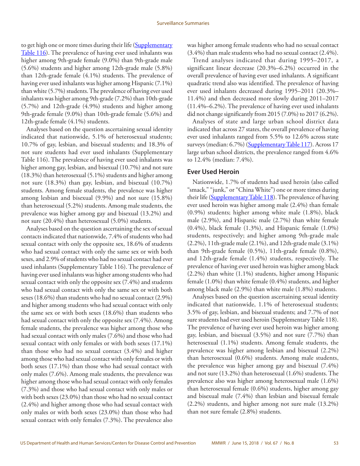to get high one or more times during their life ([Supplementary](https://www.cdc.gov/healthyyouth/data/yrbs/2017_tables/alcohol_and_drug_use.htm#t116_down) [Table 116](https://www.cdc.gov/healthyyouth/data/yrbs/2017_tables/alcohol_and_drug_use.htm#t116_down)). The prevalence of having ever used inhalants was higher among 9th-grade female (9.0%) than 9th-grade male (5.6%) students and higher among 12th-grade male (5.8%) than 12th-grade female (4.1%) students. The prevalence of having ever used inhalants was higher among Hispanic (7.1%) than white (5.7%) students. The prevalence of having ever used inhalants was higher among 9th-grade (7.2%) than 10th-grade (5.7%) and 12th-grade (4.9%) students and higher among 9th-grade female (9.0%) than 10th-grade female (5.6%) and 12th-grade female (4.1%) students.

Analyses based on the question ascertaining sexual identity indicated that nationwide, 5.1% of heterosexual students; 10.7% of gay, lesbian, and bisexual students; and 18.3% of not sure students had ever used inhalants (Supplementary Table 116). The prevalence of having ever used inhalants was higher among gay, lesbian, and bisexual (10.7%) and not sure (18.3%) than heterosexual (5.1%) students and higher among not sure (18.3%) than gay, lesbian, and bisexual (10.7%) students. Among female students, the prevalence was higher among lesbian and bisexual (9.9%) and not sure (15.8%) than heterosexual (5.2%) students. Among male students, the prevalence was higher among gay and bisexual (13.2%) and not sure (20.4%) than heterosexual (5.0%) students.

Analyses based on the question ascertaining the sex of sexual contacts indicated that nationwide, 7.4% of students who had sexual contact with only the opposite sex, 18.6% of students who had sexual contact with only the same sex or with both sexes, and 2.9% of students who had no sexual contact had ever used inhalants (Supplementary Table 116). The prevalence of having ever used inhalants was higher among students who had sexual contact with only the opposite sex (7.4%) and students who had sexual contact with only the same sex or with both sexes (18.6%) than students who had no sexual contact (2.9%) and higher among students who had sexual contact with only the same sex or with both sexes (18.6%) than students who had sexual contact with only the opposite sex (7.4%). Among female students, the prevalence was higher among those who had sexual contact with only males (7.6%) and those who had sexual contact with only females or with both sexes (17.1%) than those who had no sexual contact (3.4%) and higher among those who had sexual contact with only females or with both sexes (17.1%) than those who had sexual contact with only males (7.6%). Among male students, the prevalence was higher among those who had sexual contact with only females (7.3%) and those who had sexual contact with only males or with both sexes (23.0%) than those who had no sexual contact (2.4%) and higher among those who had sexual contact with only males or with both sexes (23.0%) than those who had sexual contact with only females (7.3%). The prevalence also

was higher among female students who had no sexual contact (3.4%) than male students who had no sexual contact (2.4%).

Trend analyses indicated that during 1995–2017, a significant linear decrease (20.3%–6.2%) occurred in the overall prevalence of having ever used inhalants. A significant quadratic trend also was identified. The prevalence of having ever used inhalants decreased during 1995–2011 (20.3%– 11.4%) and then decreased more slowly during 2011–2017 (11.4%–6.2%). The prevalence of having ever used inhalants did not change significantly from 2015 (7.0%) to 2017 (6.2%).

Analyses of state and large urban school district data indicated that across 27 states, the overall prevalence of having ever used inhalants ranged from 5.5% to 12.6% across state surveys (median: 6.7%) ([Supplementary Table 117](https://www.cdc.gov/healthyyouth/data/yrbs/2017_tables/alcohol_and_drug_use.htm#t117_down)). Across 17 large urban school districts, the prevalence ranged from 4.6% to 12.4% (median: 7.4%).

#### **Ever Used Heroin**

Nationwide, 1.7% of students had used heroin (also called "smack," "junk," or "China White") one or more times during their life ([Supplementary Table 118\)](https://www.cdc.gov/healthyyouth/data/yrbs/2017_tables/alcohol_and_drug_use.htm#t118_down). The prevalence of having ever used heroin was higher among male (2.4%) than female (0.9%) students; higher among white male (1.8%), black male (2.9%), and Hispanic male (2.7%) than white female (0.4%), black female (1.3%), and Hispanic female (1.0%) students, respectively; and higher among 9th-grade male (2.2%), 11th-grade male (2.1%), and 12th-grade male (3.1%) than 9th-grade female (0.5%), 11th-grade female (0.8%), and 12th-grade female (1.4%) students, respectively. The prevalence of having ever used heroin was higher among black (2.2%) than white (1.1%) students, higher among Hispanic female (1.0%) than white female (0.4%) students, and higher among black male (2.9%) than white male (1.8%) students.

Analyses based on the question ascertaining sexual identity indicated that nationwide, 1.1% of heterosexual students; 3.5% of gay, lesbian, and bisexual students; and 7.7% of not sure students had ever used heroin (Supplementary Table 118). The prevalence of having ever used heroin was higher among gay, lesbian, and bisexual (3.5%) and not sure (7.7%) than heterosexual (1.1%) students. Among female students, the prevalence was higher among lesbian and bisexual (2.2%) than heterosexual (0.6%) students. Among male students, the prevalence was higher among gay and bisexual (7.4%) and not sure (13.2%) than heterosexual (1.6%) students. The prevalence also was higher among heterosexual male (1.6%) than heterosexual female (0.6%) students, higher among gay and bisexual male (7.4%) than lesbian and bisexual female (2.2%) students, and higher among not sure male (13.2%) than not sure female (2.8%) students.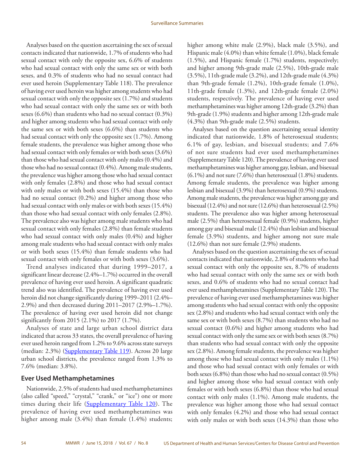Analyses based on the question ascertaining the sex of sexual contacts indicated that nationwide, 1.7% of students who had sexual contact with only the opposite sex, 6.6% of students who had sexual contact with only the same sex or with both sexes, and 0.3% of students who had no sexual contact had ever used heroin (Supplementary Table 118). The prevalence of having ever used heroin was higher among students who had sexual contact with only the opposite sex (1.7%) and students who had sexual contact with only the same sex or with both sexes (6.6%) than students who had no sexual contact (0.3%) and higher among students who had sexual contact with only the same sex or with both sexes (6.6%) than students who had sexual contact with only the opposite sex (1.7%). Among female students, the prevalence was higher among those who had sexual contact with only females or with both sexes (3.6%) than those who had sexual contact with only males (0.4%) and those who had no sexual contact (0.4%). Among male students, the prevalence was higher among those who had sexual contact with only females (2.8%) and those who had sexual contact with only males or with both sexes (15.4%) than those who had no sexual contact (0.2%) and higher among those who had sexual contact with only males or with both sexes (15.4%) than those who had sexual contact with only females (2.8%). The prevalence also was higher among male students who had sexual contact with only females (2.8%) than female students who had sexual contact with only males (0.4%) and higher among male students who had sexual contact with only males or with both sexes (15.4%) than female students who had sexual contact with only females or with both sexes (3.6%).

Trend analyses indicated that during 1999–2017, a significant linear decrease (2.4%–1.7%) occurred in the overall prevalence of having ever used heroin. A significant quadratic trend also was identified. The prevalence of having ever used heroin did not change significantly during 1999–2011 (2.4%– 2.9%) and then decreased during 2011–2017 (2.9%–1.7%). The prevalence of having ever used heroin did not change significantly from 2015 (2.1%) to 2017 (1.7%).

Analyses of state and large urban school district data indicated that across 33 states, the overall prevalence of having ever used heroin ranged from 1.2% to 9.6% across state surveys (median: 2.3%) [\(Supplementary Table 119\)](https://www.cdc.gov/healthyyouth/data/yrbs/2017_tables/alcohol_and_drug_use.htm#t119_down). Across 20 large urban school districts, the prevalence ranged from 1.3% to 7.6% (median: 3.8%).

### **Ever Used Methamphetamines**

Nationwide, 2.5% of students had used methamphetamines (also called "speed," "crystal," "crank," or "ice") one or more times during their life ([Supplementary Table 120\)](https://www.cdc.gov/healthyyouth/data/yrbs/2017_tables/alcohol_and_drug_use.htm#t120_down). The prevalence of having ever used methamphetamines was higher among male (3.4%) than female (1.4%) students; higher among white male (2.9%), black male (3.5%), and Hispanic male (4.0%) than white female (1.0%), black female (1.5%), and Hispanic female (1.7%) students, respectively; and higher among 9th-grade male (2.5%), 10th-grade male (3.5%), 11th-grade male (3.2%), and 12th-grade male (4.3%) than 9th-grade female (1.2%), 10th-grade female (1.0%), 11th-grade female (1.3%), and 12th-grade female (2.0%) students, respectively. The prevalence of having ever used methamphetamines was higher among 12th-grade (3.2%) than 9th-grade (1.9%) students and higher among 12th-grade male (4.3%) than 9th-grade male (2.5%) students.

Analyses based on the question ascertaining sexual identity indicated that nationwide, 1.8% of heterosexual students; 6.1% of gay, lesbian, and bisexual students; and 7.6% of not sure students had ever used methamphetamines (Supplementary Table 120). The prevalence of having ever used methamphetamines was higher among gay, lesbian, and bisexual (6.1%) and not sure (7.6%) than heterosexual (1.8%) students. Among female students, the prevalence was higher among lesbian and bisexual (3.9%) than heterosexual (0.9%) students. Among male students, the prevalence was higher among gay and bisexual (12.4%) and not sure (12.6%) than heterosexual (2.5%) students. The prevalence also was higher among heterosexual male (2.5%) than heterosexual female (0.9%) students, higher among gay and bisexual male (12.4%) than lesbian and bisexual female (3.9%) students, and higher among not sure male (12.6%) than not sure female (2.9%) students.

Analyses based on the question ascertaining the sex of sexual contacts indicated that nationwide, 2.8% of students who had sexual contact with only the opposite sex, 8.7% of students who had sexual contact with only the same sex or with both sexes, and 0.6% of students who had no sexual contact had ever used methamphetamines (Supplementary Table 120). The prevalence of having ever used methamphetamines was higher among students who had sexual contact with only the opposite sex (2.8%) and students who had sexual contact with only the same sex or with both sexes (8.7%) than students who had no sexual contact (0.6%) and higher among students who had sexual contact with only the same sex or with both sexes (8.7%) than students who had sexual contact with only the opposite sex (2.8%). Among female students, the prevalence was higher among those who had sexual contact with only males (1.1%) and those who had sexual contact with only females or with both sexes (6.8%) than those who had no sexual contact (0.5%) and higher among those who had sexual contact with only females or with both sexes (6.8%) than those who had sexual contact with only males (1.1%). Among male students, the prevalence was higher among those who had sexual contact with only females (4.2%) and those who had sexual contact with only males or with both sexes (14.3%) than those who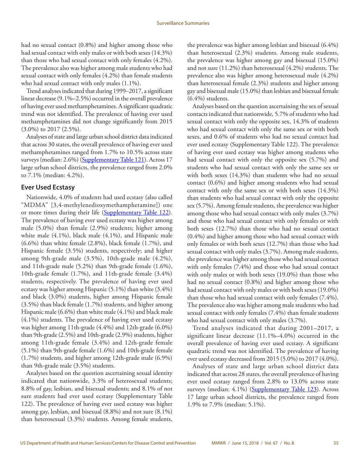had no sexual contact (0.8%) and higher among those who had sexual contact with only males or with both sexes (14.3%) than those who had sexual contact with only females (4.2%). The prevalence also was higher among male students who had sexual contact with only females (4.2%) than female students who had sexual contact with only males (1.1%).

Trend analyses indicated that during 1999–2017, a significant linear decrease (9.1%–2.5%) occurred in the overall prevalence of having ever used methamphetamines. A significant quadratic trend was not identified. The prevalence of having ever used methamphetamines did not change significantly from 2015 (3.0%) to 2017 (2.5%).

Analyses of state and large urban school district data indicated that across 30 states, the overall prevalence of having ever used methamphetamines ranged from 1.7% to 10.5% across state surveys (median: 2.6%) [\(Supplementary Table 121](https://www.cdc.gov/healthyyouth/data/yrbs/2017_tables/alcohol_and_drug_use.htm#t121_down)). Across 17 large urban school districts, the prevalence ranged from 2.0% to 7.1% (median: 4.2%).

#### **Ever Used Ecstasy**

Nationwide, 4.0% of students had used ecstasy (also called "MDMA" [3,4-methylenedioxymethamphetamine]) one or more times during their life [\(Supplementary Table 122](https://www.cdc.gov/healthyyouth/data/yrbs/2017_tables/alcohol_and_drug_use.htm#t122_down)). The prevalence of having ever used ecstasy was higher among male (5.0%) than female (2.9%) students; higher among white male (4.1%), black male (4.1%), and Hispanic male (6.6%) than white female (2.8%), black female (1.7%), and Hispanic female (3.5%) students, respectively; and higher among 9th-grade male (3.5%), 10th-grade male (4.2%), and 11th-grade male (5.2%) than 9th-grade female (1.6%), 10th-grade female (1.7%), and 11th-grade female (3.4%) students, respectively. The prevalence of having ever used ecstasy was higher among Hispanic (5.1%) than white (3.4%) and black (3.0%) students, higher among Hispanic female (3.5%) than black female (1.7%) students, and higher among Hispanic male (6.6%) than white male (4.1%) and black male (4.1%) students. The prevalence of having ever used ecstasy was higher among 11th-grade (4.4%) and 12th-grade (6.0%) than 9th-grade (2.5%) and 10th-grade (2.9%) students, higher among 11th-grade female (3.4%) and 12th-grade female (5.1%) than 9th-grade female (1.6%) and 10th-grade female (1.7%) students, and higher among 12th-grade male (6.9%) than 9th-grade male (3.5%) students.

Analyses based on the question ascertaining sexual identity indicated that nationwide, 3.3% of heterosexual students; 8.8% of gay, lesbian, and bisexual students; and 8.1% of not sure students had ever used ecstasy (Supplementary Table 122). The prevalence of having ever used ecstasy was higher among gay, lesbian, and bisexual (8.8%) and not sure (8.1%) than heterosexual (3.3%) students. Among female students,

the prevalence was higher among lesbian and bisexual (6.4%) than heterosexual (2.3%) students. Among male students, the prevalence was higher among gay and bisexual (15.0%) and not sure (11.2%) than heterosexual (4.2%) students. The prevalence also was higher among heterosexual male (4.2%) than heterosexual female (2.3%) students and higher among gay and bisexual male (15.0%) than lesbian and bisexual female (6.4%) students.

Analyses based on the question ascertaining the sex of sexual contacts indicated that nationwide, 5.7% of students who had sexual contact with only the opposite sex, 14.3% of students who had sexual contact with only the same sex or with both sexes, and 0.6% of students who had no sexual contact had ever used ecstasy (Supplementary Table 122). The prevalence of having ever used ecstasy was higher among students who had sexual contact with only the opposite sex (5.7%) and students who had sexual contact with only the same sex or with both sexes (14.3%) than students who had no sexual contact (0.6%) and higher among students who had sexual contact with only the same sex or with both sexes (14.3%) than students who had sexual contact with only the opposite sex (5.7%). Among female students, the prevalence was higher among those who had sexual contact with only males (3.7%) and those who had sexual contact with only females or with both sexes (12.7%) than those who had no sexual contact (0.4%) and higher among those who had sexual contact with only females or with both sexes (12.7%) than those who had sexual contact with only males (3.7%). Among male students, the prevalence was higher among those who had sexual contact with only females (7.4%) and those who had sexual contact with only males or with both sexes (19.0%) than those who had no sexual contact (0.8%) and higher among those who had sexual contact with only males or with both sexes (19.0%) than those who had sexual contact with only females (7.4%). The prevalence also was higher among male students who had sexual contact with only females (7.4%) than female students who had sexual contact with only males (3.7%).

Trend analyses indicated that during 2001–2017, a significant linear decrease (11.1%–4.0%) occurred in the overall prevalence of having ever used ecstasy. A significant quadratic trend was not identified. The prevalence of having ever used ecstasy decreased from 2015 (5.0%) to 2017 (4.0%).

Analyses of state and large urban school district data indicated that across 28 states, the overall prevalence of having ever used ecstasy ranged from 2.8% to 13.0% across state surveys (median: 4.1%) [\(Supplementary Table 123\)](https://www.cdc.gov/healthyyouth/data/yrbs/2017_tables/alcohol_and_drug_use.htm#t123_down). Across 17 large urban school districts, the prevalence ranged from 1.9% to 7.9% (median: 5.1%).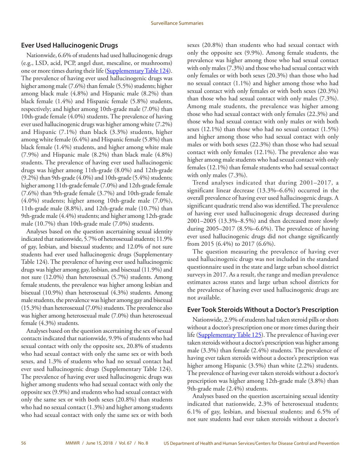### **Ever Used Hallucinogenic Drugs**

Nationwide, 6.6% of students had used hallucinogenic drugs (e.g., LSD, acid, PCP, angel dust, mescaline, or mushrooms) one or more times during their life ([Supplementary Table 124](https://www.cdc.gov/healthyyouth/data/yrbs/2017_tables/alcohol_and_drug_use.htm#t124_down)). The prevalence of having ever used hallucinogenic drugs was higher among male (7.6%) than female (5.5%) students; higher among black male (4.8%) and Hispanic male (8.2%) than black female (1.4%) and Hispanic female (5.8%) students, respectively; and higher among 10th-grade male (7.0%) than 10th-grade female (4.0%) students. The prevalence of having ever used hallucinogenic drugs was higher among white (7.2%) and Hispanic (7.1%) than black (3.3%) students, higher among white female (6.4%) and Hispanic female (5.8%) than black female (1.4%) students, and higher among white male (7.9%) and Hispanic male (8.2%) than black male (4.8%) students. The prevalence of having ever used hallucinogenic drugs was higher among 11th-grade (8.0%) and 12th-grade (9.2%) than 9th-grade (4.0%) and 10th-grade (5.4%) students; higher among 11th-grade female (7.0%) and 12th-grade female (7.6%) than 9th-grade female (3.7%) and 10th-grade female (4.0%) students; higher among 10th-grade male (7.0%), 11th-grade male (8.8%), and 12th-grade male (10.7%) than 9th-grade male (4.4%) students; and higher among 12th-grade male (10.7%) than 10th-grade male (7.0%) students.

Analyses based on the question ascertaining sexual identity indicated that nationwide, 5.7% of heterosexual students; 11.9% of gay, lesbian, and bisexual students; and 12.0% of not sure students had ever used hallucinogenic drugs (Supplementary Table 124). The prevalence of having ever used hallucinogenic drugs was higher among gay, lesbian, and bisexual (11.9%) and not sure (12.0%) than heterosexual (5.7%) students. Among female students, the prevalence was higher among lesbian and bisexual (10.9%) than heterosexual (4.3%) students. Among male students, the prevalence was higher among gay and bisexual (15.3%) than heterosexual (7.0%) students. The prevalence also was higher among heterosexual male (7.0%) than heterosexual female (4.3%) students.

Analyses based on the question ascertaining the sex of sexual contacts indicated that nationwide, 9.9% of students who had sexual contact with only the opposite sex, 20.8% of students who had sexual contact with only the same sex or with both sexes, and 1.3% of students who had no sexual contact had ever used hallucinogenic drugs (Supplementary Table 124). The prevalence of having ever used hallucinogenic drugs was higher among students who had sexual contact with only the opposite sex (9.9%) and students who had sexual contact with only the same sex or with both sexes (20.8%) than students who had no sexual contact (1.3%) and higher among students who had sexual contact with only the same sex or with both

sexes (20.8%) than students who had sexual contact with only the opposite sex (9.9%). Among female students, the prevalence was higher among those who had sexual contact with only males (7.3%) and those who had sexual contact with only females or with both sexes (20.3%) than those who had no sexual contact (1.1%) and higher among those who had sexual contact with only females or with both sexes (20.3%) than those who had sexual contact with only males (7.3%). Among male students, the prevalence was higher among those who had sexual contact with only females (22.3%) and those who had sexual contact with only males or with both sexes (12.1%) than those who had no sexual contact (1.5%) and higher among those who had sexual contact with only males or with both sexes (22.3%) than those who had sexual contact with only females (12.1%). The prevalence also was higher among male students who had sexual contact with only females (12.1%) than female students who had sexual contact with only males (7.3%).

Trend analyses indicated that during 2001–2017, a significant linear decrease (13.3%–6.6%) occurred in the overall prevalence of having ever used hallucinogenic drugs. A significant quadratic trend also was identified. The prevalence of having ever used hallucinogenic drugs decreased during 2001–2005 (13.3%–8.5%) and then decreased more slowly during 2005–2017 (8.5%–6.6%). The prevalence of having ever used hallucinogenic drugs did not change significantly from 2015 (6.4%) to 2017 (6.6%).

The question measuring the prevalence of having ever used hallucinogenic drugs was not included in the standard questionnaire used in the state and large urban school district surveys in 2017. As a result, the range and median prevalence estimates across states and large urban school districts for the prevalence of having ever used hallucinogenic drugs are not available.

#### **Ever Took Steroids Without a Doctor's Prescription**

Nationwide, 2.9% of students had taken steroid pills or shots without a doctor's prescription one or more times during their life [\(Supplementary Table 125\)](https://www.cdc.gov/healthyyouth/data/yrbs/2017_tables/alcohol_and_drug_use.htm#t125_down). The prevalence of having ever taken steroids without a doctor's prescription was higher among male (3.3%) than female (2.4%) students. The prevalence of having ever taken steroids without a doctor's prescription was higher among Hispanic (3.5%) than white (2.2%) students. The prevalence of having ever taken steroids without a doctor's prescription was higher among 12th-grade male (3.8%) than 9th-grade male (2.4%) students.

Analyses based on the question ascertaining sexual identity indicated that nationwide, 2.3% of heterosexual students; 6.1% of gay, lesbian, and bisexual students; and 6.5% of not sure students had ever taken steroids without a doctor's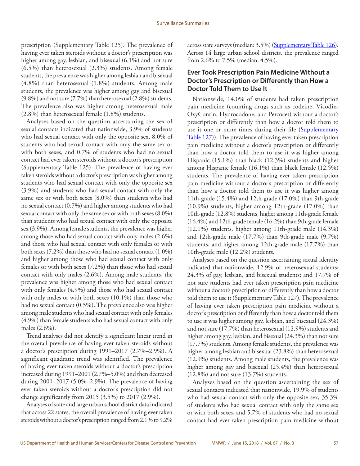prescription (Supplementary Table 125). The prevalence of having ever taken steroids without a doctor's prescription was higher among gay, lesbian, and bisexual (6.1%) and not sure (6.5%) than heterosexual (2.3%) students. Among female students, the prevalence was higher among lesbian and bisexual (4.8%) than heterosexual (1.8%) students. Among male students, the prevalence was higher among gay and bisexual (9.8%) and not sure (7.7%) than heterosexual (2.8%) students. The prevalence also was higher among heterosexual male (2.8%) than heterosexual female (1.8%) students.

Analyses based on the question ascertaining the sex of sexual contacts indicated that nationwide, 3.9% of students who had sexual contact with only the opposite sex, 8.0% of students who had sexual contact with only the same sex or with both sexes, and 0.7% of students who had no sexual contact had ever taken steroids without a doctor's prescription (Supplementary Table 125). The prevalence of having ever taken steroids without a doctor's prescription was higher among students who had sexual contact with only the opposite sex (3.9%) and students who had sexual contact with only the same sex or with both sexes (8.0%) than students who had no sexual contact (0.7%) and higher among students who had sexual contact with only the same sex or with both sexes (8.0%) than students who had sexual contact with only the opposite sex (3.9%). Among female students, the prevalence was higher among those who had sexual contact with only males (2.6%) and those who had sexual contact with only females or with both sexes (7.2%) than those who had no sexual contact (1.0%) and higher among those who had sexual contact with only females or with both sexes (7.2%) than those who had sexual contact with only males (2.6%). Among male students, the prevalence was higher among those who had sexual contact with only females (4.9%) and those who had sexual contact with only males or with both sexes (10.1%) than those who had no sexual contact (0.5%). The prevalence also was higher among male students who had sexual contact with only females (4.9%) than female students who had sexual contact with only males (2.6%).

Trend analyses did not identify a significant linear trend in the overall prevalence of having ever taken steroids without a doctor's prescription during 1991–2017 (2.7%–2.9%). A significant quadratic trend was identified. The prevalence of having ever taken steroids without a doctor's prescription increased during 1991–2001 (2.7%–5.0%) and then decreased during 2001–2017 (5.0%–2.9%). The prevalence of having ever taken steroids without a doctor's prescription did not change significantly from 2015 (3.5%) to 2017 (2.9%).

Analyses of state and large urban school district data indicated that across 22 states, the overall prevalence of having ever taken steroids without a doctor's prescription ranged from 2.1% to 9.2% across state surveys (median: 3.5%) ([Supplementary Table 126\)](https://www.cdc.gov/healthyyouth/data/yrbs/2017_tables/alcohol_and_drug_use.htm#t126_down). Across 14 large urban school districts, the prevalence ranged from 2.6% to 7.5% (median: 4.5%).

# **Ever Took Prescription Pain Medicine Without a Doctor's Prescription or Differently than How a Doctor Told Them to Use It**

Nationwide, 14.0% of students had taken prescription pain medicine (counting drugs such as codeine, Vicodin, OxyContin, Hydrocodone, and Percocet) without a doctor's prescription or differently than how a doctor told them to use it one or more times during their life [\(Supplementary](https://www.cdc.gov/healthyyouth/data/yrbs/2017_tables/alcohol_and_drug_use.htm#t127_down) [Table 127\)](https://www.cdc.gov/healthyyouth/data/yrbs/2017_tables/alcohol_and_drug_use.htm#t127_down)). The prevalence of having ever taken prescription pain medicine without a doctor's prescription or differently than how a doctor told them to use it was higher among Hispanic (15.1%) than black (12.3%) students and higher among Hispanic female (16.1%) than black female (12.5%) students. The prevalence of having ever taken prescription pain medicine without a doctor's prescription or differently than how a doctor told them to use it was higher among 11th-grade (15.4%) and 12th-grade (17.0%) than 9th-grade (10.9%) students, higher among 12th-grade (17.0%) than 10th-grade (12.8%) students, higher among 11th-grade female (16.4%) and 12th-grade female (16.2%) than 9th-grade female (12.1%) students, higher among 11th-grade male (14.3%) and 12th-grade male (17.7%) than 9th-grade male (9.7%) students, and higher among 12th-grade male (17.7%) than 10th-grade male (12.2%) students.

Analyses based on the question ascertaining sexual identity indicated that nationwide, 12.9% of heterosexual students; 24.3% of gay, lesbian, and bisexual students; and 17.7% of not sure students had ever taken prescription pain medicine without a doctor's prescription or differently than how a doctor told them to use it (Supplementary Table 127). The prevalence of having ever taken prescription pain medicine without a doctor's prescription or differently than how a doctor told them to use it was higher among gay, lesbian, and bisexual (24.3%) and not sure (17.7%) than heterosexual (12.9%) students and higher among gay, lesbian, and bisexual (24.3%) than not sure (17.7%) students. Among female students, the prevalence was higher among lesbian and bisexual (23.8%) than heterosexual (12.9%) students. Among male students, the prevalence was higher among gay and bisexual (25.4%) than heterosexual (12.8%) and not sure (13.7%) students.

Analyses based on the question ascertaining the sex of sexual contacts indicated that nationwide, 19.9% of students who had sexual contact with only the opposite sex, 35.3% of students who had sexual contact with only the same sex or with both sexes, and 5.7% of students who had no sexual contact had ever taken prescription pain medicine without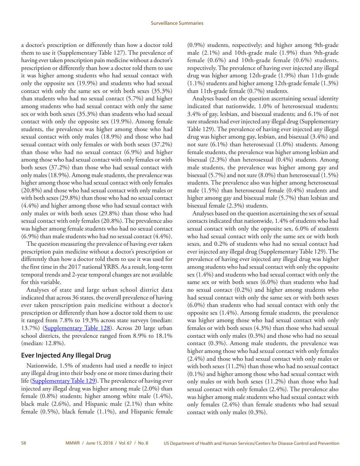a doctor's prescription or differently than how a doctor told them to use it (Supplementary Table 127). The prevalence of having ever taken prescription pain medicine without a doctor's prescription or differently than how a doctor told them to use it was higher among students who had sexual contact with only the opposite sex (19.9%) and students who had sexual contact with only the same sex or with both sexes (35.3%) than students who had no sexual contact (5.7%) and higher among students who had sexual contact with only the same sex or with both sexes (35.3%) than students who had sexual contact with only the opposite sex (19.9%). Among female students, the prevalence was higher among those who had sexual contact with only males (18.9%) and those who had sexual contact with only females or with both sexes (37.2%) than those who had no sexual contact (6.9%) and higher among those who had sexual contact with only females or with both sexes (37.2%) than those who had sexual contact with only males (18.9%). Among male students, the prevalence was higher among those who had sexual contact with only females (20.8%) and those who had sexual contact with only males or with both sexes (29.8%) than those who had no sexual contact (4.4%) and higher among those who had sexual contact with only males or with both sexes (29.8%) than those who had sexual contact with only females (20.8%). The prevalence also was higher among female students who had no sexual contact (6.9%) than male students who had no sexual contact (4.4%).

The question measuring the prevalence of having ever taken prescription pain medicine without a doctor's prescription or differently than how a doctor told them to use it was used for the first time in the 2017 national YRBS. As a result, long-term temporal trends and 2-year temporal changes are not available for this variable.

Analyses of state and large urban school district data indicated that across 36 states, the overall prevalence of having ever taken prescription pain medicine without a doctor's prescription or differently than how a doctor told them to use it ranged from 7.8% to 19.3% across state surveys (median: 13.7%) ([Supplementary Table 128](https://www.cdc.gov/healthyyouth/data/yrbs/2017_tables/alcohol_and_drug_use.htm#t128_down)). Across 20 large urban school districts, the prevalence ranged from 8.9% to 18.1% (median: 12.8%).

# **Ever Injected Any Illegal Drug**

Nationwide, 1.5% of students had used a needle to inject any illegal drug into their body one or more times during their life ([Supplementary Table 129\)](https://www.cdc.gov/healthyyouth/data/yrbs/2017_tables/alcohol_and_drug_use.htm#t129_down). The prevalence of having ever injected any illegal drug was higher among male (2.0%) than female (0.8%) students; higher among white male (1.4%), black male (2.6%), and Hispanic male (2.1%) than white female (0.5%), black female (1.1%), and Hispanic female

(0.9%) students, respectively; and higher among 9th-grade male (2.1%) and 10th-grade male (1.9%) than 9th-grade female (0.6%) and 10th-grade female (0.6%) students, respectively. The prevalence of having ever injected any illegal drug was higher among 12th-grade (1.9%) than 11th-grade (1.1%) students and higher among 12th-grade female (1.3%) than 11th-grade female (0.7%) students.

Analyses based on the question ascertaining sexual identity indicated that nationwide, 1.0% of heterosexual students; 3.4% of gay, lesbian, and bisexual students; and 6.1% of not sure students had ever injected any illegal drug (Supplementary Table 129). The prevalence of having ever injected any illegal drug was higher among gay, lesbian, and bisexual (3.4%) and not sure (6.1%) than heterosexual (1.0%) students. Among female students, the prevalence was higher among lesbian and bisexual (2.3%) than heterosexual (0.4%) students. Among male students, the prevalence was higher among gay and bisexual (5.7%) and not sure (8.0%) than heterosexual (1.5%) students. The prevalence also was higher among heterosexual male (1.5%) than heterosexual female (0.4%) students and higher among gay and bisexual male (5.7%) than lesbian and bisexual female (2.3%) students.

Analyses based on the question ascertaining the sex of sexual contacts indicated that nationwide, 1.4% of students who had sexual contact with only the opposite sex, 6.0% of students who had sexual contact with only the same sex or with both sexes, and 0.2% of students who had no sexual contact had ever injected any illegal drug (Supplementary Table 129). The prevalence of having ever injected any illegal drug was higher among students who had sexual contact with only the opposite sex (1.4%) and students who had sexual contact with only the same sex or with both sexes (6.0%) than students who had no sexual contact (0.2%) and higher among students who had sexual contact with only the same sex or with both sexes (6.0%) than students who had sexual contact with only the opposite sex (1.4%). Among female students, the prevalence was higher among those who had sexual contact with only females or with both sexes (4.3%) than those who had sexual contact with only males (0.3%) and those who had no sexual contact (0.3%). Among male students, the prevalence was higher among those who had sexual contact with only females (2.4%) and those who had sexual contact with only males or with both sexes (11.2%) than those who had no sexual contact (0.1%) and higher among those who had sexual contact with only males or with both sexes (11.2%) than those who had sexual contact with only females (2.4%). The prevalence also was higher among male students who had sexual contact with only females (2.4%) than female students who had sexual contact with only males (0.3%).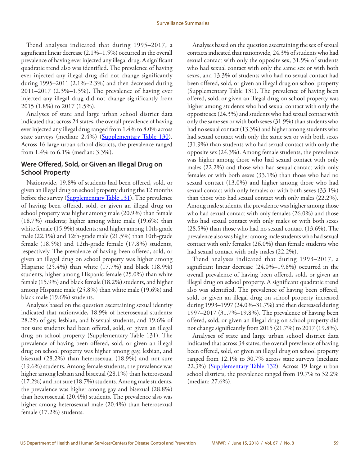Trend analyses indicated that during 1995–2017, a significant linear decrease (2.1%–1.5%) occurred in the overall prevalence of having ever injected any illegal drug. A significant quadratic trend also was identified. The prevalence of having ever injected any illegal drug did not change significantly during 1995–2011 (2.1%–2.3%) and then decreased during 2011–2017 (2.3%–1.5%). The prevalence of having ever injected any illegal drug did not change significantly from 2015 (1.8%) to 2017 (1.5%).

Analyses of state and large urban school district data indicated that across 24 states, the overall prevalence of having ever injected any illegal drug ranged from 1.4% to 8.0% across state surveys (median: 2.4%) ([Supplementary Table 130](https://www.cdc.gov/healthyyouth/data/yrbs/2017_tables/alcohol_and_drug_use.htm#t130_down)). Across 16 large urban school districts, the prevalence ranged from 1.4% to 6.1% (median: 3.3%).

### **Were Offered, Sold, or Given an Illegal Drug on School Property**

Nationwide, 19.8% of students had been offered, sold, or given an illegal drug on school property during the 12 months before the survey [\(Supplementary Table 131](https://www.cdc.gov/healthyyouth/data/yrbs/2017_tables/alcohol_and_drug_use.htm#t131_down)). The prevalence of having been offered, sold, or given an illegal drug on school property was higher among male (20.9%) than female (18.7%) students; higher among white male (19.6%) than white female (15.9%) students; and higher among 10th-grade male (22.1%) and 12th-grade male (21.5%) than 10th-grade female (18.5%) and 12th-grade female (17.8%) students, respectively. The prevalence of having been offered, sold, or given an illegal drug on school property was higher among Hispanic (25.4%) than white (17.7%) and black (18.9%) students, higher among Hispanic female (25.0%) than white female (15.9%) and black female (18.2%) students, and higher among Hispanic male (25.8%) than white male (19.6%) and black male (19.6%) students.

Analyses based on the question ascertaining sexual identity indicated that nationwide, 18.9% of heterosexual students; 28.2% of gay, lesbian, and bisexual students; and 19.6% of not sure students had been offered, sold, or given an illegal drug on school property (Supplementary Table 131). The prevalence of having been offered, sold, or given an illegal drug on school property was higher among gay, lesbian, and bisexual (28.2%) than heterosexual (18.9%) and not sure (19.6%) students. Among female students, the prevalence was higher among lesbian and bisexual (28.1%) than heterosexual (17.2%) and not sure (18.7%) students. Among male students, the prevalence was higher among gay and bisexual (28.8%) than heterosexual (20.4%) students. The prevalence also was higher among heterosexual male (20.4%) than heterosexual female (17.2%) students.

Analyses based on the question ascertaining the sex of sexual contacts indicated that nationwide, 24.3% of students who had sexual contact with only the opposite sex, 31.9% of students who had sexual contact with only the same sex or with both sexes, and 13.3% of students who had no sexual contact had been offered, sold, or given an illegal drug on school property (Supplementary Table 131). The prevalence of having been offered, sold, or given an illegal drug on school property was higher among students who had sexual contact with only the opposite sex (24.3%) and students who had sexual contact with only the same sex or with both sexes (31.9%) than students who had no sexual contact (13.3%) and higher among students who had sexual contact with only the same sex or with both sexes (31.9%) than students who had sexual contact with only the opposite sex (24.3%). Among female students, the prevalence was higher among those who had sexual contact with only males (22.2%) and those who had sexual contact with only females or with both sexes (33.1%) than those who had no sexual contact (13.0%) and higher among those who had sexual contact with only females or with both sexes (33.1%) than those who had sexual contact with only males (22.2%). Among male students, the prevalence was higher among those who had sexual contact with only females (26.0%) and those who had sexual contact with only males or with both sexes (28.5%) than those who had no sexual contact (13.6%). The prevalence also was higher among male students who had sexual contact with only females (26.0%) than female students who had sexual contact with only males (22.2%).

Trend analyses indicated that during 1993–2017, a significant linear decrease (24.0%–19.8%) occurred in the overall prevalence of having been offered, sold, or given an illegal drug on school property. A significant quadratic trend also was identified. The prevalence of having been offered, sold, or given an illegal drug on school property increased during 1993–1997 (24.0%–31.7%) and then decreased during 1997–2017 (31.7%–19.8%). The prevalence of having been offered, sold, or given an illegal drug on school property did not change significantly from 2015 (21.7%) to 2017 (19.8%).

Analyses of state and large urban school district data indicated that across 34 states, the overall prevalence of having been offered, sold, or given an illegal drug on school property ranged from 12.1% to 30.7% across state surveys (median: 22.3%) [\(Supplementary Table 132\)](https://www.cdc.gov/healthyyouth/data/yrbs/2017_tables/alcohol_and_drug_use.htm#t132_down). Across 19 large urban school districts, the prevalence ranged from 19.7% to 32.2% (median: 27.6%).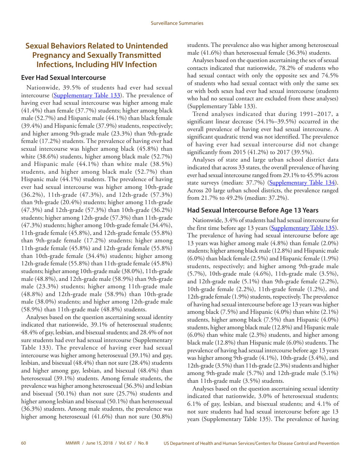# **Sexual Behaviors Related to Unintended Pregnancy and Sexually Transmitted Infections, Including HIV Infection**

# **Ever Had Sexual Intercourse**

Nationwide, 39.5% of students had ever had sexual intercourse [\(Supplementary Table 133\)](https://www.cdc.gov/healthyyouth/data/yrbs/2017_tables/sexual_behaviors.htm#t133_down). The prevalence of having ever had sexual intercourse was higher among male (41.4%) than female (37.7%) students; higher among black male (52.7%) and Hispanic male (44.1%) than black female (39.4%) and Hispanic female (37.9%) students, respectively; and higher among 9th-grade male (23.3%) than 9th-grade female (17.2%) students. The prevalence of having ever had sexual intercourse was higher among black (45.8%) than white (38.6%) students, higher among black male (52.7%) and Hispanic male (44.1%) than white male (38.5%) students, and higher among black male (52.7%) than Hispanic male (44.1%) students. The prevalence of having ever had sexual intercourse was higher among 10th-grade (36.2%), 11th-grade (47.3%), and 12th-grade (57.3%) than 9th-grade (20.4%) students; higher among 11th-grade (47.3%) and 12th-grade (57.3%) than 10th-grade (36.2%) students; higher among 12th-grade (57.3%) than 11th-grade (47.3%) students; higher among 10th-grade female (34.4%), 11th-grade female (45.8%), and 12th-grade female (55.8%) than 9th-grade female (17.2%) students; higher among 11th-grade female (45.8%) and 12th-grade female (55.8%) than 10th-grade female (34.4%) students; higher among 12th-grade female (55.8%) than 11th-grade female (45.8%) students; higher among 10th-grade male (38.0%), 11th-grade male (48.8%), and 12th-grade male (58.9%) than 9th-grade male (23.3%) students; higher among 11th-grade male (48.8%) and 12th-grade male (58.9%) than 10th-grade male (38.0%) students; and higher among 12th-grade male (58.9%) than 11th-grade male (48.8%) students.

Analyses based on the question ascertaining sexual identity indicated that nationwide, 39.1% of heterosexual students; 48.4% of gay, lesbian, and bisexual students; and 28.4% of not sure students had ever had sexual intercourse (Supplementary Table 133). The prevalence of having ever had sexual intercourse was higher among heterosexual (39.1%) and gay, lesbian, and bisexual (48.4%) than not sure (28.4%) students and higher among gay, lesbian, and bisexual (48.4%) than heterosexual (39.1%) students. Among female students, the prevalence was higher among heterosexual (36.3%) and lesbian and bisexual (50.1%) than not sure (25.7%) students and higher among lesbian and bisexual (50.1%) than heterosexual (36.3%) students. Among male students, the prevalence was higher among heterosexual (41.6%) than not sure (30.8%)

students. The prevalence also was higher among heterosexual male (41.6%) than heterosexual female (36.3%) students.

Analyses based on the question ascertaining the sex of sexual contacts indicated that nationwide, 78.2% of students who had sexual contact with only the opposite sex and 74.5% of students who had sexual contact with only the same sex or with both sexes had ever had sexual intercourse (students who had no sexual contact are excluded from these analyses) (Supplementary Table 133).

Trend analyses indicated that during 1991–2017, a significant linear decrease (54.1%–39.5%) occurred in the overall prevalence of having ever had sexual intercourse. A significant quadratic trend was not identified. The prevalence of having ever had sexual intercourse did not change significantly from 2015 (41.2%) to 2017 (39.5%).

Analyses of state and large urban school district data indicated that across 33 states, the overall prevalence of having ever had sexual intercourse ranged from 29.1% to 45.9% across state surveys (median: 37.7%) [\(Supplementary Table 134\)](https://www.cdc.gov/healthyyouth/data/yrbs/2017_tables/sexual_behaviors.htm#t134_down). Across 20 large urban school districts, the prevalence ranged from 21.7% to 49.2% (median: 37.2%).

# **Had Sexual Intercourse Before Age 13 Years**

Nationwide, 3.4% of students had had sexual intercourse for the first time before age 13 years [\(Supplementary Table 135\)](https://www.cdc.gov/healthyyouth/data/yrbs/2017_tables/sexual_behaviors.htm#t135_down). The prevalence of having had sexual intercourse before age 13 years was higher among male (4.8%) than female (2.0%) students; higher among black male (12.8%) and Hispanic male (6.0%) than black female (2.5%) and Hispanic female (1.9%) students, respectively; and higher among 9th-grade male (5.7%), 10th-grade male (4.6%), 11th-grade male (3.5%), and 12th-grade male (5.1%) than 9th-grade female (2.2%), 10th-grade female (2.2%), 11th-grade female (1.2%), and 12th-grade female (1.9%) students, respectively. The prevalence of having had sexual intercourse before age 13 years was higher among black (7.5%) and Hispanic (4.0%) than white (2.1%) students, higher among black (7.5%) than Hispanic (4.0%) students, higher among black male (12.8%) and Hispanic male (6.0%) than white male (2.3%) students, and higher among black male (12.8%) than Hispanic male (6.0%) students. The prevalence of having had sexual intercourse before age 13 years was higher among 9th-grade (4.1%), 10th-grade (3.4%), and 12th-grade (3.5%) than 11th-grade (2.3%) students and higher among 9th-grade male (5.7%) and 12th-grade male (5.1%) than 11th-grade male (3.5%) students.

Analyses based on the question ascertaining sexual identity indicated that nationwide, 3.0% of heterosexual students; 6.1% of gay, lesbian, and bisexual students; and 4.1% of not sure students had had sexual intercourse before age 13 years (Supplementary Table 135). The prevalence of having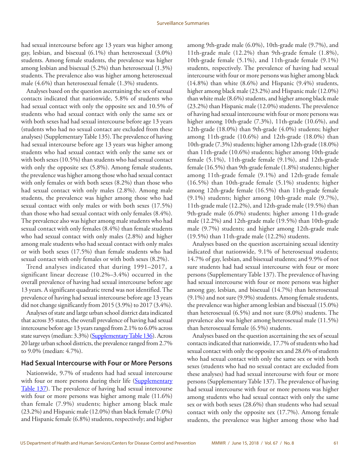had sexual intercourse before age 13 years was higher among gay, lesbian, and bisexual (6.1%) than heterosexual (3.0%) students. Among female students, the prevalence was higher among lesbian and bisexual (5.2%) than heterosexual (1.3%) students. The prevalence also was higher among heterosexual male (4.6%) than heterosexual female (1.3%) students.

Analyses based on the question ascertaining the sex of sexual contacts indicated that nationwide, 5.8% of students who had sexual contact with only the opposite sex and 10.5% of students who had sexual contact with only the same sex or with both sexes had had sexual intercourse before age 13 years (students who had no sexual contact are excluded from these analyses) (Supplementary Table 135). The prevalence of having had sexual intercourse before age 13 years was higher among students who had sexual contact with only the same sex or with both sexes (10.5%) than students who had sexual contact with only the opposite sex (5.8%). Among female students, the prevalence was higher among those who had sexual contact with only females or with both sexes (8.2%) than those who had sexual contact with only males (2.8%). Among male students, the prevalence was higher among those who had sexual contact with only males or with both sexes (17.5%) than those who had sexual contact with only females (8.4%). The prevalence also was higher among male students who had sexual contact with only females (8.4%) than female students who had sexual contact with only males (2.8%) and higher among male students who had sexual contact with only males or with both sexes (17.5%) than female students who had sexual contact with only females or with both sexes (8.2%).

Trend analyses indicated that during 1991–2017, a significant linear decrease (10.2%–3.4%) occurred in the overall prevalence of having had sexual intercourse before age 13 years. A significant quadratic trend was not identified. The prevalence of having had sexual intercourse before age 13 years did not change significantly from 2015 (3.9%) to 2017 (3.4%).

Analyses of state and large urban school district data indicated that across 35 states, the overall prevalence of having had sexual intercourse before age 13 years ranged from 2.1% to 6.0% across state surveys (median: 3.3%) [\(Supplementary Table 136](https://www.cdc.gov/healthyyouth/data/yrbs/2017_tables/sexual_behaviors.htm#t136_down)). Across 20 large urban school districts, the prevalence ranged from 2.7% to 9.0% (median: 4.7%).

# **Had Sexual Intercourse with Four or More Persons**

Nationwide, 9.7% of students had had sexual intercourse with four or more persons during their life [\(Supplementary](https://www.cdc.gov/healthyyouth/data/yrbs/2017_tables/sexual_behaviors.htm#t137_down) [Table 137\)](https://www.cdc.gov/healthyyouth/data/yrbs/2017_tables/sexual_behaviors.htm#t137_down). The prevalence of having had sexual intercourse with four or more persons was higher among male (11.6%) than female (7.9%) students; higher among black male (23.2%) and Hispanic male (12.0%) than black female (7.0%) and Hispanic female (6.8%) students, respectively; and higher

among 9th-grade male (6.0%), 10th-grade male (9.7%), and 11th-grade male (12.2%) than 9th-grade female (1.8%), 10th-grade female (5.1%), and 11th-grade female (9.1%) students, respectively. The prevalence of having had sexual intercourse with four or more persons was higher among black (14.8%) than white (8.6%) and Hispanic (9.4%) students, higher among black male (23.2%) and Hispanic male (12.0%) than white male (8.6%) students, and higher among black male (23.2%) than Hispanic male (12.0%) students. The prevalence of having had sexual intercourse with four or more persons was higher among 10th-grade (7.3%), 11th-grade (10.6%), and 12th-grade (18.0%) than 9th-grade (4.0%) students; higher among 11th-grade (10.6%) and 12th-grade (18.0%) than 10th-grade (7.3%) students; higher among 12th-grade (18.0%) than 11th-grade (10.6%) students; higher among 10th-grade female (5.1%), 11th-grade female (9.1%), and 12th-grade female (16.5%) than 9th-grade female (1.8%) students; higher among 11th-grade female (9.1%) and 12th-grade female (16.5%) than 10th-grade female (5.1%) students; higher among 12th-grade female (16.5%) than 11th-grade female (9.1%) students; higher among 10th-grade male (9.7%), 11th-grade male (12.2%), and 12th-grade male (19.5%) than 9th-grade male (6.0%) students; higher among 11th-grade male (12.2%) and 12th-grade male (19.5%) than 10th-grade male (9.7%) students; and higher among 12th-grade male (19.5%) than 11th-grade male (12.2%) students.

Analyses based on the question ascertaining sexual identity indicated that nationwide, 9.1% of heterosexual students; 14.7% of gay, lesbian, and bisexual students; and 9.9% of not sure students had had sexual intercourse with four or more persons (Supplementary Table 137). The prevalence of having had sexual intercourse with four or more persons was higher among gay, lesbian, and bisexual (14.7%) than heterosexual (9.1%) and not sure (9.9%) students. Among female students, the prevalence was higher among lesbian and bisexual (15.0%) than heterosexual (6.5%) and not sure (8.0%) students. The prevalence also was higher among heterosexual male (11.5%) than heterosexual female (6.5%) students.

Analyses based on the question ascertaining the sex of sexual contacts indicated that nationwide, 17.7% of students who had sexual contact with only the opposite sex and 28.6% of students who had sexual contact with only the same sex or with both sexes (students who had no sexual contact are excluded from these analyses) had had sexual intercourse with four or more persons (Supplementary Table 137). The prevalence of having had sexual intercourse with four or more persons was higher among students who had sexual contact with only the same sex or with both sexes (28.6%) than students who had sexual contact with only the opposite sex (17.7%). Among female students, the prevalence was higher among those who had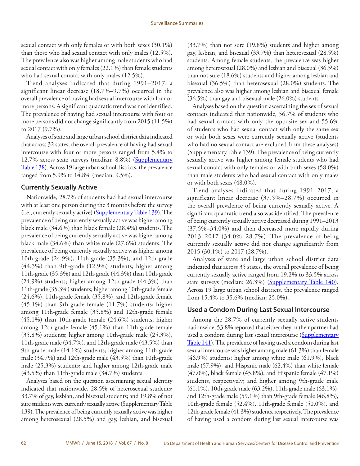sexual contact with only females or with both sexes (30.1%) than those who had sexual contact with only males (12.5%). The prevalence also was higher among male students who had sexual contact with only females (22.1%) than female students who had sexual contact with only males (12.5%).

Trend analyses indicated that during 1991–2017, a significant linear decrease (18.7%–9.7%) occurred in the overall prevalence of having had sexual intercourse with four or more persons. A significant quadratic trend was not identified. The prevalence of having had sexual intercourse with four or more persons did not change significantly from 2015 (11.5%) to 2017 (9.7%).

Analyses of state and large urban school district data indicated that across 32 states, the overall prevalence of having had sexual intercourse with four or more persons ranged from 5.4% to 12.7% across state surveys (median: 8.8%) ([Supplementary](https://www.cdc.gov/healthyyouth/data/yrbs/2017_tables/sexual_behaviors.htm#t138_down) [Table 138](https://www.cdc.gov/healthyyouth/data/yrbs/2017_tables/sexual_behaviors.htm#t138_down)). Across 19 large urban school districts, the prevalence ranged from 5.9% to 14.8% (median: 9.5%).

### **Currently Sexually Active**

Nationwide, 28.7% of students had had sexual intercourse with at least one person during the 3 months before the survey (i.e., currently sexually active) [\(Supplementary Table 139\)](https://www.cdc.gov/healthyyouth/data/yrbs/2017_tables/sexual_behaviors.htm#t139_down). The prevalence of being currently sexually active was higher among black male (34.6%) than black female (28.4%) students. The prevalence of being currently sexually active was higher among black male (34.6%) than white male (27.6%) students. The prevalence of being currently sexually active was higher among 10th-grade (24.9%), 11th-grade (35.3%), and 12th-grade (44.3%) than 9th-grade (12.9%) students; higher among 11th-grade (35.3%) and 12th-grade (44.3%) than 10th-grade (24.9%) students; higher among 12th-grade (44.3%) than 11th-grade (35.3%) students; higher among 10th-grade female (24.6%), 11th-grade female (35.8%), and 12th-grade female (45.1%) than 9th-grade female (11.7%) students; higher among 11th-grade female (35.8%) and 12th-grade female (45.1%) than 10th-grade female (24.6%) students; higher among 12th-grade female (45.1%) than 11th-grade female (35.8%) students; higher among 10th-grade male (25.3%), 11th-grade male (34.7%), and 12th-grade male (43.5%) than 9th-grade male (14.1%) students; higher among 11th-grade male (34.7%) and 12th-grade male (43.5%) than 10th-grade male (25.3%) students; and higher among 12th-grade male (43.5%) than 11th-grade male (34.7%) students.

Analyses based on the question ascertaining sexual identity indicated that nationwide, 28.5% of heterosexual students; 33.7% of gay, lesbian, and bisexual students; and 19.8% of not sure students were currently sexually active (Supplementary Table 139). The prevalence of being currently sexually active was higher among heterosexual (28.5%) and gay, lesbian, and bisexual

(33.7%) than not sure (19.8%) students and higher among gay, lesbian, and bisexual (33.7%) than heterosexual (28.5%) students. Among female students, the prevalence was higher among heterosexual (28.0%) and lesbian and bisexual (36.5%) than not sure (18.6%) students and higher among lesbian and bisexual (36.5%) than heterosexual (28.0%) students. The prevalence also was higher among lesbian and bisexual female (36.5%) than gay and bisexual male (26.0%) students.

Analyses based on the question ascertaining the sex of sexual contacts indicated that nationwide, 56.7% of students who had sexual contact with only the opposite sex and 55.6% of students who had sexual contact with only the same sex or with both sexes were currently sexually active (students who had no sexual contact are excluded from these analyses) (Supplementary Table 139). The prevalence of being currently sexually active was higher among female students who had sexual contact with only females or with both sexes (58.0%) than male students who had sexual contact with only males or with both sexes (48.0%).

Trend analyses indicated that during 1991–2017, a significant linear decrease (37.5%–28.7%) occurred in the overall prevalence of being currently sexually active. A significant quadratic trend also was identified. The prevalence of being currently sexually active decreased during 1991–2013 (37.5%–34.0%) and then decreased more rapidly during 2013–2017 (34.0%–28.7%). The prevalence of being currently sexually active did not change significantly from 2015 (30.1%) to 2017 (28.7%).

Analyses of state and large urban school district data indicated that across 35 states, the overall prevalence of being currently sexually active ranged from 19.2% to 33.5% across state surveys (median: 26.3%) [\(Supplementary Table 140\)](https://www.cdc.gov/healthyyouth/data/yrbs/2017_tables/sexual_behaviors.htm#t140_down). Across 19 large urban school districts, the prevalence ranged from 15.4% to 35.6% (median: 25.0%).

# **Used a Condom During Last Sexual Intercourse**

Among the 28.7% of currently sexually active students nationwide, 53.8% reported that either they or their partner had used a condom during last sexual intercourse [\(Supplementary](https://www.cdc.gov/healthyyouth/data/yrbs/2017_tables/sexual_behaviors.htm#t141_down) [Table 141](https://www.cdc.gov/healthyyouth/data/yrbs/2017_tables/sexual_behaviors.htm#t141_down)). The prevalence of having used a condom during last sexual intercourse was higher among male (61.3%) than female (46.9%) students; higher among white male (61.9%), black male (57.9%), and Hispanic male (62.4%) than white female (47.0%), black female (45.8%), and Hispanic female (47.1%) students, respectively; and higher among 9th-grade male (61.1%), 10th-grade male (63.2%), 11th-grade male (63.1%), and 12th-grade male (59.1%) than 9th-grade female (46.8%), 10th-grade female (52.4%), 11th-grade female (50.0%), and 12th-grade female (41.3%) students, respectively. The prevalence of having used a condom during last sexual intercourse was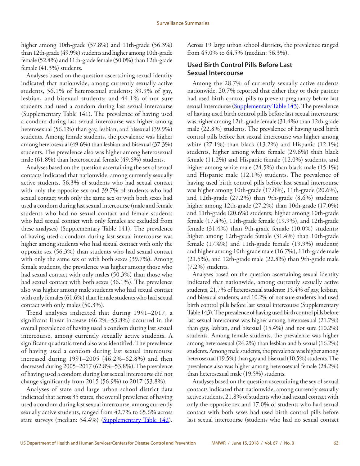higher among 10th-grade (57.8%) and 11th-grade (56.3%) than 12th-grade (49.9%) students and higher among 10th-grade female (52.4%) and 11th-grade female (50.0%) than 12th-grade female (41.3%) students.

Analyses based on the question ascertaining sexual identity indicated that nationwide, among currently sexually active students, 56.1% of heterosexual students; 39.9% of gay, lesbian, and bisexual students; and 44.1% of not sure students had used a condom during last sexual intercourse (Supplementary Table 141). The prevalence of having used a condom during last sexual intercourse was higher among heterosexual (56.1%) than gay, lesbian, and bisexual (39.9%) students. Among female students, the prevalence was higher among heterosexual (49.6%) than lesbian and bisexual (37.3%) students. The prevalence also was higher among heterosexual male (61.8%) than heterosexual female (49.6%) students.

Analyses based on the question ascertaining the sex of sexual contacts indicated that nationwide, among currently sexually active students, 56.3% of students who had sexual contact with only the opposite sex and 39.7% of students who had sexual contact with only the same sex or with both sexes had used a condom during last sexual intercourse (male and female students who had no sexual contact and female students who had sexual contact with only females are excluded from these analyses) (Supplementary Table 141). The prevalence of having used a condom during last sexual intercourse was higher among students who had sexual contact with only the opposite sex (56.3%) than students who had sexual contact with only the same sex or with both sexes (39.7%). Among female students, the prevalence was higher among those who had sexual contact with only males (50.3%) than those who had sexual contact with both sexes (36.1%). The prevalence also was higher among male students who had sexual contact with only females (61.6%) than female students who had sexual contact with only males (50.3%).

Trend analyses indicated that during 1991–2017, a significant linear increase (46.2%–53.8%) occurred in the overall prevalence of having used a condom during last sexual intercourse, among currently sexually active students. A significant quadratic trend also was identified. The prevalence of having used a condom during last sexual intercourse increased during 1991–2005 (46.2%–62.8%) and then decreased during 2005–2017 (62.8%–53.8%). The prevalence of having used a condom during last sexual intercourse did not change significantly from 2015 (56.9%) to 2017 (53.8%).

Analyses of state and large urban school district data indicated that across 35 states, the overall prevalence of having used a condom during last sexual intercourse, among currently sexually active students, ranged from 42.7% to 65.6% across state surveys (median: 54.4%) ([Supplementary Table 142](https://www.cdc.gov/healthyyouth/data/yrbs/2017_tables/sexual_behaviors.htm#t142_down)).

Across 19 large urban school districts, the prevalence ranged from 45.0% to 64.5% (median: 56.3%).

# **Used Birth Control Pills Before Last Sexual Intercourse**

Among the 28.7% of currently sexually active students nationwide, 20.7% reported that either they or their partner had used birth control pills to prevent pregnancy before last sexual intercourse [\(Supplementary Table 143\)](https://www.cdc.gov/healthyyouth/data/yrbs/2017_tables/sexual_behaviors.htm#t143_down). The prevalence of having used birth control pills before last sexual intercourse was higher among 12th-grade female (31.4%) than 12th-grade male (22.8%) students. The prevalence of having used birth control pills before last sexual intercourse was higher among white (27.1%) than black (13.2%) and Hispanic (12.1%) students, higher among white female (29.6%) than black female (11.2%) and Hispanic female (12.0%) students, and higher among white male (24.5%) than black male (15.1%) and Hispanic male (12.1%) students. The prevalence of having used birth control pills before last sexual intercourse was higher among 10th-grade (17.0%), 11th-grade (20.6%), and 12th-grade (27.2%) than 9th-grade (8.6%) students; higher among 12th-grade (27.2%) than 10th-grade (17.0%) and 11th-grade (20.6%) students; higher among 10th-grade female (17.4%), 11th-grade female (19.9%), and 12th-grade female (31.4%) than 9th-grade female (10.0%) students; higher among 12th-grade female (31.4%) than 10th-grade female (17.4%) and 11th-grade female (19.9%) students; and higher among 10th-grade male (16.7%), 11th-grade male (21.5%), and 12th-grade male (22.8%) than 9th-grade male (7.2%) students.

Analyses based on the question ascertaining sexual identity indicated that nationwide, among currently sexually active students, 21.7% of heterosexual students; 15.4% of gay, lesbian, and bisexual students; and 10.2% of not sure students had used birth control pills before last sexual intercourse (Supplementary Table 143). The prevalence of having used birth control pills before last sexual intercourse was higher among heterosexual (21.7%) than gay, lesbian, and bisexual (15.4%) and not sure (10.2%) students. Among female students, the prevalence was higher among heterosexual (24.2%) than lesbian and bisexual (16.2%) students. Among male students, the prevalence was higher among heterosexual (19.5%) than gay and bisexual (10.5%) students. The prevalence also was higher among heterosexual female (24.2%) than heterosexual male (19.5%) students.

Analyses based on the question ascertaining the sex of sexual contacts indicated that nationwide, among currently sexually active students, 21.8% of students who had sexual contact with only the opposite sex and 17.0% of students who had sexual contact with both sexes had used birth control pills before last sexual intercourse (students who had no sexual contact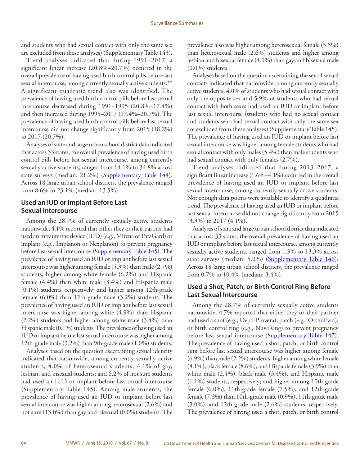and students who had sexual contact with only the same sex are excluded from these analyses) (Supplementary Table 143).

Trend analyses indicated that during 1991–2017, a significant linear increase (20.8%–20.7%) occurred in the overall prevalence of having used birth control pills before last sexual intercourse, among currently sexually active students.\*\* A significant quadratic trend also was identified. The prevalence of having used birth control pills before last sexual intercourse decreased during 1991–1995 (20.8%–17.4%) and then increased during 1995–2017 (17.4%–20.7%). The prevalence of having used birth control pills before last sexual intercourse did not change significantly from 2015 (18.2%) to 2017 (20.7%).

Analyses of state and large urban school district data indicated that across 33 states, the overall prevalence of having used birth control pills before last sexual intercourse, among currently sexually active students, ranged from 14.1% to 34.8% across state surveys (median: 21.2%) ([Supplementary Table 144](https://www.cdc.gov/healthyyouth/data/yrbs/2017_tables/sexual_behaviors.htm#t144_down)). Across 18 large urban school districts, the prevalence ranged from 8.6% to 23.1% (median: 13.5%).

# **Used an IUD or Implant Before Last Sexual Intercourse**

Among the 28.7% of currently sexually active students nationwide, 4.1% reported that either they or their partner had used an intrauterine device (IUD) (e.g., Mirena or ParaGard) or implant (e.g., Implanon or Nexplanon) to prevent pregnancy before last sexual intercourse [\(Supplementary Table 145\)](https://www.cdc.gov/healthyyouth/data/yrbs/2017_tables/sexual_behaviors.htm#t145_down). The prevalence of having used an IUD or implant before last sexual intercourse was higher among female (5.3%) than male (2.7%) students; higher among white female (6.2%) and Hispanic female (4.4%) than white male (3.4%) and Hispanic male (0.1%) students, respectively; and higher among 12th-grade female (6.0%) than 12th-grade male (3.2%) students. The prevalence of having used an IUD or implant before last sexual intercourse was higher among white (4.9%) than Hispanic (2.2%) students and higher among white male (3.4%) than Hispanic male (0.1%) students. The prevalence of having used an IUD or implant before last sexual intercourse was higher among 12th-grade male (3.2%) than 9th-grade male (1.0%) students.

Analyses based on the question ascertaining sexual identity indicated that nationwide, among currently sexually active students, 4.0% of heterosexual students; 4.1% of gay, lesbian, and bisexual students; and 6.2% of not sure students had used an IUD or implant before last sexual intercourse (Supplementary Table 145). Among male students, the prevalence of having used an IUD or implant before last sexual intercourse was higher among heterosexual (2.6%) and not sure (13.0%) than gay and bisexual (0.0%) students. The

prevalence also was higher among heterosexual female (5.5%) than heterosexual male (2.6%) students and higher among lesbian and bisexual female (4.9%) than gay and bisexual male (0.0%) students.

Analyses based on the question ascertaining the sex of sexual contacts indicated that nationwide, among currently sexually active students, 4.0% of students who had sexual contact with only the opposite sex and 5.9% of students who had sexual contact with both sexes had used an IUD or implant before last sexual intercourse (students who had no sexual contact and students who had sexual contact with only the same sex are excluded from these analyses) (Supplementary Table 145). The prevalence of having used an IUD or implant before last sexual intercourse was higher among female students who had sexual contact with only males (5.4%) than male students who had sexual contact with only females (2.7%).

Trend analyses indicated that during 2013–2017, a significant linear increase (1.6%–4.1%) occurred in the overall prevalence of having used an IUD or implant before last sexual intercourse, among currently sexually active students. Not enough data points were available to identify a quadratic trend. The prevalence of having used an IUD or implant before last sexual intercourse did not change significantly from 2015 (3.3%) to 2017 (4.1%).

Analyses of state and large urban school district data indicated that across 33 states, the overall prevalence of having used an IUD or implant before last sexual intercourse, among currently sexually active students, ranged from 1.9% to 13.3% across state surveys (median: 5.0%) ([Supplementary Table 146\)](https://www.cdc.gov/healthyyouth/data/yrbs/2017_tables/sexual_behaviors.htm#t146_down). Across 18 large urban school districts, the prevalence ranged from 0.7% to 10.4% (median: 3.4%).

# **Used a Shot, Patch, or Birth Control Ring Before Last Sexual Intercourse**

Among the 28.7% of currently sexually active students nationwide, 4.7% reported that either they or their partner had used a shot (e.g., Depo-Provera), patch (e.g., OrthoEvra), or birth control ring (e.g., NuvaRing) to prevent pregnancy before last sexual intercourse [\(Supplementary Table 147\)](https://www.cdc.gov/healthyyouth/data/yrbs/2017_tables/sexual_behaviors.htm#t147_down). The prevalence of having used a shot, patch, or birth control ring before last sexual intercourse was higher among female (6.9%) than male (2.2%) students; higher among white female (8.1%), black female (8.6%), and Hispanic female (3.9%) than white male (2.4%), black male (3.4%), and Hispanic male (1.1%) students, respectively; and higher among 10th-grade female (6.0%), 11th-grade female (7.5%), and 12th-grade female (7.3%) than 10th-grade male (0.9%), 11th-grade male (3.0%), and 12th-grade male (2.6%) students, respectively. The prevalence of having used a shot, patch, or birth control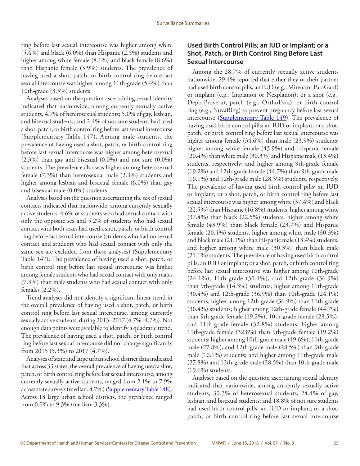ring before last sexual intercourse was higher among white (5.4%) and black (6.0%) than Hispanic (2.5%) students and higher among white female (8.1%) and black female (8.6%) than Hispanic female (3.9%) students. The prevalence of having used a shot, patch, or birth control ring before last sexual intercourse was higher among 11th-grade (5.4%) than 10th-grade (3.5%) students.

Analyses based on the question ascertaining sexual identity indicated that nationwide, among currently sexually active students, 4.7% of heterosexual students; 5.0% of gay, lesbian, and bisexual students; and 2.4% of not sure students had used a shot, patch, or birth control ring before last sexual intercourse (Supplementary Table 147). Among male students, the prevalence of having used a shot, patch, or birth control ring before last sexual intercourse was higher among heterosexual  $(2.3\%)$  than gay and bisexual  $(0.0\%)$  and not sure  $(0.0\%)$ students. The prevalence also was higher among heterosexual female (7.3%) than heterosexual male (2.3%) students and higher among lesbian and bisexual female (6.0%) than gay and bisexual male (0.0%) students.

Analyses based on the question ascertaining the sex of sexual contacts indicated that nationwide, among currently sexually active students, 4.6% of students who had sexual contact with only the opposite sex and 5.2% of students who had sexual contact with both sexes had used a shot, patch, or birth control ring before last sexual intercourse (students who had no sexual contact and students who had sexual contact with only the same sex are excluded from these analyses) (Supplementary Table 147). The prevalence of having used a shot, patch, or birth control ring before last sexual intercourse was higher among female students who had sexual contact with only males (7.3%) than male students who had sexual contact with only females (2.2%).

Trend analyses did not identify a significant linear trend in the overall prevalence of having used a shot, patch, or birth control ring before last sexual intercourse, among currently sexually active students, during 2013–2017 (4.7%–4.7%). Not enough data points were available to identify a quadratic trend. The prevalence of having used a shot, patch, or birth control ring before last sexual intercourse did not change significantly from 2015 (5.3%) to 2017 (4.7%).

Analyses of state and large urban school district data indicated that across 33 states, the overall prevalence of having used a shot, patch, or birth control ring before last sexual intercourse, among currently sexually active students, ranged from 2.1% to 7.9% across state surveys (median: 4.7%) [\(Supplementary Table 148](https://www.cdc.gov/healthyyouth/data/yrbs/2017_tables/sexual_behaviors.htm#t148_down)). Across 18 large urban school districts, the prevalence ranged from 0.0% to 9.3% (median: 3.3%).

# **Used Birth Control Pills; an IUD or Implant; or a Shot, Patch, or Birth Control Ring Before Last Sexual Intercourse**

Among the 28.7% of currently sexually active students nationwide, 29.4% reported that either they or their partner had used birth control pills; an IUD (e.g., Mirena or ParaGard) or implant (e.g., Implanon or Nexplanon); or a shot (e.g., Depo-Provera), patch (e.g., OrthoEvra), or birth control ring (e.g., NuvaRing) to prevent pregnancy before last sexual intercourse ([Supplementary Table 149\)](https://www.cdc.gov/healthyyouth/data/yrbs/2017_tables/sexual_behaviors.htm#t149_down). The prevalence of having used birth control pills; an IUD or implant; or a shot, patch, or birth control ring before last sexual intercourse was higher among female (34.6%) than male (23.9%) students; higher among white female (43.9%) and Hispanic female (20.4%) than white male (30.3%) and Hispanic male (13.4%) students, respectively; and higher among 9th-grade female (19.2%) and 12th-grade female (44.7%) than 9th-grade male (10.1%) and 12th-grade male (28.5%) students, respectively. The prevalence of having used birth control pills; an IUD or implant; or a shot, patch, or birth control ring before last sexual intercourse was higher among white (37.4%) and black (22.5%) than Hispanic (16.8%) students, higher among white (37.4%) than black (22.5%) students, higher among white female (43.9%) than black female (23.7%) and Hispanic female (20.4%) students, higher among white male (30.3%) and black male (21.1%) than Hispanic male (13.4%) students, and higher among white male (30.3%) than black male (21.1%) students. The prevalence of having used birth control pills; an IUD or implant; or a shot, patch, or birth control ring before last sexual intercourse was higher among 10th-grade (24.1%), 11th-grade (30.4%), and 12th-grade (36.9%) than 9th-grade (14.3%) students; higher among 11th-grade (30.4%) and 12th-grade (36.9%) than 10th-grade (24.1%) students; higher among 12th-grade (36.9%) than 11th-grade (30.4%) students; higher among 12th-grade female (44.7%) than 9th-grade female (19.2%), 10th-grade female (28.5%), and 11th-grade female (32.8%) students; higher among 11th-grade female (32.8%) than 9th-grade female (19.2%) students; higher among 10th-grade male (19.6%), 11th-grade male (27.8%), and 12th-grade male (28.5%) than 9th-grade male (10.1%) students; and higher among 11th-grade male (27.8%) and 12th-grade male (28.5%) than 10th-grade male (19.6%) students.

Analyses based on the question ascertaining sexual identity indicated that nationwide, among currently sexually active students, 30.3% of heterosexual students; 24.4% of gay, lesbian, and bisexual students; and 18.8% of not sure students had used birth control pills; an IUD or implant; or a shot, patch, or birth control ring before last sexual intercourse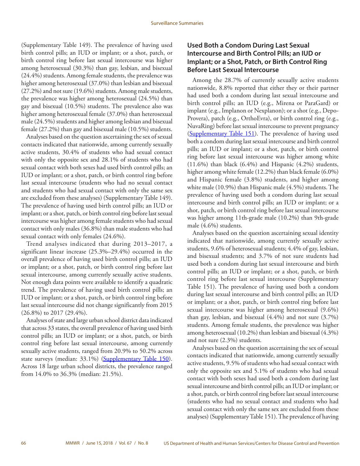(Supplementary Table 149). The prevalence of having used birth control pills; an IUD or implant; or a shot, patch, or birth control ring before last sexual intercourse was higher among heterosexual (30.3%) than gay, lesbian, and bisexual (24.4%) students. Among female students, the prevalence was higher among heterosexual (37.0%) than lesbian and bisexual (27.2%) and not sure (19.6%) students. Among male students, the prevalence was higher among heterosexual (24.5%) than gay and bisexual (10.5%) students. The prevalence also was higher among heterosexual female (37.0%) than heterosexual male (24.5%) students and higher among lesbian and bisexual female (27.2%) than gay and bisexual male (10.5%) students.

Analyses based on the question ascertaining the sex of sexual contacts indicated that nationwide, among currently sexually active students, 30.4% of students who had sexual contact with only the opposite sex and 28.1% of students who had sexual contact with both sexes had used birth control pills; an IUD or implant; or a shot, patch, or birth control ring before last sexual intercourse (students who had no sexual contact and students who had sexual contact with only the same sex are excluded from these analyses) (Supplementary Table 149). The prevalence of having used birth control pills; an IUD or implant; or a shot, patch, or birth control ring before last sexual intercourse was higher among female students who had sexual contact with only males (36.8%) than male students who had sexual contact with only females (24.6%).

Trend analyses indicated that during 2013–2017, a significant linear increase (25.3%–29.4%) occurred in the overall prevalence of having used birth control pills; an IUD or implant; or a shot, patch, or birth control ring before last sexual intercourse, among currently sexually active students. Not enough data points were available to identify a quadratic trend. The prevalence of having used birth control pills; an IUD or implant; or a shot, patch, or birth control ring before last sexual intercourse did not change significantly from 2015 (26.8%) to 2017 (29.4%).

Analyses of state and large urban school district data indicated that across 33 states, the overall prevalence of having used birth control pills; an IUD or implant; or a shot, patch, or birth control ring before last sexual intercourse, among currently sexually active students, ranged from 20.9% to 50.2% across state surveys (median: 33.1%) ([Supplementary Table 150](https://www.cdc.gov/healthyyouth/data/yrbs/2017_tables/sexual_behaviors.htm#t150_down)). Across 18 large urban school districts, the prevalence ranged from 14.0% to 36.3% (median: 21.5%).

# **Used Both a Condom During Last Sexual Intercourse and Birth Control Pills; an IUD or Implant; or a Shot, Patch, or Birth Control Ring Before Last Sexual Intercourse**

Among the 28.7% of currently sexually active students nationwide, 8.8% reported that either they or their partner had used both a condom during last sexual intercourse and birth control pills; an IUD (e.g., Mirena or ParaGard) or implant (e.g., Implanon or Nexplanon); or a shot (e.g., Depo-Provera), patch (e.g., OrthoEvra), or birth control ring (e.g., NuvaRing) before last sexual intercourse to prevent pregnancy [\(Supplementary Table 151](https://www.cdc.gov/healthyyouth/data/yrbs/2017_tables/sexual_behaviors.htm#t151_down)). The prevalence of having used both a condom during last sexual intercourse and birth control pills; an IUD or implant; or a shot, patch, or birth control ring before last sexual intercourse was higher among white (11.6%) than black (6.4%) and Hispanic (4.2%) students, higher among white female (12.2%) than black female (6.0%) and Hispanic female (3.8%) students, and higher among white male (10.9%) than Hispanic male (4.5%) students. The prevalence of having used both a condom during last sexual intercourse and birth control pills; an IUD or implant; or a shot, patch, or birth control ring before last sexual intercourse was higher among 11th-grade male (10.2%) than 9th-grade male (4.6%) students.

Analyses based on the question ascertaining sexual identity indicated that nationwide, among currently sexually active students, 9.6% of heterosexual students; 4.4% of gay, lesbian, and bisexual students; and 3.7% of not sure students had used both a condom during last sexual intercourse and birth control pills; an IUD or implant; or a shot, patch, or birth control ring before last sexual intercourse (Supplementary Table 151). The prevalence of having used both a condom during last sexual intercourse and birth control pills; an IUD or implant; or a shot, patch, or birth control ring before last sexual intercourse was higher among heterosexual (9.6%) than gay, lesbian, and bisexual (4.4%) and not sure (3.7%) students. Among female students, the prevalence was higher among heterosexual (10.2%) than lesbian and bisexual (4.3%) and not sure (2.3%) students.

Analyses based on the question ascertaining the sex of sexual contacts indicated that nationwide, among currently sexually active students, 9.5% of students who had sexual contact with only the opposite sex and 5.1% of students who had sexual contact with both sexes had used both a condom during last sexual intercourse and birth control pills; an IUD or implant; or a shot, patch, or birth control ring before last sexual intercourse (students who had no sexual contact and students who had sexual contact with only the same sex are excluded from these analyses) (Supplementary Table 151). The prevalence of having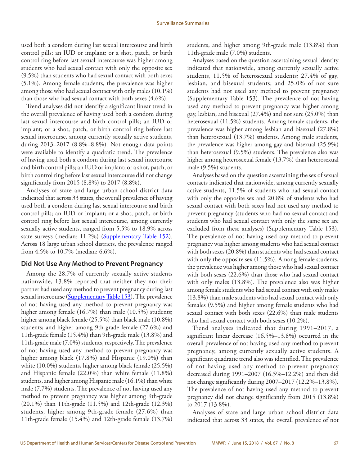used both a condom during last sexual intercourse and birth control pills; an IUD or implant; or a shot, patch, or birth control ring before last sexual intercourse was higher among students who had sexual contact with only the opposite sex (9.5%) than students who had sexual contact with both sexes (5.1%). Among female students, the prevalence was higher among those who had sexual contact with only males (10.1%) than those who had sexual contact with both sexes (4.6%).

Trend analyses did not identify a significant linear trend in the overall prevalence of having used both a condom during last sexual intercourse and birth control pills; an IUD or implant; or a shot, patch, or birth control ring before last sexual intercourse, among currently sexually active students, during 2013–2017 (8.8%–8.8%). Not enough data points were available to identify a quadratic trend. The prevalence of having used both a condom during last sexual intercourse and birth control pills; an IUD or implant; or a shot, patch, or birth control ring before last sexual intercourse did not change significantly from 2015 (8.8%) to 2017 (8.8%).

Analyses of state and large urban school district data indicated that across 33 states, the overall prevalence of having used both a condom during last sexual intercourse and birth control pills; an IUD or implant; or a shot, patch, or birth control ring before last sexual intercourse, among currently sexually active students, ranged from 5.5% to 18.9% across state surveys (median: 11.2%) ([Supplementary Table 152](https://www.cdc.gov/healthyyouth/data/yrbs/2017_tables/sexual_behaviors.htm#t152_down)). Across 18 large urban school districts, the prevalence ranged from 4.5% to 10.7% (median: 6.6%).

### **Did Not Use Any Method to Prevent Pregnancy**

Among the 28.7% of currently sexually active students nationwide, 13.8% reported that neither they nor their partner had used any method to prevent pregnancy during last sexual intercourse [\(Supplementary Table 153](https://www.cdc.gov/healthyyouth/data/yrbs/2017_tables/sexual_behaviors.htm#t153_down)). The prevalence of not having used any method to prevent pregnancy was higher among female (16.7%) than male (10.5%) students; higher among black female (25.5%) than black male (10.8%) students; and higher among 9th-grade female (27.6%) and 11th-grade female (15.4%) than 9th-grade male (13.8%) and 11th-grade male (7.0%) students, respectively. The prevalence of not having used any method to prevent pregnancy was higher among black (17.8%) and Hispanic (19.0%) than white (10.0%) students, higher among black female (25.5%) and Hispanic female (22.0%) than white female (11.8%) students, and higher among Hispanic male (16.1%) than white male (7.7%) students. The prevalence of not having used any method to prevent pregnancy was higher among 9th-grade (20.1%) than 11th-grade (11.5%) and 12th-grade (12.3%) students, higher among 9th-grade female (27.6%) than 11th-grade female (15.4%) and 12th-grade female (13.7%)

students, and higher among 9th-grade male (13.8%) than 11th-grade male (7.0%) students.

Analyses based on the question ascertaining sexual identity indicated that nationwide, among currently sexually active students, 11.5% of heterosexual students; 27.4% of gay, lesbian, and bisexual students; and 25.0% of not sure students had not used any method to prevent pregnancy (Supplementary Table 153). The prevalence of not having used any method to prevent pregnancy was higher among gay, lesbian, and bisexual (27.4%) and not sure (25.0%) than heterosexual (11.5%) students. Among female students, the prevalence was higher among lesbian and bisexual (27.8%) than heterosexual (13.7%) students. Among male students, the prevalence was higher among gay and bisexual (25.9%) than heterosexual (9.5%) students. The prevalence also was higher among heterosexual female (13.7%) than heterosexual male (9.5%) students.

Analyses based on the question ascertaining the sex of sexual contacts indicated that nationwide, among currently sexually active students, 11.5% of students who had sexual contact with only the opposite sex and 20.8% of students who had sexual contact with both sexes had not used any method to prevent pregnancy (students who had no sexual contact and students who had sexual contact with only the same sex are excluded from these analyses) (Supplementary Table 153). The prevalence of not having used any method to prevent pregnancy was higher among students who had sexual contact with both sexes (20.8%) than students who had sexual contact with only the opposite sex (11.5%). Among female students, the prevalence was higher among those who had sexual contact with both sexes (22.6%) than those who had sexual contact with only males (13.8%). The prevalence also was higher among female students who had sexual contact with only males (13.8%) than male students who had sexual contact with only females (9.5%) and higher among female students who had sexual contact with both sexes (22.6%) than male students who had sexual contact with both sexes (10.2%).

Trend analyses indicated that during 1991–2017, a significant linear decrease (16.5%–13.8%) occurred in the overall prevalence of not having used any method to prevent pregnancy, among currently sexually active students. A significant quadratic trend also was identified. The prevalence of not having used any method to prevent pregnancy decreased during 1991–2007 (16.5%–12.2%) and then did not change significantly during 2007–2017 (12.2%–13.8%). The prevalence of not having used any method to prevent pregnancy did not change significantly from 2015 (13.8%) to 2017 (13.8%).

Analyses of state and large urban school district data indicated that across 33 states, the overall prevalence of not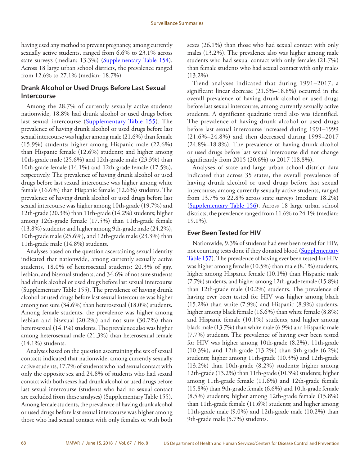having used any method to prevent pregnancy, among currently sexually active students, ranged from 6.6% to 23.1% across state surveys (median: 13.3%) ([Supplementary Table 154](https://www.cdc.gov/healthyyouth/data/yrbs/2017_tables/sexual_behaviors.htm#t154_down)). Across 18 large urban school districts, the prevalence ranged from 12.6% to 27.1% (median: 18.7%).

# **Drank Alcohol or Used Drugs Before Last Sexual Intercourse**

Among the 28.7% of currently sexually active students nationwide, 18.8% had drunk alcohol or used drugs before last sexual intercourse ([Supplementary Table 155\)](https://www.cdc.gov/healthyyouth/data/yrbs/2017_tables/sexual_behaviors.htm#t155_down). The prevalence of having drunk alcohol or used drugs before last sexual intercourse was higher among male (21.6%) than female (15.9%) students; higher among Hispanic male (22.6%) than Hispanic female (12.6%) students; and higher among 10th-grade male (25.6%) and 12th-grade male (23.3%) than 10th-grade female (14.1%) and 12th-grade female (17.5%), respectively. The prevalence of having drunk alcohol or used drugs before last sexual intercourse was higher among white female (16.6%) than Hispanic female (12.6%) students. The prevalence of having drunk alcohol or used drugs before last sexual intercourse was higher among 10th-grade (19.7%) and 12th-grade (20.3%) than 11th-grade (14.2%) students; higher among 12th-grade female (17.5%) than 11th-grade female (13.8%) students; and higher among 9th-grade male (24.2%), 10th-grade male (25.6%), and 12th-grade male (23.3%) than 11th-grade male (14.8%) students.

Analyses based on the question ascertaining sexual identity indicated that nationwide, among currently sexually active students, 18.0% of heterosexual students; 20.3% of gay, lesbian, and bisexual students; and 34.6% of not sure students had drunk alcohol or used drugs before last sexual intercourse (Supplementary Table 155). The prevalence of having drunk alcohol or used drugs before last sexual intercourse was higher among not sure (34.6%) than heterosexual (18.0%) students. Among female students, the prevalence was higher among lesbian and bisexual (20.2%) and not sure (30.7%) than heterosexual (14.1%) students. The prevalence also was higher among heterosexual male (21.3%) than heterosexual female (14.1%) students.

Analyses based on the question ascertaining the sex of sexual contacts indicated that nationwide, among currently sexually active students, 17.7% of students who had sexual contact with only the opposite sex and 24.8% of students who had sexual contact with both sexes had drunk alcohol or used drugs before last sexual intercourse (students who had no sexual contact are excluded from these analyses) (Supplementary Table 155). Among female students, the prevalence of having drunk alcohol or used drugs before last sexual intercourse was higher among those who had sexual contact with only females or with both

sexes (26.1%) than those who had sexual contact with only males (13.2%). The prevalence also was higher among male students who had sexual contact with only females (21.7%) than female students who had sexual contact with only males  $(13.2\%)$ .

Trend analyses indicated that during 1991–2017, a significant linear decrease (21.6%–18.8%) occurred in the overall prevalence of having drunk alcohol or used drugs before last sexual intercourse, among currently sexually active students. A significant quadratic trend also was identified. The prevalence of having drunk alcohol or used drugs before last sexual intercourse increased during 1991–1999 (21.6%–24.8%) and then decreased during 1999–2017 (24.8%–18.8%). The prevalence of having drunk alcohol or used drugs before last sexual intercourse did not change significantly from 2015 (20.6%) to 2017 (18.8%).

Analyses of state and large urban school district data indicated that across 35 states, the overall prevalence of having drunk alcohol or used drugs before last sexual intercourse, among currently sexually active students, ranged from 13.7% to 22.8% across state surveys (median: 18.2%) [\(Supplementary Table 156\)](https://www.cdc.gov/healthyyouth/data/yrbs/2017_tables/sexual_behaviors.htm#t156_down). Across 18 large urban school districts, the prevalence ranged from 11.6% to 24.1% (median: 19.1%).

### **Ever Been Tested for HIV**

Nationwide, 9.3% of students had ever been tested for HIV, not counting tests done if they donated blood [\(Supplementary](https://www.cdc.gov/healthyyouth/data/yrbs/2017_tables/sexual_behaviors.htm#t157_down) [Table 157](https://www.cdc.gov/healthyyouth/data/yrbs/2017_tables/sexual_behaviors.htm#t157_down)). The prevalence of having ever been tested for HIV was higher among female (10.5%) than male (8.1%) students, higher among Hispanic female (10.1%) than Hispanic male (7.7%) students, and higher among 12th-grade female (15.8%) than 12th-grade male (10.2%) students. The prevalence of having ever been tested for HIV was higher among black (15.2%) than white (7.9%) and Hispanic (8.9%) students, higher among black female (16.6%) than white female (8.8%) and Hispanic female (10.1%) students, and higher among black male (13.7%) than white male (6.9%) and Hispanic male (7.7%) students. The prevalence of having ever been tested for HIV was higher among 10th-grade (8.2%), 11th-grade (10.3%), and 12th-grade (13.2%) than 9th-grade (6.2%) students; higher among 11th-grade (10.3%) and 12th-grade (13.2%) than 10th-grade (8.2%) students; higher among 12th-grade (13.2%) than 11th-grade (10.3%) students; higher among 11th-grade female (11.6%) and 12th-grade female (15.8%) than 9th-grade female (6.6%) and 10th-grade female (8.5%) students; higher among 12th-grade female (15.8%) than 11th-grade female (11.6%) students; and higher among 11th-grade male (9.0%) and 12th-grade male (10.2%) than 9th-grade male (5.7%) students.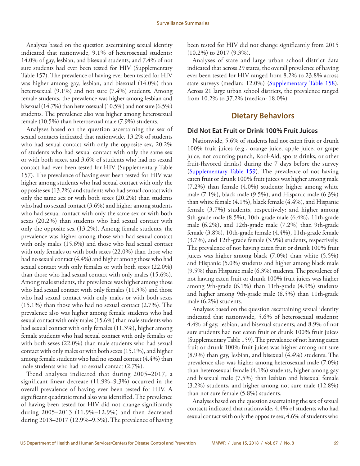Analyses based on the question ascertaining sexual identity indicated that nationwide, 9.1% of heterosexual students; 14.0% of gay, lesbian, and bisexual students; and 7.4% of not sure students had ever been tested for HIV (Supplementary Table 157). The prevalence of having ever been tested for HIV was higher among gay, lesbian, and bisexual (14.0%) than heterosexual (9.1%) and not sure (7.4%) students. Among female students, the prevalence was higher among lesbian and bisexual (14.7%) than heterosexual (10.5%) and not sure (6.5%) students. The prevalence also was higher among heterosexual female (10.5%) than heterosexual male (7.9%) students.

Analyses based on the question ascertaining the sex of sexual contacts indicated that nationwide, 13.2% of students who had sexual contact with only the opposite sex, 20.2% of students who had sexual contact with only the same sex or with both sexes, and 3.6% of students who had no sexual contact had ever been tested for HIV (Supplementary Table 157). The prevalence of having ever been tested for HIV was higher among students who had sexual contact with only the opposite sex (13.2%) and students who had sexual contact with only the same sex or with both sexes (20.2%) than students who had no sexual contact (3.6%) and higher among students who had sexual contact with only the same sex or with both sexes (20.2%) than students who had sexual contact with only the opposite sex (13.2%). Among female students, the prevalence was higher among those who had sexual contact with only males (15.6%) and those who had sexual contact with only females or with both sexes (22.0%) than those who had no sexual contact (4.4%) and higher among those who had sexual contact with only females or with both sexes (22.0%) than those who had sexual contact with only males (15.6%). Among male students, the prevalence was higher among those who had sexual contact with only females (11.3%) and those who had sexual contact with only males or with both sexes (15.1%) than those who had no sexual contact (2.7%). The prevalence also was higher among female students who had sexual contact with only males (15.6%) than male students who had sexual contact with only females (11.3%), higher among female students who had sexual contact with only females or with both sexes (22.0%) than male students who had sexual contact with only males or with both sexes (15.1%), and higher among female students who had no sexual contact (4.4%) than male students who had no sexual contact (2.7%).

Trend analyses indicated that during 2005–2017, a significant linear decrease (11.9%–9.3%) occurred in the overall prevalence of having ever been tested for HIV. A significant quadratic trend also was identified. The prevalence of having been tested for HIV did not change significantly during 2005–2013 (11.9%–12.9%) and then decreased during 2013–2017 (12.9%–9.3%). The prevalence of having been tested for HIV did not change significantly from 2015 (10.2%) to 2017 (9.3%).

Analyses of state and large urban school district data indicated that across 29 states, the overall prevalence of having ever been tested for HIV ranged from 8.2% to 23.8% across state surveys (median: 12.0%) [\(Supplementary Table 158\)](https://www.cdc.gov/healthyyouth/data/yrbs/2017_tables/sexual_behaviors.htm#t158_down). Across 21 large urban school districts, the prevalence ranged from 10.2% to 37.2% (median: 18.0%).

# **Dietary Behaviors**

#### **Did Not Eat Fruit or Drink 100% Fruit Juices**

Nationwide, 5.6% of students had not eaten fruit or drunk 100% fruit juices (e.g., orange juice, apple juice, or grape juice, not counting punch, Kool-Aid, sports drinks, or other fruit-flavored drinks) during the 7 days before the survey [\(Supplementary Table 159](https://www.cdc.gov/healthyyouth/data/yrbs/2017_tables/dietary_behaviors.htm#t159_down)). The prevalence of not having eaten fruit or drunk 100% fruit juices was higher among male (7.2%) than female (4.0%) students; higher among white male (7.1%), black male (9.5%), and Hispanic male (6.3%) than white female (4.1%), black female (4.4%), and Hispanic female (3.7%) students, respectively; and higher among 9th-grade male (8.5%), 10th-grade male (6.4%), 11th-grade male (6.2%), and 12th-grade male (7.2%) than 9th-grade female (3.8%), 10th-grade female (4.4%), 11th-grade female (3.7%), and 12th-grade female (3.9%) students, respectively. The prevalence of not having eaten fruit or drunk 100% fruit juices was higher among black (7.0%) than white (5.5%) and Hispanic (5.0%) students and higher among black male (9.5%) than Hispanic male (6.3%) students. The prevalence of not having eaten fruit or drunk 100% fruit juices was higher among 9th-grade (6.1%) than 11th-grade (4.9%) students and higher among 9th-grade male (8.5%) than 11th-grade male (6.2%) students.

Analyses based on the question ascertaining sexual identity indicated that nationwide, 5.6% of heterosexual students; 4.4% of gay, lesbian, and bisexual students; and 8.9% of not sure students had not eaten fruit or drunk 100% fruit juices (Supplementary Table 159). The prevalence of not having eaten fruit or drunk 100% fruit juices was higher among not sure (8.9%) than gay, lesbian, and bisexual (4.4%) students. The prevalence also was higher among heterosexual male (7.0%) than heterosexual female (4.1%) students, higher among gay and bisexual male (7.5%) than lesbian and bisexual female (3.2%) students, and higher among not sure male (12.8%) than not sure female (5.8%) students.

Analyses based on the question ascertaining the sex of sexual contacts indicated that nationwide, 4.4% of students who had sexual contact with only the opposite sex, 4.6% of students who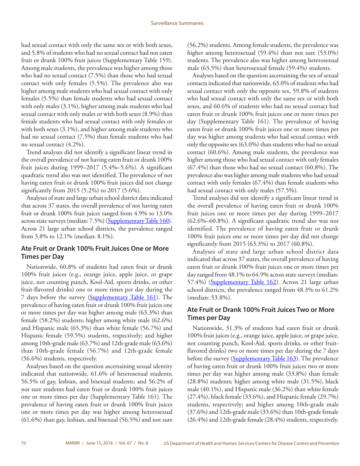had sexual contact with only the same sex or with both sexes, and 5.8% of students who had no sexual contact had not eaten fruit or drunk 100% fruit juices (Supplementary Table 159). Among male students, the prevalence was higher among those who had no sexual contact (7.5%) than those who had sexual contact with only females (5.5%). The prevalence also was higher among male students who had sexual contact with only females (5.5%) than female students who had sexual contact with only males (3.1%), higher among male students who had sexual contact with only males or with both sexes (8.9%) than female students who had sexual contact with only females or with both sexes (3.1%), and higher among male students who had no sexual contact (7.5%) than female students who had no sexual contact (4.2%).

Trend analyses did not identify a significant linear trend in the overall prevalence of not having eaten fruit or drunk 100% fruit juices during 1999–2017 (5.4%–5.6%). A significant quadratic trend also was not identified. The prevalence of not having eaten fruit or drunk 100% fruit juices did not change significantly from 2015 (5.2%) to 2017 (5.6%).

Analyses of state and large urban school district data indicated that across 37 states, the overall prevalence of not having eaten fruit or drunk 100% fruit juices ranged from 4.9% to 13.0% across state surveys (median: 7.5%) [\(Supplementary Table 160](https://www.cdc.gov/healthyyouth/data/yrbs/2017_tables/dietary_behaviors.htm#t160_down)). Across 21 large urban school districts, the prevalence ranged from 3.8% to 12.1% (median: 8.1%).

# **Ate Fruit or Drank 100% Fruit Juices One or More Times per Day**

Nationwide, 60.8% of students had eaten fruit or drunk 100% fruit juices (e.g., orange juice, apple juice, or grape juice, not counting punch, Kool-Aid, sports drinks, or other fruit-flavored drinks) one or more times per day during the 7 days before the survey ([Supplementary Table 161\)](https://www.cdc.gov/healthyyouth/data/yrbs/2017_tables/dietary_behaviors.htm#t161_down). The prevalence of having eaten fruit or drunk 100% fruit juices one or more times per day was higher among male (63.3%) than female (58.2%) students; higher among white male (62.6%) and Hispanic male (65.3%) than white female (56.7%) and Hispanic female (59.5%) students, respectively; and higher among 10th-grade male (63.7%) and 12th-grade male (63.6%) than 10th-grade female (56.7%) and 12th-grade female (56.6%) students, respectively.

Analyses based on the question ascertaining sexual identity indicated that nationwide, 61.6% of heterosexual students; 56.5% of gay, lesbian, and bisexual students; and 56.2% of not sure students had eaten fruit or drunk 100% fruit juices one or more times per day (Supplementary Table 161). The prevalence of having eaten fruit or drunk 100% fruit juices one or more times per day was higher among heterosexual (61.6%) than gay, lesbian, and bisexual (56.5%) and not sure

(56.2%) students. Among female students, the prevalence was higher among heterosexual (59.4%) than not sure (53.0%) students. The prevalence also was higher among heterosexual male (63.5%) than heterosexual female (59.4%) students.

Analyses based on the question ascertaining the sex of sexual contacts indicated that nationwide, 63.0% of students who had sexual contact with only the opposite sex, 59.8% of students who had sexual contact with only the same sex or with both sexes, and 60.6% of students who had no sexual contact had eaten fruit or drunk 100% fruit juices one or more times per day (Supplementary Table 161). The prevalence of having eaten fruit or drunk 100% fruit juices one or more times per day was higher among students who had sexual contact with only the opposite sex (63.0%) than students who had no sexual contact (60.6%). Among male students, the prevalence was higher among those who had sexual contact with only females (67.4%) than those who had no sexual contact (60.8%). The prevalence also was higher among male students who had sexual contact with only females (67.4%) than female students who had sexual contact with only males (57.5%).

Trend analyses did not identify a significant linear trend in the overall prevalence of having eaten fruit or drunk 100% fruit juices one or more times per day during 1999–2017 (62.6%–60.8%). A significant quadratic trend also was not identified. The prevalence of having eaten fruit or drunk 100% fruit juices one or more times per day did not change significantly from 2015 (63.3%) to 2017 (60.8%).

Analyses of state and large urban school district data indicated that across 37 states, the overall prevalence of having eaten fruit or drunk 100% fruit juices one or more times per day ranged from 48.1% to 64.9% across state surveys (median: 57.4%) [\(Supplementary Table 162\)](https://www.cdc.gov/healthyyouth/data/yrbs/2017_tables/dietary_behaviors.htm#t162_down). Across 21 large urban school districts, the prevalence ranged from 48.3% to 61.2% (median: 53.8%).

# **Ate Fruit or Drank 100% Fruit Juices Two or More Times per Day**

Nationwide, 31.3% of students had eaten fruit or drunk 100% fruit juices (e.g., orange juice, apple juice, or grape juice, not counting punch, Kool-Aid, sports drinks, or other fruitflavored drinks) two or more times per day during the 7 days before the survey ([Supplementary Table 163\)](https://www.cdc.gov/healthyyouth/data/yrbs/2017_tables/dietary_behaviors.htm#t163_down). The prevalence of having eaten fruit or drunk 100% fruit juices two or more times per day was higher among male (33.8%) than female (28.8%) students; higher among white male (31.5%), black male (40.1%), and Hispanic male (36.2%) than white female (27.4%), black female (33.6%), and Hispanic female (29.7%) students, respectively; and higher among 10th-grade male (37.6%) and 12th-grade male (33.6%) than 10th-grade female (26.4%) and 12th-grade female (28.4%) students, respectively.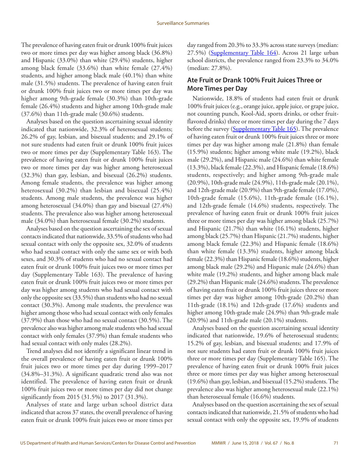The prevalence of having eaten fruit or drunk 100% fruit juices two or more times per day was higher among black (36.8%) and Hispanic (33.0%) than white (29.4%) students, higher among black female (33.6%) than white female (27.4%) students, and higher among black male (40.1%) than white male (31.5%) students. The prevalence of having eaten fruit or drunk 100% fruit juices two or more times per day was higher among 9th-grade female (30.3%) than 10th-grade female (26.4%) students and higher among 10th-grade male (37.6%) than 11th-grade male (30.6%) students.

Analyses based on the question ascertaining sexual identity indicated that nationwide, 32.3% of heterosexual students; 26.2% of gay, lesbian, and bisexual students; and 29.1% of not sure students had eaten fruit or drunk 100% fruit juices two or more times per day (Supplementary Table 163). The prevalence of having eaten fruit or drunk 100% fruit juices two or more times per day was higher among heterosexual (32.3%) than gay, lesbian, and bisexual (26.2%) students. Among female students, the prevalence was higher among heterosexual (30.2%) than lesbian and bisexual (25.4%) students. Among male students, the prevalence was higher among heterosexual (34.0%) than gay and bisexual (27.4%) students. The prevalence also was higher among heterosexual male (34.0%) than heterosexual female (30.2%) students.

Analyses based on the question ascertaining the sex of sexual contacts indicated that nationwide, 33.5% of students who had sexual contact with only the opposite sex, 32.0% of students who had sexual contact with only the same sex or with both sexes, and 30.3% of students who had no sexual contact had eaten fruit or drunk 100% fruit juices two or more times per day (Supplementary Table 163). The prevalence of having eaten fruit or drunk 100% fruit juices two or more times per day was higher among students who had sexual contact with only the opposite sex (33.5%) than students who had no sexual contact (30.3%). Among male students, the prevalence was higher among those who had sexual contact with only females (37.9%) than those who had no sexual contact (30.5%). The prevalence also was higher among male students who had sexual contact with only females (37.9%) than female students who had sexual contact with only males (28.2%).

Trend analyses did not identify a significant linear trend in the overall prevalence of having eaten fruit or drunk 100% fruit juices two or more times per day during 1999–2017 (34.8%–31.3%). A significant quadratic trend also was not identified. The prevalence of having eaten fruit or drunk 100% fruit juices two or more times per day did not change significantly from 2015 (31.5%) to 2017 (31.3%).

Analyses of state and large urban school district data indicated that across 37 states, the overall prevalence of having eaten fruit or drunk 100% fruit juices two or more times per

day ranged from 20.3% to 33.3% across state surveys (median: 27.5%) [\(Supplementary Table 164\)](https://www.cdc.gov/healthyyouth/data/yrbs/2017_tables/dietary_behaviors.htm#t164_down). Across 21 large urban school districts, the prevalence ranged from 23.3% to 34.0% (median: 27.8%).

# **Ate Fruit or Drank 100% Fruit Juices Three or More Times per Day**

Nationwide, 18.8% of students had eaten fruit or drunk 100% fruit juices (e.g., orange juice, apple juice, or grape juice, not counting punch, Kool-Aid, sports drinks, or other fruitflavored drinks) three or more times per day during the 7 days before the survey ([Supplementary Table 165\)](https://www.cdc.gov/healthyyouth/data/yrbs/2017_tables/dietary_behaviors.htm#t165_down). The prevalence of having eaten fruit or drunk 100% fruit juices three or more times per day was higher among male (21.8%) than female (15.9%) students; higher among white male (19.2%), black male (29.2%), and Hispanic male (24.6%) than white female (13.3%), black female (22.3%), and Hispanic female (18.6%) students, respectively; and higher among 9th-grade male (20.9%), 10th-grade male (24.9%), 11th-grade male (20.1%), and 12th-grade male (20.9%) than 9th-grade female (17.0%), 10th-grade female (15.6%), 11th-grade female (16.1%), and 12th-grade female (14.6%) students, respectively. The prevalence of having eaten fruit or drunk 100% fruit juices three or more times per day was higher among black (25.7%) and Hispanic (21.7%) than white (16.1%) students, higher among black (25.7%) than Hispanic (21.7%) students, higher among black female (22.3%) and Hispanic female (18.6%) than white female (13.3%) students, higher among black female (22.3%) than Hispanic female (18.6%) students, higher among black male (29.2%) and Hispanic male (24.6%) than white male (19.2%) students, and higher among black male (29.2%) than Hispanic male (24.6%) students. The prevalence of having eaten fruit or drunk 100% fruit juices three or more times per day was higher among 10th-grade (20.2%) than 11th-grade (18.1%) and 12th-grade (17.6%) students and higher among 10th-grade male (24.9%) than 9th-grade male (20.9%) and 11th-grade male (20.1%) students.

Analyses based on the question ascertaining sexual identity indicated that nationwide, 19.6% of heterosexual students; 15.2% of gay, lesbian, and bisexual students; and 17.9% of not sure students had eaten fruit or drunk 100% fruit juices three or more times per day (Supplementary Table 165). The prevalence of having eaten fruit or drunk 100% fruit juices three or more times per day was higher among heterosexual (19.6%) than gay, lesbian, and bisexual (15.2%) students. The prevalence also was higher among heterosexual male (22.1%) than heterosexual female (16.6%) students.

Analyses based on the question ascertaining the sex of sexual contacts indicated that nationwide, 21.5% of students who had sexual contact with only the opposite sex, 19.9% of students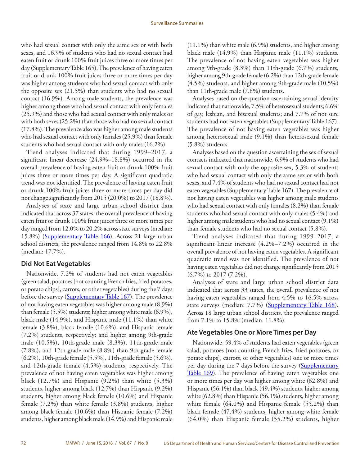who had sexual contact with only the same sex or with both sexes, and 16.9% of students who had no sexual contact had eaten fruit or drunk 100% fruit juices three or more times per day (Supplementary Table 165). The prevalence of having eaten fruit or drunk 100% fruit juices three or more times per day was higher among students who had sexual contact with only the opposite sex (21.5%) than students who had no sexual contact (16.9%). Among male students, the prevalence was higher among those who had sexual contact with only females (25.9%) and those who had sexual contact with only males or with both sexes (25.2%) than those who had no sexual contact (17.8%). The prevalence also was higher among male students who had sexual contact with only females (25.9%) than female students who had sexual contact with only males (16.2%).

Trend analyses indicated that during 1999–2017, a significant linear decrease (24.9%–18.8%) occurred in the overall prevalence of having eaten fruit or drunk 100% fruit juices three or more times per day. A significant quadratic trend was not identified. The prevalence of having eaten fruit or drunk 100% fruit juices three or more times per day did not change significantly from 2015 (20.0%) to 2017 (18.8%).

Analyses of state and large urban school district data indicated that across 37 states, the overall prevalence of having eaten fruit or drunk 100% fruit juices three or more times per day ranged from 12.0% to 20.2% across state surveys (median: 15.8%) ([Supplementary Table 166](https://www.cdc.gov/healthyyouth/data/yrbs/2017_tables/dietary_behaviors.htm#t166_down)). Across 21 large urban school districts, the prevalence ranged from 14.8% to 22.8% (median: 17.7%).

## **Did Not Eat Vegetables**

Nationwide, 7.2% of students had not eaten vegetables (green salad, potatoes [not counting French fries, fried potatoes, or potato chips], carrots, or other vegetables) during the 7 days before the survey [\(Supplementary Table 167](https://www.cdc.gov/healthyyouth/data/yrbs/2017_tables/dietary_behaviors.htm#t167_down)). The prevalence of not having eaten vegetables was higher among male (8.9%) than female (5.5%) students; higher among white male (6.9%), black male (14.9%), and Hispanic male (11.1%) than white female (3.8%), black female (10.6%), and Hispanic female (7.2%) students, respectively; and higher among 9th-grade male (10.5%), 10th-grade male (8.3%), 11th-grade male (7.8%), and 12th-grade male (8.8%) than 9th-grade female (6.2%), 10th-grade female (5.5%), 11th-grade female (5.6%), and 12th-grade female (4.5%) students, respectively. The prevalence of not having eaten vegetables was higher among black (12.7%) and Hispanic (9.2%) than white (5.3%) students, higher among black (12.7%) than Hispanic (9.2%) students, higher among black female (10.6%) and Hispanic female (7.2%) than white female (3.8%) students, higher among black female (10.6%) than Hispanic female (7.2%) students, higher among black male (14.9%) and Hispanic male

(11.1%) than white male (6.9%) students, and higher among black male (14.9%) than Hispanic male (11.1%) students. The prevalence of not having eaten vegetables was higher among 9th-grade (8.3%) than 11th-grade (6.7%) students, higher among 9th-grade female (6.2%) than 12th-grade female (4.5%) students, and higher among 9th-grade male (10.5%) than 11th-grade male (7.8%) students.

Analyses based on the question ascertaining sexual identity indicated that nationwide, 7.5% of heterosexual students; 6.6% of gay, lesbian, and bisexual students; and 7.7% of not sure students had not eaten vegetables (Supplementary Table 167). The prevalence of not having eaten vegetables was higher among heterosexual male (9.1%) than heterosexual female (5.8%) students.

Analyses based on the question ascertaining the sex of sexual contacts indicated that nationwide, 6.9% of students who had sexual contact with only the opposite sex, 5.3% of students who had sexual contact with only the same sex or with both sexes, and 7.4% of students who had no sexual contact had not eaten vegetables (Supplementary Table 167). The prevalence of not having eaten vegetables was higher among male students who had sexual contact with only females (8.2%) than female students who had sexual contact with only males (5.4%) and higher among male students who had no sexual contact (9.1%) than female students who had no sexual contact (5.8%).

Trend analyses indicated that during 1999–2017, a significant linear increase (4.2%–7.2%) occurred in the overall prevalence of not having eaten vegetables. A significant quadratic trend was not identified. The prevalence of not having eaten vegetables did not change significantly from 2015 (6.7%) to 2017 (7.2%).

Analyses of state and large urban school district data indicated that across 33 states, the overall prevalence of not having eaten vegetables ranged from 4.5% to 16.5% across state surveys (median: 7.7%) ([Supplementary Table 168\)](https://www.cdc.gov/healthyyouth/data/yrbs/2017_tables/dietary_behaviors.htm#t168_down). Across 18 large urban school districts, the prevalence ranged from 7.1% to 15.8% (median: 11.8%).

#### **Ate Vegetables One or More Times per Day**

Nationwide, 59.4% of students had eaten vegetables (green salad, potatoes [not counting French fries, fried potatoes, or potato chips], carrots, or other vegetables) one or more times per day during the 7 days before the survey ([Supplementary](https://www.cdc.gov/healthyyouth/data/yrbs/2017_tables/dietary_behaviors.htm#t169_down) [Table 169](https://www.cdc.gov/healthyyouth/data/yrbs/2017_tables/dietary_behaviors.htm#t169_down)). The prevalence of having eaten vegetables one or more times per day was higher among white (62.8%) and Hispanic (56.1%) than black (49.4%) students, higher among white (62.8%) than Hispanic (56.1%) students, higher among white female (64.0%) and Hispanic female (55.2%) than black female (47.4%) students, higher among white female (64.0%) than Hispanic female (55.2%) students, higher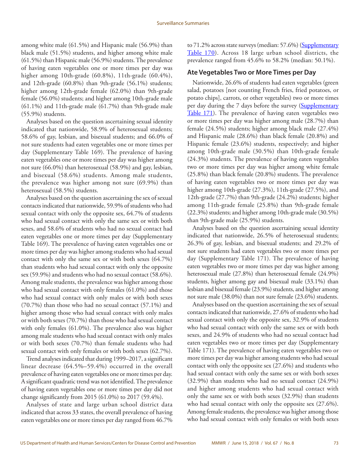among white male (61.5%) and Hispanic male (56.9%) than black male (51.5%) students, and higher among white male (61.5%) than Hispanic male (56.9%) students. The prevalence of having eaten vegetables one or more times per day was higher among 10th-grade (60.8%), 11th-grade (60.4%), and 12th-grade (60.8%) than 9th-grade (56.1%) students; higher among 12th-grade female (62.0%) than 9th-grade female (56.0%) students; and higher among 10th-grade male (61.1%) and 11th-grade male (61.7%) than 9th-grade male (55.9%) students.

Analyses based on the question ascertaining sexual identity indicated that nationwide, 58.9% of heterosexual students; 58.6% of gay, lesbian, and bisexual students; and 66.0% of not sure students had eaten vegetables one or more times per day (Supplementary Table 169). The prevalence of having eaten vegetables one or more times per day was higher among not sure (66.0%) than heterosexual (58.9%) and gay, lesbian, and bisexual (58.6%) students. Among male students, the prevalence was higher among not sure (69.9%) than heterosexual (58.5%) students.

Analyses based on the question ascertaining the sex of sexual contacts indicated that nationwide, 59.9% of students who had sexual contact with only the opposite sex, 64.7% of students who had sexual contact with only the same sex or with both sexes, and 58.6% of students who had no sexual contact had eaten vegetables one or more times per day (Supplementary Table 169). The prevalence of having eaten vegetables one or more times per day was higher among students who had sexual contact with only the same sex or with both sexes (64.7%) than students who had sexual contact with only the opposite sex (59.9%) and students who had no sexual contact (58.6%). Among male students, the prevalence was higher among those who had sexual contact with only females (61.0%) and those who had sexual contact with only males or with both sexes (70.7%) than those who had no sexual contact (57.1%) and higher among those who had sexual contact with only males or with both sexes (70.7%) than those who had sexual contact with only females (61.0%). The prevalence also was higher among male students who had sexual contact with only males or with both sexes (70.7%) than female students who had sexual contact with only females or with both sexes (62.7%).

Trend analyses indicated that during 1999–2017, a significant linear decrease (64.5%–59.4%) occurred in the overall prevalence of having eaten vegetables one or more times per day. A significant quadratic trend was not identified. The prevalence of having eaten vegetables one or more times per day did not change significantly from 2015 (61.0%) to 2017 (59.4%).

Analyses of state and large urban school district data indicated that across 33 states, the overall prevalence of having eaten vegetables one or more times per day ranged from 46.7%

to 71.2% across state surveys (median: 57.6%) (Supplementary [Table 170](https://www.cdc.gov/healthyyouth/data/yrbs/2017_tables/dietary_behaviors.htm#t170_down)). Across 18 large urban school districts, the prevalence ranged from 45.6% to 58.2% (median: 50.1%).

#### **Ate Vegetables Two or More Times per Day**

Nationwide, 26.6% of students had eaten vegetables (green salad, potatoes [not counting French fries, fried potatoes, or potato chips], carrots, or other vegetables) two or more times per day during the 7 days before the survey ([Supplementary](https://www.cdc.gov/healthyyouth/data/yrbs/2017_tables/dietary_behaviors.htm#t171_down) [Table 171](https://www.cdc.gov/healthyyouth/data/yrbs/2017_tables/dietary_behaviors.htm#t171_down)). The prevalence of having eaten vegetables two or more times per day was higher among male (28.7%) than female (24.5%) students; higher among black male (27.4%) and Hispanic male (28.6%) than black female (20.8%) and Hispanic female (23.6%) students, respectively; and higher among 10th-grade male (30.5%) than 10th-grade female (24.3%) students. The prevalence of having eaten vegetables two or more times per day was higher among white female (25.8%) than black female (20.8%) students. The prevalence of having eaten vegetables two or more times per day was higher among 10th-grade (27.3%), 11th-grade (27.5%), and 12th-grade (27.7%) than 9th-grade (24.2%) students; higher among 11th-grade female (25.8%) than 9th-grade female (22.3%) students; and higher among 10th-grade male (30.5%) than 9th-grade male (25.9%) students.

Analyses based on the question ascertaining sexual identity indicated that nationwide, 26.5% of heterosexual students; 26.3% of gay, lesbian, and bisexual students; and 29.2% of not sure students had eaten vegetables two or more times per day (Supplementary Table 171). The prevalence of having eaten vegetables two or more times per day was higher among heterosexual male (27.8%) than heterosexual female (24.9%) students, higher among gay and bisexual male (33.1%) than lesbian and bisexual female (23.9%) students, and higher among not sure male (38.0%) than not sure female (23.6%) students.

Analyses based on the question ascertaining the sex of sexual contacts indicated that nationwide, 27.6% of students who had sexual contact with only the opposite sex, 32.9% of students who had sexual contact with only the same sex or with both sexes, and 24.9% of students who had no sexual contact had eaten vegetables two or more times per day (Supplementary Table 171). The prevalence of having eaten vegetables two or more times per day was higher among students who had sexual contact with only the opposite sex (27.6%) and students who had sexual contact with only the same sex or with both sexes (32.9%) than students who had no sexual contact (24.9%) and higher among students who had sexual contact with only the same sex or with both sexes (32.9%) than students who had sexual contact with only the opposite sex (27.6%). Among female students, the prevalence was higher among those who had sexual contact with only females or with both sexes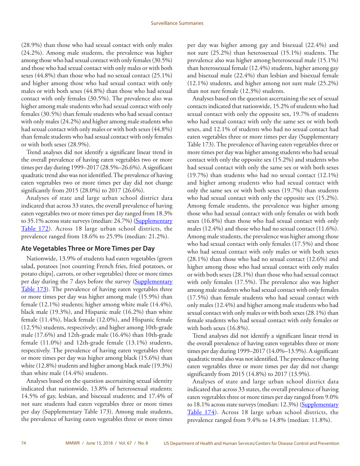(28.9%) than those who had sexual contact with only males (24.2%). Among male students, the prevalence was higher among those who had sexual contact with only females (30.5%) and those who had sexual contact with only males or with both sexes (44.8%) than those who had no sexual contact (25.1%) and higher among those who had sexual contact with only males or with both sexes (44.8%) than those who had sexual contact with only females (30.5%). The prevalence also was higher among male students who had sexual contact with only females (30.5%) than female students who had sexual contact with only males (24.2%) and higher among male students who had sexual contact with only males or with both sexes (44.8%) than female students who had sexual contact with only females or with both sexes (28.9%).

Trend analyses did not identify a significant linear trend in the overall prevalence of having eaten vegetables two or more times per day during 1999–2017 (28.5%–26.6%). A significant quadratic trend also was not identified. The prevalence of having eaten vegetables two or more times per day did not change significantly from 2015 (28.0%) to 2017 (26.6%).

Analyses of state and large urban school district data indicated that across 33 states, the overall prevalence of having eaten vegetables two or more times per day ranged from 18.3% to 35.1% across state surveys (median: 24.7%) [\(Supplementary](https://www.cdc.gov/healthyyouth/data/yrbs/2017_tables/dietary_behaviors.htm#t172_down) [Table 172\)](https://www.cdc.gov/healthyyouth/data/yrbs/2017_tables/dietary_behaviors.htm#t172_down). Across 18 large urban school districts, the prevalence ranged from 18.6% to 25.9% (median: 21.2%).

#### **Ate Vegetables Three or More Times per Day**

Nationwide, 13.9% of students had eaten vegetables (green salad, potatoes [not counting French fries, fried potatoes, or potato chips], carrots, or other vegetables) three or more times per day during the 7 days before the survey [\(Supplementary](https://www.cdc.gov/healthyyouth/data/yrbs/2017_tables/dietary_behaviors.htm#t173_down) [Table 173](https://www.cdc.gov/healthyyouth/data/yrbs/2017_tables/dietary_behaviors.htm#t173_down)). The prevalence of having eaten vegetables three or more times per day was higher among male (15.9%) than female (12.1%) students; higher among white male (14.4%), black male (19.3%), and Hispanic male (16.2%) than white female (11.4%), black female (12.0%), and Hispanic female (12.5%) students, respectively; and higher among 10th-grade male (17.6%) and 12th-grade male (16.4%) than 10th-grade female (11.0%) and 12th-grade female (13.1%) students, respectively. The prevalence of having eaten vegetables three or more times per day was higher among black (15.6%) than white (12.8%) students and higher among black male (19.3%) than white male (14.4%) students.

Analyses based on the question ascertaining sexual identity indicated that nationwide, 13.8% of heterosexual students; 14.5% of gay, lesbian, and bisexual students; and 17.4% of not sure students had eaten vegetables three or more times per day (Supplementary Table 173). Among male students, the prevalence of having eaten vegetables three or more times

per day was higher among gay and bisexual (22.4%) and not sure (25.2%) than heterosexual (15.1%) students. The prevalence also was higher among heterosexual male (15.1%) than heterosexual female (12.4%) students, higher among gay and bisexual male (22.4%) than lesbian and bisexual female (12.1%) students, and higher among not sure male (25.2%) than not sure female (12.3%) students.

Analyses based on the question ascertaining the sex of sexual contacts indicated that nationwide, 15.2% of students who had sexual contact with only the opposite sex, 19.7% of students who had sexual contact with only the same sex or with both sexes, and 12.1% of students who had no sexual contact had eaten vegetables three or more times per day (Supplementary Table 173). The prevalence of having eaten vegetables three or more times per day was higher among students who had sexual contact with only the opposite sex (15.2%) and students who had sexual contact with only the same sex or with both sexes (19.7%) than students who had no sexual contact (12.1%) and higher among students who had sexual contact with only the same sex or with both sexes (19.7%) than students who had sexual contact with only the opposite sex (15.2%). Among female students, the prevalence was higher among those who had sexual contact with only females or with both sexes (16.8%) than those who had sexual contact with only males (12.4%) and those who had no sexual contact (11.6%). Among male students, the prevalence was higher among those who had sexual contact with only females (17.5%) and those who had sexual contact with only males or with both sexes (28.1%) than those who had no sexual contact (12.6%) and higher among those who had sexual contact with only males or with both sexes (28.1%) than those who had sexual contact with only females (17.5%). The prevalence also was higher among male students who had sexual contact with only females (17.5%) than female students who had sexual contact with only males (12.4%) and higher among male students who had sexual contact with only males or with both sexes (28.1%) than female students who had sexual contact with only females or with both sexes (16.8%).

Trend analyses did not identify a significant linear trend in the overall prevalence of having eaten vegetables three or more times per day during 1999–2017 (14.0%–13.9%). A significant quadratic trend also was not identified. The prevalence of having eaten vegetables three or more times per day did not change significantly from 2015 (14.8%) to 2017 (13.9%).

Analyses of state and large urban school district data indicated that across 33 states, the overall prevalence of having eaten vegetables three or more times per day ranged from 9.0% to 18.1% across state surveys (median: 12.3%) (Supplementary [Table 174](https://www.cdc.gov/healthyyouth/data/yrbs/2017_tables/dietary_behaviors.htm#t174_down)). Across 18 large urban school districts, the prevalence ranged from 9.4% to 14.8% (median: 11.8%).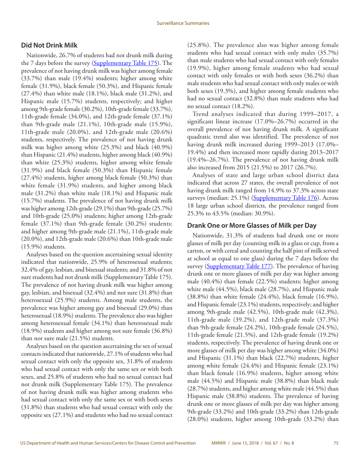#### **Did Not Drink Milk**

Nationwide, 26.7% of students had not drunk milk during the 7 days before the survey [\(Supplementary Table 175\)](https://www.cdc.gov/healthyyouth/data/yrbs/2017_tables/dietary_behaviors.htm#t175_down). The prevalence of not having drunk milk was higher among female (33.7%) than male (19.4%) students; higher among white female (31.9%), black female (50.3%), and Hispanic female (27.4%) than white male (18.1%), black male (31.2%), and Hispanic male (15.7%) students, respectively; and higher among 9th-grade female (30.2%), 10th-grade female (33.7%), 11th-grade female (34.0%), and 12th-grade female (37.1%) than 9th-grade male (21.1%), 10th-grade male (15.9%), 11th-grade male (20.0%), and 12th-grade male (20.6%) students, respectively. The prevalence of not having drunk milk was higher among white (25.3%) and black (40.9%) than Hispanic (21.4%) students, higher among black (40.9%) than white (25.3%) students, higher among white female (31.9%) and black female (50.3%) than Hispanic female (27.4%) students, higher among black female (50.3%) than white female (31.9%) students, and higher among black male (31.2%) than white male (18.1%) and Hispanic male (15.7%) students. The prevalence of not having drunk milk was higher among 12th-grade (29.1%) than 9th-grade (25.7%) and 10th-grade (25.0%) students; higher among 12th-grade female (37.1%) than 9th-grade female (30.2%) students; and higher among 9th-grade male (21.1%), 11th-grade male (20.0%), and 12th-grade male (20.6%) than 10th-grade male (15.9%) students.

Analyses based on the question ascertaining sexual identity indicated that nationwide, 25.9% of heterosexual students; 32.4% of gay, lesbian, and bisexual students; and 31.8% of not sure students had not drunk milk (Supplementary Table 175). The prevalence of not having drunk milk was higher among gay, lesbian, and bisexual (32.4%) and not sure (31.8%) than heterosexual (25.9%) students. Among male students, the prevalence was higher among gay and bisexual (29.0%) than heterosexual (18.9%) students. The prevalence also was higher among heterosexual female (34.1%) than heterosexual male (18.9%) students and higher among not sure female (36.8%) than not sure male (21.5%) students.

Analyses based on the question ascertaining the sex of sexual contacts indicated that nationwide, 27.1% of students who had sexual contact with only the opposite sex, 31.8% of students who had sexual contact with only the same sex or with both sexes, and 25.8% of students who had no sexual contact had not drunk milk (Supplementary Table 175). The prevalence of not having drunk milk was higher among students who had sexual contact with only the same sex or with both sexes (31.8%) than students who had sexual contact with only the opposite sex (27.1%) and students who had no sexual contact (25.8%). The prevalence also was higher among female students who had sexual contact with only males (35.7%) than male students who had sexual contact with only females (19.9%), higher among female students who had sexual contact with only females or with both sexes (36.2%) than male students who had sexual contact with only males or with both sexes (19.3%), and higher among female students who had no sexual contact (32.8%) than male students who had no sexual contact (18.2%).

Trend analyses indicated that during 1999–2017, a significant linear increase (17.0%–26.7%) occurred in the overall prevalence of not having drunk milk. A significant quadratic trend also was identified. The prevalence of not having drunk milk increased during 1999–2013 (17.0%– 19.4%) and then increased more rapidly during 2013–2017 (19.4%–26.7%). The prevalence of not having drunk milk also increased from 2015 (21.5%) to 2017 (26.7%).

Analyses of state and large urban school district data indicated that across 27 states, the overall prevalence of not having drunk milk ranged from 14.9% to 37.3% across state surveys (median: 25.1%) ([Supplementary Table 176\)](https://www.cdc.gov/healthyyouth/data/yrbs/2017_tables/dietary_behaviors.htm#t176_down). Across 18 large urban school districts, the prevalence ranged from 25.3% to 43.5% (median: 30.9%).

## **Drank One or More Glasses of Milk per Day**

Nationwide, 31.3% of students had drunk one or more glasses of milk per day (counting milk in a glass or cup, from a carton, or with cereal and counting the half pint of milk served at school as equal to one glass) during the 7 days before the survey ([Supplementary Table 177\)](https://www.cdc.gov/healthyyouth/data/yrbs/2017_tables/dietary_behaviors.htm#t177_down). The prevalence of having drunk one or more glasses of milk per day was higher among male (40.4%) than female (22.5%) students; higher among white male (44.5%), black male (28.7%), and Hispanic male (38.8%) than white female (24.4%), black female (16.9%), and Hispanic female (23.1%) students, respectively; and higher among 9th-grade male (42.5%), 10th-grade male (42.3%), 11th-grade male (39.2%), and 12th-grade male (37.3%) than 9th-grade female (24.2%), 10th-grade female (24.5%), 11th-grade female (21.5%), and 12th-grade female (19.2%) students, respectively. The prevalence of having drunk one or more glasses of milk per day was higher among white (34.0%) and Hispanic (31.1%) than black (22.7%) students, higher among white female (24.4%) and Hispanic female (23.1%) than black female (16.9%) students, higher among white male (44.5%) and Hispanic male (38.8%) than black male (28.7%) students, and higher among white male (44.5%) than Hispanic male (38.8%) students. The prevalence of having drunk one or more glasses of milk per day was higher among 9th-grade (33.2%) and 10th-grade (33.2%) than 12th-grade (28.0%) students, higher among 10th-grade (33.2%) than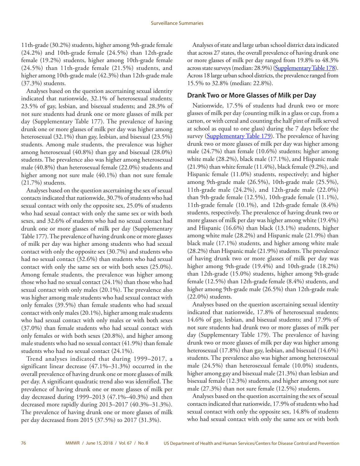11th-grade (30.2%) students, higher among 9th-grade female (24.2%) and 10th-grade female (24.5%) than 12th-grade female (19.2%) students, higher among 10th-grade female (24.5%) than 11th-grade female (21.5%) students, and higher among 10th-grade male (42.3%) than 12th-grade male (37.3%) students.

Analyses based on the question ascertaining sexual identity indicated that nationwide, 32.1% of heterosexual students; 23.5% of gay, lesbian, and bisexual students; and 28.3% of not sure students had drunk one or more glasses of milk per day (Supplementary Table 177). The prevalence of having drunk one or more glasses of milk per day was higher among heterosexual (32.1%) than gay, lesbian, and bisexual (23.5%) students. Among male students, the prevalence was higher among heterosexual (40.8%) than gay and bisexual (28.0%) students. The prevalence also was higher among heterosexual male (40.8%) than heterosexual female (22.0%) students and higher among not sure male (40.1%) than not sure female (21.7%) students.

Analyses based on the question ascertaining the sex of sexual contacts indicated that nationwide, 30.7% of students who had sexual contact with only the opposite sex, 25.0% of students who had sexual contact with only the same sex or with both sexes, and 32.6% of students who had no sexual contact had drunk one or more glasses of milk per day (Supplementary Table 177). The prevalence of having drunk one or more glasses of milk per day was higher among students who had sexual contact with only the opposite sex (30.7%) and students who had no sexual contact (32.6%) than students who had sexual contact with only the same sex or with both sexes (25.0%). Among female students, the prevalence was higher among those who had no sexual contact (24.1%) than those who had sexual contact with only males (20.1%). The prevalence also was higher among male students who had sexual contact with only females (39.5%) than female students who had sexual contact with only males (20.1%), higher among male students who had sexual contact with only males or with both sexes (37.0%) than female students who had sexual contact with only females or with both sexes (20.8%), and higher among male students who had no sexual contact (41.9%) than female students who had no sexual contact (24.1%).

Trend analyses indicated that during 1999–2017, a significant linear decrease (47.1%–31.3%) occurred in the overall prevalence of having drunk one or more glasses of milk per day. A significant quadratic trend also was identified. The prevalence of having drunk one or more glasses of milk per day decreased during 1999–2013 (47.1%–40.3%) and then decreased more rapidly during 2013–2017 (40.3%–31.3%). The prevalence of having drunk one or more glasses of milk per day decreased from 2015 (37.5%) to 2017 (31.3%).

Analyses of state and large urban school district data indicated that across 27 states, the overall prevalence of having drunk one or more glasses of milk per day ranged from 19.8% to 48.3% across state surveys (median: 28.9%) [\(Supplementary Table 178\)](https://www.cdc.gov/healthyyouth/data/yrbs/2017_tables/dietary_behaviors.htm#t178_down). Across 18 large urban school districts, the prevalence ranged from 15.5% to 32.8% (median: 22.8%).

## **Drank Two or More Glasses of Milk per Day**

Nationwide, 17.5% of students had drunk two or more glasses of milk per day (counting milk in a glass or cup, from a carton, or with cereal and counting the half pint of milk served at school as equal to one glass) during the 7 days before the survey ([Supplementary Table 179\)](https://www.cdc.gov/healthyyouth/data/yrbs/2017_tables/dietary_behaviors.htm#t179_down). The prevalence of having drunk two or more glasses of milk per day was higher among male (24.7%) than female (10.6%) students; higher among white male (28.2%), black male (17.1%), and Hispanic male (21.9%) than white female (11.4%), black female (9.2%), and Hispanic female (11.0%) students, respectively; and higher among 9th-grade male (26.5%), 10th-grade male (25.5%), 11th-grade male (24.2%), and 12th-grade male (22.0%) than 9th-grade female (12.5%), 10th-grade female (11.1%), 11th-grade female (10.1%), and 12th-grade female (8.4%) students, respectively. The prevalence of having drunk two or more glasses of milk per day was higher among white (19.4%) and Hispanic (16.6%) than black (13.1%) students, higher among white male (28.2%) and Hispanic male (21.9%) than black male (17.1%) students, and higher among white male (28.2%) than Hispanic male (21.9%) students. The prevalence of having drunk two or more glasses of milk per day was higher among 9th-grade (19.4%) and 10th-grade (18.2%) than 12th-grade (15.0%) students, higher among 9th-grade female (12.5%) than 12th-grade female (8.4%) students, and higher among 9th-grade male (26.5%) than 12th-grade male (22.0%) students.

Analyses based on the question ascertaining sexual identity indicated that nationwide, 17.8% of heterosexual students; 14.6% of gay, lesbian, and bisexual students; and 17.9% of not sure students had drunk two or more glasses of milk per day (Supplementary Table 179). The prevalence of having drunk two or more glasses of milk per day was higher among heterosexual (17.8%) than gay, lesbian, and bisexual (14.6%) students. The prevalence also was higher among heterosexual male (24.5%) than heterosexual female (10.0%) students, higher among gay and bisexual male (21.3%) than lesbian and bisexual female (12.3%) students, and higher among not sure male (27.3%) than not sure female (12.5%) students.

Analyses based on the question ascertaining the sex of sexual contacts indicated that nationwide, 17.9% of students who had sexual contact with only the opposite sex, 14.8% of students who had sexual contact with only the same sex or with both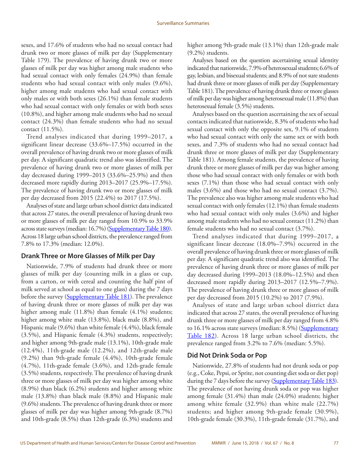sexes, and 17.6% of students who had no sexual contact had drunk two or more glasses of milk per day (Supplementary Table 179). The prevalence of having drunk two or more glasses of milk per day was higher among male students who had sexual contact with only females (24.9%) than female students who had sexual contact with only males (9.6%), higher among male students who had sexual contact with only males or with both sexes (26.1%) than female students who had sexual contact with only females or with both sexes (10.8%), and higher among male students who had no sexual contact (24.3%) than female students who had no sexual contact (11.5%).

Trend analyses indicated that during 1999–2017, a significant linear decrease (33.6%–17.5%) occurred in the overall prevalence of having drunk two or more glasses of milk per day. A significant quadratic trend also was identified. The prevalence of having drunk two or more glasses of milk per day decreased during 1999–2013 (33.6%–25.9%) and then decreased more rapidly during 2013–2017 (25.9%–17.5%). The prevalence of having drunk two or more glasses of milk per day decreased from 2015 (22.4%) to 2017 (17.5%).

Analyses of state and large urban school district data indicated that across 27 states, the overall prevalence of having drunk two or more glasses of milk per day ranged from 10.9% to 33.9% across state surveys (median: 16.7%) [\(Supplementary Table 180](https://www.cdc.gov/healthyyouth/data/yrbs/2017_tables/dietary_behaviors.htm#t180_down)). Across 18 large urban school districts, the prevalence ranged from 7.8% to 17.3% (median: 12.0%).

#### **Drank Three or More Glasses of Milk per Day**

Nationwide, 7.9% of students had drunk three or more glasses of milk per day (counting milk in a glass or cup, from a carton, or with cereal and counting the half pint of milk served at school as equal to one glass) during the 7 days before the survey [\(Supplementary Table 181](https://www.cdc.gov/healthyyouth/data/yrbs/2017_tables/dietary_behaviors.htm#t181_down)). The prevalence of having drunk three or more glasses of milk per day was higher among male (11.8%) than female (4.1%) students; higher among white male (13.8%), black male (8.8%), and Hispanic male (9.6%) than white female (4.4%), black female (3.5%), and Hispanic female (4.3%) students, respectively; and higher among 9th-grade male (13.1%), 10th-grade male (12.4%), 11th-grade male (12.2%), and 12th-grade male (9.2%) than 9th-grade female (4.4%), 10th-grade female (4.7%), 11th-grade female (3.6%), and 12th-grade female (3.5%) students, respectively. The prevalence of having drunk three or more glasses of milk per day was higher among white (8.9%) than black (6.2%) students and higher among white male (13.8%) than black male (8.8%) and Hispanic male (9.6%) students. The prevalence of having drunk three or more glasses of milk per day was higher among 9th-grade (8.7%) and 10th-grade (8.5%) than 12th-grade (6.3%) students and

higher among 9th-grade male (13.1%) than 12th-grade male (9.2%) students.

Analyses based on the question ascertaining sexual identity indicated that nationwide, 7.9% of heterosexual students; 6.6% of gay, lesbian, and bisexual students; and 8.9% of not sure students had drunk three or more glasses of milk per day (Supplementary Table 181). The prevalence of having drunk three or more glasses of milk per day was higher among heterosexual male (11.8%) than heterosexual female (3.5%) students.

Analyses based on the question ascertaining the sex of sexual contacts indicated that nationwide, 8.3% of students who had sexual contact with only the opposite sex, 9.1% of students who had sexual contact with only the same sex or with both sexes, and 7.3% of students who had no sexual contact had drunk three or more glasses of milk per day (Supplementary Table 181). Among female students, the prevalence of having drunk three or more glasses of milk per day was higher among those who had sexual contact with only females or with both sexes (7.1%) than those who had sexual contact with only males (3.6%) and those who had no sexual contact (3.7%). The prevalence also was higher among male students who had sexual contact with only females (12.1%) than female students who had sexual contact with only males (3.6%) and higher among male students who had no sexual contact (11.2%) than female students who had no sexual contact (3.7%).

Trend analyses indicated that during 1999–2017, a significant linear decrease (18.0%–7.9%) occurred in the overall prevalence of having drunk three or more glasses of milk per day. A significant quadratic trend also was identified. The prevalence of having drunk three or more glasses of milk per day decreased during 1999–2013 (18.0%–12.5%) and then decreased more rapidly during 2013–2017 (12.5%–7.9%). The prevalence of having drunk three or more glasses of milk per day decreased from 2015 (10.2%) to 2017 (7.9%).

Analyses of state and large urban school district data indicated that across 27 states, the overall prevalence of having drunk three or more glasses of milk per day ranged from 4.8% to 16.1% across state surveys (median: 8.5%) ([Supplementary](https://www.cdc.gov/healthyyouth/data/yrbs/2017_tables/dietary_behaviors.htm#t182_down) [Table 182](https://www.cdc.gov/healthyyouth/data/yrbs/2017_tables/dietary_behaviors.htm#t182_down)). Across 18 large urban school districts, the prevalence ranged from 3.2% to 7.6% (median: 5.5%).

## **Did Not Drink Soda or Pop**

Nationwide, 27.8% of students had not drunk soda or pop (e.g., Coke, Pepsi, or Sprite, not counting diet soda or diet pop) during the 7 days before the survey ([Supplementary Table 183\)](https://www.cdc.gov/healthyyouth/data/yrbs/2017_tables/dietary_behaviors.htm#t183_down). The prevalence of not having drunk soda or pop was higher among female (31.4%) than male (24.0%) students; higher among white female (32.9%) than white male (22.7%) students; and higher among 9th-grade female (30.9%), 10th-grade female (30.3%), 11th-grade female (31.7%), and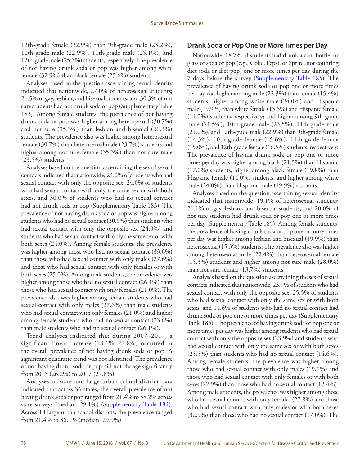12th-grade female (32.9%) than 9th-grade male (23.2%), 10th-grade male (22.9%), 11th-grade male (25.1%), and 12th-grade male (25.3%) students, respectively. The prevalence of not having drunk soda or pop was higher among white female (32.9%) than black female (25.6%) students.

Analyses based on the question ascertaining sexual identity indicated that nationwide, 27.0% of heterosexual students; 26.5% of gay, lesbian, and bisexual students; and 30.3% of not sure students had not drunk soda or pop (Supplementary Table 183). Among female students, the prevalence of not having drunk soda or pop was higher among heterosexual (30.7%) and not sure (35.3%) than lesbian and bisexual (26.3%) students. The prevalence also was higher among heterosexual female (30.7%) than heterosexual male (23.7%) students and higher among not sure female (35.3%) than not sure male (23.5%) students.

Analyses based on the question ascertaining the sex of sexual contacts indicated that nationwide, 24.0% of students who had sexual contact with only the opposite sex, 24.0% of students who had sexual contact with only the same sex or with both sexes, and 30.0% of students who had no sexual contact had not drunk soda or pop (Supplementary Table 183). The prevalence of not having drunk soda or pop was higher among students who had no sexual contact (30.0%) than students who had sexual contact with only the opposite sex (24.0%) and students who had sexual contact with only the same sex or with both sexes (24.0%). Among female students, the prevalence was higher among those who had no sexual contact (33.6%) than those who had sexual contact with only males (27.6%) and those who had sexual contact with only females or with both sexes (25.0%). Among male students, the prevalence was higher among those who had no sexual contact (26.1%) than those who had sexual contact with only females (21.0%). The prevalence also was higher among female students who had sexual contact with only males (27.6%) than male students who had sexual contact with only females (21.0%) and higher among female students who had no sexual contact (33.6%) than male students who had no sexual contact (26.1%).

Trend analyses indicated that during 2007–2017, a significant linear increase (18.6%–27.8%) occurred in the overall prevalence of not having drunk soda or pop. A significant quadratic trend was not identified. The prevalence of not having drunk soda or pop did not change significantly from 2015 (26.2%) to 2017 (27.8%).

Analyses of state and large urban school district data indicated that across 36 states, the overall prevalence of not having drunk soda or pop ranged from 21.4% to 38.2% across state surveys (median: 29.1%) ([Supplementary Table 184](https://www.cdc.gov/healthyyouth/data/yrbs/2017_tables/dietary_behaviors.htm#t184_down)). Across 18 large urban school districts, the prevalence ranged from 21.4% to 36.1% (median: 29.9%).

## **Drank Soda or Pop One or More Times per Day**

Nationwide, 18.7% of students had drunk a can, bottle, or glass of soda or pop (e.g., Coke, Pepsi, or Sprite, not counting diet soda or diet pop) one or more times per day during the 7 days before the survey [\(Supplementary Table 185](https://www.cdc.gov/healthyyouth/data/yrbs/2017_tables/dietary_behaviors.htm#t185_down)). The prevalence of having drunk soda or pop one or more times per day was higher among male (22.3%) than female (15.4%) students; higher among white male (24.0%) and Hispanic male (19.9%) than white female (15.5%) and Hispanic female (14.0%) students, respectively; and higher among 9th-grade male (21.5%), 10th-grade male (23.5%), 11th-grade male (21.0%), and 12th-grade male (22.9%) than 9th-grade female (14.3%), 10th-grade female (15.6%), 11th-grade female (15.0%), and 12th-grade female (16.5%) students, respectively. The prevalence of having drunk soda or pop one or more times per day was higher among black (21.5%) than Hispanic (17.0%) students, higher among black female (19.8%) than Hispanic female (14.0%) students, and higher among white male (24.0%) than Hispanic male (19.9%) students.

Analyses based on the question ascertaining sexual identity indicated that nationwide, 19.1% of heterosexual students; 21.1% of gay, lesbian, and bisexual students; and 20.0% of not sure students had drunk soda or pop one or more times per day (Supplementary Table 185). Among female students, the prevalence of having drunk soda or pop one or more times per day was higher among lesbian and bisexual (19.9%) than heterosexual (15.3%) students. The prevalence also was higher among heterosexual male (22.4%) than heterosexual female (15.3%) students and higher among not sure male (28.0%) than not sure female (13.7%) students.

Analyses based on the question ascertaining the sex of sexual contacts indicated that nationwide, 23.9% of students who had sexual contact with only the opposite sex, 25.5% of students who had sexual contact with only the same sex or with both sexes, and 14.6% of students who had no sexual contact had drunk soda or pop one or more times per day (Supplementary Table 185). The prevalence of having drunk soda or pop one or more times per day was higher among students who had sexual contact with only the opposite sex (23.9%) and students who had sexual contact with only the same sex or with both sexes (25.5%) than students who had no sexual contact (14.6%). Among female students, the prevalence was higher among those who had sexual contact with only males (19.1%) and those who had sexual contact with only females or with both sexes (22.9%) than those who had no sexual contact (12.4%). Among male students, the prevalence was higher among those who had sexual contact with only females (27.8%) and those who had sexual contact with only males or with both sexes (32.9%) than those who had no sexual contact (17.0%). The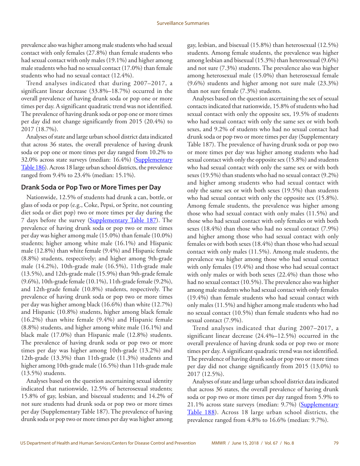prevalence also was higher among male students who had sexual contact with only females (27.8%) than female students who had sexual contact with only males (19.1%) and higher among male students who had no sexual contact (17.0%) than female students who had no sexual contact (12.4%).

Trend analyses indicated that during 2007–2017, a significant linear decrease (33.8%–18.7%) occurred in the overall prevalence of having drunk soda or pop one or more times per day. A significant quadratic trend was not identified. The prevalence of having drunk soda or pop one or more times per day did not change significantly from 2015 (20.4%) to 2017 (18.7%).

Analyses of state and large urban school district data indicated that across 36 states, the overall prevalence of having drunk soda or pop one or more times per day ranged from 10.2% to 32.0% across state surveys (median: 16.4%) [\(Supplementary](https://www.cdc.gov/healthyyouth/data/yrbs/2017_tables/dietary_behaviors.htm#t186_down) [Table 186](https://www.cdc.gov/healthyyouth/data/yrbs/2017_tables/dietary_behaviors.htm#t186_down)). Across 18 large urban school districts, the prevalence ranged from 9.4% to 23.4% (median: 15.1%).

## **Drank Soda or Pop Two or More Times per Day**

Nationwide, 12.5% of students had drunk a can, bottle, or glass of soda or pop (e.g., Coke, Pepsi, or Sprite, not counting diet soda or diet pop) two or more times per day during the 7 days before the survey ([Supplementary Table 187\)](https://www.cdc.gov/healthyyouth/data/yrbs/2017_tables/dietary_behaviors.htm#t187_down). The prevalence of having drunk soda or pop two or more times per day was higher among male (15.0%) than female (10.0%) students; higher among white male (16.1%) and Hispanic male (12.8%) than white female (9.4%) and Hispanic female (8.8%) students, respectively; and higher among 9th-grade male (14.2%), 10th-grade male (16.5%), 11th-grade male (13.5%), and 12th-grade male (15.9%) than 9th-grade female (9.6%), 10th-grade female (10.1%), 11th-grade female (9.2%), and 12th-grade female (10.8%) students, respectively. The prevalence of having drunk soda or pop two or more times per day was higher among black (16.6%) than white (12.7%) and Hispanic (10.8%) students, higher among black female (16.2%) than white female (9.4%) and Hispanic female (8.8%) students, and higher among white male (16.1%) and black male (17.0%) than Hispanic male (12.8%) students. The prevalence of having drunk soda or pop two or more times per day was higher among 10th-grade (13.2%) and 12th-grade (13.3%) than 11th-grade (11.3%) students and higher among 10th-grade male (16.5%) than 11th-grade male (13.5%) students.

Analyses based on the question ascertaining sexual identity indicated that nationwide, 12.5% of heterosexual students; 15.8% of gay, lesbian, and bisexual students; and 14.2% of not sure students had drunk soda or pop two or more times per day (Supplementary Table 187). The prevalence of having drunk soda or pop two or more times per day was higher among

gay, lesbian, and bisexual (15.8%) than heterosexual (12.5%) students. Among female students, the prevalence was higher among lesbian and bisexual (15.3%) than heterosexual (9.6%) and not sure (7.3%) students. The prevalence also was higher among heterosexual male (15.0%) than heterosexual female (9.6%) students and higher among not sure male (23.3%) than not sure female (7.3%) students.

Analyses based on the question ascertaining the sex of sexual contacts indicated that nationwide, 15.8% of students who had sexual contact with only the opposite sex, 19.5% of students who had sexual contact with only the same sex or with both sexes, and 9.2% of students who had no sexual contact had drunk soda or pop two or more times per day (Supplementary Table 187). The prevalence of having drunk soda or pop two or more times per day was higher among students who had sexual contact with only the opposite sex (15.8%) and students who had sexual contact with only the same sex or with both sexes (19.5%) than students who had no sexual contact (9.2%) and higher among students who had sexual contact with only the same sex or with both sexes (19.5%) than students who had sexual contact with only the opposite sex (15.8%). Among female students, the prevalence was higher among those who had sexual contact with only males (11.5%) and those who had sexual contact with only females or with both sexes (18.4%) than those who had no sexual contact (7.9%) and higher among those who had sexual contact with only females or with both sexes (18.4%) than those who had sexual contact with only males (11.5%). Among male students, the prevalence was higher among those who had sexual contact with only females (19.4%) and those who had sexual contact with only males or with both sexes (22.4%) than those who had no sexual contact (10.5%). The prevalence also was higher among male students who had sexual contact with only females (19.4%) than female students who had sexual contact with only males (11.5%) and higher among male students who had no sexual contact (10.5%) than female students who had no sexual contact (7.9%).

Trend analyses indicated that during 2007–2017, a significant linear decrease (24.4%–12.5%) occurred in the overall prevalence of having drunk soda or pop two or more times per day. A significant quadratic trend was not identified. The prevalence of having drunk soda or pop two or more times per day did not change significantly from 2015 (13.0%) to 2017 (12.5%).

Analyses of state and large urban school district data indicated that across 36 states, the overall prevalence of having drunk soda or pop two or more times per day ranged from 5.9% to 21.1% across state surveys (median: 9.7%) ([Supplementary](https://www.cdc.gov/healthyyouth/data/yrbs/2017_tables/dietary_behaviors.htm#t188_down)  [Table 188](https://www.cdc.gov/healthyyouth/data/yrbs/2017_tables/dietary_behaviors.htm#t188_down)). Across 18 large urban school districts, the prevalence ranged from 4.8% to 16.6% (median: 9.7%).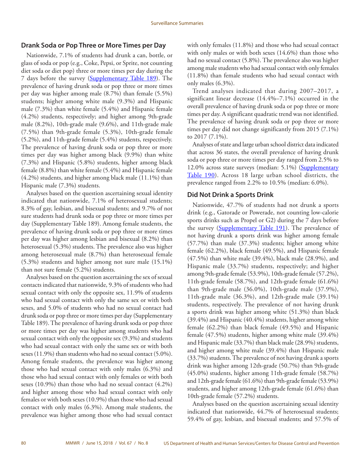## **Drank Soda or Pop Three or More Times per Day**

Nationwide, 7.1% of students had drunk a can, bottle, or glass of soda or pop (e.g., Coke, Pepsi, or Sprite, not counting diet soda or diet pop) three or more times per day during the 7 days before the survey ([Supplementary Table 189\)](https://www.cdc.gov/healthyyouth/data/yrbs/2017_tables/dietary_behaviors.htm#t189_down). The prevalence of having drunk soda or pop three or more times per day was higher among male (8.7%) than female (5.5%) students; higher among white male (9.3%) and Hispanic male (7.3%) than white female (5.4%) and Hispanic female (4.2%) students, respectively; and higher among 9th-grade male (8.2%), 10th-grade male (9.6%), and 11th-grade male (7.5%) than 9th-grade female (5.3%), 10th-grade female (5.2%), and 11th-grade female (5.4%) students, respectively. The prevalence of having drunk soda or pop three or more times per day was higher among black (9.9%) than white (7.3%) and Hispanic (5.8%) students, higher among black female (8.8%) than white female (5.4%) and Hispanic female (4.2%) students, and higher among black male (11.1%) than Hispanic male (7.3%) students.

Analyses based on the question ascertaining sexual identity indicated that nationwide, 7.1% of heterosexual students; 8.3% of gay, lesbian, and bisexual students; and 9.7% of not sure students had drunk soda or pop three or more times per day (Supplementary Table 189). Among female students, the prevalence of having drunk soda or pop three or more times per day was higher among lesbian and bisexual (8.2%) than heterosexual (5.3%) students. The prevalence also was higher among heterosexual male (8.7%) than heterosexual female (5.3%) students and higher among not sure male (15.1%) than not sure female (5.2%) students.

Analyses based on the question ascertaining the sex of sexual contacts indicated that nationwide, 9.3% of students who had sexual contact with only the opposite sex, 11.9% of students who had sexual contact with only the same sex or with both sexes, and 5.0% of students who had no sexual contact had drunk soda or pop three or more times per day (Supplementary Table 189). The prevalence of having drunk soda or pop three or more times per day was higher among students who had sexual contact with only the opposite sex (9.3%) and students who had sexual contact with only the same sex or with both sexes (11.9%) than students who had no sexual contact (5.0%). Among female students, the prevalence was higher among those who had sexual contact with only males (6.3%) and those who had sexual contact with only females or with both sexes (10.9%) than those who had no sexual contact (4.2%) and higher among those who had sexual contact with only females or with both sexes (10.9%) than those who had sexual contact with only males (6.3%). Among male students, the prevalence was higher among those who had sexual contact

with only females (11.8%) and those who had sexual contact with only males or with both sexes (14.6%) than those who had no sexual contact (5.8%). The prevalence also was higher among male students who had sexual contact with only females (11.8%) than female students who had sexual contact with only males (6.3%).

Trend analyses indicated that during 2007–2017, a significant linear decrease (14.4%–7.1%) occurred in the overall prevalence of having drunk soda or pop three or more times per day. A significant quadratic trend was not identified. The prevalence of having drunk soda or pop three or more times per day did not change significantly from 2015 (7.1%) to 2017 (7.1%).

Analyses of state and large urban school district data indicated that across 36 states, the overall prevalence of having drunk soda or pop three or more times per day ranged from 2.5% to 12.0% across state surveys (median: 5.1%) ([Supplementary](https://www.cdc.gov/healthyyouth/data/yrbs/2017_tables/dietary_behaviors.htm#t190_down)  [Table 190](https://www.cdc.gov/healthyyouth/data/yrbs/2017_tables/dietary_behaviors.htm#t190_down)). Across 18 large urban school districts, the prevalence ranged from 2.2% to 10.5% (median: 6.0%).

#### **Did Not Drink a Sports Drink**

Nationwide, 47.7% of students had not drunk a sports drink (e.g., Gatorade or Powerade, not counting low-calorie sports drinks such as Propel or G2) during the 7 days before the survey ([Supplementary Table 191\)](https://www.cdc.gov/healthyyouth/data/yrbs/2017_tables/dietary_behaviors.htm#t191_down). The prevalence of not having drunk a sports drink was higher among female (57.7%) than male (37.3%) students; higher among white female (62.2%), black female (49.5%), and Hispanic female (47.5%) than white male (39.4%), black male (28.9%), and Hispanic male (33.7%) students, respectively; and higher among 9th-grade female (53.9%), 10th-grade female (57.2%), 11th-grade female (58.7%), and 12th-grade female (61.6%) than 9th-grade male (36.0%), 10th-grade male (37.9%), 11th-grade male (36.3%), and 12th-grade male (39.1%) students, respectively. The prevalence of not having drunk a sports drink was higher among white (51.3%) than black (39.4%) and Hispanic (40.4%) students, higher among white female (62.2%) than black female (49.5%) and Hispanic female (47.5%) students, higher among white male (39.4%) and Hispanic male (33.7%) than black male (28.9%) students, and higher among white male (39.4%) than Hispanic male (33.7%) students. The prevalence of not having drunk a sports drink was higher among 12th-grade (50.7%) than 9th-grade (45.0%) students, higher among 11th-grade female (58.7%) and 12th-grade female (61.6%) than 9th-grade female (53.9%) students, and higher among 12th-grade female (61.6%) than 10th-grade female (57.2%) students.

Analyses based on the question ascertaining sexual identity indicated that nationwide, 44.7% of heterosexual students; 59.4% of gay, lesbian, and bisexual students; and 57.5% of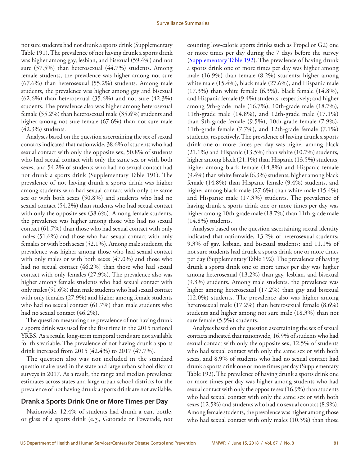not sure students had not drunk a sports drink (Supplementary Table 191). The prevalence of not having drunk a sports drink was higher among gay, lesbian, and bisexual (59.4%) and not sure (57.5%) than heterosexual (44.7%) students. Among female students, the prevalence was higher among not sure (67.6%) than heterosexual (55.2%) students. Among male students, the prevalence was higher among gay and bisexual  $(62.6\%)$  than heterosexual  $(35.6\%)$  and not sure  $(42.3\%)$ students. The prevalence also was higher among heterosexual female (55.2%) than heterosexual male (35.6%) students and higher among not sure female (67.6%) than not sure male (42.3%) students.

Analyses based on the question ascertaining the sex of sexual contacts indicated that nationwide, 38.6% of students who had sexual contact with only the opposite sex, 50.8% of students who had sexual contact with only the same sex or with both sexes, and 54.2% of students who had no sexual contact had not drunk a sports drink (Supplementary Table 191). The prevalence of not having drunk a sports drink was higher among students who had sexual contact with only the same sex or with both sexes (50.8%) and students who had no sexual contact (54.2%) than students who had sexual contact with only the opposite sex (38.6%). Among female students, the prevalence was higher among those who had no sexual contact (61.7%) than those who had sexual contact with only males (51.6%) and those who had sexual contact with only females or with both sexes (52.1%). Among male students, the prevalence was higher among those who had sexual contact with only males or with both sexes (47.0%) and those who had no sexual contact (46.2%) than those who had sexual contact with only females (27.9%). The prevalence also was higher among female students who had sexual contact with only males (51.6%) than male students who had sexual contact with only females (27.9%) and higher among female students who had no sexual contact (61.7%) than male students who had no sexual contact (46.2%).

The question measuring the prevalence of not having drunk a sports drink was used for the first time in the 2015 national YRBS. As a result, long-term temporal trends are not available for this variable. The prevalence of not having drunk a sports drink increased from 2015 (42.4%) to 2017 (47.7%).

The question also was not included in the standard questionnaire used in the state and large urban school district surveys in 2017. As a result, the range and median prevalence estimates across states and large urban school districts for the prevalence of not having drunk a sports drink are not available.

#### **Drank a Sports Drink One or More Times per Day**

Nationwide, 12.4% of students had drunk a can, bottle, or glass of a sports drink (e.g., Gatorade or Powerade, not counting low-calorie sports drinks such as Propel or G2) one or more times per day during the 7 days before the survey [\(Supplementary Table 192](https://www.cdc.gov/healthyyouth/data/yrbs/2017_tables/dietary_behaviors.htm#t192_down)). The prevalence of having drunk a sports drink one or more times per day was higher among male (16.9%) than female (8.2%) students; higher among white male (15.4%), black male (27.6%), and Hispanic male (17.3%) than white female (6.3%), black female (14.8%), and Hispanic female (9.4%) students, respectively; and higher among 9th-grade male (16.7%), 10th-grade male (18.7%), 11th-grade male (14.8%), and 12th-grade male (17.1%) than 9th-grade female (9.5%), 10th-grade female (7.9%), 11th-grade female (7.7%), and 12th-grade female (7.1%) students, respectively. The prevalence of having drunk a sports drink one or more times per day was higher among black (21.1%) and Hispanic (13.5%) than white (10.7%) students, higher among black (21.1%) than Hispanic (13.5%) students, higher among black female (14.8%) and Hispanic female (9.4%) than white female (6.3%) students, higher among black female (14.8%) than Hispanic female (9.4%) students, and higher among black male (27.6%) than white male (15.4%) and Hispanic male (17.3%) students. The prevalence of having drunk a sports drink one or more times per day was higher among 10th-grade male (18.7%) than 11th-grade male (14.8%) students.

Analyses based on the question ascertaining sexual identity indicated that nationwide, 13.2% of heterosexual students; 9.3% of gay, lesbian, and bisexual students; and 11.1% of not sure students had drunk a sports drink one or more times per day (Supplementary Table 192). The prevalence of having drunk a sports drink one or more times per day was higher among heterosexual (13.2%) than gay, lesbian, and bisexual (9.3%) students. Among male students, the prevalence was higher among heterosexual (17.2%) than gay and bisexual (12.0%) students. The prevalence also was higher among heterosexual male (17.2%) than heterosexual female (8.6%) students and higher among not sure male (18.3%) than not sure female (5.9%) students.

Analyses based on the question ascertaining the sex of sexual contacts indicated that nationwide, 16.9% of students who had sexual contact with only the opposite sex, 12.5% of students who had sexual contact with only the same sex or with both sexes, and 8.9% of students who had no sexual contact had drunk a sports drink one or more times per day (Supplementary Table 192). The prevalence of having drunk a sports drink one or more times per day was higher among students who had sexual contact with only the opposite sex (16.9%) than students who had sexual contact with only the same sex or with both sexes (12.5%) and students who had no sexual contact (8.9%). Among female students, the prevalence was higher among those who had sexual contact with only males (10.3%) than those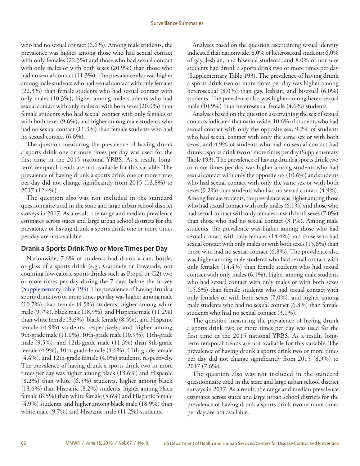who had no sexual contact (6.6%). Among male students, the prevalence was higher among those who had sexual contact with only females (22.3%) and those who had sexual contact with only males or with both sexes (20.9%) than those who had no sexual contact (11.3%). The prevalence also was higher among male students who had sexual contact with only females (22.3%) than female students who had sexual contact with only males (10.3%), higher among male students who had sexual contact with only males or with both sexes (20.9%) than female students who had sexual contact with only females or with both sexes (9.6%), and higher among male students who had no sexual contact (11.3%) than female students who had no sexual contact (6.6%).

The question measuring the prevalence of having drunk a sports drink one or more times per day was used for the first time in the 2015 national YRBS. As a result, longterm temporal trends are not available for this variable. The prevalence of having drunk a sports drink one or more times per day did not change significantly from 2015 (13.8%) to 2017 (12.4%).

The question also was not included in the standard questionnaire used in the state and large urban school district surveys in 2017. As a result, the range and median prevalence estimates across states and large urban school districts for the prevalence of having drunk a sports drink one or more times per day are not available.

#### **Drank a Sports Drink Two or More Times per Day**

Nationwide, 7.6% of students had drunk a can, bottle, or glass of a sports drink (e.g., Gatorade or Powerade, not counting low-calorie sports drinks such as Propel or G2) two or more times per day during the 7 days before the survey ([Supplementary Table 193\)](https://www.cdc.gov/healthyyouth/data/yrbs/2017_tables/dietary_behaviors.htm#t193_down). The prevalence of having drunk a sports drink two or more times per day was higher among male (10.7%) than female (4.5%) students; higher among white male (9.7%), black male (18.9%), and Hispanic male (11.2%) than white female (3.6%), black female (8.5%), and Hispanic female (4.9%) students, respectively; and higher among 9th-grade male (11.0%), 10th-grade male (10.9%), 11th-grade male (9.5%), and 12th-grade male (11.3%) than 9th-grade female (4.9%), 10th-grade female (4.6%), 11th-grade female (4.4%), and 12th-grade female (4.0%) students, respectively. The prevalence of having drunk a sports drink two or more times per day was higher among black (13.6%) and Hispanic (8.2%) than white (6.5%) students, higher among black (13.6%) than Hispanic (8.2%) students, higher among black female (8.5%) than white female (3.6%) and Hispanic female (4.9%) students, and higher among black male (18.9%) than white male (9.7%) and Hispanic male (11.2%) students.

Analyses based on the question ascertaining sexual identity indicated that nationwide, 8.0% of heterosexual students; 6.0% of gay, lesbian, and bisexual students; and 8.0% of not sure students had drunk a sports drink two or more times per day (Supplementary Table 193). The prevalence of having drunk a sports drink two or more times per day was higher among heterosexual (8.0%) than gay, lesbian, and bisexual (6.0%) students. The prevalence also was higher among heterosexual male (10.9%) than heterosexual female (4.6%) students.

Analyses based on the question ascertaining the sex of sexual contacts indicated that nationwide, 10.6% of students who had sexual contact with only the opposite sex, 9.2% of students who had sexual contact with only the same sex or with both sexes, and 4.9% of students who had no sexual contact had drunk a sports drink two or more times per day (Supplementary Table 193). The prevalence of having drunk a sports drink two or more times per day was higher among students who had sexual contact with only the opposite sex (10.6%) and students who had sexual contact with only the same sex or with both sexes (9.2%) than students who had no sexual contact (4.9%). Among female students, the prevalence was higher among those who had sexual contact with only males (6.1%) and those who had sexual contact with only females or with both sexes (7.0%) than those who had no sexual contact (3.1%). Among male students, the prevalence was higher among those who had sexual contact with only females (14.4%) and those who had sexual contact with only males or with both sexes (15.6%) than those who had no sexual contact (6.8%). The prevalence also was higher among male students who had sexual contact with only females (14.4%) than female students who had sexual contact with only males (6.1%), higher among male students who had sexual contact with only males or with both sexes (15.6%) than female students who had sexual contact with only females or with both sexes (7.0%), and higher among male students who had no sexual contact (6.8%) than female students who had no sexual contact (3.1%).

The question measuring the prevalence of having drunk a sports drink two or more times per day was used for the first time in the 2015 national YRBS. As a result, longterm temporal trends are not available for this variable. The prevalence of having drunk a sports drink two or more times per day did not change significantly from 2015 (8.3%) to 2017 (7.6%).

The question also was not included in the standard questionnaire used in the state and large urban school district surveys in 2017. As a result, the range and median prevalence estimates across states and large urban school districts for the prevalence of having drunk a sports drink two or more times per day are not available.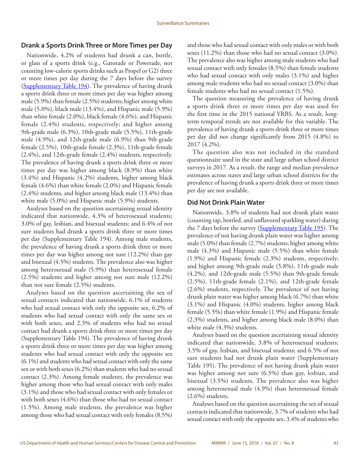#### **Drank a Sports Drink Three or More Times per Day**

Nationwide, 4.2% of students had drunk a can, bottle, or glass of a sports drink (e.g., Gatorade or Powerade, not counting low-calorie sports drinks such as Propel or G2) three or more times per day during the 7 days before the survey ([Supplementary Table 194\)](https://www.cdc.gov/healthyyouth/data/yrbs/2017_tables/dietary_behaviors.htm#t194_down). The prevalence of having drunk a sports drink three or more times per day was higher among male (5.9%) than female (2.5%) students; higher among white male (5.0%), black male (13.4%), and Hispanic male (5.9%) than white female (2.0%), black female (4.6%), and Hispanic female (2.4%) students, respectively; and higher among 9th-grade male (6.3%), 10th-grade male (5.5%), 11th-grade male (4.9%), and 12th-grade male (6.9%) than 9th-grade female (2.5%), 10th-grade female (2.3%), 11th-grade female (2.4%), and 12th-grade female (2.4%) students, respectively. The prevalence of having drunk a sports drink three or more times per day was higher among black (8.9%) than white (3.4%) and Hispanic (4.2%) students, higher among black female (4.6%) than white female (2.0%) and Hispanic female (2.4%) students, and higher among black male (13.4%) than white male (5.0%) and Hispanic male (5.9%) students.

Analyses based on the question ascertaining sexual identity indicated that nationwide, 4.3% of heterosexual students; 3.0% of gay, lesbian, and bisexual students; and 6.4% of not sure students had drunk a sports drink three or more times per day (Supplementary Table 194). Among male students, the prevalence of having drunk a sports drink three or more times per day was higher among not sure (12.2%) than gay and bisexual (4.5%) students. The prevalence also was higher among heterosexual male (5.9%) than heterosexual female (2.5%) students and higher among not sure male (12.2%) than not sure female (2.5%) students.

Analyses based on the question ascertaining the sex of sexual contacts indicated that nationwide, 6.1% of students who had sexual contact with only the opposite sex, 6.2% of students who had sexual contact with only the same sex or with both sexes, and 2.3% of students who had no sexual contact had drunk a sports drink three or more times per day (Supplementary Table 194). The prevalence of having drunk a sports drink three or more times per day was higher among students who had sexual contact with only the opposite sex (6.1%) and students who had sexual contact with only the same sex or with both sexes (6.2%) than students who had no sexual contact (2.3%). Among female students, the prevalence was higher among those who had sexual contact with only males (3.1%) and those who had sexual contact with only females or with both sexes (4.6%) than those who had no sexual contact (1.5%). Among male students, the prevalence was higher among those who had sexual contact with only females (8.5%)

and those who had sexual contact with only males or with both sexes (11.2%) than those who had no sexual contact (3.0%). The prevalence also was higher among male students who had sexual contact with only females (8.5%) than female students who had sexual contact with only males (3.1%) and higher among male students who had no sexual contact (3.0%) than female students who had no sexual contact (1.5%).

The question measuring the prevalence of having drunk a sports drink three or more times per day was used for the first time in the 2015 national YRBS. As a result, longterm temporal trends are not available for this variable. The prevalence of having drunk a sports drink three or more times per day did not change significantly from 2015 (4.8%) to 2017 (4.2%).

The question also was not included in the standard questionnaire used in the state and large urban school district surveys in 2017. As a result, the range and median prevalence estimates across states and large urban school districts for the prevalence of having drunk a sports drink three or more times per day are not available.

#### **Did Not Drink Plain Water**

Nationwide, 3.8% of students had not drunk plain water (counting tap, bottled, and unflavored sparkling water) during the 7 days before the survey ([Supplementary Table 195](https://www.cdc.gov/healthyyouth/data/yrbs/2017_tables/dietary_behaviors.htm#t195_down)). The prevalence of not having drunk plain water was higher among male (5.0%) than female (2.7%) students; higher among white male (4.3%) and Hispanic male (5.5%) than white female (1.9%) and Hispanic female (2.3%) students, respectively; and higher among 9th-grade male (5.8%), 11th-grade male (4.2%), and 12th-grade male (5.5%) than 9th-grade female (2.5%), 11th-grade female (2.1%), and 12th-grade female (2.6%) students, respectively. The prevalence of not having drunk plain water was higher among black (6.7%) than white (3.1%) and Hispanic (4.0%) students, higher among black female (5.5%) than white female (1.9%) and Hispanic female (2.3%) students, and higher among black male (8.0%) than white male (4.3%) students.

Analyses based on the question ascertaining sexual identity indicated that nationwide, 3.8% of heterosexual students; 3.5% of gay, lesbian, and bisexual students; and 6.5% of not sure students had not drunk plain water (Supplementary Table 195). The prevalence of not having drunk plain water was higher among not sure (6.5%) than gay, lesbian, and bisexual (3.5%) students. The prevalence also was higher among heterosexual male (4.9%) than heterosexual female (2.6%) students.

Analyses based on the question ascertaining the sex of sexual contacts indicated that nationwide, 3.7% of students who had sexual contact with only the opposite sex, 3.4% of students who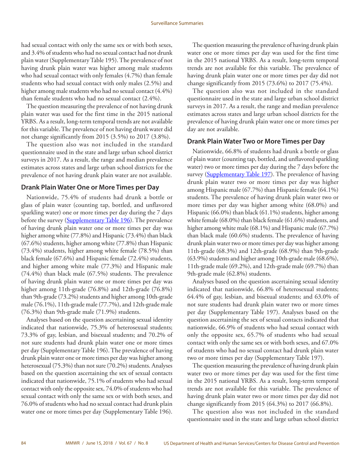had sexual contact with only the same sex or with both sexes, and 3.4% of students who had no sexual contact had not drunk plain water (Supplementary Table 195). The prevalence of not having drunk plain water was higher among male students who had sexual contact with only females (4.7%) than female students who had sexual contact with only males (2.5%) and higher among male students who had no sexual contact (4.4%) than female students who had no sexual contact (2.4%).

The question measuring the prevalence of not having drunk plain water was used for the first time in the 2015 national YRBS. As a result, long-term temporal trends are not available for this variable. The prevalence of not having drunk water did not change significantly from 2015 (3.5%) to 2017 (3.8%).

The question also was not included in the standard questionnaire used in the state and large urban school district surveys in 2017. As a result, the range and median prevalence estimates across states and large urban school districts for the prevalence of not having drunk plain water are not available.

#### **Drank Plain Water One or More Times per Day**

Nationwide, 75.4% of students had drunk a bottle or glass of plain water (counting tap, bottled, and unflavored sparkling water) one or more times per day during the 7 days before the survey [\(Supplementary Table 196](https://www.cdc.gov/healthyyouth/data/yrbs/2017_tables/dietary_behaviors.htm#t196_down)). The prevalence of having drunk plain water one or more times per day was higher among white (77.8%) and Hispanic (73.4%) than black (67.6%) students, higher among white (77.8%) than Hispanic (73.4%) students, higher among white female (78.5%) than black female (67.6%) and Hispanic female (72.4%) students, and higher among white male (77.3%) and Hispanic male (74.4%) than black male (67.5%) students. The prevalence of having drunk plain water one or more times per day was higher among 11th-grade (76.8%) and 12th-grade (76.8%) than 9th-grade (73.2%) students and higher among 10th-grade male (76.1%), 11th-grade male (77.7%), and 12th-grade male (76.3%) than 9th-grade male (71.9%) students.

Analyses based on the question ascertaining sexual identity indicated that nationwide, 75.3% of heterosexual students; 73.3% of gay, lesbian, and bisexual students; and 70.2% of not sure students had drunk plain water one or more times per day (Supplementary Table 196). The prevalence of having drunk plain water one or more times per day was higher among heterosexual (75.3%) than not sure (70.2%) students. Analyses based on the question ascertaining the sex of sexual contacts indicated that nationwide, 75.1% of students who had sexual contact with only the opposite sex, 74.0% of students who had sexual contact with only the same sex or with both sexes, and 76.0% of students who had no sexual contact had drunk plain water one or more times per day (Supplementary Table 196).

The question measuring the prevalence of having drunk plain water one or more times per day was used for the first time in the 2015 national YRBS. As a result, long-term temporal trends are not available for this variable. The prevalence of having drunk plain water one or more times per day did not change significantly from 2015 (73.6%) to 2017 (75.4%).

The question also was not included in the standard questionnaire used in the state and large urban school district surveys in 2017. As a result, the range and median prevalence estimates across states and large urban school districts for the prevalence of having drunk plain water one or more times per day are not available.

#### **Drank Plain Water Two or More Times per Day**

Nationwide, 66.8% of students had drunk a bottle or glass of plain water (counting tap, bottled, and unflavored sparkling water) two or more times per day during the 7 days before the survey ([Supplementary Table 197\)](https://www.cdc.gov/healthyyouth/data/yrbs/2017_tables/dietary_behaviors.htm#t197_down). The prevalence of having drunk plain water two or more times per day was higher among Hispanic male (67.7%) than Hispanic female (64.1%) students. The prevalence of having drunk plain water two or more times per day was higher among white (68.0%) and Hispanic (66.0%) than black (61.1%) students, higher among white female (68.0%) than black female (61.6%) students, and higher among white male (68.1%) and Hispanic male (67.7%) than black male (60.6%) students. The prevalence of having drunk plain water two or more times per day was higher among 11th-grade (68.3%) and 12th-grade (68.9%) than 9th-grade (63.9%) students and higher among 10th-grade male (68.6%), 11th-grade male (69.2%), and 12th-grade male (69.7%) than 9th-grade male (62.8%) students.

Analyses based on the question ascertaining sexual identity indicated that nationwide, 66.8% of heterosexual students; 64.4% of gay, lesbian, and bisexual students; and 63.0% of not sure students had drunk plain water two or more times per day (Supplementary Table 197). Analyses based on the question ascertaining the sex of sexual contacts indicated that nationwide, 66.9% of students who had sexual contact with only the opposite sex, 65.7% of students who had sexual contact with only the same sex or with both sexes, and 67.0% of students who had no sexual contact had drunk plain water two or more times per day (Supplementary Table 197).

The question measuring the prevalence of having drunk plain water two or more times per day was used for the first time in the 2015 national YRBS. As a result, long-term temporal trends are not available for this variable. The prevalence of having drunk plain water two or more times per day did not change significantly from 2015 (64.3%) to 2017 (66.8%).

The question also was not included in the standard questionnaire used in the state and large urban school district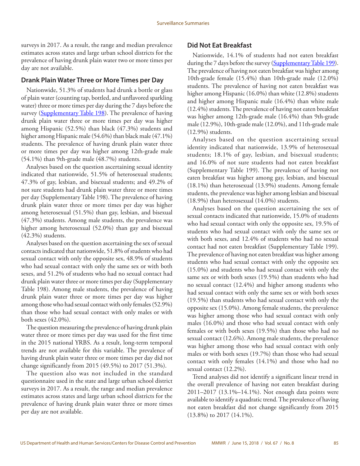surveys in 2017. As a result, the range and median prevalence estimates across states and large urban school districts for the prevalence of having drunk plain water two or more times per day are not available.

#### **Drank Plain Water Three or More Times per Day**

Nationwide, 51.3% of students had drunk a bottle or glass of plain water (counting tap, bottled, and unflavored sparkling water) three or more times per day during the 7 days before the survey [\(Supplementary Table 198](https://www.cdc.gov/healthyyouth/data/yrbs/2017_tables/dietary_behaviors.htm#t198_down)). The prevalence of having drunk plain water three or more times per day was higher among Hispanic (52.5%) than black (47.3%) students and higher among Hispanic male (54.6%) than black male (47.1%) students. The prevalence of having drunk plain water three or more times per day was higher among 12th-grade male (54.1%) than 9th-grade male (48.7%) students.

Analyses based on the question ascertaining sexual identity indicated that nationwide, 51.5% of heterosexual students; 47.3% of gay, lesbian, and bisexual students; and 49.2% of not sure students had drunk plain water three or more times per day (Supplementary Table 198). The prevalence of having drunk plain water three or more times per day was higher among heterosexual (51.5%) than gay, lesbian, and bisexual (47.3%) students. Among male students, the prevalence was higher among heterosexual (52.0%) than gay and bisexual (42.3%) students.

Analyses based on the question ascertaining the sex of sexual contacts indicated that nationwide, 51.8% of students who had sexual contact with only the opposite sex, 48.9% of students who had sexual contact with only the same sex or with both sexes, and 51.2% of students who had no sexual contact had drunk plain water three or more times per day (Supplementary Table 198). Among male students, the prevalence of having drunk plain water three or more times per day was higher among those who had sexual contact with only females (52.9%) than those who had sexual contact with only males or with both sexes (42.0%).

The question measuring the prevalence of having drunk plain water three or more times per day was used for the first time in the 2015 national YRBS. As a result, long-term temporal trends are not available for this variable. The prevalence of having drunk plain water three or more times per day did not change significantly from 2015 (49.5%) to 2017 (51.3%).

The question also was not included in the standard questionnaire used in the state and large urban school district surveys in 2017. As a result, the range and median prevalence estimates across states and large urban school districts for the prevalence of having drunk plain water three or more times per day are not available.

#### **Did Not Eat Breakfast**

Nationwide, 14.1% of students had not eaten breakfast during the 7 days before the survey ([Supplementary Table 199\)](https://www.cdc.gov/healthyyouth/data/yrbs/2017_tables/dietary_behaviors.htm#t199_down). The prevalence of having not eaten breakfast was higher among 10th-grade female (15.4%) than 10th-grade male (12.0%) students. The prevalence of having not eaten breakfast was higher among Hispanic (16.0%) than white (12.8%) students and higher among Hispanic male (16.4%) than white male (12.4%) students. The prevalence of having not eaten breakfast was higher among 12th-grade male (16.4%) than 9th-grade male (12.9%), 10th-grade male (12.0%), and 11th-grade male (12.9%) students.

Analyses based on the question ascertaining sexual identity indicated that nationwide, 13.9% of heterosexual students; 18.1% of gay, lesbian, and bisexual students; and 16.0% of not sure students had not eaten breakfast (Supplementary Table 199). The prevalence of having not eaten breakfast was higher among gay, lesbian, and bisexual (18.1%) than heterosexual (13.9%) students. Among female students, the prevalence was higher among lesbian and bisexual (18.9%) than heterosexual (14.0%) students.

Analyses based on the question ascertaining the sex of sexual contacts indicated that nationwide, 15.0% of students who had sexual contact with only the opposite sex, 19.5% of students who had sexual contact with only the same sex or with both sexes, and 12.4% of students who had no sexual contact had not eaten breakfast (Supplementary Table 199). The prevalence of having not eaten breakfast was higher among students who had sexual contact with only the opposite sex (15.0%) and students who had sexual contact with only the same sex or with both sexes (19.5%) than students who had no sexual contact (12.4%) and higher among students who had sexual contact with only the same sex or with both sexes (19.5%) than students who had sexual contact with only the opposite sex (15.0%). Among female students, the prevalence was higher among those who had sexual contact with only males (16.0%) and those who had sexual contact with only females or with both sexes (19.5%) than those who had no sexual contact (12.6%). Among male students, the prevalence was higher among those who had sexual contact with only males or with both sexes (19.7%) than those who had sexual contact with only females (14.1%) and those who had no sexual contact (12.2%).

Trend analyses did not identify a significant linear trend in the overall prevalence of having not eaten breakfast during 2011–2017 (13.1%–14.1%). Not enough data points were available to identify a quadratic trend. The prevalence of having not eaten breakfast did not change significantly from 2015 (13.8%) to 2017 (14.1%).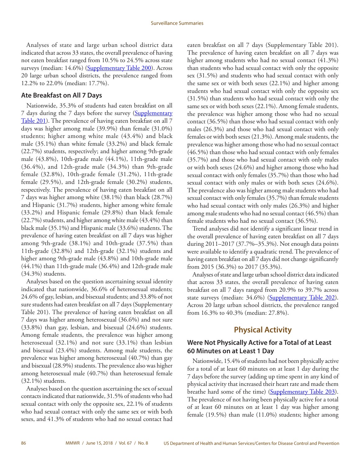Analyses of state and large urban school district data indicated that across 33 states, the overall prevalence of having not eaten breakfast ranged from 10.5% to 24.5% across state surveys (median: 14.6%) [\(Supplementary Table 200](https://www.cdc.gov/healthyyouth/data/yrbs/2017_tables/dietary_behaviors.htm#t200_down)). Across 20 large urban school districts, the prevalence ranged from 12.2% to 22.0% (median: 17.7%).

#### **Ate Breakfast on All 7 Days**

Nationwide, 35.3% of students had eaten breakfast on all 7 days during the 7 days before the survey [\(Supplementary](https://www.cdc.gov/healthyyouth/data/yrbs/2017_tables/dietary_behaviors.htm#t201_down) [Table 201](https://www.cdc.gov/healthyyouth/data/yrbs/2017_tables/dietary_behaviors.htm#t201_down)). The prevalence of having eaten breakfast on all 7 days was higher among male (39.9%) than female (31.0%) students; higher among white male (43.4%) and black male (35.1%) than white female (33.2%) and black female (22.7%) students, respectively; and higher among 9th-grade male (43.8%), 10th-grade male (44.1%), 11th-grade male (36.4%), and 12th-grade male (34.3%) than 9th-grade female (32.8%), 10th-grade female (31.2%), 11th-grade female (29.5%), and 12th-grade female (30.2%) students, respectively. The prevalence of having eaten breakfast on all 7 days was higher among white (38.1%) than black (28.7%) and Hispanic (31.7%) students, higher among white female (33.2%) and Hispanic female (29.8%) than black female (22.7%) students, and higher among white male (43.4%) than black male (35.1%) and Hispanic male (33.6%) students. The prevalence of having eaten breakfast on all 7 days was higher among 9th-grade (38.1%) and 10th-grade (37.5%) than 11th-grade (32.8%) and 12th-grade (32.1%) students and higher among 9th-grade male (43.8%) and 10th-grade male (44.1%) than 11th-grade male (36.4%) and 12th-grade male (34.3%) students.

Analyses based on the question ascertaining sexual identity indicated that nationwide, 36.6% of heterosexual students; 24.6% of gay, lesbian, and bisexual students; and 33.8% of not sure students had eaten breakfast on all 7 days (Supplementary Table 201). The prevalence of having eaten breakfast on all 7 days was higher among heterosexual (36.6%) and not sure (33.8%) than gay, lesbian, and bisexual (24.6%) students. Among female students, the prevalence was higher among heterosexual (32.1%) and not sure (33.1%) than lesbian and bisexual (23.4%) students. Among male students, the prevalence was higher among heterosexual (40.7%) than gay and bisexual (28.9%) students. The prevalence also was higher among heterosexual male (40.7%) than heterosexual female (32.1%) students.

Analyses based on the question ascertaining the sex of sexual contacts indicated that nationwide, 31.5% of students who had sexual contact with only the opposite sex, 22.1% of students who had sexual contact with only the same sex or with both sexes, and 41.3% of students who had no sexual contact had eaten breakfast on all 7 days (Supplementary Table 201). The prevalence of having eaten breakfast on all 7 days was higher among students who had no sexual contact (41.3%) than students who had sexual contact with only the opposite sex (31.5%) and students who had sexual contact with only the same sex or with both sexes (22.1%) and higher among students who had sexual contact with only the opposite sex (31.5%) than students who had sexual contact with only the same sex or with both sexes (22.1%). Among female students, the prevalence was higher among those who had no sexual contact (36.5%) than those who had sexual contact with only males (26.3%) and those who had sexual contact with only females or with both sexes (21.3%). Among male students, the prevalence was higher among those who had no sexual contact (46.5%) than those who had sexual contact with only females (35.7%) and those who had sexual contact with only males or with both sexes (24.6%) and higher among those who had sexual contact with only females (35.7%) than those who had sexual contact with only males or with both sexes (24.6%). The prevalence also was higher among male students who had sexual contact with only females (35.7%) than female students who had sexual contact with only males (26.3%) and higher among male students who had no sexual contact (46.5%) than female students who had no sexual contact (36.5%).

Trend analyses did not identify a significant linear trend in the overall prevalence of having eaten breakfast on all 7 days during 2011–2017 (37.7%–35.3%). Not enough data points were available to identify a quadratic trend. The prevalence of having eaten breakfast on all 7 days did not change significantly from 2015 (36.3%) to 2017 (35.3%).

Analyses of state and large urban school district data indicated that across 33 states, the overall prevalence of having eaten breakfast on all 7 days ranged from 20.9% to 39.7% across state surveys (median: 34.6%) [\(Supplementary Table 202\)](https://www.cdc.gov/healthyyouth/data/yrbs/2017_tables/dietary_behaviors.htm#t202_down). Across 20 large urban school districts, the prevalence ranged from 16.3% to 40.3% (median: 27.8%).

### **Physical Activity**

# **Were Not Physically Active for a Total of at Least 60 Minutes on at Least 1 Day**

Nationwide, 15.4% of students had not been physically active for a total of at least 60 minutes on at least 1 day during the 7 days before the survey (adding up time spent in any kind of physical activity that increased their heart rate and made them breathe hard some of the time) ([Supplementary Table 203\)](https://www.cdc.gov/healthyyouth/data/yrbs/2017_tables/physical_activity.htm#t203_down). The prevalence of not having been physically active for a total of at least 60 minutes on at least 1 day was higher among female (19.5%) than male (11.0%) students; higher among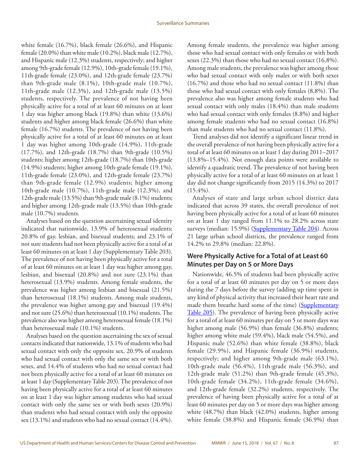white female (16.7%), black female (26.6%), and Hispanic female (20.0%) than white male (10.2%), black male (12.7%), and Hispanic male (12.3%) students, respectively; and higher among 9th-grade female (12.9%), 10th-grade female (19.1%), 11th-grade female (23.0%), and 12th-grade female (23.7%) than 9th-grade male (8.1%), 10th-grade male (10.7%), 11th-grade male (12.3%), and 12th-grade male (13.5%) students, respectively. The prevalence of not having been physically active for a total of at least 60 minutes on at least 1 day was higher among black (19.8%) than white (13.6%) students and higher among black female (26.6%) than white female (16.7%) students. The prevalence of not having been physically active for a total of at least 60 minutes on at least 1 day was higher among 10th-grade (14.9%), 11th-grade (17.7%), and 12th-grade (18.7%) than 9th-grade (10.5%) students; higher among 12th-grade (18.7%) than 10th-grade (14.9%) students; higher among 10th-grade female (19.1%), 11th-grade female (23.0%), and 12th-grade female (23.7%) than 9th-grade female (12.9%) students; higher among 10th-grade male (10.7%), 11th-grade male (12.3%), and 12th-grade male (13.5%) than 9th-grade male (8.1%) students; and higher among 12th-grade male (13.5%) than 10th-grade male (10.7%) students.

Analyses based on the question ascertaining sexual identity indicated that nationwide, 13.9% of heterosexual students; 20.8% of gay, lesbian, and bisexual students; and 23.1% of not sure students had not been physically active for a total of at least 60 minutes on at least 1 day (Supplementary Table 203). The prevalence of not having been physically active for a total of at least 60 minutes on at least 1 day was higher among gay, lesbian, and bisexual (20.8%) and not sure (23.1%) than heterosexual (13.9%) students. Among female students, the prevalence was higher among lesbian and bisexual (21.5%) than heterosexual (18.1%) students. Among male students, the prevalence was higher among gay and bisexual (19.4%) and not sure (25.6%) than heterosexual (10.1%) students. The prevalence also was higher among heterosexual female (18.1%) than heterosexual male (10.1%) students.

Analyses based on the question ascertaining the sex of sexual contacts indicated that nationwide, 13.1% of students who had sexual contact with only the opposite sex, 20.9% of students who had sexual contact with only the same sex or with both sexes, and 14.4% of students who had no sexual contact had not been physically active for a total of at least 60 minutes on at least 1 day (Supplementary Table 203). The prevalence of not having been physically active for a total of at least 60 minutes on at least 1 day was higher among students who had sexual contact with only the same sex or with both sexes (20.9%) than students who had sexual contact with only the opposite sex (13.1%) and students who had no sexual contact (14.4%).

Among female students, the prevalence was higher among those who had sexual contact with only females or with both sexes (22.3%) than those who had no sexual contact (16.8%). Among male students, the prevalence was higher among those who had sexual contact with only males or with both sexes (16.7%) and those who had no sexual contact (11.8%) than those who had sexual contact with only females (8.8%). The prevalence also was higher among female students who had sexual contact with only males (18.4%) than male students who had sexual contact with only females (8.8%) and higher among female students who had no sexual contact (16.8%) than male students who had no sexual contact (11.8%).

Trend analyses did not identify a significant linear trend in the overall prevalence of not having been physically active for a total of at least 60 minutes on at least 1 day during 2011–2017 (13.8%–15.4%). Not enough data points were available to identify a quadratic trend. The prevalence of not having been physically active for a total of at least 60 minutes on at least 1 day did not change significantly from 2015 (14.3%) to 2017  $(15.4\%)$ .

Analyses of state and large urban school district data indicated that across 39 states, the overall prevalence of not having been physically active for a total of at least 60 minutes on at least 1 day ranged from 11.1% to 28.2% across state surveys (median: 15.9%) ([Supplementary Table 204\)](https://www.cdc.gov/healthyyouth/data/yrbs/2017_tables/physical_activity.htm#t204_down). Across 21 large urban school districts, the prevalence ranged from 14.2% to 29.8% (median: 22.8%).

# **Were Physically Active for a Total of at Least 60 Minutes per Day on 5 or More Days**

Nationwide, 46.5% of students had been physically active for a total of at least 60 minutes per day on 5 or more days during the 7 days before the survey (adding up time spent in any kind of physical activity that increased their heart rate and made them breathe hard some of the time) ([Supplementary](https://www.cdc.gov/healthyyouth/data/yrbs/2017_tables/physical_activity.htm#t205_down) [Table 205\)](https://www.cdc.gov/healthyyouth/data/yrbs/2017_tables/physical_activity.htm#t205_down). The prevalence of having been physically active for a total of at least 60 minutes per day on 5 or more days was higher among male (56.9%) than female (36.8%) students; higher among white male (59.4%), black male (54.5%), and Hispanic male (52.6%) than white female (38.8%), black female (29.9%), and Hispanic female (36.9%) students, respectively; and higher among 9th-grade male (63.1%), 10th-grade male (56.4%), 11th-grade male (56.3%), and 12th-grade male (51.2%) than 9th-grade female (45.3%), 10th-grade female (34.2%), 11th-grade female (34.6%), and 12th-grade female (32.2%) students, respectively. The prevalence of having been physically active for a total of at least 60 minutes per day on 5 or more days was higher among white (48.7%) than black (42.0%) students, higher among white female (38.8%) and Hispanic female (36.9%) than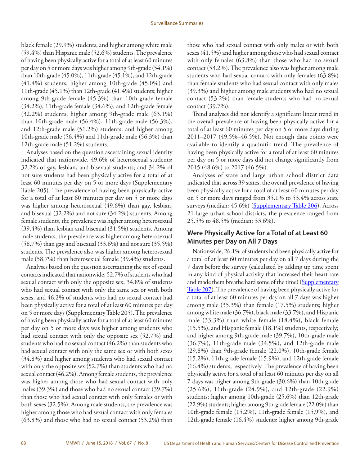black female (29.9%) students, and higher among white male (59.4%) than Hispanic male (52.6%) students. The prevalence of having been physically active for a total of at least 60 minutes per day on 5 or more days was higher among 9th-grade (54.1%) than 10th-grade (45.0%), 11th-grade (45.1%), and 12th-grade (41.4%) students; higher among 10th-grade (45.0%) and 11th-grade (45.1%) than 12th-grade (41.4%) students; higher among 9th-grade female (45.3%) than 10th-grade female (34.2%), 11th-grade female (34.6%), and 12th-grade female (32.2%) students; higher among 9th-grade male (63.1%) than 10th-grade male (56.4%), 11th-grade male (56.3%), and 12th-grade male (51.2%) students; and higher among 10th-grade male (56.4%) and 11th-grade male (56.3%) than 12th-grade male (51.2%) students.

Analyses based on the question ascertaining sexual identity indicated that nationwide, 49.6% of heterosexual students; 32.2% of gay, lesbian, and bisexual students; and 34.2% of not sure students had been physically active for a total of at least 60 minutes per day on 5 or more days (Supplementary Table 205). The prevalence of having been physically active for a total of at least 60 minutes per day on 5 or more days was higher among heterosexual (49.6%) than gay, lesbian, and bisexual (32.2%) and not sure (34.2%) students. Among female students, the prevalence was higher among heterosexual (39.4%) than lesbian and bisexual (31.5%) students. Among male students, the prevalence was higher among heterosexual (58.7%) than gay and bisexual (33.6%) and not sure (35.5%) students. The prevalence also was higher among heterosexual male (58.7%) than heterosexual female (39.4%) students.

Analyses based on the question ascertaining the sex of sexual contacts indicated that nationwide, 52.7% of students who had sexual contact with only the opposite sex, 34.8% of students who had sexual contact with only the same sex or with both sexes, and 46.2% of students who had no sexual contact had been physically active for a total of at least 60 minutes per day on 5 or more days (Supplementary Table 205). The prevalence of having been physically active for a total of at least 60 minutes per day on 5 or more days was higher among students who had sexual contact with only the opposite sex (52.7%) and students who had no sexual contact (46.2%) than students who had sexual contact with only the same sex or with both sexes (34.8%) and higher among students who had sexual contact with only the opposite sex (52.7%) than students who had no sexual contact (46.2%). Among female students, the prevalence was higher among those who had sexual contact with only males (39.3%) and those who had no sexual contact (39.7%) than those who had sexual contact with only females or with both sexes (32.5%). Among male students, the prevalence was higher among those who had sexual contact with only females (63.8%) and those who had no sexual contact (53.2%) than

those who had sexual contact with only males or with both sexes (41.5%) and higher among those who had sexual contact with only females (63.8%) than those who had no sexual contact (53.2%). The prevalence also was higher among male students who had sexual contact with only females (63.8%) than female students who had sexual contact with only males (39.3%) and higher among male students who had no sexual contact (53.2%) than female students who had no sexual contact (39.7%).

Trend analyses did not identify a significant linear trend in the overall prevalence of having been physically active for a total of at least 60 minutes per day on 5 or more days during 2011–2017 (49.5%–46.5%). Not enough data points were available to identify a quadratic trend. The prevalence of having been physically active for a total of at least 60 minutes per day on 5 or more days did not change significantly from 2015 (48.6%) to 2017 (46.5%).

Analyses of state and large urban school district data indicated that across 39 states, the overall prevalence of having been physically active for a total of at least 60 minutes per day on 5 or more days ranged from 35.1% to 53.4% across state surveys (median: 45.6%) ([Supplementary Table 206\)](https://www.cdc.gov/healthyyouth/data/yrbs/2017_tables/physical_activity.htm#t206_down). Across 21 large urban school districts, the prevalence ranged from 25.5% to 48.5% (median: 33.6%).

## **Were Physically Active for a Total of at Least 60 Minutes per Day on All 7 Days**

Nationwide, 26.1% of students had been physically active for a total of at least 60 minutes per day on all 7 days during the 7 days before the survey (calculated by adding up time spent in any kind of physical activity that increased their heart rate and made them breathe hard some of the time) [\(Supplementary](https://www.cdc.gov/healthyyouth/data/yrbs/2017_tables/physical_activity.htm#t207_down)  [Table 207\)](https://www.cdc.gov/healthyyouth/data/yrbs/2017_tables/physical_activity.htm#t207_down). The prevalence of having been physically active for a total of at least 60 minutes per day on all 7 days was higher among male (35.3%) than female (17.5%) students; higher among white male (36.7%), black male (33.7%), and Hispanic male (33.3%) than white female (18.4%), black female (15.5%), and Hispanic female (18.1%) students, respectively; and higher among 9th-grade male (39.7%), 10th-grade male (36.7%), 11th-grade male (34.5%), and 12th-grade male (29.8%) than 9th-grade female (22.0%), 10th-grade female (15.2%), 11th-grade female (15.9%), and 12th-grade female (16.4%) students, respectively. The prevalence of having been physically active for a total of at least 60 minutes per day on all 7 days was higher among 9th-grade (30.6%) than 10th-grade (25.6%), 11th-grade (24.9%), and 12th-grade (22.9%) students; higher among 10th-grade (25.6%) than 12th-grade (22.9%) students; higher among 9th-grade female (22.0%) than 10th-grade female (15.2%), 11th-grade female (15.9%), and 12th-grade female (16.4%) students; higher among 9th-grade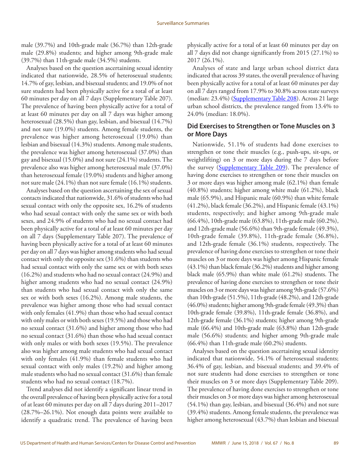male (39.7%) and 10th-grade male (36.7%) than 12th-grade male (29.8%) students; and higher among 9th-grade male (39.7%) than 11th-grade male (34.5%) students.

Analyses based on the question ascertaining sexual identity indicated that nationwide, 28.5% of heterosexual students; 14.7% of gay, lesbian, and bisexual students; and 19.0% of not sure students had been physically active for a total of at least 60 minutes per day on all 7 days (Supplementary Table 207). The prevalence of having been physically active for a total of at least 60 minutes per day on all 7 days was higher among heterosexual (28.5%) than gay, lesbian, and bisexual (14.7%) and not sure (19.0%) students. Among female students, the prevalence was higher among heterosexual (19.0%) than lesbian and bisexual (14.3%) students. Among male students, the prevalence was higher among heterosexual (37.0%) than gay and bisexual (15.0%) and not sure (24.1%) students. The prevalence also was higher among heterosexual male (37.0%) than heterosexual female (19.0%) students and higher among not sure male (24.1%) than not sure female (16.1%) students.

Analyses based on the question ascertaining the sex of sexual contacts indicated that nationwide, 31.6% of students who had sexual contact with only the opposite sex, 16.2% of students who had sexual contact with only the same sex or with both sexes, and 24.9% of students who had no sexual contact had been physically active for a total of at least 60 minutes per day on all 7 days (Supplementary Table 207). The prevalence of having been physically active for a total of at least 60 minutes per day on all 7 days was higher among students who had sexual contact with only the opposite sex (31.6%) than students who had sexual contact with only the same sex or with both sexes (16.2%) and students who had no sexual contact (24.9%) and higher among students who had no sexual contact (24.9%) than students who had sexual contact with only the same sex or with both sexes (16.2%). Among male students, the prevalence was higher among those who had sexual contact with only females (41.9%) than those who had sexual contact with only males or with both sexes (19.5%) and those who had no sexual contact (31.6%) and higher among those who had no sexual contact (31.6%) than those who had sexual contact with only males or with both sexes (19.5%). The prevalence also was higher among male students who had sexual contact with only females (41.9%) than female students who had sexual contact with only males (19.2%) and higher among male students who had no sexual contact (31.6%) than female students who had no sexual contact (18.7%).

Trend analyses did not identify a significant linear trend in the overall prevalence of having been physically active for a total of at least 60 minutes per day on all 7 days during 2011–2017 (28.7%–26.1%). Not enough data points were available to identify a quadratic trend. The prevalence of having been physically active for a total of at least 60 minutes per day on all 7 days did not change significantly from 2015 (27.1%) to 2017 (26.1%).

Analyses of state and large urban school district data indicated that across 39 states, the overall prevalence of having been physically active for a total of at least 60 minutes per day on all 7 days ranged from 17.9% to 30.8% across state surveys (median: 23.4%) ([Supplementary Table 208\)](https://www.cdc.gov/healthyyouth/data/yrbs/2017_tables/physical_activity.htm#t208_down). Across 21 large urban school districts, the prevalence ranged from 13.4% to 24.0% (median: 18.0%).

# **Did Exercises to Strengthen or Tone Muscles on 3 or More Days**

Nationwide, 51.1% of students had done exercises to strengthen or tone their muscles (e.g., push-ups, sit-ups, or weightlifting) on 3 or more days during the 7 days before the survey ([Supplementary Table 209\)](https://www.cdc.gov/healthyyouth/data/yrbs/2017_tables/physical_activity.htm#t209_down). The prevalence of having done exercises to strengthen or tone their muscles on 3 or more days was higher among male (62.1%) than female (40.8%) students; higher among white male (61.2%), black male (65.9%), and Hispanic male (60.9%) than white female (41.2%), black female (36.2%), and Hispanic female (43.1%) students, respectively; and higher among 9th-grade male (66.4%), 10th-grade male (63.8%), 11th-grade male (60.2%), and 12th-grade male (56.6%) than 9th-grade female (49.3%), 10th-grade female (39.8%), 11th-grade female (36.8%), and 12th-grade female (36.1%) students, respectively. The prevalence of having done exercises to strengthen or tone their muscles on 3 or more days was higher among Hispanic female (43.1%) than black female (36.2%) students and higher among black male (65.9%) than white male (61.2%) students. The prevalence of having done exercises to strengthen or tone their muscles on 3 or more days was higher among 9th-grade (57.6%) than 10th-grade (51.5%), 11th-grade (48.2%), and 12th-grade (46.0%) students; higher among 9th-grade female (49.3%) than 10th-grade female (39.8%), 11th-grade female (36.8%), and 12th-grade female (36.1%) students; higher among 9th-grade male (66.4%) and 10th-grade male (63.8%) than 12th-grade male (56.6%) students; and higher among 9th-grade male (66.4%) than 11th-grade male (60.2%) students.

Analyses based on the question ascertaining sexual identity indicated that nationwide, 54.1% of heterosexual students; 36.4% of gay, lesbian, and bisexual students; and 39.4% of not sure students had done exercises to strengthen or tone their muscles on 3 or more days (Supplementary Table 209). The prevalence of having done exercises to strengthen or tone their muscles on 3 or more days was higher among heterosexual (54.1%) than gay, lesbian, and bisexual (36.4%) and not sure (39.4%) students. Among female students, the prevalence was higher among heterosexual (43.7%) than lesbian and bisexual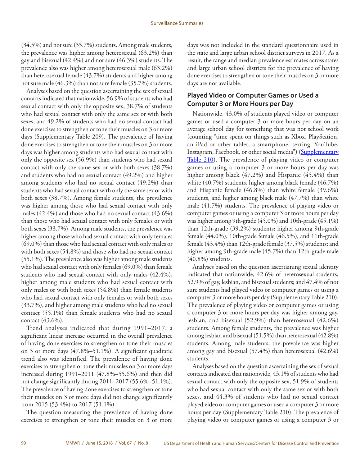(34.5%) and not sure (35.7%) students. Among male students, the prevalence was higher among heterosexual (63.2%) than gay and bisexual (42.4%) and not sure (46.3%) students. The prevalence also was higher among heterosexual male (63.2%) than heterosexual female (43.7%) students and higher among not sure male (46.3%) than not sure female (35.7%) students.

Analyses based on the question ascertaining the sex of sexual contacts indicated that nationwide, 56.9% of students who had sexual contact with only the opposite sex, 38.7% of students who had sexual contact with only the same sex or with both sexes, and 49.2% of students who had no sexual contact had done exercises to strengthen or tone their muscles on 3 or more days (Supplementary Table 209). The prevalence of having done exercises to strengthen or tone their muscles on 3 or more days was higher among students who had sexual contact with only the opposite sex (56.9%) than students who had sexual contact with only the same sex or with both sexes (38.7%) and students who had no sexual contact (49.2%) and higher among students who had no sexual contact (49.2%) than students who had sexual contact with only the same sex or with both sexes (38.7%). Among female students, the prevalence was higher among those who had sexual contact with only males (42.4%) and those who had no sexual contact (43.6%) than those who had sexual contact with only females or with both sexes (33.7%). Among male students, the prevalence was higher among those who had sexual contact with only females (69.0%) than those who had sexual contact with only males or with both sexes (54.8%) and those who had no sexual contact (55.1%). The prevalence also was higher among male students who had sexual contact with only females (69.0%) than female students who had sexual contact with only males (42.4%), higher among male students who had sexual contact with only males or with both sexes (54.8%) than female students who had sexual contact with only females or with both sexes (33.7%), and higher among male students who had no sexual contact (55.1%) than female students who had no sexual contact (43.6%).

Trend analyses indicated that during 1991–2017, a significant linear increase occurred in the overall prevalence of having done exercises to strengthen or tone their muscles on 3 or more days (47.8%–51.1%). A significant quadratic trend also was identified. The prevalence of having done exercises to strengthen or tone their muscles on 3 or more days increased during 1991–2011 (47.8%–55.6%) and then did not change significantly during 2011–2017 (55.6%–51.1%). The prevalence of having done exercises to strengthen or tone their muscles on 3 or more days did not change significantly from 2015 (53.4%) to 2017 (51.1%).

The question measuring the prevalence of having done exercises to strengthen or tone their muscles on 3 or more days was not included in the standard questionnaire used in the state and large urban school district surveys in 2017. As a result, the range and median prevalence estimates across states and large urban school districts for the prevalence of having done exercises to strengthen or tone their muscles on 3 or more days are not available.

## **Played Video or Computer Games or Used a Computer 3 or More Hours per Day**

Nationwide, 43.0% of students played video or computer games or used a computer 3 or more hours per day on an average school day for something that was not school work (counting "time spent on things such as Xbox, PlayStation, an iPad or other tablet, a smartphone, texting, YouTube, Instagram, Facebook, or other social media") ([Supplementary](https://www.cdc.gov/healthyyouth/data/yrbs/2017_tables/physical_activity.htm#t210_down) [Table 210](https://www.cdc.gov/healthyyouth/data/yrbs/2017_tables/physical_activity.htm#t210_down)). The prevalence of playing video or computer games or using a computer 3 or more hours per day was higher among black (47.2%) and Hispanic (45.4%) than white (40.7%) students, higher among black female (46.7%) and Hispanic female (46.8%) than white female (39.6%) students, and higher among black male (47.7%) than white male (41.7%) students. The prevalence of playing video or computer games or using a computer 3 or more hours per day was higher among 9th-grade (45.0%) and 10th-grade (45.1%) than 12th-grade (39.2%) students; higher among 9th-grade female (44.0%), 10th-grade female (46.5%), and 11th-grade female (43.4%) than 12th-grade female (37.5%) students; and higher among 9th-grade male (45.7%) than 12th-grade male (40.8%) students.

Analyses based on the question ascertaining sexual identity indicated that nationwide, 42.6% of heterosexual students; 52.9% of gay, lesbian, and bisexual students; and 47.4% of not sure students had played video or computer games or using a computer 3 or more hours per day (Supplementary Table 210). The prevalence of playing video or computer games or using a computer 3 or more hours per day was higher among gay, lesbian, and bisexual (52.9%) than heterosexual (42.6%) students. Among female students, the prevalence was higher among lesbian and bisexual (51.5%) than heterosexual (42.8%) students. Among male students, the prevalence was higher among gay and bisexual (57.4%) than heterosexual (42.6%) students.

Analyses based on the question ascertaining the sex of sexual contacts indicated that nationwide, 43.1% of students who had sexual contact with only the opposite sex, 51.9% of students who had sexual contact with only the same sex or with both sexes, and 44.3% of students who had no sexual contact played video or computer games or used a computer 3 or more hours per day (Supplementary Table 210). The prevalence of playing video or computer games or using a computer 3 or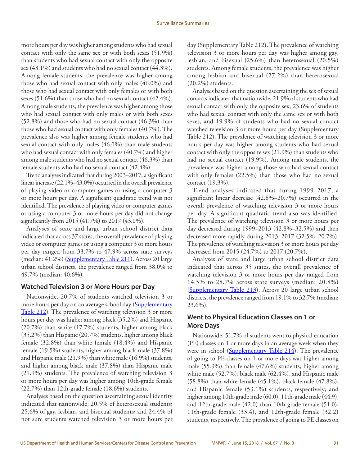more hours per day was higher among students who had sexual contact with only the same sex or with both sexes (51.9%) than students who had sexual contact with only the opposite sex (43.1%) and students who had no sexual contact (44.3%). Among female students, the prevalence was higher among those who had sexual contact with only males (46.0%) and those who had sexual contact with only females or with both sexes (51.6%) than those who had no sexual contact (42.4%). Among male students, the prevalence was higher among those who had sexual contact with only males or with both sexes (52.8%) and those who had no sexual contact (46.3%) than those who had sexual contact with only females (40.7%). The prevalence also was higher among female students who had sexual contact with only males (46.0%) than male students who had sexual contact with only females (40.7%) and higher among male students who had no sexual contact (46.3%) than female students who had no sexual contact (42.4%).

Trend analyses indicated that during 2003–2017, a significant linear increase (22.1%–43.0%) occurred in the overall prevalence of playing video or computer games or using a computer 3 or more hours per day. A significant quadratic trend was not identified. The prevalence of playing video or computer games or using a computer 3 or more hours per day did not change significantly from 2015 (41.7%) to 2017 (43.0%).

Analyses of state and large urban school district data indicated that across 37 states, the overall prevalence of playing video or computer games or using a computer 3 or more hours per day ranged from 33.7% to 47.9% across state surveys (median: 41.2%) [\(Supplementary Table 211](https://www.cdc.gov/healthyyouth/data/yrbs/2017_tables/physical_activity.htm#t211_down)). Across 20 large urban school districts, the prevalence ranged from 38.0% to 49.7% (median: 40.6%).

#### **Watched Television 3 or More Hours per Day**

Nationwide, 20.7% of students watched television 3 or more hours per day on an average school day [\(Supplementary](https://www.cdc.gov/healthyyouth/data/yrbs/2017_tables/physical_activity.htm#t212_down) [Table 212\)](https://www.cdc.gov/healthyyouth/data/yrbs/2017_tables/physical_activity.htm#t212_down). The prevalence of watching television 3 or more hours per day was higher among black (35.2%) and Hispanic (20.7%) than white (17.7%) students, higher among black (35.2%) than Hispanic (20.7%) students, higher among black female (32.8%) than white female (18.4%) and Hispanic female (19.5%) students, higher among black male (37.8%) and Hispanic male (21.9%) than white male (16.9%) students, and higher among black male (37.8%) than Hispanic male (21.9%) students. The prevalence of watching television 3 or more hours per day was higher among 10th-grade female (22.7%) than 12th-grade female (18.6%) students.

Analyses based on the question ascertaining sexual identity indicated that nationwide, 20.5% of heterosexual students; 25.6% of gay, lesbian, and bisexual students; and 24.4% of not sure students watched television 3 or more hours per

day (Supplementary Table 212). The prevalence of watching television 3 or more hours per day was higher among gay, lesbian, and bisexual (25.6%) than heterosexual (20.5%) students. Among female students, the prevalence was higher among lesbian and bisexual (27.2%) than heterosexual (20.2%) students.

Analyses based on the question ascertaining the sex of sexual contacts indicated that nationwide, 21.9% of students who had sexual contact with only the opposite sex, 23.6% of students who had sexual contact with only the same sex or with both sexes, and 19.9% of students who had no sexual contact watched television 3 or more hours per day (Supplementary Table 212). The prevalence of watching television 3 or more hours per day was higher among students who had sexual contact with only the opposite sex (21.9%) than students who had no sexual contact (19.9%). Among male students, the prevalence was higher among those who had sexual contact with only females (22.5%) than those who had no sexual contact (19.3%).

Trend analyses indicated that during 1999–2017, a significant linear decrease (42.8%–20.7%) occurred in the overall prevalence of watching television 3 or more hours per day. A significant quadratic trend also was identified. The prevalence of watching television 3 or more hours per day decreased during 1999–2013 (42.8%–32.5%) and then decreased more rapidly during 2013–2017 (32.5%–20.7%). The prevalence of watching television 3 or more hours per day decreased from 2015 (24.7%) to 2017 (20.7%).

Analyses of state and large urban school district data indicated that across 35 states, the overall prevalence of watching television 3 or more hours per day ranged from 14.5% to 28.7% across state surveys (median: 20.8%) [\(Supplementary Table 213\)](https://www.cdc.gov/healthyyouth/data/yrbs/2017_tables/physical_activity.htm#t213_down). Across 20 large urban school districts, the prevalence ranged from 19.1% to 32.7% (median: 23.6%).

# **Went to Physical Education Classes on 1 or More Days**

Nationwide, 51.7% of students went to physical education (PE) classes on 1 or more days in an average week when they were in school [\(Supplementary Table 214\)](https://www.cdc.gov/healthyyouth/data/yrbs/2017_tables/physical_activity.htm#t214_down). The prevalence of going to PE classes on 1 or more days was higher among male (55.9%) than female (47.6%) students; higher among white male (52.7%), black male (62.4%), and Hispanic male (58.8%) than white female (45.1%), black female (47.8%), and Hispanic female (53.1%) students, respectively; and higher among 10th-grade male (60.0), 11th-grade male (44.9), and 12th-grade male (42.0) than 10th-grade female (51.0), 11th-grade female (33.4), and 12th-grade female (32.2) students, respectively. The prevalence of going to PE classes on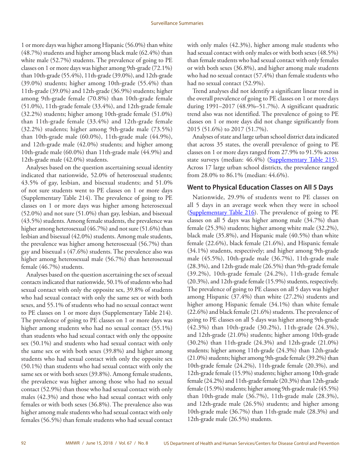1 or more days was higher among Hispanic (56.0%) than white (48.7%) students and higher among black male (62.4%) than white male (52.7%) students. The prevalence of going to PE classes on 1 or more days was higher among 9th-grade (72.1%) than 10th-grade (55.4%), 11th-grade (39.0%), and 12th-grade (39.0%) students; higher among 10th-grade (55.4%) than 11th-grade (39.0%) and 12th-grade (36.9%) students; higher among 9th-grade female (70.8%) than 10th-grade female (51.0%), 11th-grade female (33.4%), and 12th-grade female (32.2%) students; higher among 10th-grade female (51.0%) than 11th-grade female (33.4%) and 12th-grade female (32.2%) students; higher among 9th-grade male (73.5%) than 10th-grade male (60.0%), 11th-grade male (44.9%), and 12th-grade male (42.0%) students; and higher among 10th-grade male (60.0%) than 11th-grade male (44.9%) and 12th-grade male (42.0%) students.

Analyses based on the question ascertaining sexual identity indicated that nationwide, 52.0% of heterosexual students; 43.5% of gay, lesbian, and bisexual students; and 51.0% of not sure students went to PE classes on 1 or more days (Supplementary Table 214). The prevalence of going to PE classes on 1 or more days was higher among heterosexual (52.0%) and not sure (51.0%) than gay, lesbian, and bisexual (43.5%) students. Among female students, the prevalence was higher among heterosexual (46.7%) and not sure (51.6%) than lesbian and bisexual (42.0%) students. Among male students, the prevalence was higher among heterosexual (56.7%) than gay and bisexual s (47.6%) students. The prevalence also was higher among heterosexual male (56.7%) than heterosexual female (46.7%) students.

Analyses based on the question ascertaining the sex of sexual contacts indicated that nationwide, 50.1% of students who had sexual contact with only the opposite sex, 39.8% of students who had sexual contact with only the same sex or with both sexes, and 55.1% of students who had no sexual contact went to PE classes on 1 or more days (Supplementary Table 214). The prevalence of going to PE classes on 1 or more days was higher among students who had no sexual contact (55.1%) than students who had sexual contact with only the opposite sex (50.1%) and students who had sexual contact with only the same sex or with both sexes (39.8%) and higher among students who had sexual contact with only the opposite sex (50.1%) than students who had sexual contact with only the same sex or with both sexes (39.8%). Among female students, the prevalence was higher among those who had no sexual contact (52.9%) than those who had sexual contact with only males (42.3%) and those who had sexual contact with only females or with both sexes (36.8%). The prevalence also was higher among male students who had sexual contact with only females (56.5%) than female students who had sexual contact

with only males (42.3%), higher among male students who had sexual contact with only males or with both sexes (48.5%) than female students who had sexual contact with only females or with both sexes (36.8%), and higher among male students who had no sexual contact (57.4%) than female students who had no sexual contact (52.9%).

Trend analyses did not identify a significant linear trend in the overall prevalence of going to PE classes on 1 or more days during 1991–2017 (48.9%–51.7%). A significant quadratic trend also was not identified. The prevalence of going to PE classes on 1 or more days did not change significantly from 2015 (51.6%) to 2017 (51.7%).

Analyses of state and large urban school district data indicated that across 35 states, the overall prevalence of going to PE classes on 1 or more days ranged from 27.9% to 91.5% across state surveys (median: 46.4%) [\(Supplementary Table 215\)](https://www.cdc.gov/healthyyouth/data/yrbs/2017_tables/physical_activity.htm#t215_down). Across 17 large urban school districts, the prevalence ranged from 28.0% to 86.1% (median: 44.6%).

#### **Went to Physical Education Classes on All 5 Days**

Nationwide, 29.9% of students went to PE classes on all 5 days in an average week when they were in school [\(Supplementary Table 216\)](https://www.cdc.gov/healthyyouth/data/yrbs/2017_tables/physical_activity.htm#t216_down). The prevalence of going to PE classes on all 5 days was higher among male (34.7%) than female (25.3%) students; higher among white male (32.2%), black male (35.8%), and Hispanic male (40.5%) than white female (22.6%), black female (21.6%), and Hispanic female (34.1%) students, respectively; and higher among 9th-grade male (45.5%), 10th-grade male (36.7%), 11th-grade male (28.3%), and 12th-grade male (26.5%) than 9th-grade female (39.2%), 10th-grade female (24.2%), 11th-grade female (20.3%), and 12th-grade female (15.9%) students, respectively. The prevalence of going to PE classes on all 5 days was higher among Hispanic (37.4%) than white (27.2%) students and higher among Hispanic female (34.1%) than white female (22.6%) and black female (21.6%) students. The prevalence of going to PE classes on all 5 days was higher among 9th-grade (42.3%) than 10th-grade (30.2%), 11th-grade (24.3%), and 12th-grade (21.0%) students; higher among 10th-grade (30.2%) than 11th-grade (24.3%) and 12th-grade (21.0%) students; higher among 11th-grade (24.3%) than 12th-grade (21.0%) students; higher among 9th-grade female (39.2%) than 10th-grade female (24.2%), 11th-grade female (20.3%), and 12th-grade female (15.9%) students; higher among 10th-grade female (24.2%) and 11th-grade female (20.3%) than 12th-grade female (15.9%) students; higher among 9th-grade male (45.5%) than 10th-grade male (36.7%), 11th-grade male (28.3%), and 12th-grade male (26.5%) students; and higher among 10th-grade male (36.7%) than 11th-grade male (28.3%) and 12th-grade male (26.5%) students.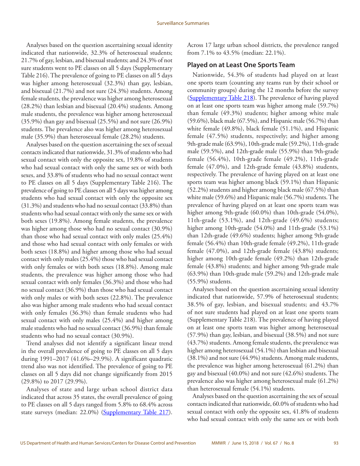Analyses based on the question ascertaining sexual identity indicated that nationwide, 32.3% of heterosexual students; 21.7% of gay, lesbian, and bisexual students; and 24.3% of not sure students went to PE classes on all 5 days (Supplementary Table 216). The prevalence of going to PE classes on all 5 days was higher among heterosexual (32.3%) than gay, lesbian, and bisexual (21.7%) and not sure (24.3%) students. Among female students, the prevalence was higher among heterosexual (28.2%) than lesbian and bisexual (20.4%) students. Among male students, the prevalence was higher among heterosexual (35.9%) than gay and bisexual (25.5%) and not sure (26.9%) students. The prevalence also was higher among heterosexual male (35.9%) than heterosexual female (28.2%) students.

Analyses based on the question ascertaining the sex of sexual contacts indicated that nationwide, 31.3% of students who had sexual contact with only the opposite sex, 19.8% of students who had sexual contact with only the same sex or with both sexes, and 33.8% of students who had no sexual contact went to PE classes on all 5 days (Supplementary Table 216). The prevalence of going to PE classes on all 5 days was higher among students who had sexual contact with only the opposite sex (31.3%) and students who had no sexual contact (33.8%) than students who had sexual contact with only the same sex or with both sexes (19.8%). Among female students, the prevalence was higher among those who had no sexual contact (30.9%) than those who had sexual contact with only males (25.4%) and those who had sexual contact with only females or with both sexes (18.8%) and higher among those who had sexual contact with only males (25.4%) those who had sexual contact with only females or with both sexes (18.8%). Among male students, the prevalence was higher among those who had sexual contact with only females (36.3%) and those who had no sexual contact (36.9%) than those who had sexual contact with only males or with both sexes (22.8%). The prevalence also was higher among male students who had sexual contact with only females (36.3%) than female students who had sexual contact with only males (25.4%) and higher among male students who had no sexual contact (36.9%) than female students who had no sexual contact (30.9%).

Trend analyses did not identify a significant linear trend in the overall prevalence of going to PE classes on all 5 days during 1991–2017 (41.6%–29.9%). A significant quadratic trend also was not identified. The prevalence of going to PE classes on all 5 days did not change significantly from 2015 (29.8%) to 2017 (29.9%).

Analyses of state and large urban school district data indicated that across 35 states, the overall prevalence of going to PE classes on all 5 days ranged from 5.8% to 68.4% across state surveys (median: 22.0%) ([Supplementary Table 217](https://www.cdc.gov/healthyyouth/data/yrbs/2017_tables/physical_activity.htm#t217_down)).

Across 17 large urban school districts, the prevalence ranged from 7.1% to 43.5% (median: 22.1%).

#### **Played on at Least One Sports Team**

Nationwide, 54.3% of students had played on at least one sports team (counting any teams run by their school or community groups) during the 12 months before the survey [\(Supplementary Table 218\)](https://www.cdc.gov/healthyyouth/data/yrbs/2017_tables/physical_activity.htm#t218_down). The prevalence of having played on at least one sports team was higher among male (59.7%) than female (49.3%) students; higher among white male (59.6%), black male (67.5%), and Hispanic male (56.7%) than white female (49.8%), black female (51.1%), and Hispanic female (47.5%) students, respectively; and higher among 9th-grade male (63.9%), 10th-grade male (59.2%), 11th-grade male (59.5%), and 12th-grade male (55.9%) than 9th-grade female (56.4%), 10th-grade female (49.2%), 11th-grade female (47.0%), and 12th-grade female (43.8%) students, respectively. The prevalence of having played on at least one sports team was higher among black (59.1%) than Hispanic (52.2%) students and higher among black male (67.5%) than white male (59.6%) and Hispanic male (56.7%) students. The prevalence of having played on at least one sports team was higher among 9th-grade (60.0%) than 10th-grade (54.0%), 11th-grade (53.1%), and 12th-grade (49.6%) students; higher among 10th-grade (54.0%) and 11th-grade (53.1%) than 12th-grade (49.6%) students; higher among 9th-grade female (56.4%) than 10th-grade female (49.2%), 11th-grade female (47.0%), and 12th-grade female (43.8%) students; higher among 10th-grade female (49.2%) than 12th-grade female (43.8%) students; and higher among 9th-grade male (63.9%) than 10th-grade male (59.2%) and 12th-grade male (55.9%) students.

Analyses based on the question ascertaining sexual identity indicated that nationwide, 57.9% of heterosexual students; 38.5% of gay, lesbian, and bisexual students; and 43.7% of not sure students had played on at least one sports team (Supplementary Table 218). The prevalence of having played on at least one sports team was higher among heterosexual (57.9%) than gay, lesbian, and bisexual (38.5%) and not sure (43.7%) students. Among female students, the prevalence was higher among heterosexual (54.1%) than lesbian and bisexual (38.1%) and not sure (44.9%) students. Among male students, the prevalence was higher among heterosexual (61.2%) than gay and bisexual (40.0%) and not sure (42.6%) students. The prevalence also was higher among heterosexual male (61.2%) than heterosexual female (54.1%) students.

Analyses based on the question ascertaining the sex of sexual contacts indicated that nationwide, 60.0% of students who had sexual contact with only the opposite sex, 41.8% of students who had sexual contact with only the same sex or with both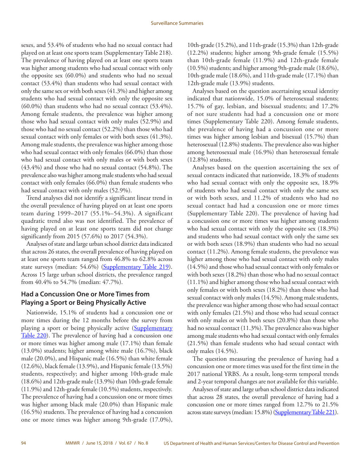sexes, and 53.4% of students who had no sexual contact had played on at least one sports team (Supplementary Table 218). The prevalence of having played on at least one sports team was higher among students who had sexual contact with only the opposite sex (60.0%) and students who had no sexual contact (53.4%) than students who had sexual contact with only the same sex or with both sexes (41.3%) and higher among students who had sexual contact with only the opposite sex (60.0%) than students who had no sexual contact (53.4%). Among female students, the prevalence was higher among those who had sexual contact with only males (52.9%) and those who had no sexual contact (52.2%) than those who had sexual contact with only females or with both sexes (41.3%). Among male students, the prevalence was higher among those who had sexual contact with only females (66.0%) than those who had sexual contact with only males or with both sexes (43.4%) and those who had no sexual contact (54.8%). The prevalence also was higher among male students who had sexual contact with only females (66.0%) than female students who had sexual contact with only males (52.9%).

Trend analyses did not identify a significant linear trend in the overall prevalence of having played on at least one sports team during 1999–2017 (55.1%–54.3%). A significant quadratic trend also was not identified. The prevalence of having played on at least one sports team did not change significantly from 2015 (57.6%) to 2017 (54.3%).

Analyses of state and large urban school district data indicated that across 26 states, the overall prevalence of having played on at least one sports team ranged from 46.8% to 62.8% across state surveys (median: 54.6%) ([Supplementary Table 219](https://www.cdc.gov/healthyyouth/data/yrbs/2017_tables/physical_activity.htm#t219_down)). Across 15 large urban school districts, the prevalence ranged from 40.4% to 54.7% (median: 47.7%).

# **Had a Concussion One or More Times from Playing a Sport or Being Physically Active**

Nationwide, 15.1% of students had a concussion one or more times during the 12 months before the survey from playing a sport or being physically active ([Supplementary](https://www.cdc.gov/healthyyouth/data/yrbs/2017_tables/physical_activity.htm#t220_down) [Table 220](https://www.cdc.gov/healthyyouth/data/yrbs/2017_tables/physical_activity.htm#t220_down)). The prevalence of having had a concussion one or more times was higher among male (17.1%) than female (13.0%) students; higher among white male (16.7%), black male (20.0%), and Hispanic male (16.5%) than white female (12.6%), black female (13.9%), and Hispanic female (13.5%) students, respectively; and higher among 10th-grade male (18.6%) and 12th-grade male (13.9%) than 10th-grade female (11.9%) and 12th-grade female (10.5%) students, respectively. The prevalence of having had a concussion one or more times was higher among black male (20.0%) than Hispanic male (16.5%) students. The prevalence of having had a concussion one or more times was higher among 9th-grade (17.0%),

10th-grade (15.2%), and 11th-grade (15.3%) than 12th-grade (12.2%) students; higher among 9th-grade female (15.5%) than 10th-grade female (11.9%) and 12th-grade female (10.5%) students; and higher among 9th-grade male (18.6%), 10th-grade male (18.6%), and 11th-grade male (17.1%) than 12th-grade male (13.9%) students.

Analyses based on the question ascertaining sexual identity indicated that nationwide, 15.0% of heterosexual students; 15.7% of gay, lesbian, and bisexual students; and 17.2% of not sure students had had a concussion one or more times (Supplementary Table 220). Among female students, the prevalence of having had a concussion one or more times was higher among lesbian and bisexual (15.7%) than heterosexual (12.8%) students. The prevalence also was higher among heterosexual male (16.9%) than heterosexual female (12.8%) students.

Analyses based on the question ascertaining the sex of sexual contacts indicated that nationwide, 18.3% of students who had sexual contact with only the opposite sex, 18.9% of students who had sexual contact with only the same sex or with both sexes, and 11.2% of students who had no sexual contact had had a concussion one or more times (Supplementary Table 220). The prevalence of having had a concussion one or more times was higher among students who had sexual contact with only the opposite sex (18.3%) and students who had sexual contact with only the same sex or with both sexes (18.9%) than students who had no sexual contact (11.2%). Among female students, the prevalence was higher among those who had sexual contact with only males (14.5%) and those who had sexual contact with only females or with both sexes (18.2%) than those who had no sexual contact (11.1%) and higher among those who had sexual contact with only females or with both sexes (18.2%) than those who had sexual contact with only males (14.5%). Among male students, the prevalence was higher among those who had sexual contact with only females (21.5%) and those who had sexual contact with only males or with both sexes (20.8%) than those who had no sexual contact (11.3%). The prevalence also was higher among male students who had sexual contact with only females (21.5%) than female students who had sexual contact with only males (14.5%).

The question measuring the prevalence of having had a concussion one or more times was used for the first time in the 2017 national YRBS. As a result, long-term temporal trends and 2-year temporal changes are not available for this variable.

Analyses of state and large urban school district data indicated that across 28 states, the overall prevalence of having had a concussion one or more times ranged from 12.7% to 21.5% across state surveys (median: 15.8%) [\(Supplementary Table 221\)](https://www.cdc.gov/healthyyouth/data/yrbs/2017_tables/physical_activity.htm#t221_down).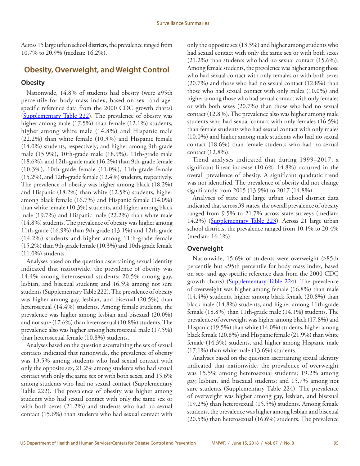Across 15 large urban school districts, the prevalence ranged from 10.7% to 20.9% (median: 16.2%).

# **Obesity, Overweight, and Weight Control**

## **Obesity**

Nationwide, 14.8% of students had obesity (were ≥95th percentile for body mass index, based on sex- and agespecific reference data from the 2000 CDC growth charts) ([Supplementary Table 222](https://www.cdc.gov/healthyyouth/data/yrbs/2017_tables/obesity_overweight_weight_control.htm#t222_down)). The prevalence of obesity was higher among male (17.5%) than female (12.1%) students; higher among white male (14.8%) and Hispanic male (22.2%) than white female (10.3%) and Hispanic female (14.0%) students, respectively; and higher among 9th-grade male (15.9%), 10th-grade male (18.9%), 11th-grade male (18.6%), and 12th-grade male (16.2%) than 9th-grade female (10.3%), 10th-grade female (11.0%), 11th-grade female (15.2%), and 12th-grade female (12.4%) students, respectively. The prevalence of obesity was higher among black (18.2%) and Hispanic (18.2%) than white (12.5%) students, higher among black female (16.7%) and Hispanic female (14.0%) than white female (10.3%) students, and higher among black male (19.7%) and Hispanic male (22.2%) than white male (14.8%) students. The prevalence of obesity was higher among 11th-grade (16.9%) than 9th-grade (13.1%) and 12th-grade (14.2%) students and higher among 11th-grade female (15.2%) than 9th-grade female (10.3%) and 10th-grade female (11.0%) students.

Analyses based on the question ascertaining sexual identity indicated that nationwide, the prevalence of obesity was 14.4% among heterosexual students; 20.5% among gay, lesbian, and bisexual students; and 16.5% among not sure students (Supplementary Table 222). The prevalence of obesity was higher among gay, lesbian, and bisexual (20.5%) than heterosexual (14.4%) students. Among female students, the prevalence was higher among lesbian and bisexual (20.0%) and not sure (17.6%) than heterosexual (10.8%) students. The prevalence also was higher among heterosexual male (17.5%) than heterosexual female (10.8%) students.

Analyses based on the question ascertaining the sex of sexual contacts indicated that nationwide, the prevalence of obesity was 13.5% among students who had sexual contact with only the opposite sex, 21.2% among students who had sexual contact with only the same sex or with both sexes, and 15.6% among students who had no sexual contact (Supplementary Table 222). The prevalence of obesity was higher among students who had sexual contact with only the same sex or with both sexes (21.2%) and students who had no sexual contact (15.6%) than students who had sexual contact with

only the opposite sex (13.5%) and higher among students who had sexual contact with only the same sex or with both sexes (21.2%) than students who had no sexual contact (15.6%). Among female students, the prevalence was higher among those who had sexual contact with only females or with both sexes (20.7%) and those who had no sexual contact (12.8%) than those who had sexual contact with only males (10.0%) and higher among those who had sexual contact with only females or with both sexes (20.7%) than those who had no sexual contact (12.8%). The prevalence also was higher among male students who had sexual contact with only females (16.5%) than female students who had sexual contact with only males (10.0%) and higher among male students who had no sexual contact (18.6%) than female students who had no sexual contact (12.8%).

Trend analyses indicated that during 1999–2017, a significant linear increase (10.6%–14.8%) occurred in the overall prevalence of obesity. A significant quadratic trend was not identified. The prevalence of obesity did not change significantly from 2015 (13.9%) to 2017 (14.8%).

Analyses of state and large urban school district data indicated that across 39 states, the overall prevalence of obesity ranged from 9.5% to 21.7% across state surveys (median: 14.2%) [\(Supplementary Table 223\)](https://www.cdc.gov/healthyyouth/data/yrbs/2017_tables/obesity_overweight_weight_control.htm#t223_down). Across 21 large urban school districts, the prevalence ranged from 10.1% to 20.4% (median: 16.1%).

## **Overweight**

Nationwide, 15.6% of students were overweight (≥85th percentile but <95th percentile for body mass index, based on sex- and age-specific reference data from the 2000 CDC growth charts) [\(Supplementary Table 224\)](https://www.cdc.gov/healthyyouth/data/yrbs/2017_tables/obesity_overweight_weight_control.htm#t224_down). The prevalence of overweight was higher among female (16.8%) than male (14.4%) students, higher among black female (20.8%) than black male (14.8%) students, and higher among 11th-grade female (18.8%) than 11th-grade male (14.1%) students. The prevalence of overweight was higher among black (17.8%) and Hispanic (19.5%) than white (14.0%) students, higher among black female (20.8%) and Hispanic female (21.9%) than white female (14.3%) students, and higher among Hispanic male (17.1%) than white male (13.6%) students.

Analyses based on the question ascertaining sexual identity indicated that nationwide, the prevalence of overweight was 15.5% among heterosexual students; 19.2% among gay, lesbian, and bisexual students; and 15.7% among not sure students (Supplementary Table 224). The prevalence of overweight was higher among gay, lesbian, and bisexual (19.2%) than heterosexual (15.5%) students. Among female students, the prevalence was higher among lesbian and bisexual (20.5%) than heterosexual (16.6%) students. The prevalence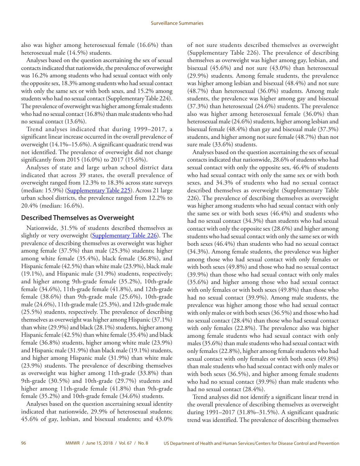also was higher among heterosexual female (16.6%) than heterosexual male (14.5%) students.

Analyses based on the question ascertaining the sex of sexual contacts indicated that nationwide, the prevalence of overweight was 16.2% among students who had sexual contact with only the opposite sex, 18.3% among students who had sexual contact with only the same sex or with both sexes, and 15.2% among students who had no sexual contact (Supplementary Table 224). The prevalence of overweight was higher among female students who had no sexual contact (16.8%) than male students who had no sexual contact (13.6%).

Trend analyses indicated that during 1999–2017, a significant linear increase occurred in the overall prevalence of overweight (14.1%–15.6%). A significant quadratic trend was not identified. The prevalence of overweight did not change significantly from 2015 (16.0%) to 2017 (15.6%).

Analyses of state and large urban school district data indicated that across 39 states, the overall prevalence of overweight ranged from 12.3% to 18.3% across state surveys (median: 15.9%) [\(Supplementary Table 225](https://www.cdc.gov/healthyyouth/data/yrbs/2017_tables/obesity_overweight_weight_control.htm#t225_down)). Across 21 large urban school districts, the prevalence ranged from 12.2% to 20.4% (median: 16.6%).

## **Described Themselves as Overweight**

Nationwide, 31.5% of students described themselves as slightly or very overweight ([Supplementary Table 226\)](https://www.cdc.gov/healthyyouth/data/yrbs/2017_tables/obesity_overweight_weight_control.htm#t226_down). The prevalence of describing themselves as overweight was higher among female (37.5%) than male (25.3%) students; higher among white female (35.4%), black female (36.8%), and Hispanic female (42.5%) than white male (23.9%), black male (19.1%), and Hispanic male (31.9%) students, respectively; and higher among 9th-grade female (35.2%), 10th-grade female (34.6%), 11th-grade female (41.8%), and 12th-grade female (38.6%) than 9th-grade male (25.6%), 10th-grade male (24.6%), 11th-grade male (25.3%), and 12th-grade male (25.5%) students, respectively. The prevalence of describing themselves as overweight was higher among Hispanic (37.1%) than white (29.9%) and black (28.1%) students, higher among Hispanic female (42.5%) than white female (35.4%) and black female (36.8%) students, higher among white male (23.9%) and Hispanic male (31.9%) than black male (19.1%) students, and higher among Hispanic male (31.9%) than white male (23.9%) students. The prevalence of describing themselves as overweight was higher among 11th-grade (33.8%) than 9th-grade (30.5%) and 10th-grade (29.7%) students and higher among 11th-grade female (41.8%) than 9th-grade female (35.2%) and 10th-grade female (34.6%) students.

Analyses based on the question ascertaining sexual identity indicated that nationwide, 29.9% of heterosexual students; 45.6% of gay, lesbian, and bisexual students; and 43.0% of not sure students described themselves as overweight (Supplementary Table 226). The prevalence of describing themselves as overweight was higher among gay, lesbian, and bisexual (45.6%) and not sure (43.0%) than heterosexual (29.9%) students. Among female students, the prevalence was higher among lesbian and bisexual (48.4%) and not sure (48.7%) than heterosexual (36.0%) students. Among male students, the prevalence was higher among gay and bisexual (37.3%) than heterosexual (24.6%) students. The prevalence also was higher among heterosexual female (36.0%) than heterosexual male (24.6%) students, higher among lesbian and bisexual female (48.4%) than gay and bisexual male (37.3%) students, and higher among not sure female (48.7%) than not sure male (33.6%) students.

Analyses based on the question ascertaining the sex of sexual contacts indicated that nationwide, 28.6% of students who had sexual contact with only the opposite sex, 46.4% of students who had sexual contact with only the same sex or with both sexes, and 34.3% of students who had no sexual contact described themselves as overweight (Supplementary Table 226). The prevalence of describing themselves as overweight was higher among students who had sexual contact with only the same sex or with both sexes (46.4%) and students who had no sexual contact (34.3%) than students who had sexual contact with only the opposite sex (28.6%) and higher among students who had sexual contact with only the same sex or with both sexes (46.4%) than students who had no sexual contact (34.3%). Among female students, the prevalence was higher among those who had sexual contact with only females or with both sexes (49.8%) and those who had no sexual contact (39.9%) than those who had sexual contact with only males (35.6%) and higher among those who had sexual contact with only females or with both sexes (49.8%) than those who had no sexual contact (39.9%). Among male students, the prevalence was higher among those who had sexual contact with only males or with both sexes (36.5%) and those who had no sexual contact (28.4%) than those who had sexual contact with only females (22.8%). The prevalence also was higher among female students who had sexual contact with only males (35.6%) than male students who had sexual contact with only females (22.8%), higher among female students who had sexual contact with only females or with both sexes (49.8%) than male students who had sexual contact with only males or with both sexes (36.5%), and higher among female students who had no sexual contact (39.9%) than male students who had no sexual contact (28.4%).

Trend analyses did not identify a significant linear trend in the overall prevalence of describing themselves as overweight during 1991–2017 (31.8%–31.5%). A significant quadratic trend was identified. The prevalence of describing themselves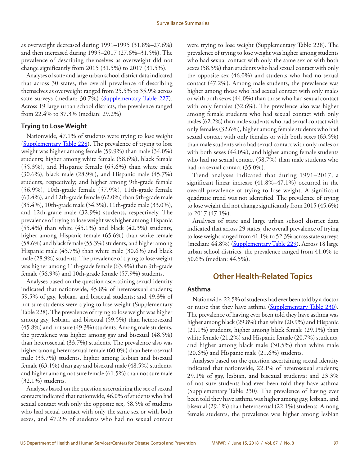as overweight decreased during 1991–1995 (31.8%–27.6%) and then increased during 1995–2017 (27.6%–31.5%). The prevalence of describing themselves as overweight did not change significantly from 2015 (31.5%) to 2017 (31.5%).

Analyses of state and large urban school district data indicated that across 30 states, the overall prevalence of describing themselves as overweight ranged from 25.5% to 35.9% across state surveys (median: 30.7%) ([Supplementary Table 227](https://www.cdc.gov/healthyyouth/data/yrbs/2017_tables/obesity_overweight_weight_control.htm#t227_down)). Across 19 large urban school districts, the prevalence ranged from 22.4% to 37.3% (median: 29.2%).

#### **Trying to Lose Weight**

Nationwide, 47.1% of students were trying to lose weight ([Supplementary Table 228\)](https://www.cdc.gov/healthyyouth/data/yrbs/2017_tables/obesity_overweight_weight_control.htm#t228_down). The prevalence of trying to lose weight was higher among female (59.9%) than male (34.0%) students; higher among white female (58.6%), black female (55.3%), and Hispanic female (65.6%) than white male (30.6%), black male (28.9%), and Hispanic male (45.7%) students, respectively; and higher among 9th-grade female (56.9%), 10th-grade female (57.9%), 11th-grade female (63.4%), and 12th-grade female (62.0%) than 9th-grade male (35.4%), 10th-grade male (34.3%), 11th-grade male (33.0%), and 12th-grade male (32.9%) students, respectively. The prevalence of trying to lose weight was higher among Hispanic (55.4%) than white  $(45.1\%)$  and black  $(42.3\%)$  students, higher among Hispanic female (65.6%) than white female (58.6%) and black female (55.3%) students, and higher among Hispanic male (45.7%) than white male (30.6%) and black male (28.9%) students. The prevalence of trying to lose weight was higher among 11th-grade female (63.4%) than 9th-grade female (56.9%) and 10th-grade female (57.9%) students.

Analyses based on the question ascertaining sexual identity indicated that nationwide, 45.8% of heterosexual students; 59.5% of gay, lesbian, and bisexual students; and 49.3% of not sure students were trying to lose weight (Supplementary Table 228). The prevalence of trying to lose weight was higher among gay, lesbian, and bisexual (59.5%) than heterosexual (45.8%) and not sure (49.3%) students. Among male students, the prevalence was higher among gay and bisexual (48.5%) than heterosexual (33.7%) students. The prevalence also was higher among heterosexual female (60.0%) than heterosexual male (33.7%) students, higher among lesbian and bisexual female (63.1%) than gay and bisexual male (48.5%) students, and higher among not sure female (61.5%) than not sure male (32.1%) students.

Analyses based on the question ascertaining the sex of sexual contacts indicated that nationwide, 46.0% of students who had sexual contact with only the opposite sex, 58.5% of students who had sexual contact with only the same sex or with both sexes, and 47.2% of students who had no sexual contact were trying to lose weight (Supplementary Table 228). The prevalence of trying to lose weight was higher among students who had sexual contact with only the same sex or with both sexes (58.5%) than students who had sexual contact with only the opposite sex (46.0%) and students who had no sexual contact (47.2%). Among male students, the prevalence was higher among those who had sexual contact with only males or with both sexes (44.0%) than those who had sexual contact with only females (32.6%). The prevalence also was higher among female students who had sexual contact with only males (62.2%) than male students who had sexual contact with only females (32.6%), higher among female students who had sexual contact with only females or with both sexes (63.5%) than male students who had sexual contact with only males or with both sexes (44.0%), and higher among female students who had no sexual contact (58.7%) than male students who had no sexual contact (35.0%).

Trend analyses indicated that during 1991–2017, a significant linear increase (41.8%–47.1%) occurred in the overall prevalence of trying to lose weight. A significant quadratic trend was not identified. The prevalence of trying to lose weight did not change significantly from 2015 (45.6%) to 2017 (47.1%).

Analyses of state and large urban school district data indicated that across 29 states, the overall prevalence of trying to lose weight ranged from 41.1% to 52.3% across state surveys (median: 44.8%) ([Supplementary Table 229\)](https://www.cdc.gov/healthyyouth/data/yrbs/2017_tables/obesity_overweight_weight_control.htm#t229_down). Across 18 large urban school districts, the prevalence ranged from 41.0% to 50.6% (median: 44.5%).

## **Other Health-Related Topics**

## **Asthma**

Nationwide, 22.5% of students had ever been told by a doctor or nurse that they have asthma [\(Supplementary Table 230\)](https://www.cdc.gov/healthyyouth/data/yrbs/2017_tables/other_health_topics.htm#t230_down). The prevalence of having ever been told they have asthma was higher among black (29.8%) than white (20.9%) and Hispanic (21.1%) students, higher among black female (29.1%) than white female (21.2%) and Hispanic female (20.7%) students, and higher among black male (30.5%) than white male (20.6%) and Hispanic male (21.6%) students.

Analyses based on the question ascertaining sexual identity indicated that nationwide, 22.1% of heterosexual students; 29.1% of gay, lesbian, and bisexual students; and 23.3% of not sure students had ever been told they have asthma (Supplementary Table 230). The prevalence of having ever been told they have asthma was higher among gay, lesbian, and bisexual (29.1%) than heterosexual (22.1%) students. Among female students, the prevalence was higher among lesbian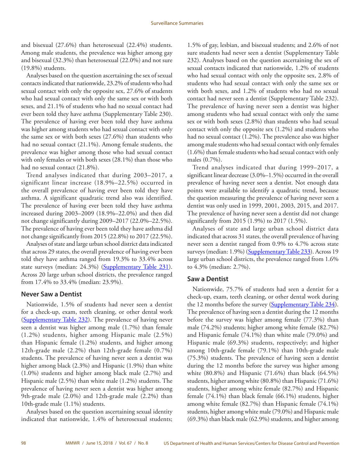and bisexual (27.6%) than heterosexual (22.4%) students. Among male students, the prevalence was higher among gay and bisexual (32.3%) than heterosexual (22.0%) and not sure (19.8%) students.

Analyses based on the question ascertaining the sex of sexual contacts indicated that nationwide, 23.2% of students who had sexual contact with only the opposite sex, 27.6% of students who had sexual contact with only the same sex or with both sexes, and 21.1% of students who had no sexual contact had ever been told they have asthma (Supplementary Table 230). The prevalence of having ever been told they have asthma was higher among students who had sexual contact with only the same sex or with both sexes (27.6%) than students who had no sexual contact (21.1%). Among female students, the prevalence was higher among those who had sexual contact with only females or with both sexes (28.1%) than those who had no sexual contact (21.8%).

Trend analyses indicated that during 2003–2017, a significant linear increase (18.9%–22.5%) occurred in the overall prevalence of having ever been told they have asthma. A significant quadratic trend also was identified. The prevalence of having ever been told they have asthma increased during 2003–2009 (18.9%–22.0%) and then did not change significantly during 2009–2017 (22.0%–22.5%). The prevalence of having ever been told they have asthma did not change significantly from 2015 (22.8%) to 2017 (22.5%).

Analyses of state and large urban school district data indicated that across 29 states, the overall prevalence of having ever been told they have asthma ranged from 19.3% to 33.4% across state surveys (median: 24.3%) ([Supplementary Table 231](https://www.cdc.gov/healthyyouth/data/yrbs/2017_tables/other_health_topics.htm#t231_down)). Across 20 large urban school districts, the prevalence ranged from 17.4% to 33.4% (median: 23.9%).

### **Never Saw a Dentist**

Nationwide, 1.5% of students had never seen a dentist for a check-up, exam, teeth cleaning, or other dental work ([Supplementary Table 232\)](https://www.cdc.gov/healthyyouth/data/yrbs/2017_tables/other_health_topics.htm#t232_down). The prevalence of having never seen a dentist was higher among male (1.7%) than female (1.2%) students, higher among Hispanic male (2.5%) than Hispanic female (1.2%) students, and higher among 12th-grade male (2.2%) than 12th-grade female (0.7%) students. The prevalence of having never seen a dentist was higher among black (2.3%) and Hispanic (1.9%) than white (1.0%) students and higher among black male (2.7%) and Hispanic male (2.5%) than white male (1.2%) students. The prevalence of having never seen a dentist was higher among 9th-grade male (2.0%) and 12th-grade male (2.2%) than 10th-grade male (1.1%) students.

Analyses based on the question ascertaining sexual identity indicated that nationwide, 1.4% of heterosexual students; 1.5% of gay, lesbian, and bisexual students; and 2.6% of not sure students had never seen a dentist (Supplementary Table 232). Analyses based on the question ascertaining the sex of sexual contacts indicated that nationwide, 1.2% of students who had sexual contact with only the opposite sex, 2.8% of students who had sexual contact with only the same sex or with both sexes, and 1.2% of students who had no sexual contact had never seen a dentist (Supplementary Table 232). The prevalence of having never seen a dentist was higher among students who had sexual contact with only the same sex or with both sexes (2.8%) than students who had sexual contact with only the opposite sex (1.2%) and students who had no sexual contact (1.2%). The prevalence also was higher among male students who had sexual contact with only females (1.6%) than female students who had sexual contact with only males (0.7%).

Trend analyses indicated that during 1999–2017, a significant linear decrease (3.0%–1.5%) occurred in the overall prevalence of having never seen a dentist. Not enough data points were available to identify a quadratic trend, because the question measuring the prevalence of having never seen a dentist was only used in 1999, 2001, 2003, 2015, and 2017. The prevalence of having never seen a dentist did not change significantly from 2015 (1.9%) to 2017 (1.5%).

Analyses of state and large urban school district data indicated that across 31 states, the overall prevalence of having never seen a dentist ranged from 0.9% to 4.7% across state surveys (median: 1.9%) ([Supplementary Table 233](https://www.cdc.gov/healthyyouth/data/yrbs/2017_tables/other_health_topics.htm#t233_down)). Across 19 large urban school districts, the prevalence ranged from 1.6% to 4.3% (median: 2.7%).

#### **Saw a Dentist**

Nationwide, 75.7% of students had seen a dentist for a check-up, exam, teeth cleaning, or other dental work during the 12 months before the survey [\(Supplementary Table 234\)](https://www.cdc.gov/healthyyouth/data/yrbs/2017_tables/other_health_topics.htm#t234_down). The prevalence of having seen a dentist during the 12 months before the survey was higher among female (77.3%) than male (74.2%) students; higher among white female (82.7%) and Hispanic female (74.1%) than white male (79.0%) and Hispanic male (69.3%) students, respectively; and higher among 10th-grade female (79.1%) than 10th-grade male (75.3%) students. The prevalence of having seen a dentist during the 12 months before the survey was higher among white (80.8%) and Hispanic (71.6%) than black (64.5%) students, higher among white (80.8%) than Hispanic (71.6%) students, higher among white female (82.7%) and Hispanic female (74.1%) than black female (66.1%) students, higher among white female (82.7%) than Hispanic female (74.1%) students, higher among white male (79.0%) and Hispanic male (69.3%) than black male (62.9%) students, and higher among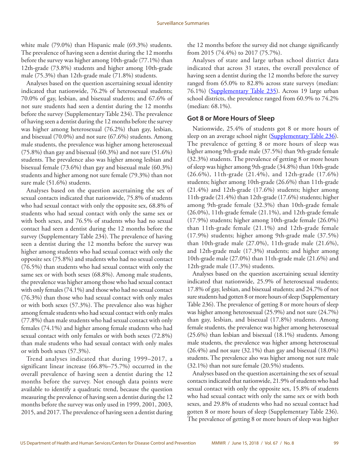white male (79.0%) than Hispanic male (69.3%) students. The prevalence of having seen a dentist during the 12 months before the survey was higher among 10th-grade (77.1%) than 12th-grade (73.8%) students and higher among 10th-grade male (75.3%) than 12th-grade male (71.8%) students.

Analyses based on the question ascertaining sexual identity indicated that nationwide, 76.2% of heterosexual students; 70.0% of gay, lesbian, and bisexual students; and 67.6% of not sure students had seen a dentist during the 12 months before the survey (Supplementary Table 234). The prevalence of having seen a dentist during the 12 months before the survey was higher among heterosexual (76.2%) than gay, lesbian, and bisexual (70.0%) and not sure (67.6%) students. Among male students, the prevalence was higher among heterosexual (75.8%) than gay and bisexual (60.3%) and not sure (51.6%) students. The prevalence also was higher among lesbian and bisexual female (73.6%) than gay and bisexual male (60.3%) students and higher among not sure female (79.3%) than not sure male (51.6%) students.

Analyses based on the question ascertaining the sex of sexual contacts indicated that nationwide, 75.8% of students who had sexual contact with only the opposite sex, 68.8% of students who had sexual contact with only the same sex or with both sexes, and 76.5% of students who had no sexual contact had seen a dentist during the 12 months before the survey (Supplementary Table 234). The prevalence of having seen a dentist during the 12 months before the survey was higher among students who had sexual contact with only the opposite sex (75.8%) and students who had no sexual contact (76.5%) than students who had sexual contact with only the same sex or with both sexes (68.8%). Among male students, the prevalence was higher among those who had sexual contact with only females (74.1%) and those who had no sexual contact (76.3%) than those who had sexual contact with only males or with both sexes (57.3%). The prevalence also was higher among female students who had sexual contact with only males (77.8%) than male students who had sexual contact with only females (74.1%) and higher among female students who had sexual contact with only females or with both sexes (72.8%) than male students who had sexual contact with only males or with both sexes (57.3%).

Trend analyses indicated that during 1999–2017, a significant linear increase (66.8%–75.7%) occurred in the overall prevalence of having seen a dentist during the 12 months before the survey. Not enough data points were available to identify a quadratic trend, because the question measuring the prevalence of having seen a dentist during the 12 months before the survey was only used in 1999, 2001, 2003, 2015, and 2017. The prevalence of having seen a dentist during the 12 months before the survey did not change significantly from 2015 (74.4%) to 2017 (75.7%).

Analyses of state and large urban school district data indicated that across 31 states, the overall prevalence of having seen a dentist during the 12 months before the survey ranged from 65.0% to 82.8% across state surveys (median: 76.1%) [\(Supplementary Table 235\)](https://www.cdc.gov/healthyyouth/data/yrbs/2017_tables/other_health_topics.htm#t235_down). Across 19 large urban school districts, the prevalence ranged from 60.9% to 74.2% (median: 68.1%).

#### **Got 8 or More Hours of Sleep**

Nationwide, 25.4% of students got 8 or more hours of sleep on an average school night ([Supplementary Table 236\)](https://www.cdc.gov/healthyyouth/data/yrbs/2017_tables/other_health_topics.htm#t236_down). The prevalence of getting 8 or more hours of sleep was higher among 9th-grade male (37.5%) than 9th-grade female (32.3%) students. The prevalence of getting 8 or more hours of sleep was higher among 9th-grade (34.8%) than 10th-grade (26.6%), 11th-grade (21.4%), and 12th-grade (17.6%) students; higher among 10th-grade (26.6%) than 11th-grade (21.4%) and 12th-grade (17.6%) students; higher among 11th-grade (21.4%) than 12th-grade (17.6%) students; higher among 9th-grade female (32.3%) than 10th-grade female (26.0%), 11th-grade female (21.1%), and 12th-grade female (17.9%) students; higher among 10th-grade female (26.0%) than 11th-grade female (21.1%) and 12th-grade female (17.9%) students; higher among 9th-grade male (37.5%) than 10th-grade male (27.0%), 11th-grade male (21.6%), and 12th-grade male (17.3%) students; and higher among 10th-grade male (27.0%) than 11th-grade male (21.6%) and 12th-grade male (17.3%) students.

Analyses based on the question ascertaining sexual identity indicated that nationwide, 25.9% of heterosexual students; 17.8% of gay, lesbian, and bisexual students; and 24.7% of not sure students had gotten 8 or more hours of sleep (Supplementary Table 236). The prevalence of getting 8 or more hours of sleep was higher among heterosexual (25.9%) and not sure (24.7%) than gay, lesbian, and bisexual (17.8%) students. Among female students, the prevalence was higher among heterosexual (25.6%) than lesbian and bisexual (18.1%) students. Among male students, the prevalence was higher among heterosexual  $(26.4\%)$  and not sure  $(32.1\%)$  than gay and bisexual  $(18.0\%)$ students. The prevalence also was higher among not sure male (32.1%) than not sure female (20.5%) students.

Analyses based on the question ascertaining the sex of sexual contacts indicated that nationwide, 21.9% of students who had sexual contact with only the opposite sex, 15.8% of students who had sexual contact with only the same sex or with both sexes, and 29.8% of students who had no sexual contact had gotten 8 or more hours of sleep (Supplementary Table 236). The prevalence of getting 8 or more hours of sleep was higher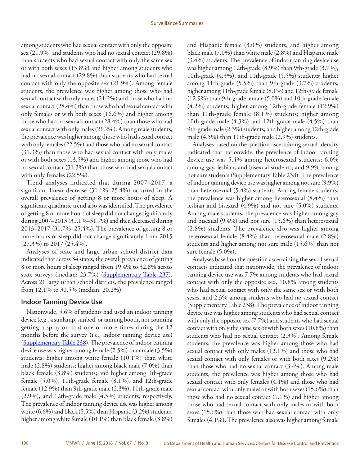among students who had sexual contact with only the opposite sex (21.9%) and students who had no sexual contact (29.8%) than students who had sexual contact with only the same sex or with both sexes (15.8%) and higher among students who had no sexual contact (29.8%) than students who had sexual contact with only the opposite sex (21.9%). Among female students, the prevalence was higher among those who had sexual contact with only males (21.2%) and those who had no sexual contact (28.4%) than those who had sexual contact with only females or with both sexes (16.6%) and higher among those who had no sexual contact (28.4%) than those who had sexual contact with only males (21.2%). Among male students, the prevalence was higher among those who had sexual contact with only females (22.5%) and those who had no sexual contact (31.3%) than those who had sexual contact with only males or with both sexes (13.5%) and higher among those who had no sexual contact (31.3%) than those who had sexual contact with only females (22.5%).

Trend analyses indicated that during 2007–2017, a significant linear decrease (31.1%–25.4%) occurred in the overall prevalence of getting 8 or more hours of sleep. A significant quadratic trend also was identified. The prevalence of getting 8 or more hours of sleep did not change significantly during 2007–2013 (31.1%–31.7%) and then decreased during 2013–2017 (31.7%–25.4%). The prevalence of getting 8 or more hours of sleep did not change significantly from 2015 (27.3%) to 2017 (25.4%).

Analyses of state and large urban school district data indicated that across 34 states, the overall prevalence of getting 8 or more hours of sleep ranged from 19.4% to 32.8% across state surveys (median: 23.7%) ([Supplementary Table 237](https://www.cdc.gov/healthyyouth/data/yrbs/2017_tables/other_health_topics.htm#t237_down)). Across 21 large urban school districts, the prevalence ranged from 12.1% to 30.5% (median: 20.2%).

## **Indoor Tanning Device Use**

Nationwide, 5.6% of students had used an indoor tanning device (e.g., a sunlamp, sunbed, or tanning booth, not counting getting a spray-on tan) one or more times during the 12 months before the survey (i.e., indoor tanning device use) ([Supplementary Table 238\)](https://www.cdc.gov/healthyyouth/data/yrbs/2017_tables/other_health_topics.htm#t238_down). The prevalence of indoor tanning device use was higher among female (7.5%) than male (3.5%) students; higher among white female (10.1%) than white male (2.8%) students; higher among black male (7.0%) than black female (3.8%) students; and higher among 9th-grade female (5.0%), 11th-grade female (8.1%), and 12th-grade female (12.9%) than 9th-grade male (2.3%), 11th-grade male (2.9%), and 12th-grade male (4.5%) students, respectively. The prevalence of indoor tanning device use was higher among white (6.6%) and black (5.5%) than Hispanic (3.2%) students, higher among white female (10.1%) than black female (3.8%)

and Hispanic female (3.0%) students, and higher among black male (7.0%) than white male (2.8%) and Hispanic male (3.4%) students. The prevalence of indoor tanning device use was higher among 12th-grade (8.9%) than 9th-grade (3.7%), 10th-grade (4.3%), and 11th-grade (5.5%) students; higher among 11th-grade (5.5%) than 9th-grade (3.7%) students; higher among 11th-grade female (8.1%) and 12th-grade female (12.9%) than 9th-grade female (5.0%) and 10th-grade female (4.2%) students; higher among 12th-grade female (12.9%) than 11th-grade female (8.1%) students; higher among 10th-grade male (4.3%) and 12th-grade male (4.5%) than 9th-grade male (2.3%) students; and higher among 12th-grade male (4.5%) than 11th-grade male (2.9%) students.

Analyses based on the question ascertaining sexual identity indicated that nationwide, the prevalence of indoor tanning device use was 5.4% among heterosexual students; 6.0% among gay, lesbian, and bisexual students; and 9.9% among not sure students (Supplementary Table 238). The prevalence of indoor tanning device use was higher among not sure (9.9%) than heterosexual (5.4%) students. Among female students, the prevalence was higher among heterosexual (8.4%) than lesbian and bisexual (4.9%) and not sure (5.0%) students. Among male students, the prevalence was higher among gay and bisexual (9.4%) and not sure (15.6%) than heterosexual (2.8%) students. The prevalence also was higher among heterosexual female (8.4%) than heterosexual male (2.8%) students and higher among not sure male (15.6%) than not sure female (5.0%).

Analyses based on the question ascertaining the sex of sexual contacts indicated that nationwide, the prevalence of indoor tanning device use was 7.7% among students who had sexual contact with only the opposite sex, 10.8% among students who had sexual contact with only the same sex or with both sexes, and 2.3% among students who had no sexual contact (Supplementary Table 238). The prevalence of indoor tanning device use was higher among students who had sexual contact with only the opposite sex (7.7%) and students who had sexual contact with only the same sex or with both sexes (10.8%) than students who had no sexual contact (2.3%). Among female students, the prevalence was higher among those who had sexual contact with only males (12.1%) and those who had sexual contact with only females or with both sexes (9.2%) than those who had no sexual contact (3.4%). Among male students, the prevalence was higher among those who had sexual contact with only females (4.1%) and those who had sexual contact with only males or with both sexes (15.6%) than those who had no sexual contact (1.1%) and higher among those who had sexual contact with only males or with both sexes (15.6%) than those who had sexual contact with only females (4.1%). The prevalence also was higher among female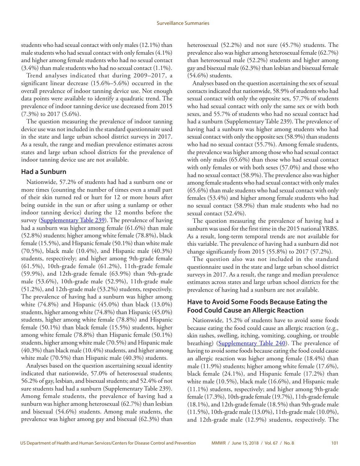students who had sexual contact with only males (12.1%) than male students who had sexual contact with only females (4.1%) and higher among female students who had no sexual contact (3.4%) than male students who had no sexual contact (1.1%).

Trend analyses indicated that during 2009–2017, a significant linear decrease (15.6%–5.6%) occurred in the overall prevalence of indoor tanning device use. Not enough data points were available to identify a quadratic trend. The prevalence of indoor tanning device use decreased from 2015 (7.3%) to 2017 (5.6%).

The question measuring the prevalence of indoor tanning device use was not included in the standard questionnaire used in the state and large urban school district surveys in 2017. As a result, the range and median prevalence estimates across states and large urban school districts for the prevalence of indoor tanning device use are not available.

#### **Had a Sunburn**

Nationwide, 57.2% of students had had a sunburn one or more times (counting the number of times even a small part of their skin turned red or hurt for 12 or more hours after being outside in the sun or after using a sunlamp or other indoor tanning device) during the 12 months before the survey [\(Supplementary Table 239](https://www.cdc.gov/healthyyouth/data/yrbs/2017_tables/other_health_topics.htm#t239_down)). The prevalence of having had a sunburn was higher among female (61.6%) than male (52.8%) students; higher among white female (78.8%), black female (15.5%), and Hispanic female (50.1%) than white male (70.5%), black male (10.4%), and Hispanic male (40.3%) students, respectively; and higher among 9th-grade female (61.5%), 10th-grade female (61.2%), 11th-grade female (59.9%), and 12th-grade female (63.9%) than 9th-grade male (53.6%), 10th-grade male (52.9%), 11th-grade male (51.2%), and 12th-grade male (53.2%) students, respectively. The prevalence of having had a sunburn was higher among white (74.8%) and Hispanic (45.0%) than black (13.0%) students, higher among white (74.8%) than Hispanic (45.0%) students, higher among white female (78.8%) and Hispanic female (50.1%) than black female (15.5%) students, higher among white female (78.8%) than Hispanic female (50.1%) students, higher among white male (70.5%) and Hispanic male (40.3%) than black male (10.4%) students, and higher among white male (70.5%) than Hispanic male (40.3%) students.

Analyses based on the question ascertaining sexual identity indicated that nationwide, 57.0% of heterosexual students; 56.2% of gay, lesbian, and bisexual students; and 52.4% of not sure students had had a sunburn (Supplementary Table 239). Among female students, the prevalence of having had a sunburn was higher among heterosexual (62.7%) than lesbian and bisexual (54.6%) students. Among male students, the prevalence was higher among gay and bisexual (62.3%) than

heterosexual (52.2%) and not sure (45.7%) students. The prevalence also was higher among heterosexual female (62.7%) than heterosexual male (52.2%) students and higher among gay and bisexual male (62.3%) than lesbian and bisexual female (54.6%) students.

Analyses based on the question ascertaining the sex of sexual contacts indicated that nationwide, 58.9% of students who had sexual contact with only the opposite sex, 57.7% of students who had sexual contact with only the same sex or with both sexes, and 55.7% of students who had no sexual contact had had a sunburn (Supplementary Table 239). The prevalence of having had a sunburn was higher among students who had sexual contact with only the opposite sex (58.9%) than students who had no sexual contact (55.7%). Among female students, the prevalence was higher among those who had sexual contact with only males (65.6%) than those who had sexual contact with only females or with both sexes (57.0%) and those who had no sexual contact (58.9%). The prevalence also was higher among female students who had sexual contact with only males (65.6%) than male students who had sexual contact with only females (53.4%) and higher among female students who had no sexual contact (58.9%) than male students who had no sexual contact (52.4%).

The question measuring the prevalence of having had a sunburn was used for the first time in the 2015 national YRBS. As a result, long-term temporal trends are not available for this variable. The prevalence of having had a sunburn did not change significantly from 2015 (55.8%) to 2017 (57.2%).

The question also was not included in the standard questionnaire used in the state and large urban school district surveys in 2017. As a result, the range and median prevalence estimates across states and large urban school districts for the prevalence of having had a sunburn are not available.

## **Have to Avoid Some Foods Because Eating the Food Could Cause an Allergic Reaction**

Nationwide, 15.2% of students have to avoid some foods because eating the food could cause an allergic reaction (e.g., skin rashes, swelling, itching, vomiting, coughing, or trouble breathing) ([Supplementary Table 240\)](https://www.cdc.gov/healthyyouth/data/yrbs/2017_tables/other_health_topics.htm#t240_down). The prevalence of having to avoid some foods because eating the food could cause an allergic reaction was higher among female (18.4%) than male (11.9%) students; higher among white female (17.6%), black female (24.1%), and Hispanic female (17.2%) than white male (10.5%), black male (16.6%), and Hispanic male (11.1%) students, respectively; and higher among 9th-grade female (17.3%), 10th-grade female (19.7%), 11th-grade female (18.1%), and 12th-grade female (18.5%) than 9th-grade male (11.5%), 10th-grade male (13.0%), 11th-grade male (10.0%), and 12th-grade male (12.9%) students, respectively. The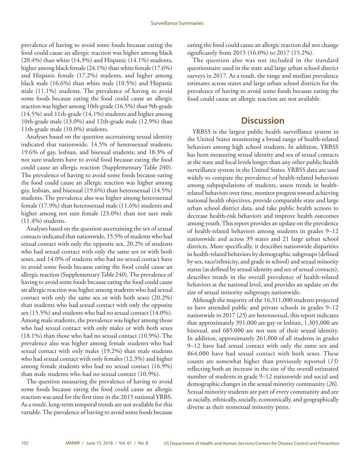prevalence of having to avoid some foods because eating the food could cause an allergic reaction was higher among black  $(20.4\%)$  than white  $(14.3\%)$  and Hispanic  $(14.1\%)$  students, higher among black female (24.1%) than white female (17.6%) and Hispanic female (17.2%) students, and higher among black male (16.6%) than white male (10.5%) and Hispanic male (11.1%) students. The prevalence of having to avoid some foods because eating the food could cause an allergic reaction was higher among 10th-grade (16.5%) than 9th-grade (14.5%) and 11th-grade (14.1%) students and higher among 10th-grade male (13.0%) and 12th-grade male (12.9%) than 11th-grade male (10.0%) students.

Analyses based on the question ascertaining sexual identity indicated that nationwide, 14.5% of heterosexual students; 19.6% of gay, lesbian, and bisexual students; and 18.3% of not sure students have to avoid food because eating the food could cause an allergic reaction (Supplementary Table 240). The prevalence of having to avoid some foods because eating the food could cause an allergic reaction was higher among gay, lesbian, and bisexual (19.6%) than heterosexual (14.5%) students. The prevalence also was higher among heterosexual female (17.9%) than heterosexual male (11.6%) students and higher among not sure female (23.0%) than not sure male (11.4%) students.

Analyses based on the question ascertaining the sex of sexual contacts indicated that nationwide, 15.5% of students who had sexual contact with only the opposite sex, 20.2% of students who had sexual contact with only the same sex or with both sexes, and 14.0% of students who had no sexual contact have to avoid some foods because eating the food could cause an allergic reaction (Supplementary Table 240). The prevalence of having to avoid some foods because eating the food could cause an allergic reaction was higher among students who had sexual contact with only the same sex or with both sexes (20.2%) than students who had sexual contact with only the opposite sex (15.5%) and students who had no sexual contact (14.0%). Among male students, the prevalence was higher among those who had sexual contact with only males or with both sexes (18.1%) than those who had no sexual contact (10.9%). The prevalence also was higher among female students who had sexual contact with only males (19.2%) than male students who had sexual contact with only females (12.3%) and higher among female students who had no sexual contact (16.9%) than male students who had no sexual contact (10.9%).

The question measuring the prevalence of having to avoid some foods because eating the food could cause an allergic reaction was used for the first time in the 2015 national YRBS. As a result, long-term temporal trends are not available for this variable. The prevalence of having to avoid some foods because eating the food could cause an allergic reaction did not change significantly from 2015 (16.0%) to 2017 (15.2%).

The question also was not included in the standard questionnaire used in the state and large urban school district surveys in 2017. As a result, the range and median prevalence estimates across states and large urban school districts for the prevalence of having to avoid some foods because eating the food could cause an allergic reaction are not available.

# **Discussion**

YRBSS is the largest public health surveillance system in the United States monitoring a broad range of health-related behaviors among high school students. In addition, YRBSS has been measuring sexual identity and sex of sexual contacts at the state and local levels longer than any other public health surveillance system in the United States. YRBSS data are used widely to compare the prevalence of health-related behaviors among subpopulations of students, assess trends in healthrelated behaviors over time, monitor progress toward achieving national health objectives, provide comparable state and large urban school district data, and take public health actions to decrease health-risk behaviors and improve health outcomes among youth. This report provides an update on the prevalence of health-related behaviors among students in grades 9–12 nationwide and across 39 states and 21 large urban school districts. More specifically, it describes nationwide disparities in health-related behaviors by demographic subgroups (defined by sex, race/ethnicity, and grade in school) and sexual minority status (as defined by sexual identity and sex of sexual contacts), describes trends in the overall prevalence of health-related behaviors at the national level, and provides an update on the size of sexual minority subgroups nationwide.

Although the majority of the 16,311,000 students projected to have attended public and private schools in grades 9–12 nationwide in 2017 (*25*) are heterosexual, this report indicates that approximately 391,000 are gay or lesbian, 1,305,000 are bisexual, and 685,000 are not sure of their sexual identity. In addition, approximately 261,000 of all students in grades 9–12 have had sexual contact with only the same sex and 864,000 have had sexual contact with both sexes. These counts are somewhat higher than previously reported (*15*) reflecting both an increase in the size of the overall estimated number of students in grade 9–12 nationwide and social and demographic changes in the sexual minority community (*26*). Sexual minority students are part of every community and are as racially, ethnically, socially, economically, and geographically diverse as their nonsexual minority peers.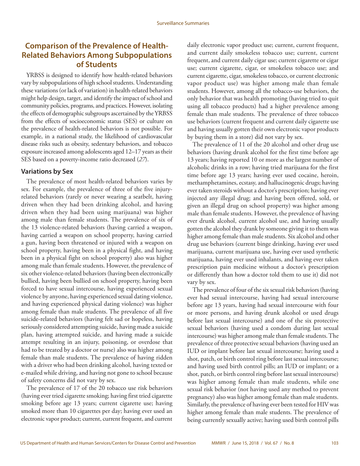# **Comparison of the Prevalence of Health-Related Behaviors Among Subpopulations of Students**

YRBSS is designed to identify how health-related behaviors vary by subpopulations of high school students. Understanding these variations (or lack of variation) in health-related behaviors might help design, target, and identify the impact of school and community policies, programs, and practices. However, isolating the effects of demographic subgroups ascertained by the YRBSS from the effects of socioeconomic status (SES) or culture on the prevalence of health-related behaviors is not possible. For example, in a national study, the likelihood of cardiovascular disease risks such as obesity, sedentary behaviors, and tobacco exposure increased among adolescents aged 12–17 years as their SES based on a poverty-income ratio decreased (*27*).

#### **Variations by Sex**

The prevalence of most health-related behaviors varies by sex. For example, the prevalence of three of the five injuryrelated behaviors (rarely or never wearing a seatbelt, having driven when they had been drinking alcohol, and having driven when they had been using marijuana) was higher among male than female students. The prevalence of six of the 13 violence-related behaviors (having carried a weapon, having carried a weapon on school property, having carried a gun, having been threatened or injured with a weapon on school property, having been in a physical fight, and having been in a physical fight on school property) also was higher among male than female students. However, the prevalence of six other violence-related behaviors (having been electronically bullied, having been bullied on school property, having been forced to have sexual intercourse, having experienced sexual violence by anyone, having experienced sexual dating violence, and having experienced physical dating violence) was higher among female than male students. The prevalence of all five suicide-related behaviors (having felt sad or hopeless, having seriously considered attempting suicide, having made a suicide plan, having attempted suicide, and having made a suicide attempt resulting in an injury, poisoning, or overdose that had to be treated by a doctor or nurse) also was higher among female than male students. The prevalence of having ridden with a driver who had been drinking alcohol, having texted or e-mailed while driving, and having not gone to school because of safety concerns did not vary by sex.

The prevalence of 17 of the 20 tobacco use risk behaviors (having ever tried cigarette smoking; having first tried cigarette smoking before age 13 years; current cigarette use; having smoked more than 10 cigarettes per day; having ever used an electronic vapor product; current, current frequent, and current

daily electronic vapor product use; current, current frequent, and current daily smokeless tobacco use; current, current frequent, and current daily cigar use; current cigarette or cigar use; current cigarette, cigar, or smokeless tobacco use; and current cigarette, cigar, smokeless tobacco, or current electronic vapor product use) was higher among male than female students. However, among all the tobacco-use behaviors, the only behavior that was health promoting (having tried to quit using all tobacco products) had a higher prevalence among female than male students. The prevalence of three tobacco use behaviors (current frequent and current daily cigarette use and having usually gotten their own electronic vapor products by buying them in a store) did not vary by sex.

The prevalence of 11 of the 20 alcohol and other drug use behaviors (having drunk alcohol for the first time before age 13 years; having reported 10 or more as the largest number of alcoholic drinks in a row; having tried marijuana for the first time before age 13 years; having ever used cocaine, heroin, methamphetamines, ecstasy, and hallucinogenic drugs; having ever taken steroids without a doctor's prescription; having ever injected any illegal drug; and having been offered, sold, or given an illegal drug on school property) was higher among male than female students. However, the prevalence of having ever drunk alcohol, current alcohol use, and having usually gotten the alcohol they drank by someone giving it to them was higher among female than male students. Six alcohol and other drug use behaviors (current binge drinking, having ever used marijuana, current marijuana use, having ever used synthetic marijuana, having ever used inhalants, and having ever taken prescription pain medicine without a doctor's prescription or differently than how a doctor told them to use it) did not vary by sex.

The prevalence of four of the six sexual risk behaviors (having ever had sexual intercourse, having had sexual intercourse before age 13 years, having had sexual intercourse with four or more persons, and having drunk alcohol or used drugs before last sexual intercourse) and one of the six protective sexual behaviors (having used a condom during last sexual intercourse) was higher among male than female students. The prevalence of three protective sexual behaviors (having used an IUD or implant before last sexual intercourse; having used a shot, patch, or birth control ring before last sexual intercourse; and having used birth control pills; an IUD or implant; or a shot, patch, or birth control ring before last sexual intercourse) was higher among female than male students, while one sexual risk behavior (not having used any method to prevent pregnancy) also was higher among female than male students. Similarly, the prevalence of having ever been tested for HIV was higher among female than male students. The prevalence of being currently sexually active; having used birth control pills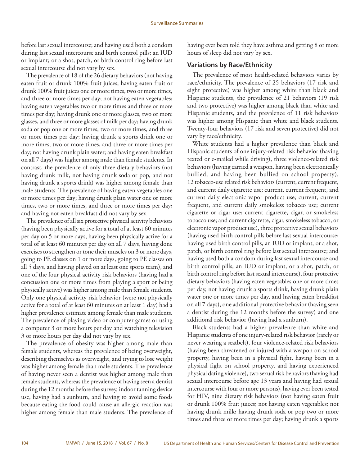before last sexual intercourse; and having used both a condom during last sexual intercourse and birth control pills; an IUD or implant; or a shot, patch, or birth control ring before last sexual intercourse did not vary by sex.

The prevalence of 18 of the 26 dietary behaviors (not having eaten fruit or drunk 100% fruit juices; having eaten fruit or drunk 100% fruit juices one or more times, two or more times, and three or more times per day; not having eaten vegetables; having eaten vegetables two or more times and three or more times per day; having drunk one or more glasses, two or more glasses, and three or more glasses of milk per day; having drunk soda or pop one or more times, two or more times, and three or more times per day; having drunk a sports drink one or more times, two or more times, and three or more times per day; not having drunk plain water; and having eaten breakfast on all 7 days) was higher among male than female students. In contrast, the prevalence of only three dietary behaviors (not having drunk milk, not having drunk soda or pop, and not having drunk a sports drink) was higher among female than male students. The prevalence of having eaten vegetables one or more times per day; having drunk plain water one or more times, two or more times, and three or more times per day; and having not eaten breakfast did not vary by sex.

The prevalence of all six protective physical activity behaviors (having been physically active for a total of at least 60 minutes per day on 5 or more days, having been physically active for a total of at least 60 minutes per day on all 7 days, having done exercises to strengthen or tone their muscles on 3 or more days, going to PE classes on 1 or more days, going to PE classes on all 5 days, and having played on at least one sports team), and one of the four physical activity risk behaviors (having had a concussion one or more times from playing a sport or being physically active) was higher among male than female students. Only one physical activity risk behavior (were not physically active for a total of at least 60 minutes on at least 1 day) had a higher prevalence estimate among female than male students. The prevalence of playing video or computer games or using a computer 3 or more hours per day and watching television 3 or more hours per day did not vary by sex.

The prevalence of obesity was higher among male than female students, whereas the prevalence of being overweight, describing themselves as overweight, and trying to lose weight was higher among female than male students. The prevalence of having never seen a dentist was higher among male than female students, whereas the prevalence of having seen a dentist during the 12 months before the survey, indoor tanning device use, having had a sunburn, and having to avoid some foods because eating the food could cause an allergic reaction was higher among female than male students. The prevalence of having ever been told they have asthma and getting 8 or more hours of sleep did not vary by sex.

## **Variations by Race/Ethnicity**

The prevalence of most health-related behaviors varies by race/ethnicity. The prevalence of 25 behaviors (17 risk and eight protective) was higher among white than black and Hispanic students, the prevalence of 21 behaviors (19 risk and two protective) was higher among black than white and Hispanic students, and the prevalence of 11 risk behaviors was higher among Hispanic than white and black students. Twenty-four behaviors (17 risk and seven protective) did not vary by race/ethnicity.

White students had a higher prevalence than black and Hispanic students of one injury-related risk behavior (having texted or e-mailed while driving), three violence-related risk behaviors (having carried a weapon, having been electronically bullied, and having been bullied on school property), 12 tobacco-use related risk behaviors (current, current frequent, and current daily cigarette use; current, current frequent, and current daily electronic vapor product use; current, current frequent, and current daily smokeless tobacco use; current cigarette or cigar use; current cigarette, cigar, or smokeless tobacco use; and current cigarette, cigar, smokeless tobacco, or electronic vapor product use), three protective sexual behaviors (having used birth control pills before last sexual intercourse; having used birth control pills, an IUD or implant, or a shot, patch, or birth control ring before last sexual intercourse; and having used both a condom during last sexual intercourse and birth control pills, an IUD or implant, or a shot, patch, or birth control ring before last sexual intercourse), four protective dietary behaviors (having eaten vegetables one or more times per day, not having drunk a sports drink, having drunk plain water one or more times per day, and having eaten breakfast on all 7 days), one additional protective behavior (having seen a dentist during the 12 months before the survey) and one additional risk behavior (having had a sunburn).

Black students had a higher prevalence than white and Hispanic students of one injury-related risk behavior (rarely or never wearing a seatbelt), four violence-related risk behaviors (having been threatened or injured with a weapon on school property, having been in a physical fight, having been in a physical fight on school property, and having experienced physical dating violence), two sexual risk behaviors (having had sexual intercourse before age 13 years and having had sexual intercourse with four or more persons), having ever been tested for HIV, nine dietary risk behaviors (not having eaten fruit or drunk 100% fruit juices; not having eaten vegetables; not having drunk milk; having drunk soda or pop two or more times and three or more times per day; having drunk a sports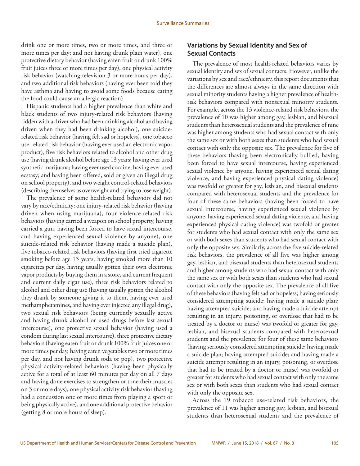drink one or more times, two or more times, and three or more times per day; and not having drunk plain water), one protective dietary behavior (having eaten fruit or drunk 100% fruit juices three or more times per day), one physical activity risk behavior (watching television 3 or more hours per day), and two additional risk behaviors (having ever been told they have asthma and having to avoid some foods because eating the food could cause an allergic reaction).

Hispanic students had a higher prevalence than white and black students of two injury-related risk behaviors (having ridden with a driver who had been drinking alcohol and having driven when they had been drinking alcohol), one suiciderelated risk behavior (having felt sad or hopeless), one tobacco use-related risk behavior (having ever used an electronic vapor product), five risk behaviors related to alcohol and other drug use (having drunk alcohol before age 13 years; having ever used synthetic marijuana; having ever used cocaine; having ever used ecstasy; and having been offered, sold or given an illegal drug on school property), and two weight control-related behaviors (describing themselves as overweight and trying to lose weight).

The prevalence of some health-related behaviors did not vary by race/ethnicity: one injury-related risk behavior (having driven when using marijuana), four violence-related risk behaviors (having carried a weapon on school property, having carried a gun, having been forced to have sexual intercourse, and having experienced sexual violence by anyone), one suicide-related risk behavior (having made a suicide plan), five tobacco-related risk behaviors (having first tried cigarette smoking before age 13 years, having smoked more than 10 cigarettes per day, having usually gotten their own electronic vapor products by buying them in a store, and current frequent and current daily cigar use), three risk behaviors related to alcohol and other drug use (having usually gotten the alcohol they drank by someone giving it to them, having ever used methamphetamines, and having ever injected any illegal drug), two sexual risk behaviors (being currently sexually active and having drunk alcohol or used drugs before last sexual intercourse), one protective sexual behavior (having used a condom during last sexual intercourse), three protective dietary behaviors (having eaten fruit or drunk 100% fruit juices one or more times per day, having eaten vegetables two or more times per day, and not having drunk soda or pop), two protective physical activity-related behaviors (having been physically active for a total of at least 60 minutes per day on all 7 days and having done exercises to strengthen or tone their muscles on 3 or more days), one physical activity risk behavior (having had a concussion one or more times from playing a sport or being physically active), and one additional protective behavior (getting 8 or more hours of sleep).

# **Variations by Sexual Identity and Sex of Sexual Contacts**

The prevalence of most health-related behaviors varies by sexual identity and sex of sexual contacts. However, unlike the variations by sex and race/ethnicity, this report documents that the differences are almost always in the same direction with sexual minority students having a higher prevalence of healthrisk behaviors compared with nonsexual minority students. For example, across the 13 violence-related risk behaviors, the prevalence of 10 was higher among gay, lesbian, and bisexual students than heterosexual students and the prevalence of nine was higher among students who had sexual contact with only the same sex or with both sexes than students who had sexual contact with only the opposite sex. The prevalence for five of these behaviors (having been electronically bullied, having been forced to have sexual intercourse, having experienced sexual violence by anyone, having experienced sexual dating violence, and having experienced physical dating violence) was twofold or greater for gay, lesbian, and bisexual students compared with heterosexual students and the prevalence for four of these same behaviors (having been forced to have sexual intercourse, having experienced sexual violence by anyone, having experienced sexual dating violence, and having experienced physical dating violence) was twofold or greater for students who had sexual contact with only the same sex or with both sexes than students who had sexual contact with only the opposite sex. Similarly, across the five suicide-related risk behaviors, the prevalence of all five was higher among gay, lesbian, and bisexual students than heterosexual students and higher among students who had sexual contact with only the same sex or with both sexes than students who had sexual contact with only the opposite sex. The prevalence of all five of these behaviors (having felt sad or hopeless; having seriously considered attempting suicide; having made a suicide plan; having attempted suicide; and having made a suicide attempt resulting in an injury, poisoning, or overdose that had to be treated by a doctor or nurse) was twofold or greater for gay, lesbian, and bisexual students compared with heterosexual students and the prevalence for four of these same behaviors (having seriously considered attempting suicide; having made a suicide plan; having attempted suicide; and having made a suicide attempt resulting in an injury, poisoning, or overdose that had to be treated by a doctor or nurse) was twofold or greater for students who had sexual contact with only the same sex or with both sexes than students who had sexual contact with only the opposite sex.

Across the 19 tobacco use-related risk behaviors, the prevalence of 11 was higher among gay, lesbian, and bisexual students than heterosexual students and the prevalence of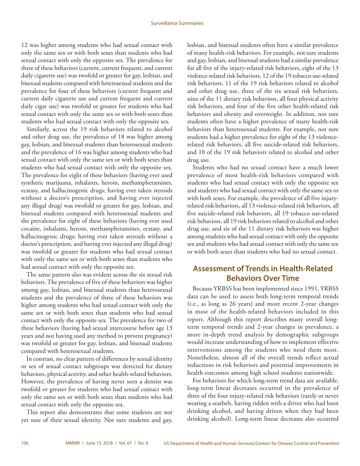12 was higher among students who had sexual contact with only the same sex or with both sexes than students who had sexual contact with only the opposite sex. The prevalence for three of these behaviors (current, current frequent, and current daily cigarette use) was twofold or greater for gay, lesbian, and bisexual students compared with heterosexual students and the prevalence for four of these behaviors (current frequent and current daily cigarette use and current frequent and current daily cigar use) was twofold or greater for students who had sexual contact with only the same sex or with both sexes than students who had sexual contact with only the opposite sex.

Similarly, across the 19 risk behaviors related to alcohol and other drug use, the prevalence of 18 was higher among gay, lesbian, and bisexual students than heterosexual students and the prevalence of 16 was higher among students who had sexual contact with only the same sex or with both sexes than students who had sexual contact with only the opposite sex. The prevalence for eight of these behaviors (having ever used synthetic marijuana, inhalants, heroin, methamphetamines, ecstasy, and hallucinogenic drugs; having ever taken steroids without a doctor's prescription, and having ever injected any illegal drug) was twofold or greater for gay, lesbian, and bisexual students compared with heterosexual students and the prevalence for eight of these behaviors (having ever used cocaine, inhalants, heroin, methamphetamines, ecstasy, and hallucinogenic drugs; having ever taken steroids without a doctor's prescription, and having ever injected any illegal drug) was twofold or greater for students who had sexual contact with only the same sex or with both sexes than students who had sexual contact with only the opposite sex.

The same pattern also was evident across the six sexual risk behaviors. The prevalence of five of these behaviors was higher among gay, lesbian, and bisexual students than heterosexual students and the prevalence of three of these behaviors was higher among students who had sexual contact with only the same sex or with both sexes than students who had sexual contact with only the opposite sex. The prevalence for two of these behaviors (having had sexual intercourse before age 13 years and not having used any method to prevent pregnancy) was twofold or greater for gay, lesbian, and bisexual students compared with heterosexual students.

In contrast, no clear pattern of differences by sexual identity or sex of sexual contact subgroups was detected for dietary behaviors, physical activity, and other health-related behaviors. However, the prevalence of having never seen a dentist was twofold or greater for students who had sexual contact with only the same sex or with both sexes than students who had sexual contact with only the opposite sex.

This report also demonstrates that some students are not yet sure of their sexual identity. Not sure students and gay, lesbian, and bisexual students often have a similar prevalence of many health-risk behaviors. For example, not sure students and gay, lesbian, and bisexual students had a similar prevalence for all five of the injury-related risk behaviors, eight of the 13 violence-related risk behaviors, 12 of the 19 tobacco use-related risk behaviors, 11 of the 19 risk behaviors related to alcohol and other drug use, three of the six sexual risk behaviors, nine of the 11 dietary risk behaviors, all four physical activity risk behaviors, and four of the five other health-related risk behaviors and obesity and overweight. In addition, not sure students often have a higher prevalence of many health-risk behaviors than heterosexual students. For example, not sure students had a higher prevalence for eight of the 13 violencerelated risk behaviors, all five suicide-related risk behaviors, and 10 of the 19 risk behaviors related to alcohol and other drug use.

Students who had no sexual contact have a much lower prevalence of most health-risk behaviors compared with students who had sexual contact with only the opposite sex and students who had sexual contact with only the same sex or with both sexes. For example, the prevalence of all five injuryrelated risk behaviors, all 13 violence-related risk behaviors, all five suicide-related risk behaviors, all 19 tobacco use-related risk behaviors, all 19 risk behaviors related to alcohol and other drug use, and six of the 11 dietary risk behaviors was higher among students who had sexual contact with only the opposite sex and students who had sexual contact with only the same sex or with both sexes than students who had no sexual contact.

# **Assessment of Trends in Health-Related Behaviors Over Time**

Because YRBSS has been implemented since 1991, YRBSS data can be used to assess both long-term temporal trends (i.e., as long as 26 years) and more recent 2-year changes in most of the health-related behaviors included in this report. Although this report describes many overall longterm temporal trends and 2-year changes in prevalence, a more in-depth trend analysis by demographic subgroups would increase understanding of how to implement effective interventions among the students who need them most. Nonetheless, almost all of the overall trends reflect actual reductions in risk behaviors and potential improvements in health outcomes among high school students nationwide.

For behaviors for which long-term trend data are available, long-term linear decreases occurred in the prevalence of three of the four injury-related risk behaviors (rarely or never wearing a seatbelt, having ridden with a driver who had been drinking alcohol, and having driven when they had been drinking alcohol). Long-term linear decreases also occurred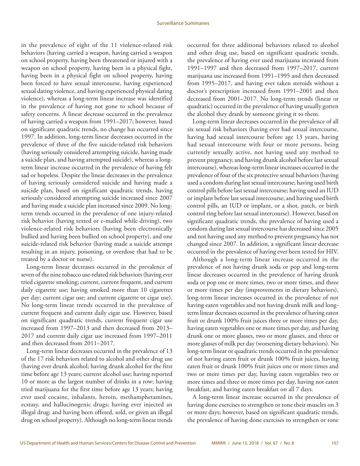in the prevalence of eight of the 11 violence-related risk behaviors (having carried a weapon, having carried a weapon on school property, having been threatened or injured with a weapon on school property, having been in a physical fight, having been in a physical fight on school property, having been forced to have sexual intercourse, having experienced sexual dating violence, and having experienced physical dating violence), whereas a long-term linear increase was identified in the prevalence of having not gone to school because of safety concerns. A linear decrease occurred in the prevalence of having carried a weapon from 1991–2017; however, based on significant quadratic trends, no change has occurred since 1997. In addition, long-term linear decreases occurred in the prevalence of three of the five suicide-related risk behaviors (having seriously considered attempting suicide, having made a suicide plan, and having attempted suicide), whereas a longterm linear increase occurred in the prevalence of having felt sad or hopeless. Despite the linear decreases in the prevalence of having seriously considered suicide and having made a suicide plan, based on significant quadratic trends, having seriously considered attempting suicide increased since 2007 and having made a suicide plan increased since 2009. No longterm trends occurred in the prevalence of one injury-related risk behavior (having texted or e-mailed while driving), two violence-related risk behaviors (having been electronically bullied and having been bullied on school property), and one suicide-related risk behavior (having made a suicide attempt resulting in an injury, poisoning, or overdose that had to be treated by a doctor or nurse).

Long-term linear decreases occurred in the prevalence of seven of the nine tobacco use-related risk behaviors (having ever tried cigarette smoking; current, current frequent, and current daily cigarette use; having smoked more than 10 cigarettes per day; current cigar use; and current cigarette or cigar use). No long-term linear trends occurred in the prevalence of current frequent and current daily cigar use. However, based on significant quadratic trends, current frequent cigar use increased from 1997–2013 and then decreased from 2013– 2017 and current daily cigar use increased from 1997–2011 and then decreased from 2011–2017.

Long-term linear decreases occurred in the prevalence of 13 of the 17 risk behaviors related to alcohol and other drug use (having ever drunk alcohol; having drunk alcohol for the first time before age 13 years; current alcohol use; having reported 10 or more as the largest number of drinks in a row; having tried marijuana for the first time before age 13 years; having ever used cocaine, inhalants, heroin, methamphetamines, ecstasy, and hallucinogenic drugs; having ever injected an illegal drug; and having been offered, sold, or given an illegal drug on school property). Although no long-term linear trends

occurred for three additional behaviors related to alcohol and other drug use, based on significant quadratic trends, the prevalence of having ever used marijuana increased from 1991–1997 and then decreased from 1997–2017, current marijuana use increased from 1991–1995 and then decreased from 1995–2017, and having ever taken steroids without a doctor's prescription increased from 1991–2001 and then decreased from 2001–2017. No long-term trends (linear or quadratic) occurred in the prevalence of having usually gotten the alcohol they drank by someone giving it to them.

Long-term linear decreases occurred in the prevalence of all six sexual risk behaviors (having ever had sexual intercourse, having had sexual intercourse before age 13 years, having had sexual intercourse with four or more persons, being currently sexually active, not having used any method to prevent pregnancy, and having drunk alcohol before last sexual intercourse), whereas long-term linear increases occurred in the prevalence of four of the six protective sexual behaviors (having used a condom during last sexual intercourse; having used birth control pills before last sexual intercourse; having used an IUD or implant before last sexual intercourse; and having used birth control pills, an IUD or implant, or a shot, patch, or birth control ring before last sexual intercourse). However, based on significant quadratic trends, the prevalence of having used a condom during last sexual intercourse has decreased since 2005 and not having used any method to prevent pregnancy has not changed since 2007. In addition, a significant linear decrease occurred in the prevalence of having ever been tested for HIV.

Although a long-term linear increase occurred in the prevalence of not having drunk soda or pop and long-term linear decreases occurred in the prevalence of having drunk soda or pop one or more times, two or more times, and three or more times per day (improvements in dietary behaviors), long-term linear increases occurred in the prevalence of not having eaten vegetables and not having drunk milk and longterm linear decreases occurred in the prevalence of having eaten fruit or drunk 100% fruit juices three or more times per day, having eaten vegetables one or more times per day, and having drunk one or more glasses, two or more glasses, and three or more glasses of milk per day (worsening dietary behaviors). No long-term linear or quadratic trends occurred in the prevalence of not having eaten fruit or drunk 100% fruit juices, having eaten fruit or drunk 100% fruit juices one or more times and two or more times per day, having eaten vegetables two or more times and three or more times per day, having not eaten breakfast, and having eaten breakfast on all 7 days.

A long-term linear increase occurred in the prevalence of having done exercises to strengthen or tone their muscles on 3 or more days; however, based on significant quadratic trends, the prevalence of having done exercises to strengthen or tone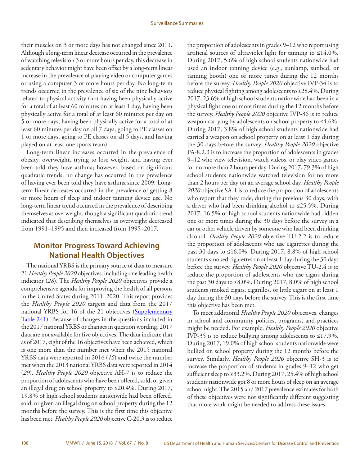their muscles on 3 or more days has not changed since 2011. Although a long-term linear decrease occurred in the prevalence of watching television 3 or more hours per day, this decrease in sedentary behavior might have been offset by a long-term linear increase in the prevalence of playing video or computer games or using a computer 3 or more hours per day. No long-term trends occurred in the prevalence of six of the nine behaviors related to physical activity (not having been physically active for a total of at least 60 minutes on at least 1 day, having been physically active for a total of at least 60 minutes per day on 5 or more days, having been physically active for a total of at least 60 minutes per day on all 7 days, going to PE classes on 1 or more days, going to PE classes on all 5 days, and having played on at least one sports team).

Long-term linear increases occurred in the prevalence of obesity, overweight, trying to lose weight, and having ever been told they have asthma; however, based on significant quadratic trends, no change has occurred in the prevalence of having ever been told they have asthma since 2009. Longterm linear decreases occurred in the prevalence of getting 8 or more hours of sleep and indoor tanning device use. No long-term linear trend occurred in the prevalence of describing themselves as overweight, though a significant quadratic trend indicated that describing themselves as overweight decreased from 1991–1995 and then increased from 1995–2017.

#### **Monitor Progress Toward Achieving National Health Objectives**

The national YRBS is the primary source of data to measure 21 *Healthy People 2020* objectives, including one leading health indicator (*28*). The *Healthy People 2020* objectives provide a comprehensive agenda for improving the health of all persons in the United States during 2011–2020. This report provides the *Healthy People 2020* targets and data from the 2017 national YRBS for 16 of the 21 objectives [\(Supplementary](https://www.cdc.gov/healthyyouth/data/yrbs/2017_tables/other_health_topics.htm#t241_down) [Table 241\)](https://www.cdc.gov/healthyyouth/data/yrbs/2017_tables/other_health_topics.htm#t241_down). Because of changes in the questions included in the 2017 national YRBS or changes in question wording, 2017 data are not available for five objectives. The data indicate that as of 2017, eight of the 16 objectives have been achieved, which is one more than the number met when the 2015 national YRBS data were reported in 2016 (*15*) and twice the number met when the 2013 national YRBS data were reported in 2014 (*29*). *Healthy People 2020* objective AH-7 is to reduce the proportion of adolescents who have been offered, sold, or given an illegal drug on school property to ≤20.4%. During 2017, 19.8% of high school students nationwide had been offered, sold, or given an illegal drug on school property during the 12 months before the survey. This is the first time this objective has been met. *Healthy People 2020* objective C-20.3 is to reduce

the proportion of adolescents in grades 9–12 who report using artificial sources of ultraviolet light for tanning to ≤14.0%. During 2017, 5.6% of high school students nationwide had used an indoor tanning device (e.g., sunlamp, sunbed, or tanning booth) one or more times during the 12 months before the survey. *Healthy People 2020* objective IVP-34 is to reduce physical fighting among adolescents to ≤28.4%. During 2017, 23.6% of high school students nationwide had been in a physical fight one or more times during the 12 months before the survey. *Healthy People 2020* objective IVP-36 is to reduce weapon carrying by adolescents on school property to ≤4.6%. During 2017, 3.8% of high school students nationwide had carried a weapon on school property on at least 1 day during the 30 days before the survey. *Healthy People 2020* objective PA-8.2.3 is to increase the proportion of adolescents in grades 9–12 who view television, watch videos, or play video games for no more than 2 hours per day. During 2017, 79.3% of high school students nationwide watched television for no more than 2 hours per day on an average school day. *Healthy People 2020* objective SA-1 is to reduce the proportion of adolescents who report that they rode, during the previous 30 days, with a driver who had been drinking alcohol to ≤25.5%. During 2017, 16.5% of high school students nationwide had ridden one or more times during the 30 days before the survey in a car or other vehicle driven by someone who had been drinking alcohol. *Healthy People 2020* objective TU-2.2 is to reduce the proportion of adolescents who use cigarettes during the past 30 days to ≤16.0%. During 2017, 8.8% of high school students smoked cigarettes on at least 1 day during the 30 days before the survey. *Healthy People 2020* objective TU-2.4 is to reduce the proportion of adolescents who use cigars during the past 30 days to ≤8.0%. During 2017, 8.0% of high school students smoked cigars, cigarillos, or little cigars on at least 1 day during the 30 days before the survey. This is the first time this objective has been met.

To meet additional *Healthy People 2020* objectives, changes in school and community policies, programs, and practices might be needed. For example, *Healthy People 2020* objective IVP-35 is to reduce bullying among adolescents to ≤17.9%. During 2017, 19.0% of high school students nationwide were bullied on school property during the 12 months before the survey. Similarly, *Healthy People 2020* objective SH-3 is to increase the proportion of students in grades 9–12 who get sufficient sleep to ≥33.2%. During 2017, 25.4% of high school students nationwide got 8 or more hours of sleep on an average school night. The 2015 and 2017 prevalence estimates for both of these objectives were not significantly different suggesting that more work might be needed to address these issues.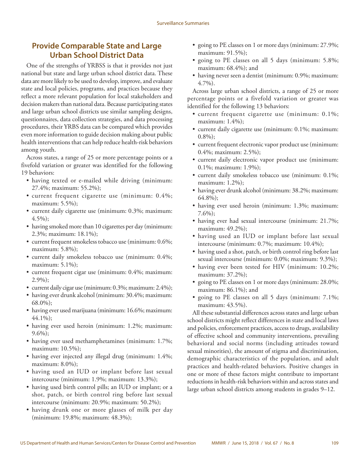## **Provide Comparable State and Large Urban School District Data**

One of the strengths of YRBSS is that it provides not just national but state and large urban school district data. These data are more likely to be used to develop, improve, and evaluate state and local policies, programs, and practices because they reflect a more relevant population for local stakeholders and decision makers than national data. Because participating states and large urban school districts use similar sampling designs, questionnaires, data collection strategies, and data processing procedures, their YRBS data can be compared which provides even more information to guide decision making about public health interventions that can help reduce health-risk behaviors among youth.

Across states, a range of 25 or more percentage points or a fivefold variation or greater was identified for the following 19 behaviors:

- having texted or e-mailed while driving (minimum: 27.4%; maximum: 55.2%);
- current frequent cigarette use (minimum: 0.4%; maximum: 5.5%);
- current daily cigarette use (minimum: 0.3%; maximum:  $4.5\%$ :
- having smoked more than 10 cigarettes per day (minimum: 2.3%; maximum: 18.1%);
- current frequent smokeless tobacco use (minimum: 0.6%; maximum: 5.8%);
- current daily smokeless tobacco use (minimum: 0.4%; maximum: 5.1%);
- current frequent cigar use (minimum: 0.4%; maximum:  $2.9\%$ :
- current daily cigar use (minimum: 0.3%; maximum: 2.4%);
- having ever drunk alcohol (minimum: 30.4%; maximum: 68.0%);
- having ever used marijuana (minimum: 16.6%; maximum:  $44.1\%$ ;
- having ever used heroin (minimum: 1.2%; maximum: 9.6%);
- having ever used methamphetamines (minimum: 1.7%; maximum: 10.5%);
- having ever injected any illegal drug (minimum: 1.4%; maximum: 8.0%);
- having used an IUD or implant before last sexual intercourse (minimum: 1.9%; maximum: 13.3%);
- having used birth control pills; an IUD or implant; or a shot, patch, or birth control ring before last sexual intercourse (minimum: 20.9%; maximum: 50.2%);
- having drunk one or more glasses of milk per day (minimum: 19.8%; maximum: 48.3%);
- going to PE classes on 1 or more days (minimum: 27.9%; maximum: 91.5%);
- going to PE classes on all 5 days (minimum: 5.8%; maximum: 68.4%); and
- having never seen a dentist (minimum: 0.9%; maximum: 4.7%).

Across large urban school districts, a range of 25 or more percentage points or a fivefold variation or greater was identified for the following 13 behaviors:

- current frequent cigarette use (minimum: 0.1%; maximum: 1.4%);
- current daily cigarette use (minimum: 0.1%; maximum:  $0.8\%$ ;
- current frequent electronic vapor product use (minimum: 0.4%; maximum: 2.5%);
- current daily electronic vapor product use (minimum: 0.1%; maximum: 1.9%);
- current daily smokeless tobacco use (minimum: 0.1%; maximum: 1.2%);
- having ever drunk alcohol (minimum: 38.2%; maximum: 64.8%);
- having ever used heroin (minimum: 1.3%; maximum: 7.6%);
- having ever had sexual intercourse (minimum: 21.7%; maximum: 49.2%);
- having used an IUD or implant before last sexual intercourse (minimum: 0.7%; maximum: 10.4%);
- having used a shot, patch, or birth control ring before last sexual intercourse (minimum: 0.0%; maximum: 9.3%);
- having ever been tested for HIV (minimum: 10.2%; maximum: 37.2%);
- going to PE classes on 1 or more days (minimum: 28.0%; maximum: 86.1%); and
- going to PE classes on all 5 days (minimum: 7.1%; maximum: 43.5%).

All these substantial differences across states and large urban school districts might reflect differences in state and local laws and policies, enforcement practices, access to drugs, availability of effective school and community interventions, prevailing behavioral and social norms (including attitudes toward sexual minorities), the amount of stigma and discrimination, demographic characteristics of the population, and adult practices and health-related behaviors. Positive changes in one or more of these factors might contribute to important reductions in health-risk behaviors within and across states and large urban school districts among students in grades 9–12.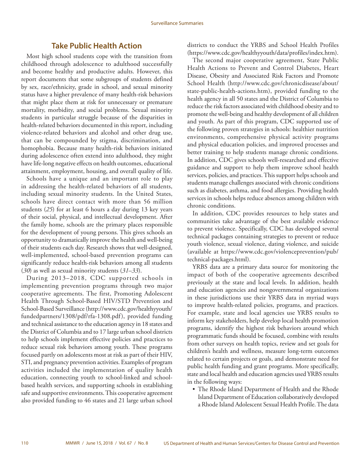#### **Take Public Health Action**

Most high school students cope with the transition from childhood through adolescence to adulthood successfully and become healthy and productive adults. However, this report documents that some subgroups of students defined by sex, race/ethnicity, grade in school, and sexual minority status have a higher prevalence of many health-risk behaviors that might place them at risk for unnecessary or premature mortality, morbidity, and social problems. Sexual minority students in particular struggle because of the disparities in health-related behaviors documented in this report, including violence-related behaviors and alcohol and other drug use, that can be compounded by stigma, discrimination, and homophobia. Because many health-risk behaviors initiated during adolescence often extend into adulthood, they might have life-long negative effects on health outcomes, educational attainment, employment, housing, and overall quality of life.

Schools have a unique and an important role to play in addressing the health-related behaviors of all students, including sexual minority students. In the United States, schools have direct contact with more than 56 million students (*25*) for at least 6 hours a day during 13 key years of their social, physical, and intellectual development. After the family home, schools are the primary places responsible for the development of young persons. This gives schools an opportunity to dramatically improve the health and well-being of their students each day. Research shows that well-designed, well-implemented, school-based prevention programs can significantly reduce health-risk behaviors among all students (*30*) as well as sexual minority students (*31*–*33*).

During 2013–2018, CDC supported schools in implementing prevention programs through two major cooperative agreements. The first, Promoting Adolescent Health Through School-Based HIV/STD Prevention and School-Based Surveillance [\(http://www.cdc.gov/healthyyouth/](http://www.cdc.gov/healthyyouth/fundedpartners/1308/pdf/rfa-1308.pdf) [fundedpartners/1308/pdf/rfa-1308.pdf](http://www.cdc.gov/healthyyouth/fundedpartners/1308/pdf/rfa-1308.pdf)), provided funding and technical assistance to the education agency in 18 states and the District of Columbia and to 17 large urban school districts to help schools implement effective policies and practices to reduce sexual risk behaviors among youth. These programs focused partly on adolescents most at risk as part of their HIV, STI, and pregnancy prevention activities. Examples of program activities included the implementation of quality health education, connecting youth to school-linked and schoolbased health services, and supporting schools in establishing safe and supportive environments. This cooperative agreement also provided funding to 46 states and 21 large urban school

districts to conduct the YRBS and School Health Profiles [\(https://www.cdc.gov/healthyyouth/data/profiles/index.htm\)](https://www.cdc.gov/healthyyouth/data/profiles/index.htm).

The second major cooperative agreement, State Public Health Actions to Prevent and Control Diabetes, Heart Disease, Obesity and Associated Risk Factors and Promote School Health ([http://www.cdc.gov/chronicdisease/about/](http://www.cdc.gov/chronicdisease/about/state-public-health-actions.htm) [state-public-health-actions.htm](http://www.cdc.gov/chronicdisease/about/state-public-health-actions.htm)), provided funding to the health agency in all 50 states and the District of Columbia to reduce the risk factors associated with childhood obesity and to promote the well-being and healthy development of all children and youth. As part of this program, CDC supported use of the following proven strategies in schools: healthier nutrition environments, comprehensive physical activity programs and physical education policies, and improved processes and better training to help students manage chronic conditions. In addition, CDC gives schools well-researched and effective guidance and support to help them improve school health services, policies, and practices. This support helps schools and students manage challenges associated with chronic conditions such as diabetes, asthma, and food allergies. Providing health services in schools helps reduce absences among children with chronic conditions.

In addition, CDC provides resources to help states and communities take advantage of the best available evidence to prevent violence. Specifically, CDC has developed several technical packages containing strategies to prevent or reduce youth violence, sexual violence, dating violence, and suicide (available at [https://www.cdc.gov/violenceprevention/pub/](https://www.cdc.gov/violenceprevention/pub/technical-packages.html) [technical-packages.html](https://www.cdc.gov/violenceprevention/pub/technical-packages.html)).

YRBS data are a primary data source for monitoring the impact of both of the cooperative agreements described previously at the state and local levels. In addition, health and education agencies and nongovernmental organizations in these jurisdictions use their YRBS data in myriad ways to improve health-related policies, programs, and practices. For example, state and local agencies use YRBS results to inform key stakeholders, help develop local health promotion programs, identify the highest risk behaviors around which programmatic funds should be focused, combine with results from other surveys on health topics, review and set goals for children's health and wellness, measure long-term outcomes related to certain projects or goals, and demonstrate need for public health funding and grant programs. More specifically, state and local health and education agencies used YRBS results in the following ways:

• The Rhode Island Department of Health and the Rhode Island Department of Education collaboratively developed a Rhode Island Adolescent Sexual Health Profile. The data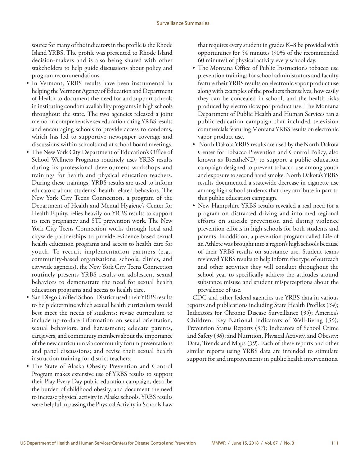source for many of the indicators in the profile is the Rhode Island YRBS. The profile was presented to Rhode Island decision-makers and is also being shared with other stakeholders to help guide discussions about policy and program recommendations.

- In Vermont, YRBS results have been instrumental in helping the Vermont Agency of Education and Department of Health to document the need for and support schools in instituting condom availability programs in high schools throughout the state. The two agencies released a joint memo on comprehensive sex education citing YRBS results and encouraging schools to provide access to condoms, which has led to supportive newspaper coverage and discussions within schools and at school board meetings.
- The New York City Department of Education's Office of School Wellness Programs routinely uses YRBS results during its professional development workshops and trainings for health and physical education teachers. During these trainings, YRBS results are used to inform educators about students' health-related behaviors. The New York City Teens Connection, a program of the Department of Health and Mental Hygiene's Center for Health Equity, relies heavily on YRBS results to support its teen pregnancy and STI prevention work. The New York City Teens Connection works through local and citywide partnerships to provide evidence-based sexual health education programs and access to health care for youth. To recruit implementation partners (e.g., community-based organizations, schools, clinics, and citywide agencies), the New York City Teens Connection routinely presents YRBS results on adolescent sexual behaviors to demonstrate the need for sexual health education programs and access to health care.
- San Diego Unified School District used their YRBS results to help determine which sexual health curriculum would best meet the needs of students; revise curriculum to include up-to-date information on sexual orientation, sexual behaviors, and harassment; educate parents, caregivers, and community members about the importance of the new curriculum via community forum presentations and panel discussions; and revise their sexual health instruction training for district teachers.
- The State of Alaska Obesity Prevention and Control Program makes extensive use of YRBS results to support their Play Every Day public education campaign, describe the burden of childhood obesity, and document the need to increase physical activity in Alaska schools. YRBS results were helpful in passing the Physical Activity in Schools Law

that requires every student in grades K–8 be provided with opportunities for 54 minutes (90% of the recommended 60 minutes) of physical activity every school day.

- The Montana Office of Public Instruction's tobacco use prevention trainings for school administrators and faculty feature their YRBS results on electronic vapor product use along with examples of the products themselves, how easily they can be concealed in school, and the health risks produced by electronic vapor product use. The Montana Department of Public Health and Human Services ran a public education campaign that included television commercials featuring Montana YRBS results on electronic vapor product use.
- North Dakota YRBS results are used by the North Dakota Center for Tobacco Prevention and Control Policy, also known as BreatheND, to support a public education campaign designed to prevent tobacco use among youth and exposure to second hand smoke. North Dakota's YRBS results documented a statewide decrease in cigarette use among high school students that they attribute in part to this public education campaign.
- New Hampshire YRBS results revealed a real need for a program on distracted driving and informed regional efforts on suicide prevention and dating violence prevention efforts in high schools for both students and parents. In addition, a prevention program called Life of an Athlete was brought into a region's high schools because of their YRBS results on substance use. Student teams reviewed YRBS results to help inform the type of outreach and other activities they will conduct throughout the school year to specifically address the attitudes around substance misuse and student misperceptions about the prevalence of use.

CDC and other federal agencies use YRBS data in various reports and publications including State Health Profiles (*34*); Indicators for Chronic Disease Surveillance (*35*); America's Children: Key National Indicators of Well-Being (*36*); Prevention Status Reports (*37*); Indicators of School Crime and Safety (*38*); and Nutrition, Physical Activity, and Obesity: Data, Trends and Maps (*39*). Each of these reports and other similar reports using YRBS data are intended to stimulate support for and improvements in public health interventions.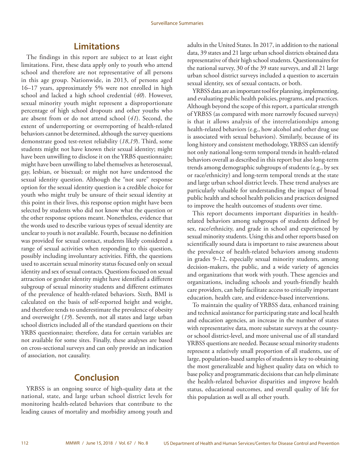### **Limitations**

The findings in this report are subject to at least eight limitations. First, these data apply only to youth who attend school and therefore are not representative of all persons in this age group. Nationwide, in 2013, of persons aged 16–17 years, approximately 5% were not enrolled in high school and lacked a high school credential (*40*). However, sexual minority youth might represent a disproportionate percentage of high school dropouts and other youths who are absent from or do not attend school (*41*). Second, the extent of underreporting or overreporting of health-related behaviors cannot be determined, although the survey questions demonstrate good test-retest reliability (*18*,*19*). Third, some students might not have known their sexual identity; might have been unwilling to disclose it on the YRBS questionnaire; might have been unwilling to label themselves as heterosexual, gay, lesbian, or bisexual; or might not have understood the sexual identity question. Although the "not sure" response option for the sexual identity question is a credible choice for youth who might truly be unsure of their sexual identity at this point in their lives, this response option might have been selected by students who did not know what the question or the other response options meant. Nonetheless, evidence that the words used to describe various types of sexual identity are unclear to youth is not available. Fourth, because no definition was provided for sexual contact, students likely considered a range of sexual activities when responding to this question, possibly including involuntary activities. Fifth, the questions used to ascertain sexual minority status focused only on sexual identity and sex of sexual contacts. Questions focused on sexual attraction or gender identity might have identified a different subgroup of sexual minority students and different estimates of the prevalence of health-related behaviors. Sixth, BMI is calculated on the basis of self-reported height and weight, and therefore tends to underestimate the prevalence of obesity and overweight (*19*). Seventh, not all states and large urban school districts included all of the standard questions on their YRBS questionnaire; therefore, data for certain variables are not available for some sites. Finally, these analyses are based on cross-sectional surveys and can only provide an indication of association, not causality.

# **Conclusion**

YRBSS is an ongoing source of high-quality data at the national, state, and large urban school district levels for monitoring health-related behaviors that contribute to the leading causes of mortality and morbidity among youth and adults in the United States. In 2017, in addition to the national data, 39 states and 21 large urban school districts obtained data representative of their high school students. Questionnaires for the national survey, 30 of the 39 state surveys, and all 21 large urban school district surveys included a question to ascertain sexual identity, sex of sexual contacts, or both.

YRBSS data are an important tool for planning, implementing, and evaluating public health policies, programs, and practices. Although beyond the scope of this report, a particular strength of YRBSS (as compared with more narrowly focused surveys) is that it allows analysis of the interrelationships among health-related behaviors (e.g., how alcohol and other drug use is associated with sexual behaviors). Similarly, because of its long history and consistent methodology, YRBSS can identify not only national long-term temporal trends in health-related behaviors overall as described in this report but also long-term trends among demographic subgroups of students (e.g., by sex or race/ethnicity) and long-term temporal trends at the state and large urban school district levels. These trend analyses are particularly valuable for understanding the impact of broad public health and school health policies and practices designed to improve the health outcomes of students over time.

This report documents important disparities in healthrelated behaviors among subgroups of students defined by sex, race/ethnicity, and grade in school and experienced by sexual minority students. Using this and other reports based on scientifically sound data is important to raise awareness about the prevalence of health-related behaviors among students in grades 9–12, especially sexual minority students, among decision-makers, the public, and a wide variety of agencies and organizations that work with youth. These agencies and organizations, including schools and youth-friendly health care providers, can help facilitate access to critically important education, health care, and evidence-based interventions.

To maintain the quality of YRBSS data, enhanced training and technical assistance for participating state and local health and education agencies, an increase in the number of states with representative data, more substate surveys at the countyor school district-level, and more universal use of all standard YRBSS questions are needed. Because sexual minority students represent a relatively small proportion of all students, use of large, population-based samples of students is key to obtaining the most generalizable and highest quality data on which to base policy and programmatic decisions that can help eliminate the health-related behavior disparities and improve health status, educational outcomes, and overall quality of life for this population as well as all other youth.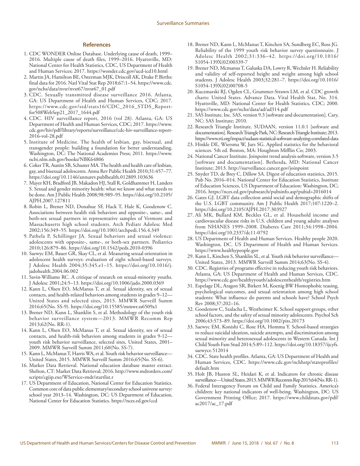#### **References**

- 1. CDC WONDER Online Database. Underlying cause of death, 1999– 2016. Multiple cause of death files, 1999–2016. Hyattsville, MD: National Center for Health Statistics, CDC, US Department of Health and Human Services; 2017.<https://wonder.cdc.gov/ucd-icd10.html>
- 2. Martin JA, Hamilton BE, Osterman MJK, Driscoll AK, Drake P. Births: final data for 2016. Natl Vital Stat Rep 2018;67:1–54. [https://www.cdc.](https://www.cdc.gov/nchs/data/nvsr/nvsr67/nvsr67_01.pdf) [gov/nchs/data/nvsr/nvsr67/nvsr67\\_01.pdf](https://www.cdc.gov/nchs/data/nvsr/nvsr67/nvsr67_01.pdf)
- 3. CDC. Sexually transmitted disease surveillance 2016. Atlanta, GA: US Department of Health and Human Services, CDC; 2017. [https://www.cdc.gov/std/stats16/CDC\\_2016\\_STDS\\_Report](https://www.cdc.gov/std/stats16/CDC_2016_STDS_Report-for508WebSep21_2017_1644.pdf)[for508WebSep21\\_2017\\_1644.pdf](https://www.cdc.gov/std/stats16/CDC_2016_STDS_Report-for508WebSep21_2017_1644.pdf)
- 4. CDC. HIV surveillance report, 2016 (vol 28). Atlanta, GA: US Department of Health and Human Services, CDC; 2017. [https://www.](https://www.cdc.gov/hiv/pdf/library/reports/surveillance/cdc-hiv-surveillance-report-2016-vol-28.pdf) [cdc.gov/hiv/pdf/library/reports/surveillance/cdc-hiv-surveillance-report-](https://www.cdc.gov/hiv/pdf/library/reports/surveillance/cdc-hiv-surveillance-report-2016-vol-28.pdf)[2016-vol-28.pdf](https://www.cdc.gov/hiv/pdf/library/reports/surveillance/cdc-hiv-surveillance-report-2016-vol-28.pdf)
- 5. Institute of Medicine. The health of lesbian, gay, bisexual, and transgender people: building a foundation for better understanding. Washington, DC: The National Academies Press; 2011. [https://www.](https://www.ncbi.nlm.nih.gov/books/NBK64806) [ncbi.nlm.nih.gov/books/NBK64806](https://www.ncbi.nlm.nih.gov/books/NBK64806)
- 6. Coker TR, Austin SB, Schuster MA. The health and health care of lesbian, gay, and bisexual adolescents. Annu Rev Public Health 2010;31:457–77. <https://doi.org/10.1146/annurev.publhealth.012809.103636>
- 7. Mayer KH, Bradford JB, Makadon HJ, Stall R, Goldhammer H, Landers S. Sexual and gender minority health: what we know and what needs to be done. Am J Public Health 2008;98:989–95. [https://doi.org/10.2105/](https://doi.org/10.2105/AJPH.2007.127811) [AJPH.2007.127811](https://doi.org/10.2105/AJPH.2007.127811)
- 8. Robin L, Brener ND, Donahue SF, Hack T, Hale K, Goodenow C. Associations between health risk behaviors and opposite-, same-, and both-sex sexual partners in representative samples of Vermont and Massachusetts high school students. Arch Pediatr Adolesc Med 2002;156:349–55. <https://doi.org/10.1001/archpedi.156.4.349>
- 9. Pathela P, Schillinger JA. Sexual behaviors and sexual violence: adolescents with opposite-, same-, or both-sex partners. Pediatrics 2010;126:879–86. <https://doi.org/10.1542/peds.2010-0396>
- 10. Saewyc EM, Bauer GR, Skay CL, et al. Measuring sexual orientation in adolescent health surveys: evaluation of eight school-based surveys. J Adolesc Health 2004;35:345.e1–15. [https://doi.org/10.1016/j.](https://doi.org/10.1016/j.jadohealth.2004.06.002) [jadohealth.2004.06.002](https://doi.org/10.1016/j.jadohealth.2004.06.002)
- 11. Savin-Williams RC. A critique of research on sexual-minority youths. J Adolesc 2001;24:5–13. <https://doi.org/10.1006/jado.2000.0369>
- 12. Kann L, Olsen EO, McManus T, et al. Sexual identity, sex of sexual contacts, and health-related behaviors among students in grades 9–12— United States and selected sites, 2015. MMWR Surveill Summ 2016;65(No. SS-9). <https://doi.org/10.15585/mmwr.ss6509a1>
- 13. Brener ND, Kann L, Shanklin S, et al. Methodology of the youth risk behavior surveillance system—2013. MMWR Recomm Rep 2013;62(No. RR-1).
- 14. Kann L, Olsen EO, McManus T, et al. Sexual identity, sex of sexual contacts, and health-risk behaviors among students in grades 9-12 youth risk behavior surveillance, selected sites, United States, 2001– 2009. MMWR Surveill Summ 2011;60(No. SS-7).
- 15. Kann L, McManus T, Harris WA, et al. Youth risk behavior surveillance— United States, 2015. MMWR Surveill Summ 2016;65(No. SS-6).
- 16. Market Data Retrieval. National education database master extract. Shelton, CT: Market Data Retrieval; 2016. [http://www.mdrorders.com/](http://www.mdrorders.com/scripts/cgiip.exe/WService=mdr/startlist.r) [scripts/cgiip.exe/WService=mdr/startlist.r](http://www.mdrorders.com/scripts/cgiip.exe/WService=mdr/startlist.r)
- 17. US Department of Education, National Center for Education Statistics. Common core of data public elementary/secondary school universe survey: school year 2013–14. Washington, DC: US Department of Education, National Center for Education Statistics.<https://nces.ed.gov/ccd>
- 18. Brener ND, Kann L, McManus T, Kinchen SA, Sundberg EC, Ross JG. Reliability of the 1999 youth risk behavior survey questionnaire. J Adolesc Health 2002;31:336–42. [https://doi.org/10.1016/](https://doi.org/10.1016/S1054-139X(02)00339-7) [S1054-139X\(02\)00339-7](https://doi.org/10.1016/S1054-139X(02)00339-7)
- 19. Brener ND, Mcmanus T, Galuska DA, Lowry R, Wechsler H. Reliability and validity of self-reported height and weight among high school students. J Adolesc Health 2003;32:281–7. [https://doi.org/10.1016/](https://doi.org/10.1016/S1054-139X(02)00708-5) [S1054-139X\(02\)00708-5](https://doi.org/10.1016/S1054-139X(02)00708-5)
- 20. Kuczmarski RJ, Ogden CL, Grummer-Strawn LM, et al. CDC growth charts: United States. Advance Data. Vital Health Stat, No. 314. Hyattsville, MD: National Center for Health Statistics, CDC; 2000. <https://www.cdc.gov/nchs/data/ad/ad314.pdf>
- 21. SAS Institute, Inc. SAS, version 9.3 [software and documentation]. Cary, NC: SAS Institute; 2010.
- 22. Research Triangle Institute. SUDAAN, version 11.0.1 [software and documentation]. Research Triangle Park, NC: Research Triangle Institute; 2013. <https://www.rti.org/impact/sudaan-statistical-software-analyzing-correlated-data>
- 23. Hinkle DE, Wiersma W, Jurs SG. Applied statistics for the behavioral sciences. 5th ed. Boston, MA: Houghton Mifflin Co; 2003.
- 24. National Cancer Institute. Joinpoint trend analysis software, version 3.5 [software and documentation]. Bethesda, MD: National Cancer Institute; 2013.<http://surveillance.cancer.gov/joinpoint>
- 25. Snyder TD, de Brey C, Dillow SA. Digest of education statistics, 2015. Pub No. 2016–014. National Center for Education Statistics, Institute of Education Sciences, US Department of Education: Washington, DC; 2016. <https://nces.ed.gov/pubsearch/pubsinfo.asp?pubid=2016014>
- 26. Gates GJ. LGBT data collection amid social and demographic shifts of the U.S. LGBT community. Am J Public Health 2017;107:1220–2. <https://doi.org/10.2105/AJPH.2017.303927>
- 27. Ali MK, Bullard KM, Beckles GL, et al. Household income and cardiovascular disease risks in U.S. children and young adults: analyses from NHANES 1999–2008. Diabetes Care 2011;34:1998–2004. <https://doi.org/10.2337/dc11-0792>
- 28. US Department of Health and Human Services. Healthy people 2020. Washington, DC. US Department of Health and Human Services. <https://www.healthypeople.gov>
- 29. Kann L, Kinchen S, Shanklin SL, et al. Youth risk behavior surveillance— United States, 2013. MMWR Surveill Summ 2014;63(No. SS-4).
- 30. CDC. Registries of programs effective in reducing youth risk behaviors. Atlanta, GA: US Department of Health and Human Services, CDC. <https://www.cdc.gov/healthyyouth/adolescenthealth/registries.htm>
- 31. Espelage DL, Aragon SR, Birkett M, Koenig BW Homophobic teasing, psychological outcomes, and sexual orientation among high school students: What influence do parents and schools have? School Psych Rev 2008;37:202–16.
- 32. Goodenow C, Szalacha L, Westheimer K. School support groups, other school factors, and the safety of sexual minority adolescents. Psychol Sch 2006;43:573–89.<https://doi.org/10.1002/pits.20173>
- 33. Saewyc EM, Konishi C, Rose HA, Homma Y. School-based strategies to reduce suicidal ideation, suicide attempts, and discrimination among sexual minority and heterosexual adolescents in Western Canada. Int J Child Youth Fam Stud 2014;5:89–112. [https://doi.org/10.18357/ijcyfs.](https://doi.org/10.18357/ijcyfs.saewyce.512014) [saewyce.512014](https://doi.org/10.18357/ijcyfs.saewyce.512014)
- 34. CDC. State health profiles. Atlanta, GA: US Department of Health and Human Services, CDC. [https://www.cdc.gov/nchhstp/stateprofiles/](https://www.cdc.gov/nchhstp/stateprofiles/default.htm) [default.htm](https://www.cdc.gov/nchhstp/stateprofiles/default.htm)
- 35. Holt JB, Huston SL, Heidari K, et al. Indicators for chronic disease surveillance—United States, 2013. MMWR Recomm Rep 2015;64(No. RR-1).
- 36. Federal Interagency Forum on Child and Family Statistics. America's children: key national indicators of well-being. Washington, DC: US Government Printing Office; 2017. [https://www.childstats.gov/pdf/](https://www.childstats.gov/pdf/ac2017/ac_17.pdf) [ac2017/ac\\_17.pdf](https://www.childstats.gov/pdf/ac2017/ac_17.pdf)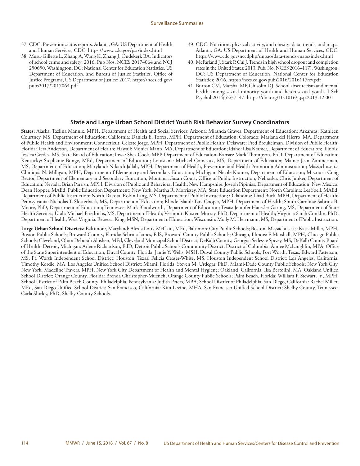- 37. CDC. Prevention status reports. Atlanta, GA: US Department of Health and Human Services, CDC. <https://www.cdc.gov/psr/index.html>
- 38. Musu-Gillette L, Zhang A, Wang K, Zhang J, Oudekerk BA. Indicators of school crime and safety: 2016. Pub Nos. NCES 2017–064 and NCJ 250650. Washington, DC: National Center for Education Statistics, US Department of Education, and Bureau of Justice Statistics, Office of Justice Programs, US Department of Justice; 2017. [https://nces.ed.gov/](https://nces.ed.gov/pubs2017/2017064.pdf) [pubs2017/2017064.pdf](https://nces.ed.gov/pubs2017/2017064.pdf)
- 39. CDC. Nutrition, physical activity, and obesity: data, trends, and maps. Atlanta, GA: US Department of Health and Human Services, CDC. <https://www.cdc.gov/nccdphp/dnpao/data-trends-maps/index.html>
- 40. McFarland J, Stark P, Cui J. Trends in high school dropout and completion rates in the United States: 2013. Pub. No. NCES 2016–117). Washington, DC: US Department of Education, National Center for Education Statistics; 2016. <https://nces.ed.gov/pubs2016/2016117rev.pdf>
- 41. Burton CM, Marshal MP, Chisolm DJ. School absenteeism and mental health among sexual minority youth and heterosexual youth. J Sch Psychol 2014;52:37–47.<https://doi.org/10.1016/j.jsp.2013.12.001>

#### **State and Large Urban School District Youth Risk Behavior Survey Coordinators**

**States:** Alaska: Tazlina Mannix, MPH, Department of Health and Social Services; Arizona: Miranda Graves, Department of Education; Arkansas: Kathleen Courtney, MS, Department of Education; California: Daniela E. Torres, MPH, Department of Education; Colorado: Mariana del Hierro, MA, Department of Public Health and Environment; Connecticut: Celeste Jorge, MPH, Department of Public Health; Delaware: Fred Breukelman, Division of Public Health; Florida: Tera Anderson, Department of Health; Hawaii: Monica Mann, MA, Department of Education; Idaho: Lisa Kramer, Department of Education; Illinois: Jessica Gerdes, MS, State Board of Education; Iowa: Shea Cook, MPP, Department of Education; Kansas: Mark Thompson, PhD, Department of Education; Kentucky: Stephanie Bunge, MEd, Department of Education; Louisiana: Michael Comeaux, MS, Department of Education; Maine: Jean Zimmerman, MS, Department of Education; Maryland: Nikardi Jallah, MPH, Department of Health, Prevention and Health Promotion Administration; Massachusetts: Chiniqua N. Milligan, MPH, Department of Elementary and Secondary Education; Michigan: Nicole Kramer, Department of Education; Missouri: Craig Rector, Department of Elementary and Secondary Education; Montana: Susan Court, Office of Public Instruction; Nebraska: Chris Junker, Department of Education; Nevada: Brian Parrish, MPH, Division of Public and Behavioral Health; New Hampshire: Joseph Pipinias, Department of Education; New Mexico: Dean Hopper, MAEd, Public Education Department; New York: Martha R. Morrissey, MA, State Education Department; North Carolina: Les Spell, MAEd, Department of Public Instruction; North Dakota: Robin Lang, MS, Department of Public Instruction; Oklahoma: Thad Burk, MPH, Department of Health; Pennsylvania: Nicholas T. Slotterback, MS, Department of Education; Rhode Island: Tara Cooper, MPH, Department of Health; South Carolina: Sabrina B. Moore, PhD, Department of Education; Tennessee: Mark Bloodworth, Department of Education; Texas: Jennifer Haussler Garing, MS, Department of State Health Services; Utah: Michael Friedrichs, MS, Department of Health; Vermont: Kristen Murray, PhD, Department of Health; Virginia: Sarah Conklin, PhD, Department of Health; West Virginia: Rebecca King, MSN, Department of Education; Wisconsin: Molly M. Herrmann, MS, Department of Public Instruction.

**Large Urban School Districts:** Baltimore, Maryland: Alexia Lotts-McCain, MEd, Baltimore City Public Schools; Boston, Massachusetts: Katia Miller, MPH, Boston Public Schools; Broward County, Florida: Sebrina James, EdS, Broward County Public Schools; Chicago, Illinois: E Marshall, MPH, Chicago Public Schools; Cleveland, Ohio: Deborah Aloshen, MEd, Cleveland Municipal School District; DeKalb County, Georgia: Sedessie Spivey, MS, DeKalb County Board of Health; Detroit, Michigan: Arlene Richardson, EdD, Detroit Public Schools Community District; District of Columbia: Aimee McLaughlin, MPA, Office of the State Superintendent of Education; Duval County, Florida: Jamie Y. Wells, MSH, Duval County Public Schools; Fort Worth, Texas: Edward Patterson, MS, Ft. Worth Independent School District; Houston, Texas: Felicia Ceaser-White, MS, Houston Independent School District; Los Angeles, California: Timothy Kordic, MA, Los Angeles Unified School District; Miami, Florida: Steven M. Urdegar, PhD, Miami-Dade County Public Schools; New York City, New York: Madeline Travers, MPH, New York City Department of Health and Mental Hygiene; Oakland, California: Ilsa Bertolini, MA, Oakland Unified School District; Orange County, Florida: Brenda Christopher-Muench, Orange County Public Schools; Palm Beach, Florida: William P. Stewart, Jr., MPH, School District of Palm Beach County; Philadelphia, Pennsylvania: Judith Peters, MBA, School District of Philadelphia; San Diego, California: Rachel Miller, MEd, San Diego Unified School District; San Francisco, California: Kim Levine, MHA, San Francisco Unified School District; Shelby County, Tennessee: Carla Shirley, PhD, Shelby County Schools.